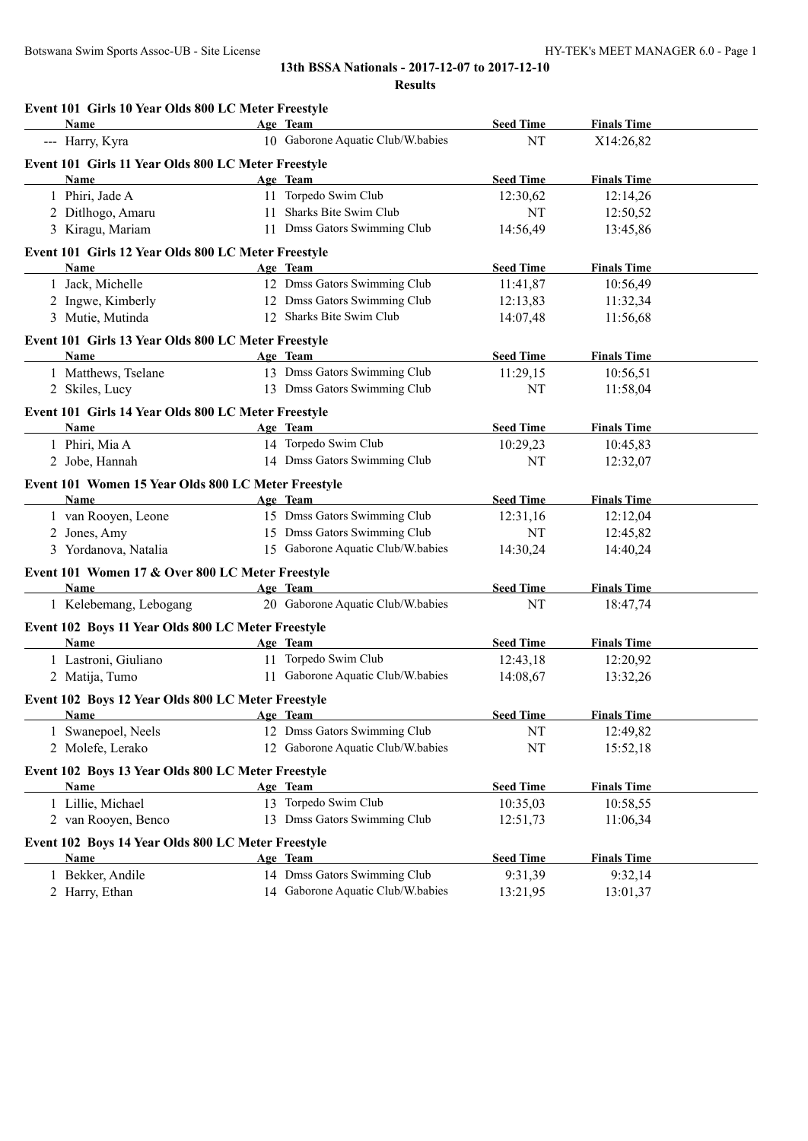**Results**

| Event 101 Girls 10 Year Olds 800 LC Meter Freestyle        |                                   |                  |                    |  |
|------------------------------------------------------------|-----------------------------------|------------------|--------------------|--|
| Name                                                       | Age Team                          | <b>Seed Time</b> | <b>Finals Time</b> |  |
| --- Harry, Kyra                                            | 10 Gaborone Aquatic Club/W.babies | NT               | X14:26,82          |  |
| Event 101 Girls 11 Year Olds 800 LC Meter Freestyle        |                                   |                  |                    |  |
| Name                                                       | Age Team                          | <b>Seed Time</b> | <b>Finals Time</b> |  |
| 1 Phiri, Jade A                                            | 11 Torpedo Swim Club              | 12:30,62         | 12:14,26           |  |
| 2 Ditlhogo, Amaru                                          | 11 Sharks Bite Swim Club          | NT               | 12:50,52           |  |
| 3 Kiragu, Mariam                                           | 11 Dmss Gators Swimming Club      | 14:56,49         | 13:45,86           |  |
| Event 101 Girls 12 Year Olds 800 LC Meter Freestyle        |                                   |                  |                    |  |
| Name                                                       | Age Team                          | <b>Seed Time</b> | <b>Finals Time</b> |  |
| 1 Jack, Michelle                                           | 12 Dmss Gators Swimming Club      | 11:41,87         | 10:56,49           |  |
| 2 Ingwe, Kimberly                                          | 12 Dmss Gators Swimming Club      | 12:13,83         | 11:32,34           |  |
| 3 Mutie, Mutinda                                           | 12 Sharks Bite Swim Club          | 14:07,48         | 11:56,68           |  |
| Event 101 Girls 13 Year Olds 800 LC Meter Freestyle        |                                   |                  |                    |  |
| Name                                                       | Age Team                          | <b>Seed Time</b> | <b>Finals Time</b> |  |
| 1 Matthews, Tselane                                        | 13 Dmss Gators Swimming Club      | 11:29,15         | 10:56,51           |  |
| 2 Skiles, Lucy                                             | 13 Dmss Gators Swimming Club      | NT               | 11:58,04           |  |
| Event 101 Girls 14 Year Olds 800 LC Meter Freestyle        |                                   |                  |                    |  |
| Name                                                       | Age Team                          | <b>Seed Time</b> | <b>Finals Time</b> |  |
| 1 Phiri, Mia A                                             | 14 Torpedo Swim Club              | 10:29,23         | 10:45,83           |  |
| 2 Jobe, Hannah                                             | 14 Dmss Gators Swimming Club      | NT               | 12:32,07           |  |
| Event 101 Women 15 Year Olds 800 LC Meter Freestyle        |                                   |                  |                    |  |
| <b>Name</b>                                                | Age Team                          | <b>Seed Time</b> | <b>Finals Time</b> |  |
| 1 van Rooyen, Leone                                        | 15 Dmss Gators Swimming Club      | 12:31,16         | 12:12,04           |  |
| 2 Jones, Amy                                               | 15 Dmss Gators Swimming Club      | NT               | 12:45,82           |  |
| 3 Yordanova, Natalia                                       | 15 Gaborone Aquatic Club/W.babies | 14:30,24         | 14:40,24           |  |
| Event 101 Women 17 & Over 800 LC Meter Freestyle           |                                   |                  |                    |  |
| Name                                                       | Age Team                          | <b>Seed Time</b> | <b>Finals Time</b> |  |
| 1 Kelebemang, Lebogang                                     | 20 Gaborone Aquatic Club/W.babies | NT               | 18:47,74           |  |
|                                                            |                                   |                  |                    |  |
| Event 102 Boys 11 Year Olds 800 LC Meter Freestyle<br>Name | Age Team                          | <b>Seed Time</b> | <b>Finals Time</b> |  |
| 1 Lastroni, Giuliano                                       | 11 Torpedo Swim Club              | 12:43,18         | 12:20,92           |  |
| 2 Matija, Tumo                                             | 11 Gaborone Aquatic Club/W.babies | 14:08,67         | 13:32,26           |  |
|                                                            |                                   |                  |                    |  |
| Event 102 Boys 12 Year Olds 800 LC Meter Freestyle         |                                   | <b>Seed Time</b> |                    |  |
| Name                                                       | Age Team                          |                  | <b>Finals Time</b> |  |
| 1 Swanepoel, Neels                                         | 12 Dmss Gators Swimming Club      | NT               | 12:49,82           |  |
| 2 Molefe, Lerako                                           | 12 Gaborone Aquatic Club/W.babies | NT               | 15:52,18           |  |
| Event 102 Boys 13 Year Olds 800 LC Meter Freestyle         |                                   |                  |                    |  |
| Name                                                       | Age Team                          | <b>Seed Time</b> | <b>Finals Time</b> |  |
| 1 Lillie, Michael                                          | 13 Torpedo Swim Club              | 10:35,03         | 10:58,55           |  |
| 2 van Rooyen, Benco                                        | 13 Dmss Gators Swimming Club      | 12:51,73         | 11:06,34           |  |
| Event 102 Boys 14 Year Olds 800 LC Meter Freestyle         |                                   |                  |                    |  |
| <b>Name</b>                                                | Age Team                          | <b>Seed Time</b> | <b>Finals Time</b> |  |
| 1 Bekker, Andile                                           | 14 Dmss Gators Swimming Club      | 9:31,39          | 9:32,14            |  |
| 2 Harry, Ethan                                             | 14 Gaborone Aquatic Club/W.babies | 13:21,95         | 13:01,37           |  |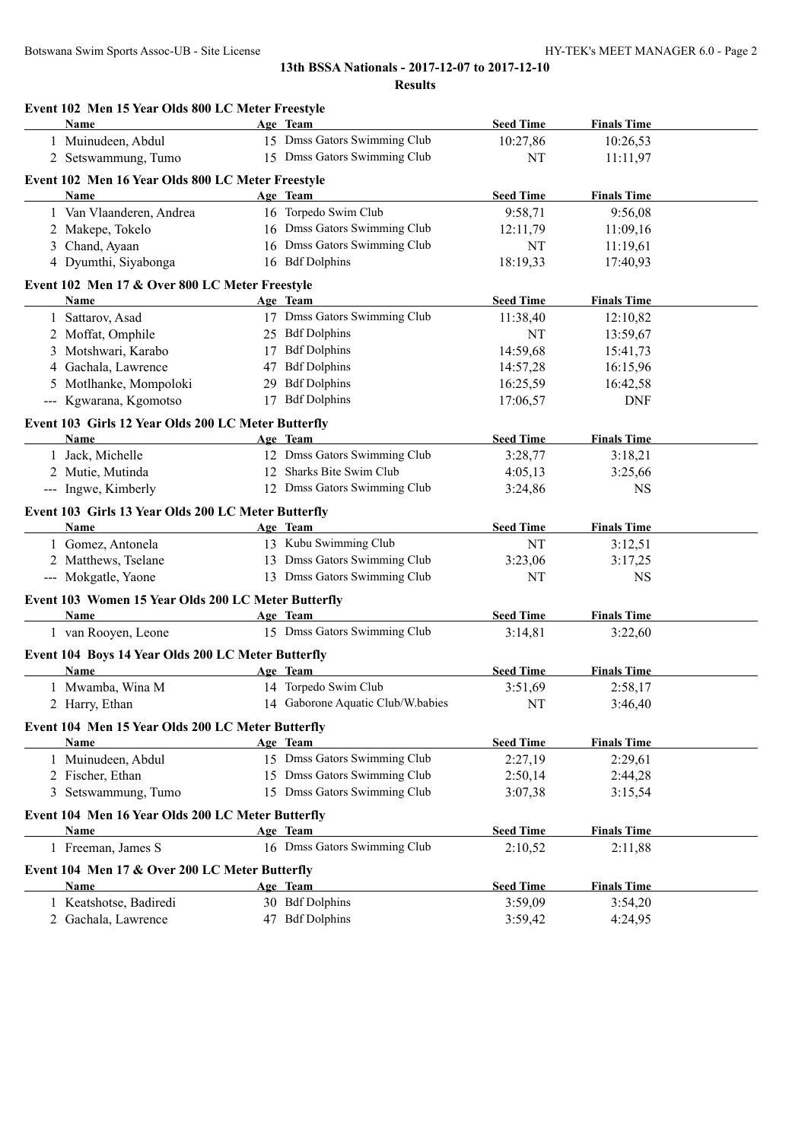| Event 102 Men 15 Year Olds 800 LC Meter Freestyle           |                                    |                                   |                    |                    |  |
|-------------------------------------------------------------|------------------------------------|-----------------------------------|--------------------|--------------------|--|
| Name                                                        | Age Team                           |                                   | <b>Seed Time</b>   | <b>Finals Time</b> |  |
| 1 Muinudeen, Abdul                                          |                                    | 15 Dmss Gators Swimming Club      | 10:27,86           | 10:26,53           |  |
| 2 Setswammung, Tumo                                         |                                    | 15 Dmss Gators Swimming Club      | NT                 | 11:11,97           |  |
| Event 102 Men 16 Year Olds 800 LC Meter Freestyle           |                                    |                                   |                    |                    |  |
| Name                                                        | Age Team                           |                                   | <b>Seed Time</b>   | <b>Finals Time</b> |  |
| 1 Van Vlaanderen, Andrea                                    |                                    | 16 Torpedo Swim Club              | 9:58,71            | 9:56,08            |  |
| 2 Makepe, Tokelo                                            |                                    | 16 Dmss Gators Swimming Club      | 12:11,79           | 11:09,16           |  |
| 3 Chand, Ayaan                                              |                                    | 16 Dmss Gators Swimming Club      | NT                 | 11:19,61           |  |
| 4 Dyumthi, Siyabonga                                        | 16 Bdf Dolphins                    |                                   | 18:19,33           | 17:40,93           |  |
| Event 102 Men 17 & Over 800 LC Meter Freestyle              |                                    |                                   |                    |                    |  |
| Name                                                        | Age Team                           |                                   | <b>Seed Time</b>   | <b>Finals Time</b> |  |
| 1 Sattarov, Asad                                            |                                    | 17 Dmss Gators Swimming Club      | 11:38,40           | 12:10,82           |  |
| 2 Moffat, Omphile                                           | 25 Bdf Dolphins                    |                                   | NT                 | 13:59,67           |  |
| 3 Motshwari, Karabo                                         | 17 Bdf Dolphins                    |                                   | 14:59,68           | 15:41,73           |  |
| 4 Gachala, Lawrence                                         | 47 Bdf Dolphins                    |                                   | 14:57,28           | 16:15,96           |  |
| 5 Motlhanke, Mompoloki                                      | 29 Bdf Dolphins                    |                                   | 16:25,59           | 16:42,58           |  |
| --- Kgwarana, Kgomotso                                      | 17 Bdf Dolphins                    |                                   | 17:06,57           | <b>DNF</b>         |  |
| Event 103 Girls 12 Year Olds 200 LC Meter Butterfly         |                                    |                                   |                    |                    |  |
| <b>Name</b>                                                 | Age Team                           |                                   | <b>Seed Time</b>   | <b>Finals Time</b> |  |
| 1 Jack, Michelle                                            |                                    | 12 Dmss Gators Swimming Club      | 3:28,77            | 3:18,21            |  |
| 2 Mutie, Mutinda                                            |                                    | 12 Sharks Bite Swim Club          | 4:05,13            | 3:25,66            |  |
| --- Ingwe, Kimberly                                         |                                    | 12 Dmss Gators Swimming Club      | 3:24,86            | <b>NS</b>          |  |
|                                                             |                                    |                                   |                    |                    |  |
| Event 103 Girls 13 Year Olds 200 LC Meter Butterfly<br>Name | Age Team                           |                                   | <b>Seed Time</b>   | <b>Finals Time</b> |  |
| 1 Gomez, Antonela                                           |                                    | 13 Kubu Swimming Club             | NT                 | 3:12,51            |  |
| 2 Matthews, Tselane                                         |                                    | 13 Dmss Gators Swimming Club      | 3:23,06            | 3:17,25            |  |
| --- Mokgatle, Yaone                                         |                                    | 13 Dmss Gators Swimming Club      | NT                 | <b>NS</b>          |  |
|                                                             |                                    |                                   |                    |                    |  |
| Event 103 Women 15 Year Olds 200 LC Meter Butterfly         |                                    |                                   | <b>Seed Time</b>   | <b>Finals Time</b> |  |
| <b>Name</b><br>1 van Rooyen, Leone                          | Age Team                           | 15 Dmss Gators Swimming Club      | 3:14,81            | 3:22,60            |  |
|                                                             |                                    |                                   |                    |                    |  |
| Event 104 Boys 14 Year Olds 200 LC Meter Butterfly          |                                    |                                   |                    |                    |  |
| Name                                                        | Age Team                           |                                   | <b>Seed Time</b>   | <b>Finals Time</b> |  |
| 1 Mwamba, Wina M                                            |                                    | 14 Torpedo Swim Club              | 3:51,69            | 2:58,17            |  |
| 2 Harry, Ethan                                              |                                    | 14 Gaborone Aquatic Club/W.babies | NT                 | 3:46,40            |  |
| Event 104 Men 15 Year Olds 200 LC Meter Butterfly           |                                    |                                   |                    |                    |  |
| Name                                                        | Age Team                           |                                   | <b>Seed Time</b>   | <b>Finals Time</b> |  |
| 1 Muinudeen, Abdul                                          |                                    | 15 Dmss Gators Swimming Club      | 2:27,19            | 2:29,61            |  |
| 2 Fischer, Ethan                                            |                                    | 15 Dmss Gators Swimming Club      | 2:50,14            | 2:44,28            |  |
| 3 Setswammung, Tumo                                         |                                    | 15 Dmss Gators Swimming Club      | 3:07,38            | 3:15,54            |  |
| Event 104 Men 16 Year Olds 200 LC Meter Butterfly           |                                    |                                   |                    |                    |  |
| Name                                                        | Age Team                           |                                   | <b>Seed Time</b>   | <b>Finals Time</b> |  |
|                                                             |                                    |                                   |                    |                    |  |
| 1 Freeman, James S                                          |                                    | 16 Dmss Gators Swimming Club      | 2:10,52            | 2:11,88            |  |
|                                                             |                                    |                                   |                    |                    |  |
| Event 104 Men 17 & Over 200 LC Meter Butterfly              |                                    |                                   |                    |                    |  |
| Name                                                        | Age Team                           |                                   | <b>Seed Time</b>   | <b>Finals Time</b> |  |
| 1 Keatshotse, Badiredi<br>2 Gachala, Lawrence               | 30 Bdf Dolphins<br>47 Bdf Dolphins |                                   | 3:59,09<br>3:59,42 | 3:54,20<br>4:24,95 |  |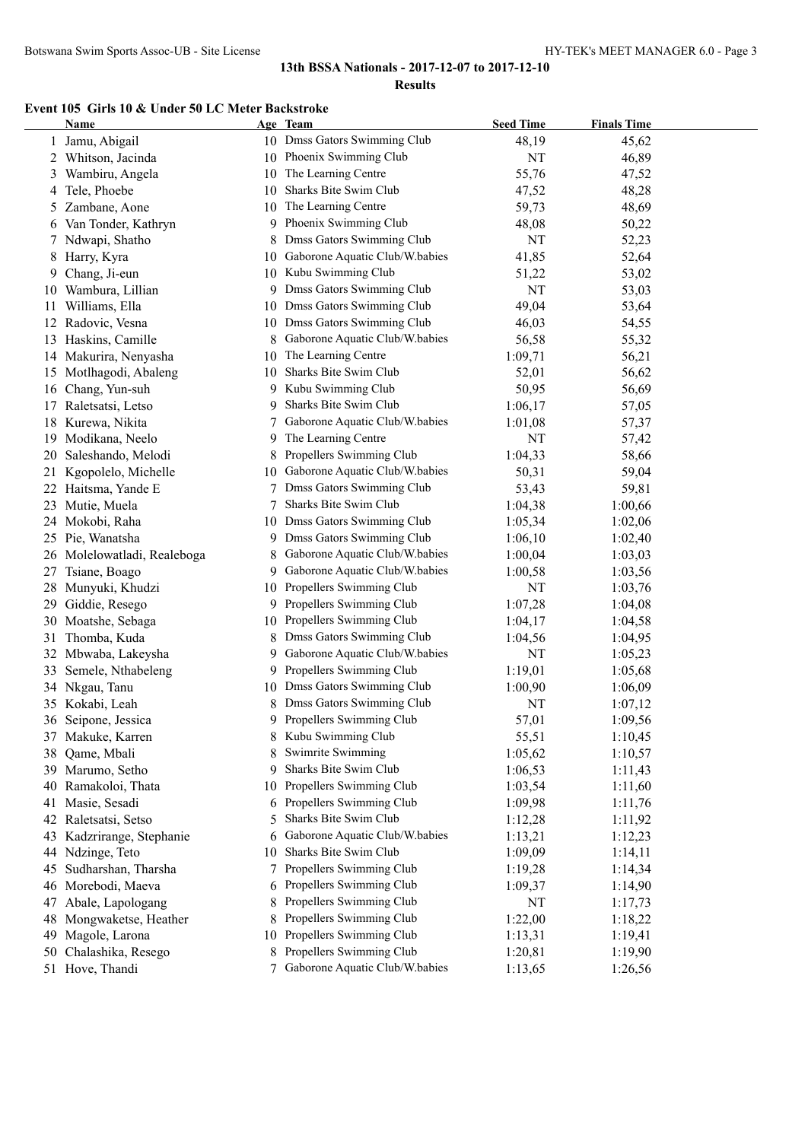#### **Event 105 Girls 10 & Under 50 LC Meter Backstroke**

|     | <b>Name</b>                 |    | Age Team                       | <b>Seed Time</b> | <b>Finals Time</b> |  |
|-----|-----------------------------|----|--------------------------------|------------------|--------------------|--|
|     | Jamu, Abigail               |    | 10 Dmss Gators Swimming Club   | 48,19            | 45,62              |  |
|     | 2 Whitson, Jacinda          |    | 10 Phoenix Swimming Club       | NT               | 46,89              |  |
| 3   | Wambiru, Angela             | 10 | The Learning Centre            | 55,76            | 47,52              |  |
| 4   | Tele, Phoebe                | 10 | Sharks Bite Swim Club          | 47,52            | 48,28              |  |
| 5   | Zambane, Aone               | 10 | The Learning Centre            | 59,73            | 48,69              |  |
| 6   | Van Tonder, Kathryn         | 9  | Phoenix Swimming Club          | 48,08            | 50,22              |  |
|     | Ndwapi, Shatho              | 8  | Dmss Gators Swimming Club      | NT               | 52,23              |  |
| 8   | Harry, Kyra                 | 10 | Gaborone Aquatic Club/W.babies | 41,85            | 52,64              |  |
| 9   | Chang, Ji-eun               |    | 10 Kubu Swimming Club          | 51,22            | 53,02              |  |
|     | 10 Wambura, Lillian         | 9. | Dmss Gators Swimming Club      | NT               | 53,03              |  |
| 11. | Williams, Ella              |    | 10 Dmss Gators Swimming Club   | 49,04            | 53,64              |  |
|     | 12 Radovic, Vesna           |    | 10 Dmss Gators Swimming Club   | 46,03            | 54,55              |  |
| 13  | Haskins, Camille            | 8  | Gaborone Aquatic Club/W.babies | 56,58            | 55,32              |  |
|     | 14 Makurira, Nenyasha       |    | 10 The Learning Centre         | 1:09,71          | 56,21              |  |
|     | 15 Motlhagodi, Abaleng      | 10 | Sharks Bite Swim Club          | 52,01            | 56,62              |  |
| 16  | Chang, Yun-suh              |    | 9 Kubu Swimming Club           | 50,95            | 56,69              |  |
| 17  | Raletsatsi, Letso           | 9  | Sharks Bite Swim Club          | 1:06,17          | 57,05              |  |
| 18  | Kurewa, Nikita              | 7  | Gaborone Aquatic Club/W.babies | 1:01,08          | 57,37              |  |
|     | 19 Modikana, Neelo          | 9  | The Learning Centre            | NT               | 57,42              |  |
| 20  | Saleshando, Melodi          | 8  | Propellers Swimming Club       | 1:04,33          | 58,66              |  |
| 21  | Kgopolelo, Michelle         | 10 | Gaborone Aquatic Club/W.babies | 50,31            | 59,04              |  |
|     | 22 Haitsma, Yande E         |    | 7 Dmss Gators Swimming Club    | 53,43            | 59,81              |  |
|     | 23 Mutie, Muela             | 7  | Sharks Bite Swim Club          | 1:04,38          | 1:00,66            |  |
|     | 24 Mokobi, Raha             |    | 10 Dmss Gators Swimming Club   | 1:05,34          | 1:02,06            |  |
|     | 25 Pie, Wanatsha            | 9  | Dmss Gators Swimming Club      | 1:06,10          | 1:02,40            |  |
|     | 26 Molelowatladi, Realeboga | 8  | Gaborone Aquatic Club/W.babies | 1:00,04          | 1:03,03            |  |
| 27  | Tsiane, Boago               | 9  | Gaborone Aquatic Club/W.babies | 1:00,58          | 1:03,56            |  |
|     | 28 Munyuki, Khudzi          |    | 10 Propellers Swimming Club    | NT               | 1:03,76            |  |
| 29  | Giddie, Resego              | 9  | Propellers Swimming Club       | 1:07,28          | 1:04,08            |  |
|     | 30 Moatshe, Sebaga          |    | 10 Propellers Swimming Club    | 1:04,17          | 1:04,58            |  |
| 31  | Thomba, Kuda                | 8  | Dmss Gators Swimming Club      | 1:04,56          | 1:04,95            |  |
| 32  | Mbwaba, Lakeysha            | 9  | Gaborone Aquatic Club/W.babies | NT               | 1:05,23            |  |
| 33  | Semele, Nthabeleng          | 9  | Propellers Swimming Club       | 1:19,01          | 1:05,68            |  |
|     | 34 Nkgau, Tanu              |    | 10 Dmss Gators Swimming Club   | 1:00,90          | 1:06,09            |  |
|     | 35 Kokabi, Leah             |    | Dmss Gators Swimming Club      | NT               | 1:07,12            |  |
|     | 36 Seipone, Jessica         | 9  | Propellers Swimming Club       | 57,01            | 1:09,56            |  |
|     | 37 Makuke, Karren           |    | Kubu Swimming Club             | 55,51            | 1:10,45            |  |
| 38  | Qame, Mbali                 | 8  | Swimrite Swimming              | 1:05,62          | 1:10,57            |  |
|     | 39 Marumo, Setho            | 9  | Sharks Bite Swim Club          | 1:06,53          | 1:11,43            |  |
| 40  | Ramakoloi, Thata            | 10 | Propellers Swimming Club       | 1:03,54          | 1:11,60            |  |
| 41  | Masie, Sesadi               | 6  | Propellers Swimming Club       | 1:09,98          | 1:11,76            |  |
| 42  | Raletsatsi, Setso           | 5  | Sharks Bite Swim Club          | 1:12,28          | 1:11,92            |  |
| 43  | Kadzrirange, Stephanie      | 6  | Gaborone Aquatic Club/W.babies | 1:13,21          | 1:12,23            |  |
| 44  | Ndzinge, Teto               | 10 | Sharks Bite Swim Club          | 1:09,09          | 1:14,11            |  |
| 45  | Sudharshan, Tharsha         | 7  | Propellers Swimming Club       | 1:19,28          | 1:14,34            |  |
| 46  | Morebodi, Maeva             | 6  | Propellers Swimming Club       | 1:09,37          | 1:14,90            |  |
| 47  | Abale, Lapologang           | 8  | Propellers Swimming Club       | NT               | 1:17,73            |  |
| 48  | Mongwaketse, Heather        | 8  | Propellers Swimming Club       | 1:22,00          | 1:18,22            |  |
| 49  | Magole, Larona              | 10 | Propellers Swimming Club       | 1:13,31          | 1:19,41            |  |
| 50  | Chalashika, Resego          | 8  | Propellers Swimming Club       | 1:20,81          | 1:19,90            |  |
|     | 51 Hove, Thandi             | 7  | Gaborone Aquatic Club/W.babies | 1:13,65          | 1:26,56            |  |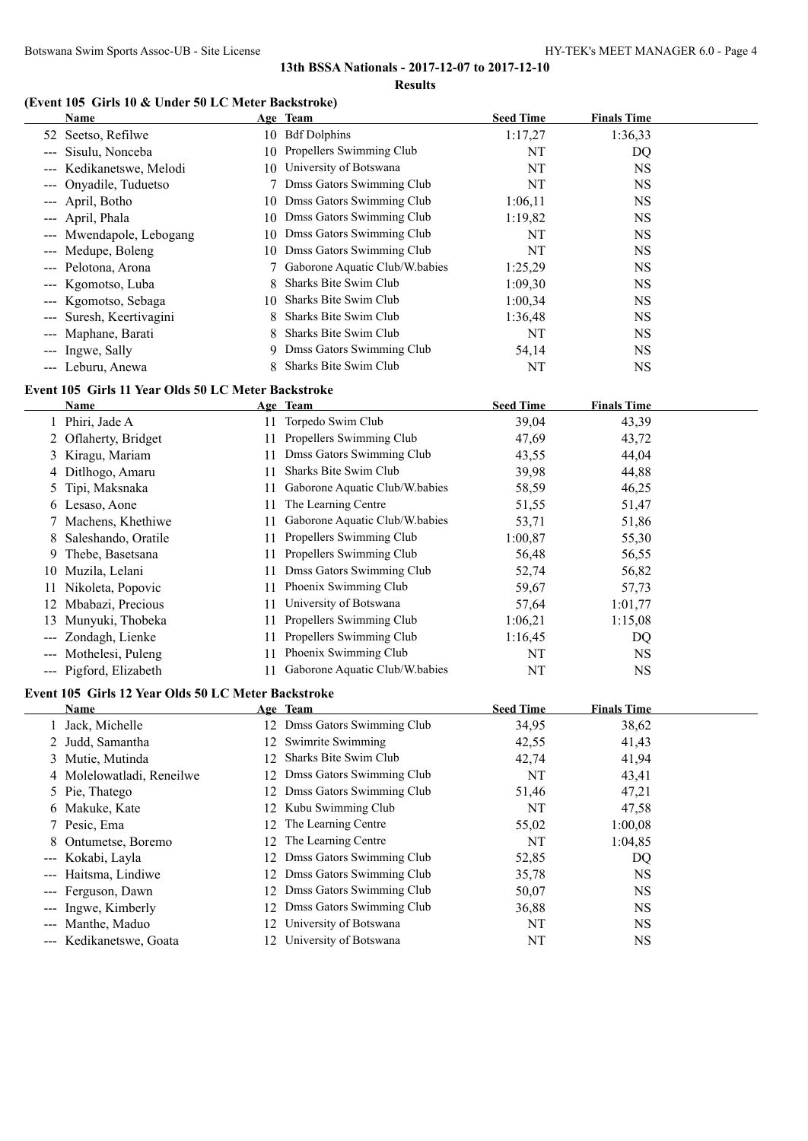#### **Results**

#### **(Event 105 Girls 10 & Under 50 LC Meter Backstroke)**

|     | Name                                                |     | Age Team                                             | <b>Seed Time</b> | <b>Finals Time</b> |  |
|-----|-----------------------------------------------------|-----|------------------------------------------------------|------------------|--------------------|--|
|     | 52 Seetso, Refilwe                                  |     | 10 Bdf Dolphins                                      | 1:17,27          | 1:36,33            |  |
|     | --- Sisulu, Nonceba                                 |     | 10 Propellers Swimming Club                          | NT               | DQ                 |  |
|     | Kedikanetswe, Melodi                                |     | 10 University of Botswana                            | NT               | <b>NS</b>          |  |
|     | Onyadile, Tuduetso                                  |     | 7 Dmss Gators Swimming Club                          | <b>NT</b>        | <b>NS</b>          |  |
|     | April, Botho                                        |     | 10 Dmss Gators Swimming Club                         | 1:06,11          | $_{\rm NS}$        |  |
|     | April, Phala                                        |     | 10 Dmss Gators Swimming Club                         | 1:19,82          | <b>NS</b>          |  |
|     | Mwendapole, Lebogang                                | 10  | Dmss Gators Swimming Club                            | NT               | <b>NS</b>          |  |
|     | Medupe, Boleng                                      | 10  | Dmss Gators Swimming Club                            | NT               | <b>NS</b>          |  |
|     | Pelotona, Arona                                     | 7   | Gaborone Aquatic Club/W.babies                       | 1:25,29          | <b>NS</b>          |  |
|     | Kgomotso, Luba                                      |     | Sharks Bite Swim Club                                | 1:09,30          | <b>NS</b>          |  |
|     | Kgomotso, Sebaga                                    | 10  | Sharks Bite Swim Club                                | 1:00,34          | <b>NS</b>          |  |
|     | Suresh, Keertivagini                                | 8   | Sharks Bite Swim Club                                | 1:36,48          | <b>NS</b>          |  |
|     | Maphane, Barati                                     | 8   | Sharks Bite Swim Club                                | NT               | <b>NS</b>          |  |
| --- | Ingwe, Sally                                        | 9   | Dmss Gators Swimming Club                            | 54,14            | <b>NS</b>          |  |
| --- | Leburu, Anewa                                       |     | 8 Sharks Bite Swim Club                              | NT               | <b>NS</b>          |  |
|     | Event 105 Girls 11 Year Olds 50 LC Meter Backstroke |     |                                                      |                  |                    |  |
|     | <b>Name</b>                                         |     | Age Team                                             | <b>Seed Time</b> | <b>Finals Time</b> |  |
|     | 1 Phiri, Jade A                                     |     | 11 Torpedo Swim Club                                 | 39,04            | 43,39              |  |
| 2   | Oflaherty, Bridget                                  |     | 11 Propellers Swimming Club                          | 47,69            | 43,72              |  |
| 3   | Kiragu, Mariam                                      | 11  | Dmss Gators Swimming Club                            | 43,55            | 44,04              |  |
|     | Ditlhogo, Amaru                                     | 11  | Sharks Bite Swim Club                                | 39,98            | 44,88              |  |
|     | Tipi, Maksnaka                                      | 11  | Gaborone Aquatic Club/W.babies                       | 58,59            | 46,25              |  |
| 5   | 6 Lesaso, Aone                                      | 11  | The Learning Centre                                  | 51,55            | 51,47              |  |
|     | Machens, Khethiwe                                   |     | Gaborone Aquatic Club/W.babies                       | 53,71            | 51,86              |  |
|     | Saleshando, Oratile                                 | 11  | Propellers Swimming Club                             |                  |                    |  |
| 8   |                                                     | 11  | Propellers Swimming Club                             | 1:00,87          | 55,30              |  |
| 9   | Thebe, Basetsana                                    | 11  | Dmss Gators Swimming Club                            | 56,48            | 56,55              |  |
| 10  | Muzila, Lelani                                      | 11  | Phoenix Swimming Club                                | 52,74            | 56,82              |  |
| 11  | Nikoleta, Popovic                                   | 11- | University of Botswana                               | 59,67            | 57,73              |  |
| 12  | Mbabazi, Precious                                   | 11  |                                                      | 57,64            | 1:01,77            |  |
| 13  | Munyuki, Thobeka                                    | 11  | Propellers Swimming Club<br>Propellers Swimming Club | 1:06,21          | 1:15,08            |  |
|     | Zondagh, Lienke                                     | 11  | Phoenix Swimming Club                                | 1:16,45          | DQ                 |  |
|     | Mothelesi, Puleng                                   | 11  |                                                      | NT               | <b>NS</b>          |  |
|     | --- Pigford, Elizabeth                              | 11  | Gaborone Aquatic Club/W.babies                       | <b>NT</b>        | <b>NS</b>          |  |
|     | Event 105 Girls 12 Year Olds 50 LC Meter Backstroke |     |                                                      |                  |                    |  |
|     | Name                                                |     | Age Team                                             | <b>Seed Time</b> | <b>Finals Time</b> |  |
|     | Jack, Michelle                                      |     | 12 Dmss Gators Swimming Club                         | 34,95            | 38,62              |  |
|     | Judd, Samantha                                      |     | 12 Swimrite Swimming                                 | 42,55            | 41,43              |  |
| 3   | Mutie, Mutinda                                      | 12  | Sharks Bite Swim Club                                | 42,74            | 41,94              |  |
| 4   | Molelowatladi, Reneilwe                             | 12  | Dmss Gators Swimming Club                            | NT               | 43,41              |  |
| 5   | Pie, Thatego                                        | 12  | Dmss Gators Swimming Club                            | 51,46            | 47,21              |  |
| 6   | Makuke, Kate                                        | 12  | Kubu Swimming Club                                   | NT               | 47,58              |  |
| 7   | Pesic, Ema                                          | 12  | The Learning Centre                                  | 55,02            | 1:00,08            |  |
| 8   | Ontumetse, Boremo                                   | 12  | The Learning Centre                                  | NT               | 1:04,85            |  |
| --- | Kokabi, Layla                                       | 12  | Dmss Gators Swimming Club                            | 52,85            | DQ                 |  |
|     | Haitsma, Lindiwe                                    | 12  | Dmss Gators Swimming Club                            | 35,78            | <b>NS</b>          |  |
|     | Ferguson, Dawn                                      | 12  | Dmss Gators Swimming Club                            | 50,07            | <b>NS</b>          |  |
|     | Ingwe, Kimberly                                     | 12  | Dmss Gators Swimming Club                            | 36,88            | <b>NS</b>          |  |
| --- | Manthe, Maduo                                       | 12  | University of Botswana                               | NT               | <b>NS</b>          |  |
| --- | Kedikanetswe, Goata                                 |     | 12 University of Botswana                            | NT               | <b>NS</b>          |  |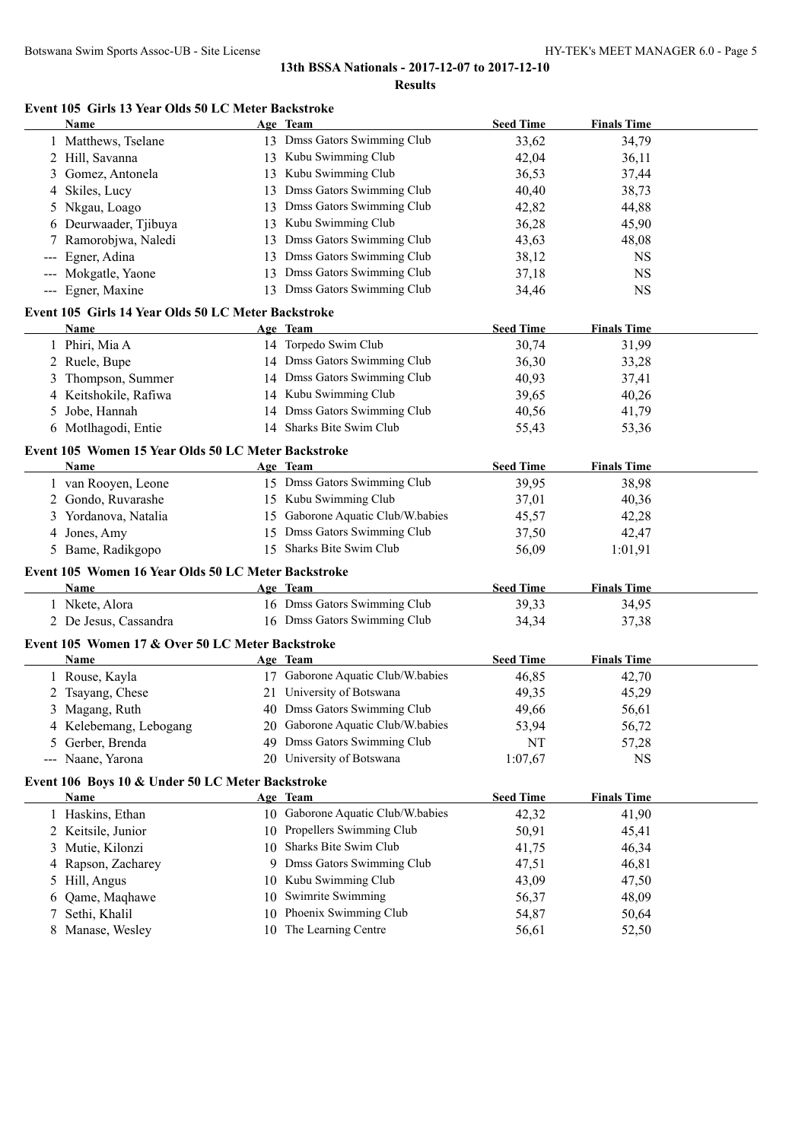#### **Event 105 Girls 13 Year Olds 50 LC Meter Backstroke**

|   | Name                                                |    | Age Team                                 | <b>Seed Time</b> | <b>Finals Time</b> |  |
|---|-----------------------------------------------------|----|------------------------------------------|------------------|--------------------|--|
|   | 1 Matthews, Tselane                                 |    | 13 Dmss Gators Swimming Club             | 33,62            | 34,79              |  |
|   | 2 Hill, Savanna                                     |    | 13 Kubu Swimming Club                    | 42,04            | 36,11              |  |
| 3 | Gomez, Antonela                                     |    | 13 Kubu Swimming Club                    | 36,53            | 37,44              |  |
|   | 4 Skiles, Lucy                                      | 13 | Dmss Gators Swimming Club                | 40,40            | 38,73              |  |
|   | 5 Nkgau, Loago                                      | 13 | Dmss Gators Swimming Club                | 42,82            | 44,88              |  |
|   | 6 Deurwaader, Tjibuya                               | 13 | Kubu Swimming Club                       | 36,28            | 45,90              |  |
|   | 7 Ramorobjwa, Naledi                                | 13 | Dmss Gators Swimming Club                | 43,63            | 48,08              |  |
|   | --- Egner, Adina                                    | 13 | Dmss Gators Swimming Club                | 38,12            | $_{\rm NS}$        |  |
|   | --- Mokgatle, Yaone                                 |    | 13 Dmss Gators Swimming Club             | 37,18            | $_{\rm NS}$        |  |
|   | --- Egner, Maxine                                   |    | 13 Dmss Gators Swimming Club             | 34,46            | $_{\rm NS}$        |  |
|   | Event 105 Girls 14 Year Olds 50 LC Meter Backstroke |    |                                          |                  |                    |  |
|   | Name                                                |    | Age Team                                 | <b>Seed Time</b> | <b>Finals Time</b> |  |
|   | 1 Phiri, Mia A                                      |    | 14 Torpedo Swim Club                     | 30,74            | 31,99              |  |
|   | 2 Ruele, Bupe                                       |    | 14 Dmss Gators Swimming Club             | 36,30            | 33,28              |  |
| 3 | Thompson, Summer                                    |    | 14 Dmss Gators Swimming Club             | 40,93            | 37,41              |  |
|   | 4 Keitshokile, Rafiwa                               |    | 14 Kubu Swimming Club                    | 39,65            | 40,26              |  |
|   | 5 Jobe, Hannah                                      |    | 14 Dmss Gators Swimming Club             | 40,56            | 41,79              |  |
|   | 6 Motlhagodi, Entie                                 |    | 14 Sharks Bite Swim Club                 | 55,43            | 53,36              |  |
|   | Event 105 Women 15 Year Olds 50 LC Meter Backstroke |    |                                          |                  |                    |  |
|   | Name                                                |    | Age Team                                 | <b>Seed Time</b> | <b>Finals Time</b> |  |
|   | 1 van Rooyen, Leone                                 |    | 15 Dmss Gators Swimming Club             | 39,95            | 38,98              |  |
|   | 2 Gondo, Ruvarashe                                  |    | 15 Kubu Swimming Club                    | 37,01            | 40,36              |  |
|   | 3 Yordanova, Natalia                                |    | 15 Gaborone Aquatic Club/W.babies        | 45,57            | 42,28              |  |
|   | 4 Jones, Amy                                        |    | 15 Dmss Gators Swimming Club             | 37,50            | 42,47              |  |
|   | 5 Bame, Radikgopo                                   |    | 15 Sharks Bite Swim Club                 | 56,09            | 1:01,91            |  |
|   | Event 105 Women 16 Year Olds 50 LC Meter Backstroke |    |                                          |                  |                    |  |
|   | <b>Name</b>                                         |    |                                          | <b>Seed Time</b> | <b>Finals Time</b> |  |
|   |                                                     |    | Age Team<br>16 Dmss Gators Swimming Club |                  |                    |  |
|   | 1 Nkete, Alora                                      |    |                                          | 39,33            | 34,95              |  |
|   | 2 De Jesus, Cassandra                               |    | 16 Dmss Gators Swimming Club             | 34,34            | 37,38              |  |
|   | Event 105 Women 17 & Over 50 LC Meter Backstroke    |    |                                          |                  |                    |  |
|   | <b>Name</b>                                         |    | Age Team                                 | <b>Seed Time</b> | <b>Finals Time</b> |  |
|   | 1 Rouse, Kayla                                      |    | 17 Gaborone Aquatic Club/W.babies        | 46,85            | 42,70              |  |
|   | 2 Tsayang, Chese                                    |    | 21 University of Botswana                | 49,35            | 45,29              |  |
|   | 3 Magang, Ruth                                      |    | 40 Dmss Gators Swimming Club             | 49,66            | 56,61              |  |
|   | 4 Kelebemang, Lebogang                              |    | 20 Gaborone Aquatic Club/W.babies        | 53,94            | 56,72              |  |
|   | 5 Gerber, Brenda                                    |    | 49 Dmss Gators Swimming Club             | NT               | 57,28              |  |
|   | --- Naane, Yarona                                   |    | 20 University of Botswana                | 1:07,67          | <b>NS</b>          |  |
|   | Event 106 Boys 10 & Under 50 LC Meter Backstroke    |    |                                          |                  |                    |  |
|   | Name                                                |    | Age Team                                 | <b>Seed Time</b> | <b>Finals Time</b> |  |
|   | 1 Haskins, Ethan                                    |    | 10 Gaborone Aquatic Club/W.babies        | 42,32            | 41,90              |  |
|   | 2 Keitsile, Junior                                  |    | 10 Propellers Swimming Club              | 50,91            | 45,41              |  |
| 3 | Mutie, Kilonzi                                      |    | 10 Sharks Bite Swim Club                 | 41,75            | 46,34              |  |
| 4 | Rapson, Zacharey                                    |    | 9 Dmss Gators Swimming Club              | 47,51            | 46,81              |  |
| 5 | Hill, Angus                                         |    | 10 Kubu Swimming Club                    | 43,09            | 47,50              |  |
| 6 | Qame, Maqhawe                                       | 10 | Swimrite Swimming                        | 56,37            | 48,09              |  |
| 7 | Sethi, Khalil                                       | 10 | Phoenix Swimming Club                    | 54,87            | 50,64              |  |
|   | Manase, Wesley                                      |    | 10 The Learning Centre                   | 56,61            | 52,50              |  |
|   |                                                     |    |                                          |                  |                    |  |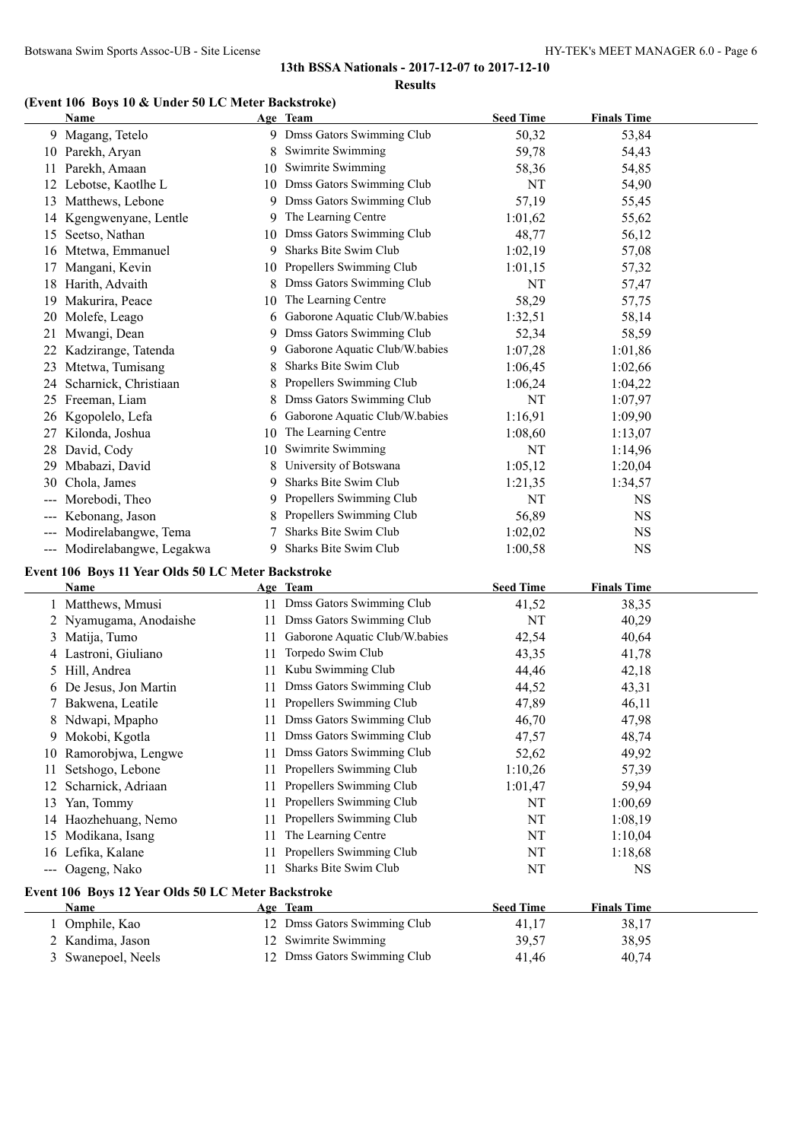#### **Results**

#### **(Event 106 Boys 10 & Under 50 LC Meter Backstroke)**

|    | Name                                                                      |    | Age Team                       | <b>Seed Time</b> | <b>Finals Time</b> |  |
|----|---------------------------------------------------------------------------|----|--------------------------------|------------------|--------------------|--|
|    | 9 Magang, Tetelo                                                          |    | 9 Dmss Gators Swimming Club    | 50,32            | 53,84              |  |
| 10 | Parekh, Aryan                                                             |    | Swimrite Swimming              | 59,78            | 54,43              |  |
| 11 | Parekh, Amaan                                                             | 10 | Swimrite Swimming              | 58,36            | 54,85              |  |
| 12 | Lebotse, Kaotlhe L                                                        | 10 | Dmss Gators Swimming Club      | NT               | 54,90              |  |
| 13 | Matthews, Lebone                                                          | 9  | Dmss Gators Swimming Club      | 57,19            | 55,45              |  |
| 14 | Kgengwenyane, Lentle                                                      | 9  | The Learning Centre            | 1:01,62          | 55,62              |  |
| 15 | Seetso, Nathan                                                            | 10 | Dmss Gators Swimming Club      | 48,77            | 56,12              |  |
| 16 | Mtetwa, Emmanuel                                                          | 9  | Sharks Bite Swim Club          | 1:02,19          | 57,08              |  |
| 17 | Mangani, Kevin                                                            | 10 | Propellers Swimming Club       | 1:01,15          | 57,32              |  |
| 18 | Harith, Advaith                                                           |    | Dmss Gators Swimming Club      | NT               | 57,47              |  |
| 19 | Makurira, Peace                                                           | 10 | The Learning Centre            | 58,29            | 57,75              |  |
| 20 | Molefe, Leago                                                             | 6  | Gaborone Aquatic Club/W.babies | 1:32,51          | 58,14              |  |
| 21 | Mwangi, Dean                                                              | 9  | Dmss Gators Swimming Club      | 52,34            | 58,59              |  |
| 22 | Kadzirange, Tatenda                                                       | 9  | Gaborone Aquatic Club/W.babies | 1:07,28          | 1:01,86            |  |
| 23 | Mtetwa, Tumisang                                                          |    | Sharks Bite Swim Club          | 1:06,45          | 1:02,66            |  |
| 24 | Scharnick, Christiaan                                                     |    | Propellers Swimming Club       | 1:06,24          | 1:04,22            |  |
| 25 | Freeman, Liam                                                             |    | Dmss Gators Swimming Club      | NT               | 1:07,97            |  |
| 26 | Kgopolelo, Lefa                                                           | 6  | Gaborone Aquatic Club/W.babies | 1:16,91          | 1:09,90            |  |
| 27 | Kilonda, Joshua                                                           | 10 | The Learning Centre            | 1:08.60          | 1:13,07            |  |
| 28 | David, Cody                                                               | 10 | Swimrite Swimming              | NT               | 1:14,96            |  |
| 29 | Mbabazi, David                                                            | 8  | University of Botswana         | 1:05,12          | 1:20,04            |  |
| 30 | Chola, James                                                              | 9  | Sharks Bite Swim Club          | 1:21,35          | 1:34,57            |  |
|    | Morebodi, Theo                                                            | 9  | Propellers Swimming Club       | NT               | <b>NS</b>          |  |
|    | Kebonang, Jason                                                           |    | Propellers Swimming Club       | 56,89            | <b>NS</b>          |  |
|    | Modirelabangwe, Tema                                                      |    | Sharks Bite Swim Club          | 1:02,02          | <b>NS</b>          |  |
|    | --- Modirelabangwe, Legakwa                                               | 9  | Sharks Bite Swim Club          | 1:00,58          | <b>NS</b>          |  |
|    | $\sim$ 4.100 B $\sim$ 4.137 $\sim$ 0.11 FOT CM $\sim$ B $\sim$ 1 $\sim$ 1 |    |                                |                  |                    |  |

#### **Event 106 Boys 11 Year Olds 50 LC Meter Backstroke**

|                        | Name                                               |    | Age Team                       | <b>Seed Time</b> | <b>Finals Time</b> |  |
|------------------------|----------------------------------------------------|----|--------------------------------|------------------|--------------------|--|
|                        | Matthews, Mmusi                                    | 11 | Dmss Gators Swimming Club      | 41,52            | 38,35              |  |
|                        | 2 Nyamugama, Anodaishe                             | 11 | Dmss Gators Swimming Club      | NT               | 40,29              |  |
| 3                      | Matija, Tumo                                       |    | Gaborone Aquatic Club/W.babies | 42,54            | 40,64              |  |
|                        | Lastroni, Giuliano                                 | 11 | Torpedo Swim Club              | 43,35            | 41,78              |  |
| 5.                     | Hill, Andrea                                       | 11 | Kubu Swimming Club             | 44,46            | 42,18              |  |
| O.                     | De Jesus, Jon Martin                               | 11 | Dmss Gators Swimming Club      | 44,52            | 43,31              |  |
|                        | 7 Bakwena, Leatile                                 | 11 | Propellers Swimming Club       | 47,89            | 46,11              |  |
| 8                      | Ndwapi, Mpapho                                     | 11 | Dmss Gators Swimming Club      | 46,70            | 47,98              |  |
| 9                      | Mokobi, Kgotla                                     |    | Dmss Gators Swimming Club      | 47,57            | 48,74              |  |
| 10                     | Ramorobjwa, Lengwe                                 | 11 | Dmss Gators Swimming Club      | 52,62            | 49,92              |  |
| 11                     | Setshogo, Lebone                                   | 11 | Propellers Swimming Club       | 1:10,26          | 57,39              |  |
| 12                     | Scharnick, Adriaan                                 |    | Propellers Swimming Club       | 1:01,47          | 59,94              |  |
| 13                     | Yan, Tommy                                         | 11 | Propellers Swimming Club       | NT               | 1:00,69            |  |
| 14                     | Haozhehuang, Nemo                                  | 11 | Propellers Swimming Club       | NT               | 1:08,19            |  |
| 15                     | Modikana, Isang                                    | 11 | The Learning Centre            | NT               | 1:10,04            |  |
| 16                     | Lefika, Kalane                                     |    | Propellers Swimming Club       | NT               | 1:18,68            |  |
| $\qquad \qquad \cdots$ | Oageng, Nako                                       |    | Sharks Bite Swim Club          | NT               | <b>NS</b>          |  |
|                        | Event 106 Boys 12 Year Olds 50 LC Meter Backstroke |    |                                |                  |                    |  |
|                        | <b>Name</b>                                        |    | Age Team                       | <b>Seed Time</b> | <b>Finals Time</b> |  |
|                        | Omphile, Kao                                       | 12 | Dmss Gators Swimming Club      | 41,17            | 38,17              |  |
|                        | Kandima, Jason                                     | 12 | Swimrite Swimming              | 39,57            | 38,95              |  |
| 3                      | Swanepoel, Neels                                   |    | Dmss Gators Swimming Club      | 41,46            | 40,74              |  |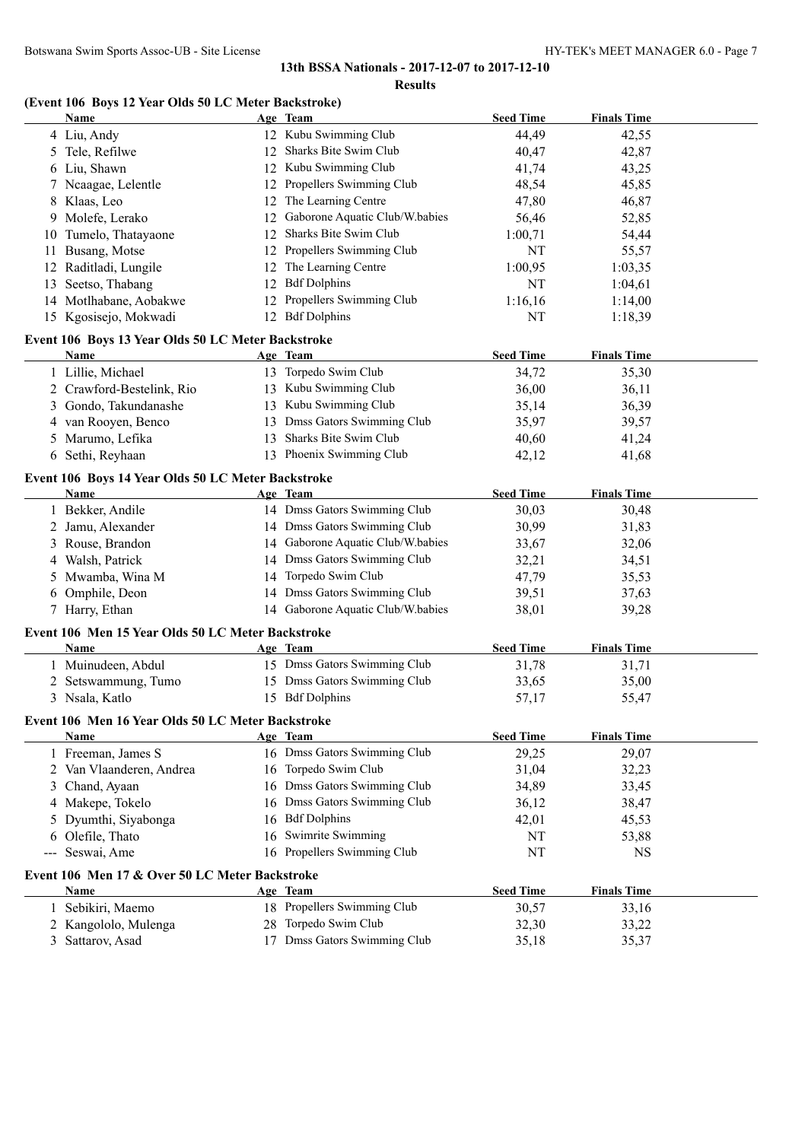# **(Event 106 Boys 12 Year Olds 50 LC Meter Backstroke)**

|     | <b>Name</b>                                                |    | Age Team                          | <b>Seed Time</b> | <b>Finals Time</b> |  |
|-----|------------------------------------------------------------|----|-----------------------------------|------------------|--------------------|--|
|     | 4 Liu, Andy                                                |    | 12 Kubu Swimming Club             | 44,49            | 42,55              |  |
|     | 5 Tele, Refilwe                                            |    | 12 Sharks Bite Swim Club          | 40,47            | 42,87              |  |
|     | 6 Liu, Shawn                                               |    | 12 Kubu Swimming Club             | 41,74            | 43,25              |  |
|     | 7 Ncaagae, Lelentle                                        |    | 12 Propellers Swimming Club       | 48,54            | 45,85              |  |
|     | 8 Klaas, Leo                                               | 12 | The Learning Centre               | 47,80            | 46,87              |  |
|     | 9 Molefe, Lerako                                           | 12 | Gaborone Aquatic Club/W.babies    | 56,46            | 52,85              |  |
|     | 10 Tumelo, Thatayaone                                      | 12 | Sharks Bite Swim Club             | 1:00,71          | 54,44              |  |
| 11  | Busang, Motse                                              | 12 | Propellers Swimming Club          | NT               | 55,57              |  |
| 12  | Raditladi, Lungile                                         |    | 12 The Learning Centre            | 1:00,95          | 1:03,35            |  |
| 13  | Seetso, Thabang                                            |    | 12 Bdf Dolphins                   | NT               | 1:04,61            |  |
|     | 14 Motlhabane, Aobakwe                                     |    | 12 Propellers Swimming Club       | 1:16,16          | 1:14,00            |  |
|     | 15 Kgosisejo, Mokwadi                                      |    | 12 Bdf Dolphins                   | NT               | 1:18,39            |  |
|     |                                                            |    |                                   |                  |                    |  |
|     | Event 106 Boys 13 Year Olds 50 LC Meter Backstroke<br>Name |    | Age Team                          | <b>Seed Time</b> | <b>Finals Time</b> |  |
|     | 1 Lillie, Michael                                          |    | 13 Torpedo Swim Club              | 34,72            | 35,30              |  |
|     | 2 Crawford-Bestelink, Rio                                  |    | 13 Kubu Swimming Club             | 36,00            | 36,11              |  |
| 3   | Gondo, Takundanashe                                        |    | 13 Kubu Swimming Club             | 35,14            | 36,39              |  |
|     | 4 van Rooyen, Benco                                        | 13 | Dmss Gators Swimming Club         | 35,97            | 39,57              |  |
| 5   | Marumo, Lefika                                             | 13 | Sharks Bite Swim Club             | 40,60            | 41,24              |  |
|     | 6 Sethi, Reyhaan                                           |    | 13 Phoenix Swimming Club          | 42,12            | 41,68              |  |
|     |                                                            |    |                                   |                  |                    |  |
|     | Event 106 Boys 14 Year Olds 50 LC Meter Backstroke         |    |                                   |                  |                    |  |
|     | Name                                                       |    | Age Team                          | <b>Seed Time</b> | <b>Finals Time</b> |  |
|     | 1 Bekker, Andile                                           |    | 14 Dmss Gators Swimming Club      | 30,03            | 30,48              |  |
|     | 2 Jamu, Alexander                                          |    | 14 Dmss Gators Swimming Club      | 30,99            | 31,83              |  |
|     | 3 Rouse, Brandon                                           |    | 14 Gaborone Aquatic Club/W.babies | 33,67            | 32,06              |  |
|     | 4 Walsh, Patrick                                           |    | 14 Dmss Gators Swimming Club      | 32,21            | 34,51              |  |
|     | 5 Mwamba, Wina M                                           |    | 14 Torpedo Swim Club              | 47,79            | 35,53              |  |
|     | 6 Omphile, Deon                                            |    | 14 Dmss Gators Swimming Club      | 39,51            | 37,63              |  |
|     | 7 Harry, Ethan                                             |    | 14 Gaborone Aquatic Club/W.babies | 38,01            | 39,28              |  |
|     | Event 106 Men 15 Year Olds 50 LC Meter Backstroke          |    |                                   |                  |                    |  |
|     | Name                                                       |    | Age Team                          | <b>Seed Time</b> | <b>Finals Time</b> |  |
|     | 1 Muinudeen, Abdul                                         |    | 15 Dmss Gators Swimming Club      | 31,78            | 31,71              |  |
|     | 2 Setswammung, Tumo                                        |    | 15 Dmss Gators Swimming Club      | 33,65            | 35,00              |  |
|     | 3 Nsala, Katlo                                             |    | 15 Bdf Dolphins                   | 57,17            | 55,47              |  |
|     | Event 106 Men 16 Year Olds 50 LC Meter Backstroke          |    |                                   |                  |                    |  |
|     | <b>Name</b>                                                |    | Age Team                          | <b>Seed Time</b> | <b>Finals Time</b> |  |
|     | 1 Freeman, James S                                         |    | 16 Dmss Gators Swimming Club      | 29,25            | 29,07              |  |
|     | 2 Van Vlaanderen, Andrea                                   |    | 16 Torpedo Swim Club              | 31,04            | 32,23              |  |
| 3   | Chand, Ayaan                                               |    | 16 Dmss Gators Swimming Club      | 34,89            | 33,45              |  |
|     | 4 Makepe, Tokelo                                           |    | 16 Dmss Gators Swimming Club      | 36,12            | 38,47              |  |
|     | 5 Dyumthi, Siyabonga                                       |    | 16 Bdf Dolphins                   | 42,01            | 45,53              |  |
|     | 6 Olefile, Thato                                           | 16 | Swimrite Swimming                 | NT               | 53,88              |  |
| --- | Seswai, Ame                                                |    | 16 Propellers Swimming Club       | NT               | <b>NS</b>          |  |
|     | Event 106 Men 17 & Over 50 LC Meter Backstroke             |    |                                   |                  |                    |  |
|     | <b>Name</b>                                                |    | Age Team                          | <b>Seed Time</b> | <b>Finals Time</b> |  |
| 1   | Sebikiri, Maemo                                            |    | 18 Propellers Swimming Club       | 30,57            | 33,16              |  |
|     | 2 Kangololo, Mulenga                                       |    | 28 Torpedo Swim Club              | 32,30            | 33,22              |  |
|     | 3 Sattarov, Asad                                           |    | 17 Dmss Gators Swimming Club      | 35,18            | 35,37              |  |
|     |                                                            |    |                                   |                  |                    |  |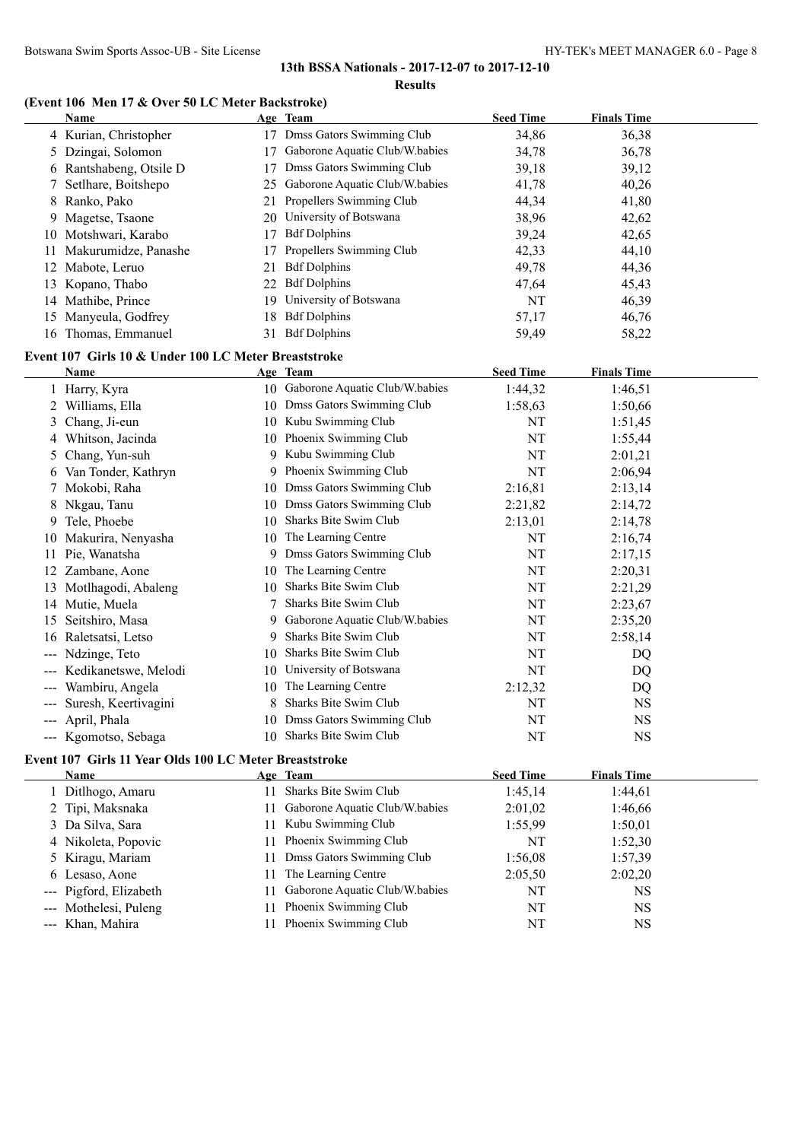#### **Results**

#### **(Event 106 Men 17 & Over 50 LC Meter Backstroke)**

|                 | <b>Name</b>                                            |    | Age Team                                                  | <b>Seed Time</b>   | <b>Finals Time</b> |  |
|-----------------|--------------------------------------------------------|----|-----------------------------------------------------------|--------------------|--------------------|--|
|                 | 4 Kurian, Christopher                                  |    | 17 Dmss Gators Swimming Club                              | 34,86              | 36,38              |  |
| 5               | Dzingai, Solomon                                       | 17 | Gaborone Aquatic Club/W.babies                            | 34,78              | 36,78              |  |
| 6               | Rantshabeng, Otsile D                                  | 17 | Dmss Gators Swimming Club                                 | 39,18              | 39,12              |  |
| 7               | Setlhare, Boitshepo                                    | 25 | Gaborone Aquatic Club/W.babies                            | 41,78              | 40,26              |  |
| 8               | Ranko, Pako                                            | 21 | Propellers Swimming Club                                  | 44,34              | 41,80              |  |
| 9               | Magetse, Tsaone                                        |    | 20 University of Botswana                                 | 38,96              | 42,62              |  |
|                 | 10 Motshwari, Karabo                                   | 17 | <b>Bdf</b> Dolphins                                       | 39,24              | 42,65              |  |
|                 | 11 Makurumidze, Panashe                                | 17 | Propellers Swimming Club                                  | 42,33              | 44,10              |  |
|                 | 12 Mabote, Leruo                                       | 21 | <b>Bdf</b> Dolphins                                       | 49,78              | 44,36              |  |
|                 | 13 Kopano, Thabo                                       |    | 22 Bdf Dolphins                                           | 47,64              | 45,43              |  |
|                 | 14 Mathibe, Prince                                     |    | 19 University of Botswana                                 | NT                 | 46,39              |  |
|                 | 15 Manyeula, Godfrey                                   |    | 18 Bdf Dolphins                                           | 57,17              | 46,76              |  |
|                 | 16 Thomas, Emmanuel                                    |    | 31 Bdf Dolphins                                           | 59,49              | 58,22              |  |
|                 | Event 107 Girls 10 & Under 100 LC Meter Breaststroke   |    |                                                           |                    |                    |  |
|                 | <b>Name</b>                                            |    | Age Team                                                  | <b>Seed Time</b>   | <b>Finals Time</b> |  |
|                 | 1 Harry, Kyra                                          |    | 10 Gaborone Aquatic Club/W.babies                         | 1:44,32            | 1:46,51            |  |
|                 | 2 Williams, Ella                                       |    | 10 Dmss Gators Swimming Club                              | 1:58,63            | 1:50,66            |  |
| 3               | Chang, Ji-eun                                          |    | 10 Kubu Swimming Club                                     | NT                 | 1:51,45            |  |
|                 | Whitson, Jacinda                                       |    | 10 Phoenix Swimming Club                                  | NT                 | 1:55,44            |  |
| 4               | Chang, Yun-suh                                         |    | 9 Kubu Swimming Club                                      | NT                 | 2:01,21            |  |
| 5               | Van Tonder, Kathryn                                    |    | 9 Phoenix Swimming Club                                   | NT                 | 2:06,94            |  |
| 6               | Mokobi, Raha                                           |    | 10 Dmss Gators Swimming Club                              |                    |                    |  |
| 7               |                                                        |    | 10 Dmss Gators Swimming Club                              | 2:16,81<br>2:21,82 | 2:13,14            |  |
| 8               | Nkgau, Tanu<br>Tele, Phoebe                            |    | 10 Sharks Bite Swim Club                                  |                    | 2:14,72            |  |
| 9               | 10 Makurira, Nenyasha                                  |    | 10 The Learning Centre                                    | 2:13,01<br>NT      | 2:14,78<br>2:16,74 |  |
|                 |                                                        |    | 9 Dmss Gators Swimming Club                               | NT                 |                    |  |
|                 | 11 Pie, Wanatsha                                       |    | 10 The Learning Centre                                    | NT                 | 2:17,15            |  |
|                 | 12 Zambane, Aone                                       |    | Sharks Bite Swim Club                                     | NT                 | 2:20,31            |  |
|                 | 13 Motlhagodi, Abaleng                                 | 10 | Sharks Bite Swim Club                                     |                    | 2:21,29            |  |
|                 | 14 Mutie, Muela                                        |    |                                                           | NT                 | 2:23,67            |  |
| 15 <sup>2</sup> | Seitshiro, Masa                                        |    | 9 Gaborone Aquatic Club/W.babies<br>Sharks Bite Swim Club | NT                 | 2:35,20            |  |
| 16              | Raletsatsi, Letso                                      | 9  | 10 Sharks Bite Swim Club                                  | NT                 | 2:58,14            |  |
|                 | Ndzinge, Teto                                          |    |                                                           | NT                 | DQ                 |  |
|                 | Kedikanetswe, Melodi                                   |    | 10 University of Botswana<br>10 The Learning Centre       | NT                 | DQ                 |  |
|                 | Wambiru, Angela                                        |    | 8 Sharks Bite Swim Club                                   | 2:12,32<br>NT      | DQ                 |  |
|                 | Suresh, Keertivagini                                   |    | 10 Dmss Gators Swimming Club                              |                    | <b>NS</b>          |  |
| ---             | April, Phala                                           |    | 10 Sharks Bite Swim Club                                  | NT                 | <b>NS</b>          |  |
|                 | --- Kgomotso, Sebaga                                   |    |                                                           | NT                 | <b>NS</b>          |  |
|                 | Event 107 Girls 11 Year Olds 100 LC Meter Breaststroke |    |                                                           |                    |                    |  |
|                 | Name                                                   |    | Age Team                                                  | <b>Seed Time</b>   | <b>Finals Time</b> |  |
|                 | 1 Ditlhogo, Amaru                                      | 11 | Sharks Bite Swim Club                                     | 1:45,14            | 1:44,61            |  |
|                 | 2 Tipi, Maksnaka                                       | 11 | Gaborone Aquatic Club/W.babies                            | 2:01,02            | 1:46,66            |  |
|                 | 3 Da Silva, Sara                                       | 11 | Kubu Swimming Club                                        | 1:55,99            | 1:50,01            |  |
|                 | Nikoleta, Popovic                                      | 11 | Phoenix Swimming Club                                     | NT                 | 1:52,30            |  |
| $\mathcal{L}$   | Kiragu, Mariam                                         | 11 | Dmss Gators Swimming Club                                 | 1:56,08            | 1:57,39            |  |
| b               | Lesaso, Aone                                           | 11 | The Learning Centre                                       | 2:05,50            | 2:02,20            |  |
|                 | Pigford, Elizabeth                                     | 11 | Gaborone Aquatic Club/W.babies                            | NT                 | <b>NS</b>          |  |
|                 | Mothelesi, Puleng                                      | 11 | Phoenix Swimming Club                                     | NT                 | <b>NS</b>          |  |
|                 | Khan, Mahira                                           | 11 | Phoenix Swimming Club                                     | NT                 | <b>NS</b>          |  |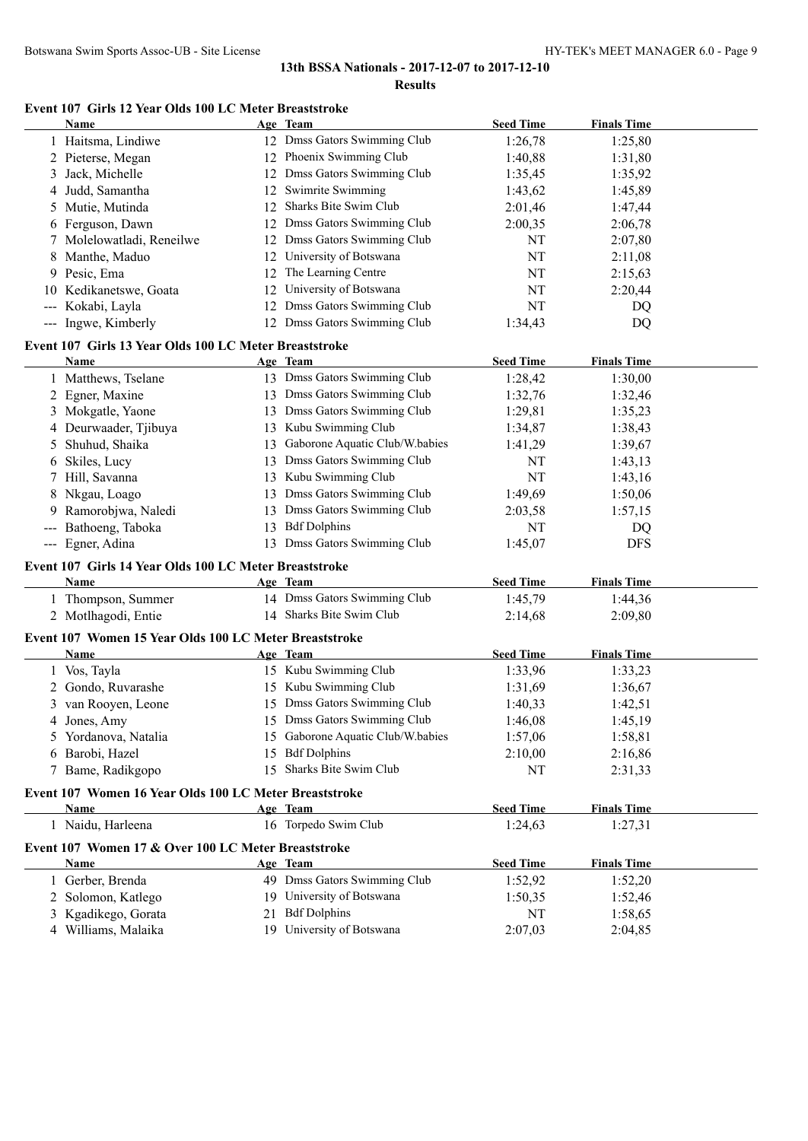#### **Results**

#### **Event 107 Girls 12 Year Olds 100 LC Meter Breaststroke**

|    | <b>Name</b>                                            |    | Age Team                          | <b>Seed Time</b> | <b>Finals Time</b> |  |
|----|--------------------------------------------------------|----|-----------------------------------|------------------|--------------------|--|
|    | 1 Haitsma, Lindiwe                                     |    | 12 Dmss Gators Swimming Club      | 1:26,78          | 1:25,80            |  |
|    | 2 Pieterse, Megan                                      |    | 12 Phoenix Swimming Club          | 1:40,88          | 1:31,80            |  |
| 3  | Jack, Michelle                                         |    | 12 Dmss Gators Swimming Club      | 1:35,45          | 1:35,92            |  |
| 4  | Judd, Samantha                                         | 12 | Swimrite Swimming                 | 1:43,62          | 1:45,89            |  |
| 5  | Mutie, Mutinda                                         | 12 | Sharks Bite Swim Club             | 2:01,46          | 1:47,44            |  |
|    | 6 Ferguson, Dawn                                       | 12 | Dmss Gators Swimming Club         | 2:00,35          | 2:06,78            |  |
|    | Molelowatladi, Reneilwe                                | 12 | Dmss Gators Swimming Club         | NT               | 2:07,80            |  |
| 8  | Manthe, Maduo                                          | 12 | University of Botswana            | NT               | 2:11,08            |  |
|    | 9 Pesic, Ema                                           | 12 | The Learning Centre               | NT               | 2:15,63            |  |
|    | 10 Kedikanetswe, Goata                                 | 12 | University of Botswana            | NT               | 2:20,44            |  |
|    | --- Kokabi, Layla                                      | 12 | Dmss Gators Swimming Club         | NT               | DQ                 |  |
|    | --- Ingwe, Kimberly                                    |    | 12 Dmss Gators Swimming Club      | 1:34,43          | DQ                 |  |
|    |                                                        |    |                                   |                  |                    |  |
|    | Event 107 Girls 13 Year Olds 100 LC Meter Breaststroke |    |                                   |                  |                    |  |
|    | <u>Name</u>                                            |    | Age Team                          | <b>Seed Time</b> | <b>Finals Time</b> |  |
|    | 1 Matthews, Tselane                                    |    | 13 Dmss Gators Swimming Club      | 1:28,42          | 1:30,00            |  |
|    | 2 Egner, Maxine                                        |    | 13 Dmss Gators Swimming Club      | 1:32,76          | 1:32,46            |  |
|    | Mokgatle, Yaone                                        |    | 13 Dmss Gators Swimming Club      | 1:29,81          | 1:35,23            |  |
|    | 4 Deurwaader, Tjibuya                                  |    | 13 Kubu Swimming Club             | 1:34,87          | 1:38,43            |  |
| 5  | Shuhud, Shaika                                         | 13 | Gaborone Aquatic Club/W.babies    | 1:41,29          | 1:39,67            |  |
| 6  | Skiles, Lucy                                           | 13 | Dmss Gators Swimming Club         | NT               | 1:43,13            |  |
| 7. | Hill, Savanna                                          | 13 | Kubu Swimming Club                | NT               | 1:43,16            |  |
|    | 8 Nkgau, Loago                                         |    | 13 Dmss Gators Swimming Club      | 1:49,69          | 1:50,06            |  |
| 9. | Ramorobjwa, Naledi                                     |    | 13 Dmss Gators Swimming Club      | 2:03,58          | 1:57,15            |  |
|    | Bathoeng, Taboka                                       |    | 13 Bdf Dolphins                   | NT               | DQ                 |  |
|    | --- Egner, Adina                                       |    | 13 Dmss Gators Swimming Club      | 1:45,07          | <b>DFS</b>         |  |
|    | Event 107 Girls 14 Year Olds 100 LC Meter Breaststroke |    |                                   |                  |                    |  |
|    | Name                                                   |    | Age Team                          | <b>Seed Time</b> | <b>Finals Time</b> |  |
|    | 1 Thompson, Summer                                     |    | 14 Dmss Gators Swimming Club      | 1:45,79          | 1:44,36            |  |
|    | 2 Motlhagodi, Entie                                    |    | 14 Sharks Bite Swim Club          | 2:14,68          | 2:09,80            |  |
|    |                                                        |    |                                   |                  |                    |  |
|    | Event 107 Women 15 Year Olds 100 LC Meter Breaststroke |    |                                   |                  |                    |  |
|    | <u>Name</u>                                            |    | Age Team                          | <b>Seed Time</b> | <b>Finals Time</b> |  |
|    | 1 Vos, Tayla                                           |    | 15 Kubu Swimming Club             | 1:33,96          | 1:33,23            |  |
|    | 2 Gondo, Ruvarashe                                     |    | 15 Kubu Swimming Club             | 1:31,69          | 1:36,67            |  |
|    | 3 van Rooyen, Leone                                    |    | 15 Dmss Gators Swimming Club      | 1:40,33          | 1:42,51            |  |
|    | 4 Jones, Amy                                           |    | 15 Dmss Gators Swimming Club      | 1:46,08          | 1:45,19            |  |
|    | 5 Yordanova, Natalia                                   |    | 15 Gaborone Aquatic Club/W.babies | 1:57,06          | 1:58,81            |  |
|    | Barobi, Hazel                                          | 15 | <b>Bdf</b> Dolphins               | 2:10,00          | 2:16,86            |  |
|    | 7 Bame, Radikgopo                                      | 15 | Sharks Bite Swim Club             | NT               | 2:31,33            |  |
|    | Event 107 Women 16 Year Olds 100 LC Meter Breaststroke |    |                                   |                  |                    |  |
|    | Name                                                   |    | Age Team                          | <b>Seed Time</b> | <b>Finals Time</b> |  |
|    | 1 Naidu, Harleena                                      |    | 16 Torpedo Swim Club              | 1:24,63          | 1:27,31            |  |
|    |                                                        |    |                                   |                  |                    |  |
|    | Event 107 Women 17 & Over 100 LC Meter Breaststroke    |    |                                   |                  |                    |  |
|    | Name                                                   |    | Age Team                          | <b>Seed Time</b> | <b>Finals Time</b> |  |
|    | 1 Gerber, Brenda                                       |    | 49 Dmss Gators Swimming Club      | 1:52,92          | 1:52,20            |  |
|    | 2 Solomon, Katlego                                     |    | 19 University of Botswana         | 1:50,35          | 1:52,46            |  |
| 3  |                                                        |    | 21 Bdf Dolphins                   | NT               | 1:58,65            |  |
|    | Kgadikego, Gorata                                      |    |                                   |                  |                    |  |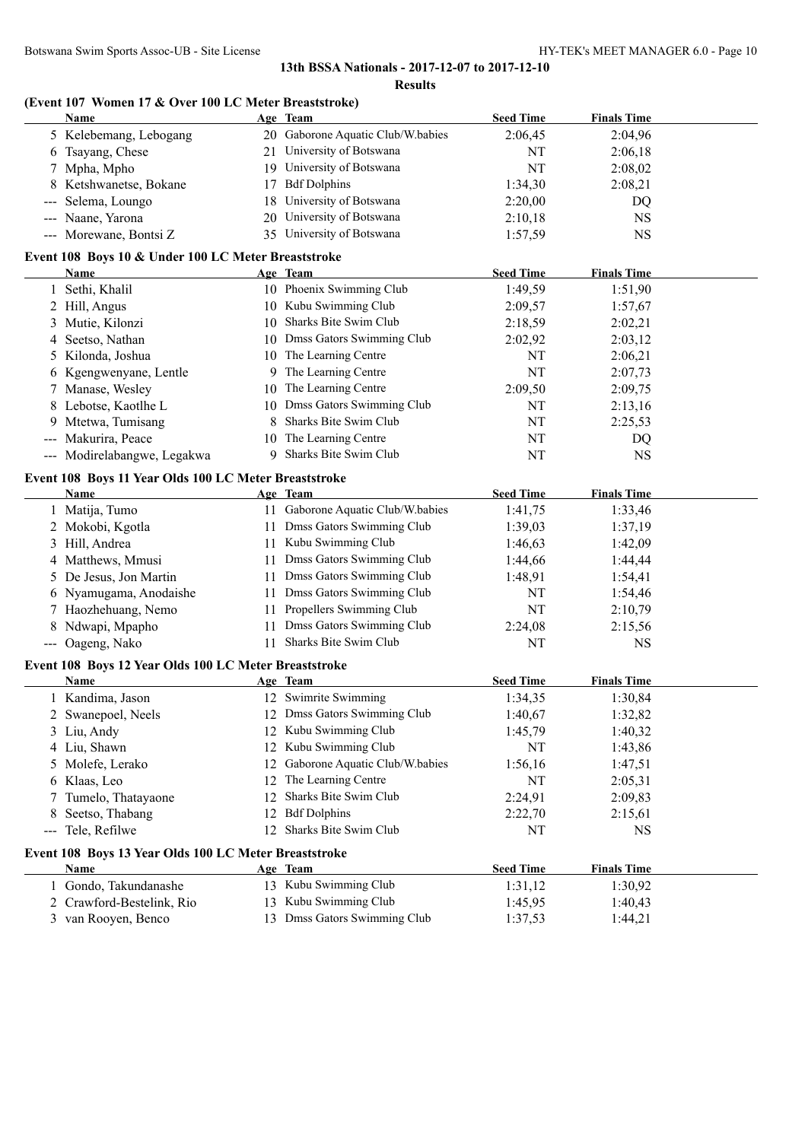|                            | (Event 107 Women 17 & Over 100 LC Meter Breaststroke)<br><b>Name</b> |     | Age Team                          | <b>Seed Time</b> | <b>Finals Time</b> |  |
|----------------------------|----------------------------------------------------------------------|-----|-----------------------------------|------------------|--------------------|--|
|                            | 5 Kelebemang, Lebogang                                               |     | 20 Gaborone Aquatic Club/W.babies | 2:06,45          | 2:04,96            |  |
|                            | 6 Tsayang, Chese                                                     |     | 21 University of Botswana         | NT               | 2:06,18            |  |
|                            | 7 Mpha, Mpho                                                         |     | 19 University of Botswana         | NT               | 2:08,02            |  |
|                            | 8 Ketshwanetse, Bokane                                               |     | 17 Bdf Dolphins                   | 1:34,30          | 2:08,21            |  |
| ---                        | Selema, Loungo                                                       | 18  | University of Botswana            | 2:20,00          | DQ                 |  |
| ---                        | Naane, Yarona                                                        | 20  | University of Botswana            | 2:10,18          | <b>NS</b>          |  |
|                            | --- Morewane, Bontsi Z                                               |     | 35 University of Botswana         | 1:57,59          | <b>NS</b>          |  |
|                            | Event 108 Boys 10 & Under 100 LC Meter Breaststroke                  |     |                                   |                  |                    |  |
|                            | <b>Name</b>                                                          |     | Age Team                          | <b>Seed Time</b> | <b>Finals Time</b> |  |
|                            | 1 Sethi, Khalil                                                      |     | 10 Phoenix Swimming Club          | 1:49,59          | 1:51,90            |  |
|                            | 2 Hill, Angus                                                        |     | 10 Kubu Swimming Club             | 2:09,57          | 1:57,67            |  |
| 3                          | Mutie, Kilonzi                                                       |     | 10 Sharks Bite Swim Club          | 2:18,59          | 2:02,21            |  |
| 4                          | Seetso, Nathan                                                       |     | 10 Dmss Gators Swimming Club      | 2:02,92          | 2:03,12            |  |
|                            | Kilonda, Joshua                                                      |     | 10 The Learning Centre            | NT               |                    |  |
|                            | 6 Kgengwenyane, Lentle                                               |     | 9 The Learning Centre             | <b>NT</b>        | 2:06,21<br>2:07,73 |  |
|                            | 7 Manase, Wesley                                                     |     | 10 The Learning Centre            |                  |                    |  |
|                            | 8 Lebotse, Kaotlhe L                                                 |     | 10 Dmss Gators Swimming Club      | 2:09,50<br>NT    | 2:09,75<br>2:13,16 |  |
|                            |                                                                      |     | Sharks Bite Swim Club             |                  |                    |  |
|                            | 9 Mtetwa, Tumisang                                                   | 8   | 10 The Learning Centre            | NT               | 2:25,53            |  |
| ---                        | Makurira, Peace                                                      | 9   | Sharks Bite Swim Club             | NT               | DQ                 |  |
|                            | --- Modirelabangwe, Legakwa                                          |     |                                   | NT               | <b>NS</b>          |  |
|                            | Event 108 Boys 11 Year Olds 100 LC Meter Breaststroke                |     |                                   |                  |                    |  |
|                            | Name                                                                 |     | Age Team                          | <b>Seed Time</b> | <b>Finals Time</b> |  |
|                            | 1 Matija, Tumo                                                       |     | 11 Gaborone Aquatic Club/W.babies | 1:41,75          | 1:33,46            |  |
|                            | 2 Mokobi, Kgotla                                                     | 11  | Dmss Gators Swimming Club         | 1:39,03          | 1:37,19            |  |
|                            | Hill, Andrea                                                         | 11. | Kubu Swimming Club                | 1:46,63          | 1:42,09            |  |
|                            | 4 Matthews, Mmusi                                                    | 11  | Dmss Gators Swimming Club         | 1:44,66          | 1:44,44            |  |
|                            | 5 De Jesus, Jon Martin                                               | 11  | Dmss Gators Swimming Club         | 1:48,91          | 1:54,41            |  |
|                            | 6 Nyamugama, Anodaishe                                               | 11  | Dmss Gators Swimming Club         | NT               | 1:54,46            |  |
|                            | 7 Haozhehuang, Nemo                                                  | 11  | Propellers Swimming Club          | NT               | 2:10,79            |  |
|                            | 8 Ndwapi, Mpapho                                                     | 11  | Dmss Gators Swimming Club         | 2:24,08          | 2:15,56            |  |
|                            | --- Oageng, Nako                                                     | 11  | Sharks Bite Swim Club             | NT               | <b>NS</b>          |  |
|                            | Event 108 Boys 12 Year Olds 100 LC Meter Breaststroke                |     |                                   |                  |                    |  |
|                            | Name                                                                 |     | Age Team                          | <b>Seed Time</b> | <b>Finals Time</b> |  |
|                            | Kandima, Jason                                                       |     | 12 Swimrite Swimming              | 1:34,35          | 1:30,84            |  |
|                            | 2 Swanepoel, Neels                                                   |     | 12 Dmss Gators Swimming Club      | 1:40,67          | 1:32,82            |  |
| 3                          | Liu, Andy                                                            |     | 12 Kubu Swimming Club             | 1:45,79          | 1:40,32            |  |
|                            | 4 Liu, Shawn                                                         | 12  | Kubu Swimming Club                | NT               | 1:43,86            |  |
| 5                          | Molefe, Lerako                                                       | 12  | Gaborone Aquatic Club/W.babies    | 1:56,16          | 1:47,51            |  |
| 6                          | Klaas, Leo                                                           | 12  | The Learning Centre               | NT               | 2:05,31            |  |
| 7                          | Tumelo, Thatayaone                                                   | 12  | Sharks Bite Swim Club             | 2:24,91          | 2:09,83            |  |
| 8                          | Seetso, Thabang                                                      |     | 12 Bdf Dolphins                   | 2:22,70          | 2:15,61            |  |
| $\qquad \qquad \text{---}$ | Tele, Refilwe                                                        |     | 12 Sharks Bite Swim Club          | NT               | <b>NS</b>          |  |
|                            |                                                                      |     |                                   |                  |                    |  |
|                            | Event 108 Boys 13 Year Olds 100 LC Meter Breaststroke                |     |                                   |                  |                    |  |
|                            | Name                                                                 |     | Age Team                          | <b>Seed Time</b> | <b>Finals Time</b> |  |
|                            | 1 Gondo, Takundanashe                                                |     | 13 Kubu Swimming Club             | 1:31,12          | 1:30,92            |  |
|                            | 2 Crawford-Bestelink, Rio                                            |     | 13 Kubu Swimming Club             | 1:45,95          | 1:40,43            |  |
|                            | 3 van Rooyen, Benco                                                  |     | 13 Dmss Gators Swimming Club      | 1:37,53          | 1:44,21            |  |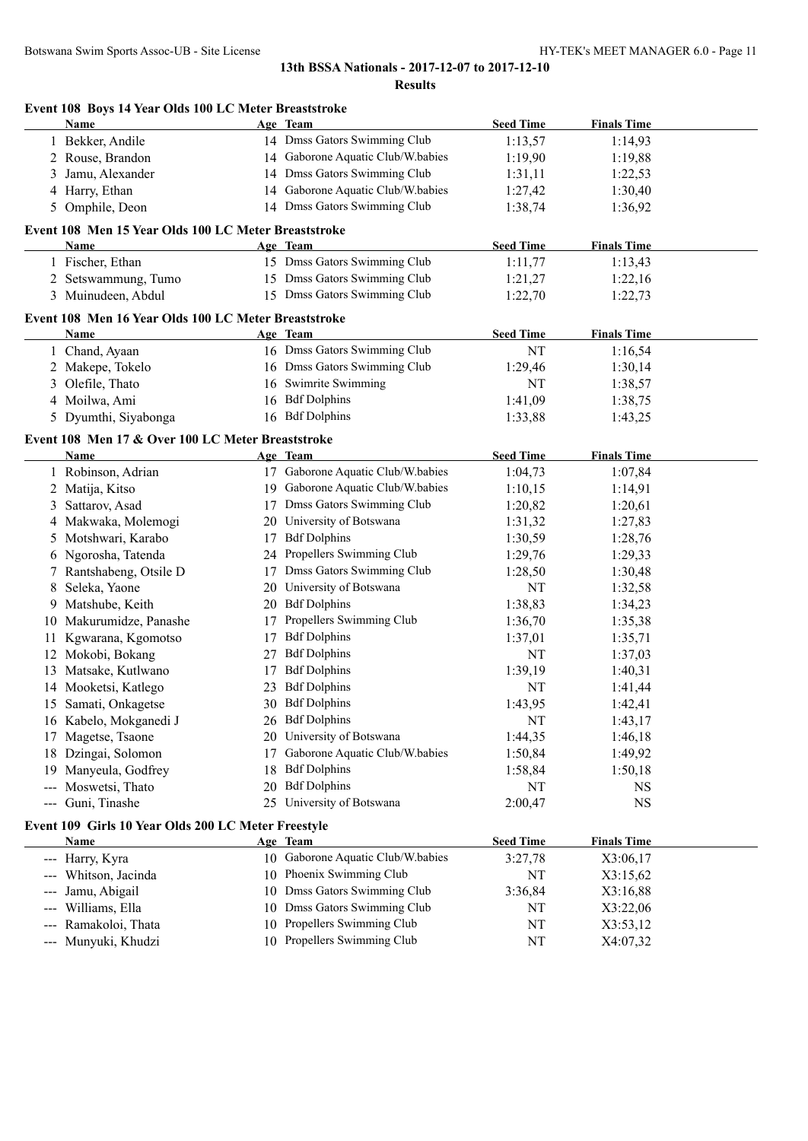**Event 108 Boys 14 Year Olds 100 LC Meter Breaststroke**

|                                                                                                                                                                                                                                                                                                                                                                                                                                                                            | Name                                                 |    | Age Team                          | <b>Seed Time</b> | <b>Finals Time</b> |  |
|----------------------------------------------------------------------------------------------------------------------------------------------------------------------------------------------------------------------------------------------------------------------------------------------------------------------------------------------------------------------------------------------------------------------------------------------------------------------------|------------------------------------------------------|----|-----------------------------------|------------------|--------------------|--|
|                                                                                                                                                                                                                                                                                                                                                                                                                                                                            | Bekker, Andile                                       |    | 14 Dmss Gators Swimming Club      | 1:13,57          | 1:14,93            |  |
| $\overline{2}$                                                                                                                                                                                                                                                                                                                                                                                                                                                             | Rouse, Brandon                                       | 14 | Gaborone Aquatic Club/W.babies    | 1:19,90          | 1:19,88            |  |
| 3                                                                                                                                                                                                                                                                                                                                                                                                                                                                          | Jamu, Alexander                                      |    | 14 Dmss Gators Swimming Club      | 1:31,11          | 1:22,53            |  |
| 4                                                                                                                                                                                                                                                                                                                                                                                                                                                                          | Harry, Ethan                                         | 14 | Gaborone Aquatic Club/W.babies    | 1:27,42          | 1:30,40            |  |
|                                                                                                                                                                                                                                                                                                                                                                                                                                                                            | 5 Omphile, Deon                                      |    | 14 Dmss Gators Swimming Club      | 1:38,74          | 1:36,92            |  |
|                                                                                                                                                                                                                                                                                                                                                                                                                                                                            | Event 108 Men 15 Year Olds 100 LC Meter Breaststroke |    |                                   |                  |                    |  |
|                                                                                                                                                                                                                                                                                                                                                                                                                                                                            | Name                                                 |    | Age Team                          | <b>Seed Time</b> | <b>Finals Time</b> |  |
|                                                                                                                                                                                                                                                                                                                                                                                                                                                                            | 1 Fischer, Ethan                                     |    | 15 Dmss Gators Swimming Club      | 1:11,77          | 1:13,43            |  |
|                                                                                                                                                                                                                                                                                                                                                                                                                                                                            | 2 Setswammung, Tumo                                  |    | 15 Dmss Gators Swimming Club      | 1:21,27          | 1:22,16            |  |
|                                                                                                                                                                                                                                                                                                                                                                                                                                                                            | 3 Muinudeen, Abdul                                   |    | 15 Dmss Gators Swimming Club      | 1:22,70          | 1:22,73            |  |
|                                                                                                                                                                                                                                                                                                                                                                                                                                                                            | Event 108 Men 16 Year Olds 100 LC Meter Breaststroke |    |                                   |                  |                    |  |
|                                                                                                                                                                                                                                                                                                                                                                                                                                                                            | Name                                                 |    | Age Team                          | <b>Seed Time</b> | <b>Finals Time</b> |  |
|                                                                                                                                                                                                                                                                                                                                                                                                                                                                            | 1 Chand, Ayaan                                       |    | 16 Dmss Gators Swimming Club      | NT               | 1:16,54            |  |
|                                                                                                                                                                                                                                                                                                                                                                                                                                                                            | 2 Makepe, Tokelo                                     |    | 16 Dmss Gators Swimming Club      | 1:29,46          | 1:30,14            |  |
| 3                                                                                                                                                                                                                                                                                                                                                                                                                                                                          | Olefile, Thato                                       |    | 16 Swimrite Swimming              | NT               | 1:38,57            |  |
|                                                                                                                                                                                                                                                                                                                                                                                                                                                                            | 4 Moilwa, Ami                                        |    | 16 Bdf Dolphins                   | 1:41,09          | 1:38,75            |  |
|                                                                                                                                                                                                                                                                                                                                                                                                                                                                            | 5 Dyumthi, Siyabonga                                 |    | 16 Bdf Dolphins                   | 1:33,88          | 1:43,25            |  |
|                                                                                                                                                                                                                                                                                                                                                                                                                                                                            | Event 108 Men 17 & Over 100 LC Meter Breaststroke    |    |                                   |                  |                    |  |
|                                                                                                                                                                                                                                                                                                                                                                                                                                                                            | Name                                                 |    |                                   |                  |                    |  |
|                                                                                                                                                                                                                                                                                                                                                                                                                                                                            |                                                      |    | Age Team                          | <b>Seed Time</b> | <b>Finals Time</b> |  |
|                                                                                                                                                                                                                                                                                                                                                                                                                                                                            | 1 Robinson, Adrian                                   |    | 17 Gaborone Aquatic Club/W.babies | 1:04,73          | 1:07,84            |  |
|                                                                                                                                                                                                                                                                                                                                                                                                                                                                            | 2 Matija, Kitso                                      |    | 19 Gaborone Aquatic Club/W.babies | 1:10,15          | 1:14,91            |  |
| 3                                                                                                                                                                                                                                                                                                                                                                                                                                                                          | Sattarov, Asad                                       |    | 17 Dmss Gators Swimming Club      | 1:20,82          | 1:20,61            |  |
| 4                                                                                                                                                                                                                                                                                                                                                                                                                                                                          | Makwaka, Molemogi                                    |    | 20 University of Botswana         | 1:31,32          | 1:27,83            |  |
|                                                                                                                                                                                                                                                                                                                                                                                                                                                                            | 5 Motshwari, Karabo                                  |    | 17 Bdf Dolphins                   | 1:30,59          | 1:28,76            |  |
|                                                                                                                                                                                                                                                                                                                                                                                                                                                                            | 6 Ngorosha, Tatenda                                  |    | 24 Propellers Swimming Club       | 1:29,76          | 1:29,33            |  |
| 7                                                                                                                                                                                                                                                                                                                                                                                                                                                                          | Rantshabeng, Otsile D                                |    | 17 Dmss Gators Swimming Club      | 1:28,50          | 1:30,48            |  |
| 8                                                                                                                                                                                                                                                                                                                                                                                                                                                                          | Seleka, Yaone                                        | 20 | University of Botswana            | NT               | 1:32,58            |  |
| 9                                                                                                                                                                                                                                                                                                                                                                                                                                                                          | Matshube, Keith                                      | 20 | <b>Bdf Dolphins</b>               | 1:38,83          | 1:34,23            |  |
| 10                                                                                                                                                                                                                                                                                                                                                                                                                                                                         | Makurumidze, Panashe                                 | 17 | Propellers Swimming Club          | 1:36,70          | 1:35,38            |  |
| 11                                                                                                                                                                                                                                                                                                                                                                                                                                                                         | Kgwarana, Kgomotso                                   | 17 | <b>Bdf Dolphins</b>               | 1:37,01          | 1:35,71            |  |
| 12                                                                                                                                                                                                                                                                                                                                                                                                                                                                         | Mokobi, Bokang                                       | 27 | <b>Bdf Dolphins</b>               | NT               | 1:37,03            |  |
| 13                                                                                                                                                                                                                                                                                                                                                                                                                                                                         | Matsake, Kutlwano                                    | 17 | <b>Bdf Dolphins</b>               | 1:39,19          | 1:40,31            |  |
| 14                                                                                                                                                                                                                                                                                                                                                                                                                                                                         | Mooketsi, Katlego                                    | 23 | <b>Bdf Dolphins</b>               | NT               | 1:41,44            |  |
| 15                                                                                                                                                                                                                                                                                                                                                                                                                                                                         | Samati, Onkagetse                                    | 30 | <b>Bdf Dolphins</b>               | 1:43,95          | 1:42,41            |  |
|                                                                                                                                                                                                                                                                                                                                                                                                                                                                            | 16 Kabelo, Mokganedi J                               |    | 26 Bdf Dolphins                   | NT               | 1:43,17            |  |
|                                                                                                                                                                                                                                                                                                                                                                                                                                                                            | 17 Magetse, Tsaone                                   |    | 20 University of Botswana         | 1:44,35          | 1:46,18            |  |
|                                                                                                                                                                                                                                                                                                                                                                                                                                                                            | 18 Dzingai, Solomon                                  | 17 | Gaborone Aquatic Club/W.babies    | 1:50,84          | 1:49,92            |  |
|                                                                                                                                                                                                                                                                                                                                                                                                                                                                            | 19 Manyeula, Godfrey                                 | 18 | <b>Bdf Dolphins</b>               | 1:58,84          | 1:50,18            |  |
| $\frac{1}{2} \left( \frac{1}{2} \right) \left( \frac{1}{2} \right) \left( \frac{1}{2} \right) \left( \frac{1}{2} \right) \left( \frac{1}{2} \right) \left( \frac{1}{2} \right) \left( \frac{1}{2} \right) \left( \frac{1}{2} \right) \left( \frac{1}{2} \right) \left( \frac{1}{2} \right) \left( \frac{1}{2} \right) \left( \frac{1}{2} \right) \left( \frac{1}{2} \right) \left( \frac{1}{2} \right) \left( \frac{1}{2} \right) \left( \frac{1}{2} \right) \left( \frac$ | Moswetsi, Thato                                      | 20 | <b>Bdf Dolphins</b>               | NT               | <b>NS</b>          |  |
|                                                                                                                                                                                                                                                                                                                                                                                                                                                                            | --- Guni, Tinashe                                    |    | 25 University of Botswana         | 2:00,47          | <b>NS</b>          |  |
|                                                                                                                                                                                                                                                                                                                                                                                                                                                                            | Event 109 Girls 10 Year Olds 200 LC Meter Freestyle  |    |                                   |                  |                    |  |
|                                                                                                                                                                                                                                                                                                                                                                                                                                                                            | <b>Name</b>                                          |    | Age Team                          | <b>Seed Time</b> | <b>Finals Time</b> |  |
|                                                                                                                                                                                                                                                                                                                                                                                                                                                                            | --- Harry, Kyra                                      |    | 10 Gaborone Aquatic Club/W.babies | 3:27,78          | X3:06,17           |  |
|                                                                                                                                                                                                                                                                                                                                                                                                                                                                            | --- Whitson, Jacinda                                 |    | 10 Phoenix Swimming Club          | NT               | X3:15,62           |  |
| ---                                                                                                                                                                                                                                                                                                                                                                                                                                                                        | Jamu, Abigail                                        | 10 | Dmss Gators Swimming Club         | 3:36,84          | X3:16,88           |  |
| ---                                                                                                                                                                                                                                                                                                                                                                                                                                                                        | Williams, Ella                                       | 10 | Dmss Gators Swimming Club         | NT               | X3:22,06           |  |
|                                                                                                                                                                                                                                                                                                                                                                                                                                                                            | Ramakoloi, Thata                                     | 10 | Propellers Swimming Club          | NT               | X3:53,12           |  |
|                                                                                                                                                                                                                                                                                                                                                                                                                                                                            | Munyuki, Khudzi<br>---                               |    | 10 Propellers Swimming Club       | NT               | X4:07,32           |  |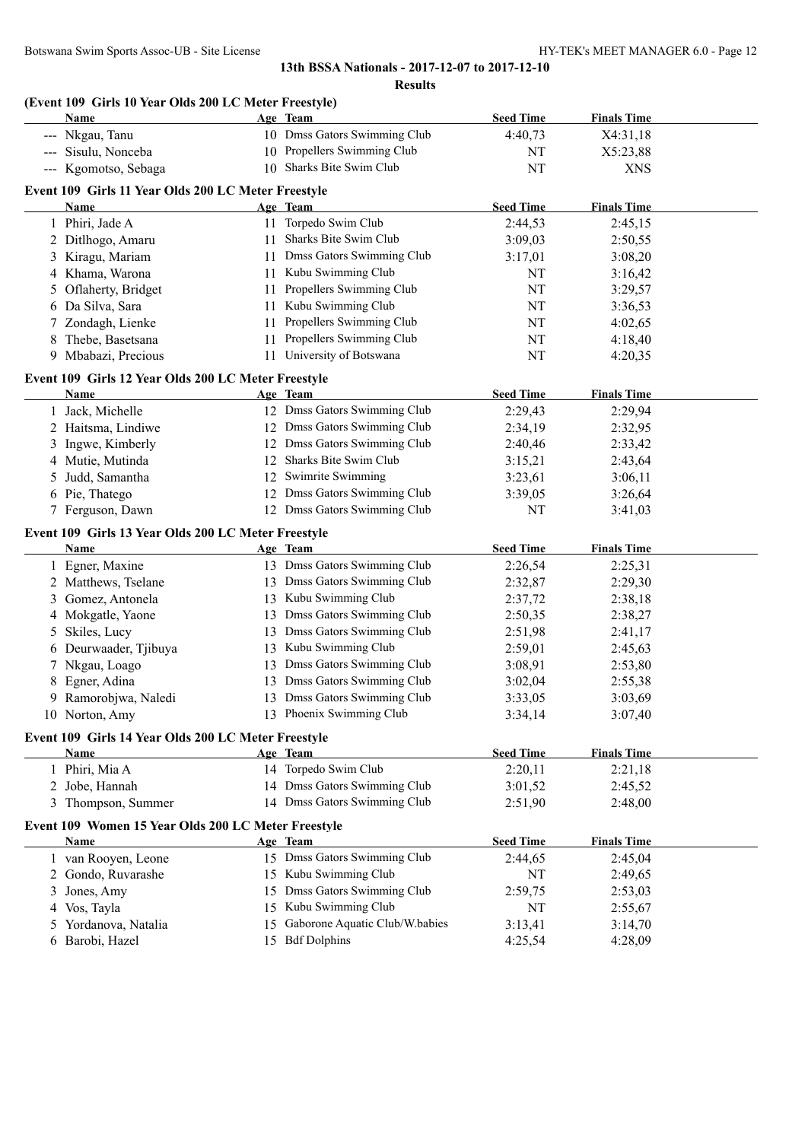| (Event 109 Girls 10 Year Olds 200 LC Meter Freestyle) |  |  |  |  |
|-------------------------------------------------------|--|--|--|--|
|                                                       |  |  |  |  |

|   | Name                                                |    | Age Team                                                     | <b>Seed Time</b> | <b>Finals Time</b> |  |
|---|-----------------------------------------------------|----|--------------------------------------------------------------|------------------|--------------------|--|
|   | --- Nkgau, Tanu                                     |    | 10 Dmss Gators Swimming Club                                 | 4:40,73          | X4:31,18           |  |
|   | --- Sisulu, Nonceba                                 |    | 10 Propellers Swimming Club                                  | NT               | X5:23,88           |  |
|   | --- Kgomotso, Sebaga                                |    | 10 Sharks Bite Swim Club                                     | NT               | <b>XNS</b>         |  |
|   | Event 109 Girls 11 Year Olds 200 LC Meter Freestyle |    |                                                              |                  |                    |  |
|   | Name                                                |    | Age Team                                                     | <b>Seed Time</b> | <b>Finals Time</b> |  |
|   | 1 Phiri, Jade A                                     |    | 11 Torpedo Swim Club                                         | 2:44,53          | 2:45,15            |  |
|   | 2 Ditlhogo, Amaru                                   | 11 | Sharks Bite Swim Club                                        | 3:09,03          | 2:50,55            |  |
|   | 3 Kiragu, Mariam                                    |    | 11 Dmss Gators Swimming Club                                 | 3:17,01          | 3:08,20            |  |
|   | 4 Khama, Warona                                     |    | 11 Kubu Swimming Club                                        | NT               | 3:16,42            |  |
| 5 | Oflaherty, Bridget                                  |    | 11 Propellers Swimming Club                                  | NT               | 3:29,57            |  |
|   | 6 Da Silva, Sara                                    |    | 11 Kubu Swimming Club                                        | NT               | 3:36,53            |  |
| 7 | Zondagh, Lienke                                     |    | 11 Propellers Swimming Club                                  | NT               | 4:02,65            |  |
| 8 | Thebe, Basetsana                                    | 11 | Propellers Swimming Club                                     | NT               | 4:18,40            |  |
| 9 | Mbabazi, Precious                                   | 11 | University of Botswana                                       | NT               | 4:20,35            |  |
|   |                                                     |    |                                                              |                  |                    |  |
|   | Event 109 Girls 12 Year Olds 200 LC Meter Freestyle |    |                                                              |                  |                    |  |
|   | Name                                                |    | Age Team                                                     | <b>Seed Time</b> | <b>Finals Time</b> |  |
|   | 1 Jack, Michelle                                    |    | 12 Dmss Gators Swimming Club                                 | 2:29,43          | 2:29,94            |  |
|   | 2 Haitsma, Lindiwe                                  |    | 12 Dmss Gators Swimming Club                                 | 2:34,19          | 2:32,95            |  |
| 3 | Ingwe, Kimberly                                     |    | 12 Dmss Gators Swimming Club                                 | 2:40,46          | 2:33,42            |  |
|   | 4 Mutie, Mutinda                                    | 12 | Sharks Bite Swim Club                                        | 3:15,21          | 2:43,64            |  |
| 5 | Judd, Samantha                                      | 12 | Swimrite Swimming                                            | 3:23,61          | 3:06,11            |  |
|   | 6 Pie, Thatego                                      | 12 | Dmss Gators Swimming Club                                    | 3:39,05          | 3:26,64            |  |
|   | 7 Ferguson, Dawn                                    |    | 12 Dmss Gators Swimming Club                                 | NT               | 3:41,03            |  |
|   | Event 109 Girls 13 Year Olds 200 LC Meter Freestyle |    |                                                              |                  |                    |  |
|   | Name                                                |    | Age Team                                                     | <b>Seed Time</b> | <b>Finals Time</b> |  |
|   | 1 Egner, Maxine                                     |    | 13 Dmss Gators Swimming Club                                 | 2:26,54          | 2:25,31            |  |
|   | 2 Matthews, Tselane                                 |    | 13 Dmss Gators Swimming Club                                 | 2:32,87          | 2:29,30            |  |
| 3 | Gomez, Antonela                                     |    | 13 Kubu Swimming Club                                        | 2:37,72          | 2:38,18            |  |
|   | 4 Mokgatle, Yaone                                   |    | 13 Dmss Gators Swimming Club                                 | 2:50,35          | 2:38,27            |  |
| 5 | Skiles, Lucy                                        | 13 | Dmss Gators Swimming Club                                    | 2:51,98          | 2:41,17            |  |
|   | 6 Deurwaader, Tjibuya                               |    | 13 Kubu Swimming Club                                        | 2:59,01          | 2:45,63            |  |
| 7 | Nkgau, Loago                                        | 13 | Dmss Gators Swimming Club                                    | 3:08,91          | 2:53,80            |  |
| 8 | Egner, Adina                                        |    | Dmss Gators Swimming Club                                    | 3:02,04          | 2:55,38            |  |
|   | 9 Ramorobjwa, Naledi                                |    | 13 Dmss Gators Swimming Club                                 | 3:33,05          | 3:03,69            |  |
|   | 10 Norton, Amy                                      |    | 13 Phoenix Swimming Club                                     | 3:34,14          | 3:07,40            |  |
|   |                                                     |    |                                                              |                  |                    |  |
|   | Event 109 Girls 14 Year Olds 200 LC Meter Freestyle |    |                                                              |                  |                    |  |
|   | Name                                                |    | Age Team                                                     | <b>Seed Time</b> | <b>Finals Time</b> |  |
|   | 1 Phiri, Mia A                                      |    | 14 Torpedo Swim Club                                         | 2:20,11          | 2:21,18            |  |
|   | 2 Jobe, Hannah                                      |    | 14 Dmss Gators Swimming Club<br>14 Dmss Gators Swimming Club | 3:01,52          | 2:45,52            |  |
|   | 3 Thompson, Summer                                  |    |                                                              | 2:51,90          | 2:48,00            |  |
|   | Event 109 Women 15 Year Olds 200 LC Meter Freestyle |    |                                                              |                  |                    |  |
|   | Name                                                |    | Age Team                                                     | <b>Seed Time</b> | <b>Finals Time</b> |  |
|   | 1 van Rooyen, Leone                                 |    | 15 Dmss Gators Swimming Club                                 | 2:44,65          | 2:45,04            |  |
|   | 2 Gondo, Ruvarashe                                  |    | 15 Kubu Swimming Club                                        | NT               | 2:49,65            |  |
| 3 | Jones, Amy                                          |    | 15 Dmss Gators Swimming Club                                 | 2:59,75          | 2:53,03            |  |
|   | 4 Vos, Tayla                                        |    | 15 Kubu Swimming Club                                        | NT               | 2:55,67            |  |
| 5 | Yordanova, Natalia                                  | 15 | Gaborone Aquatic Club/W.babies                               | 3:13,41          | 3:14,70            |  |
|   | 6 Barobi, Hazel                                     |    | 15 Bdf Dolphins                                              | 4:25,54          | 4:28,09            |  |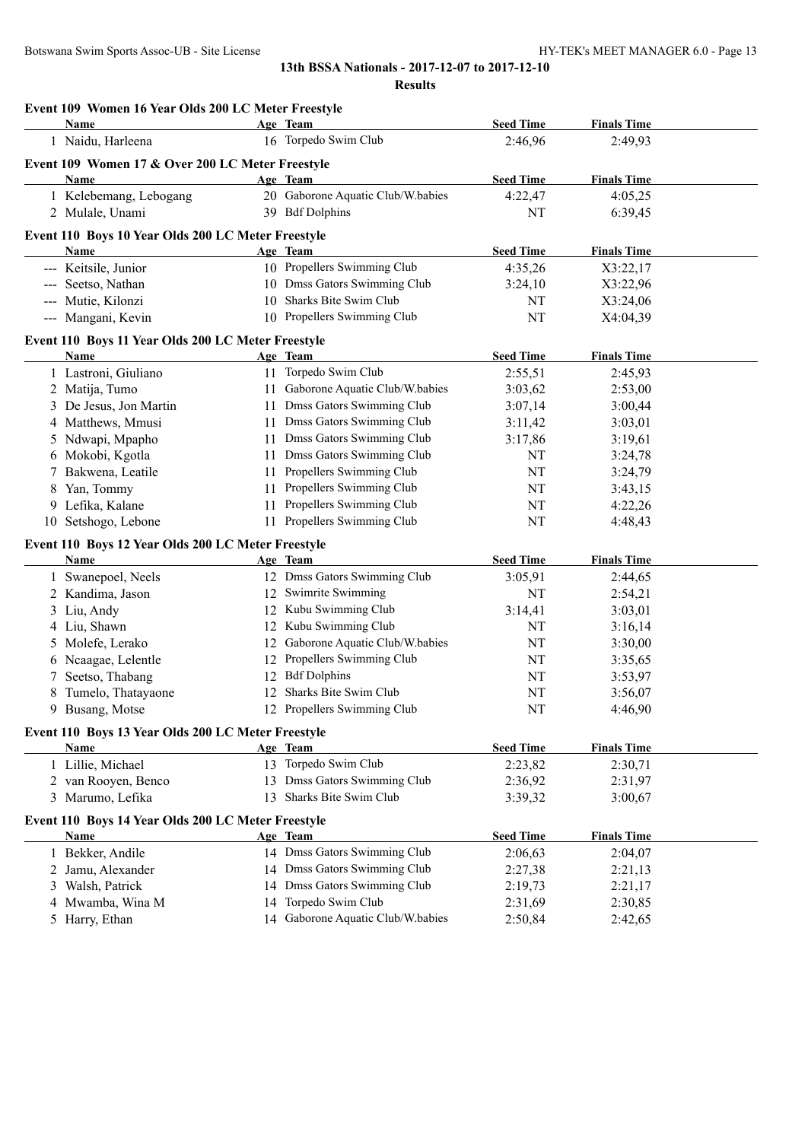| Event 109 Women 16 Year Olds 200 LC Meter Freestyle               |                                                                                                                                                                                                                                                                                                                                                                                                                                                         |                                                |                                                                                                                                                                                                                                                                                                                                                                                                                                                                                                                                                                                                                                                                                                                                                                                                                                                                                                                                                                                                    |                                                                                                                                                                                                                             |                                                                                                                                                                                                                                                                                   |
|-------------------------------------------------------------------|---------------------------------------------------------------------------------------------------------------------------------------------------------------------------------------------------------------------------------------------------------------------------------------------------------------------------------------------------------------------------------------------------------------------------------------------------------|------------------------------------------------|----------------------------------------------------------------------------------------------------------------------------------------------------------------------------------------------------------------------------------------------------------------------------------------------------------------------------------------------------------------------------------------------------------------------------------------------------------------------------------------------------------------------------------------------------------------------------------------------------------------------------------------------------------------------------------------------------------------------------------------------------------------------------------------------------------------------------------------------------------------------------------------------------------------------------------------------------------------------------------------------------|-----------------------------------------------------------------------------------------------------------------------------------------------------------------------------------------------------------------------------|-----------------------------------------------------------------------------------------------------------------------------------------------------------------------------------------------------------------------------------------------------------------------------------|
|                                                                   |                                                                                                                                                                                                                                                                                                                                                                                                                                                         |                                                |                                                                                                                                                                                                                                                                                                                                                                                                                                                                                                                                                                                                                                                                                                                                                                                                                                                                                                                                                                                                    |                                                                                                                                                                                                                             |                                                                                                                                                                                                                                                                                   |
|                                                                   |                                                                                                                                                                                                                                                                                                                                                                                                                                                         |                                                |                                                                                                                                                                                                                                                                                                                                                                                                                                                                                                                                                                                                                                                                                                                                                                                                                                                                                                                                                                                                    |                                                                                                                                                                                                                             |                                                                                                                                                                                                                                                                                   |
|                                                                   |                                                                                                                                                                                                                                                                                                                                                                                                                                                         |                                                |                                                                                                                                                                                                                                                                                                                                                                                                                                                                                                                                                                                                                                                                                                                                                                                                                                                                                                                                                                                                    |                                                                                                                                                                                                                             |                                                                                                                                                                                                                                                                                   |
|                                                                   |                                                                                                                                                                                                                                                                                                                                                                                                                                                         |                                                |                                                                                                                                                                                                                                                                                                                                                                                                                                                                                                                                                                                                                                                                                                                                                                                                                                                                                                                                                                                                    |                                                                                                                                                                                                                             |                                                                                                                                                                                                                                                                                   |
|                                                                   |                                                                                                                                                                                                                                                                                                                                                                                                                                                         |                                                |                                                                                                                                                                                                                                                                                                                                                                                                                                                                                                                                                                                                                                                                                                                                                                                                                                                                                                                                                                                                    |                                                                                                                                                                                                                             |                                                                                                                                                                                                                                                                                   |
|                                                                   |                                                                                                                                                                                                                                                                                                                                                                                                                                                         |                                                |                                                                                                                                                                                                                                                                                                                                                                                                                                                                                                                                                                                                                                                                                                                                                                                                                                                                                                                                                                                                    |                                                                                                                                                                                                                             |                                                                                                                                                                                                                                                                                   |
|                                                                   |                                                                                                                                                                                                                                                                                                                                                                                                                                                         |                                                |                                                                                                                                                                                                                                                                                                                                                                                                                                                                                                                                                                                                                                                                                                                                                                                                                                                                                                                                                                                                    |                                                                                                                                                                                                                             |                                                                                                                                                                                                                                                                                   |
| Name                                                              |                                                                                                                                                                                                                                                                                                                                                                                                                                                         |                                                |                                                                                                                                                                                                                                                                                                                                                                                                                                                                                                                                                                                                                                                                                                                                                                                                                                                                                                                                                                                                    |                                                                                                                                                                                                                             |                                                                                                                                                                                                                                                                                   |
|                                                                   |                                                                                                                                                                                                                                                                                                                                                                                                                                                         |                                                |                                                                                                                                                                                                                                                                                                                                                                                                                                                                                                                                                                                                                                                                                                                                                                                                                                                                                                                                                                                                    |                                                                                                                                                                                                                             |                                                                                                                                                                                                                                                                                   |
|                                                                   |                                                                                                                                                                                                                                                                                                                                                                                                                                                         |                                                |                                                                                                                                                                                                                                                                                                                                                                                                                                                                                                                                                                                                                                                                                                                                                                                                                                                                                                                                                                                                    |                                                                                                                                                                                                                             |                                                                                                                                                                                                                                                                                   |
|                                                                   |                                                                                                                                                                                                                                                                                                                                                                                                                                                         |                                                |                                                                                                                                                                                                                                                                                                                                                                                                                                                                                                                                                                                                                                                                                                                                                                                                                                                                                                                                                                                                    | X3:24,06                                                                                                                                                                                                                    |                                                                                                                                                                                                                                                                                   |
| --- Mangani, Kevin                                                |                                                                                                                                                                                                                                                                                                                                                                                                                                                         |                                                | NT                                                                                                                                                                                                                                                                                                                                                                                                                                                                                                                                                                                                                                                                                                                                                                                                                                                                                                                                                                                                 | X4:04,39                                                                                                                                                                                                                    |                                                                                                                                                                                                                                                                                   |
|                                                                   |                                                                                                                                                                                                                                                                                                                                                                                                                                                         |                                                |                                                                                                                                                                                                                                                                                                                                                                                                                                                                                                                                                                                                                                                                                                                                                                                                                                                                                                                                                                                                    |                                                                                                                                                                                                                             |                                                                                                                                                                                                                                                                                   |
| Name                                                              |                                                                                                                                                                                                                                                                                                                                                                                                                                                         |                                                | <b>Seed Time</b>                                                                                                                                                                                                                                                                                                                                                                                                                                                                                                                                                                                                                                                                                                                                                                                                                                                                                                                                                                                   | <b>Finals Time</b>                                                                                                                                                                                                          |                                                                                                                                                                                                                                                                                   |
| 1 Lastroni, Giuliano                                              |                                                                                                                                                                                                                                                                                                                                                                                                                                                         |                                                | 2:55,51                                                                                                                                                                                                                                                                                                                                                                                                                                                                                                                                                                                                                                                                                                                                                                                                                                                                                                                                                                                            | 2:45,93                                                                                                                                                                                                                     |                                                                                                                                                                                                                                                                                   |
| 2 Matija, Tumo                                                    |                                                                                                                                                                                                                                                                                                                                                                                                                                                         |                                                | 3:03,62                                                                                                                                                                                                                                                                                                                                                                                                                                                                                                                                                                                                                                                                                                                                                                                                                                                                                                                                                                                            | 2:53,00                                                                                                                                                                                                                     |                                                                                                                                                                                                                                                                                   |
|                                                                   |                                                                                                                                                                                                                                                                                                                                                                                                                                                         |                                                | 3:07,14                                                                                                                                                                                                                                                                                                                                                                                                                                                                                                                                                                                                                                                                                                                                                                                                                                                                                                                                                                                            | 3:00,44                                                                                                                                                                                                                     |                                                                                                                                                                                                                                                                                   |
|                                                                   |                                                                                                                                                                                                                                                                                                                                                                                                                                                         |                                                | 3:11,42                                                                                                                                                                                                                                                                                                                                                                                                                                                                                                                                                                                                                                                                                                                                                                                                                                                                                                                                                                                            |                                                                                                                                                                                                                             |                                                                                                                                                                                                                                                                                   |
|                                                                   |                                                                                                                                                                                                                                                                                                                                                                                                                                                         |                                                |                                                                                                                                                                                                                                                                                                                                                                                                                                                                                                                                                                                                                                                                                                                                                                                                                                                                                                                                                                                                    |                                                                                                                                                                                                                             |                                                                                                                                                                                                                                                                                   |
|                                                                   |                                                                                                                                                                                                                                                                                                                                                                                                                                                         |                                                |                                                                                                                                                                                                                                                                                                                                                                                                                                                                                                                                                                                                                                                                                                                                                                                                                                                                                                                                                                                                    |                                                                                                                                                                                                                             |                                                                                                                                                                                                                                                                                   |
|                                                                   |                                                                                                                                                                                                                                                                                                                                                                                                                                                         |                                                |                                                                                                                                                                                                                                                                                                                                                                                                                                                                                                                                                                                                                                                                                                                                                                                                                                                                                                                                                                                                    |                                                                                                                                                                                                                             |                                                                                                                                                                                                                                                                                   |
|                                                                   |                                                                                                                                                                                                                                                                                                                                                                                                                                                         |                                                |                                                                                                                                                                                                                                                                                                                                                                                                                                                                                                                                                                                                                                                                                                                                                                                                                                                                                                                                                                                                    |                                                                                                                                                                                                                             |                                                                                                                                                                                                                                                                                   |
|                                                                   |                                                                                                                                                                                                                                                                                                                                                                                                                                                         |                                                |                                                                                                                                                                                                                                                                                                                                                                                                                                                                                                                                                                                                                                                                                                                                                                                                                                                                                                                                                                                                    |                                                                                                                                                                                                                             |                                                                                                                                                                                                                                                                                   |
|                                                                   |                                                                                                                                                                                                                                                                                                                                                                                                                                                         |                                                |                                                                                                                                                                                                                                                                                                                                                                                                                                                                                                                                                                                                                                                                                                                                                                                                                                                                                                                                                                                                    |                                                                                                                                                                                                                             |                                                                                                                                                                                                                                                                                   |
|                                                                   |                                                                                                                                                                                                                                                                                                                                                                                                                                                         |                                                |                                                                                                                                                                                                                                                                                                                                                                                                                                                                                                                                                                                                                                                                                                                                                                                                                                                                                                                                                                                                    |                                                                                                                                                                                                                             |                                                                                                                                                                                                                                                                                   |
|                                                                   |                                                                                                                                                                                                                                                                                                                                                                                                                                                         |                                                |                                                                                                                                                                                                                                                                                                                                                                                                                                                                                                                                                                                                                                                                                                                                                                                                                                                                                                                                                                                                    |                                                                                                                                                                                                                             |                                                                                                                                                                                                                                                                                   |
|                                                                   |                                                                                                                                                                                                                                                                                                                                                                                                                                                         |                                                |                                                                                                                                                                                                                                                                                                                                                                                                                                                                                                                                                                                                                                                                                                                                                                                                                                                                                                                                                                                                    |                                                                                                                                                                                                                             |                                                                                                                                                                                                                                                                                   |
|                                                                   |                                                                                                                                                                                                                                                                                                                                                                                                                                                         |                                                |                                                                                                                                                                                                                                                                                                                                                                                                                                                                                                                                                                                                                                                                                                                                                                                                                                                                                                                                                                                                    |                                                                                                                                                                                                                             |                                                                                                                                                                                                                                                                                   |
|                                                                   |                                                                                                                                                                                                                                                                                                                                                                                                                                                         |                                                |                                                                                                                                                                                                                                                                                                                                                                                                                                                                                                                                                                                                                                                                                                                                                                                                                                                                                                                                                                                                    |                                                                                                                                                                                                                             |                                                                                                                                                                                                                                                                                   |
|                                                                   |                                                                                                                                                                                                                                                                                                                                                                                                                                                         |                                                |                                                                                                                                                                                                                                                                                                                                                                                                                                                                                                                                                                                                                                                                                                                                                                                                                                                                                                                                                                                                    |                                                                                                                                                                                                                             |                                                                                                                                                                                                                                                                                   |
|                                                                   |                                                                                                                                                                                                                                                                                                                                                                                                                                                         |                                                |                                                                                                                                                                                                                                                                                                                                                                                                                                                                                                                                                                                                                                                                                                                                                                                                                                                                                                                                                                                                    |                                                                                                                                                                                                                             |                                                                                                                                                                                                                                                                                   |
|                                                                   |                                                                                                                                                                                                                                                                                                                                                                                                                                                         |                                                |                                                                                                                                                                                                                                                                                                                                                                                                                                                                                                                                                                                                                                                                                                                                                                                                                                                                                                                                                                                                    |                                                                                                                                                                                                                             |                                                                                                                                                                                                                                                                                   |
|                                                                   |                                                                                                                                                                                                                                                                                                                                                                                                                                                         |                                                |                                                                                                                                                                                                                                                                                                                                                                                                                                                                                                                                                                                                                                                                                                                                                                                                                                                                                                                                                                                                    | 3:35,65                                                                                                                                                                                                                     |                                                                                                                                                                                                                                                                                   |
|                                                                   |                                                                                                                                                                                                                                                                                                                                                                                                                                                         |                                                |                                                                                                                                                                                                                                                                                                                                                                                                                                                                                                                                                                                                                                                                                                                                                                                                                                                                                                                                                                                                    |                                                                                                                                                                                                                             |                                                                                                                                                                                                                                                                                   |
| Seetso, Thabang                                                   |                                                                                                                                                                                                                                                                                                                                                                                                                                                         | 12 Bdf Dolphins                                | NT                                                                                                                                                                                                                                                                                                                                                                                                                                                                                                                                                                                                                                                                                                                                                                                                                                                                                                                                                                                                 | 3:53,97                                                                                                                                                                                                                     |                                                                                                                                                                                                                                                                                   |
| 8 Tumelo, Thatayaone                                              |                                                                                                                                                                                                                                                                                                                                                                                                                                                         | 12 Sharks Bite Swim Club                       | NT                                                                                                                                                                                                                                                                                                                                                                                                                                                                                                                                                                                                                                                                                                                                                                                                                                                                                                                                                                                                 | 3:56,07                                                                                                                                                                                                                     |                                                                                                                                                                                                                                                                                   |
| 9 Busang, Motse                                                   |                                                                                                                                                                                                                                                                                                                                                                                                                                                         | 12 Propellers Swimming Club                    | NT                                                                                                                                                                                                                                                                                                                                                                                                                                                                                                                                                                                                                                                                                                                                                                                                                                                                                                                                                                                                 | 4:46,90                                                                                                                                                                                                                     |                                                                                                                                                                                                                                                                                   |
| Event 110 Boys 13 Year Olds 200 LC Meter Freestyle                |                                                                                                                                                                                                                                                                                                                                                                                                                                                         |                                                |                                                                                                                                                                                                                                                                                                                                                                                                                                                                                                                                                                                                                                                                                                                                                                                                                                                                                                                                                                                                    |                                                                                                                                                                                                                             |                                                                                                                                                                                                                                                                                   |
| Name                                                              |                                                                                                                                                                                                                                                                                                                                                                                                                                                         | Age Team                                       | <b>Seed Time</b>                                                                                                                                                                                                                                                                                                                                                                                                                                                                                                                                                                                                                                                                                                                                                                                                                                                                                                                                                                                   | <b>Finals Time</b>                                                                                                                                                                                                          |                                                                                                                                                                                                                                                                                   |
| 1 Lillie, Michael                                                 |                                                                                                                                                                                                                                                                                                                                                                                                                                                         | 13 Torpedo Swim Club                           | 2:23,82                                                                                                                                                                                                                                                                                                                                                                                                                                                                                                                                                                                                                                                                                                                                                                                                                                                                                                                                                                                            | 2:30,71                                                                                                                                                                                                                     |                                                                                                                                                                                                                                                                                   |
| 2 van Rooyen, Benco                                               | 13                                                                                                                                                                                                                                                                                                                                                                                                                                                      | Dmss Gators Swimming Club                      | 2:36,92                                                                                                                                                                                                                                                                                                                                                                                                                                                                                                                                                                                                                                                                                                                                                                                                                                                                                                                                                                                            | 2:31,97                                                                                                                                                                                                                     |                                                                                                                                                                                                                                                                                   |
| 3 Marumo, Lefika                                                  |                                                                                                                                                                                                                                                                                                                                                                                                                                                         | 13 Sharks Bite Swim Club                       | 3:39,32                                                                                                                                                                                                                                                                                                                                                                                                                                                                                                                                                                                                                                                                                                                                                                                                                                                                                                                                                                                            | 3:00,67                                                                                                                                                                                                                     |                                                                                                                                                                                                                                                                                   |
|                                                                   |                                                                                                                                                                                                                                                                                                                                                                                                                                                         |                                                |                                                                                                                                                                                                                                                                                                                                                                                                                                                                                                                                                                                                                                                                                                                                                                                                                                                                                                                                                                                                    |                                                                                                                                                                                                                             |                                                                                                                                                                                                                                                                                   |
| Event 110 Boys 14 Year Olds 200 LC Meter Freestyle<br><b>Name</b> |                                                                                                                                                                                                                                                                                                                                                                                                                                                         | Age Team                                       | <b>Seed Time</b>                                                                                                                                                                                                                                                                                                                                                                                                                                                                                                                                                                                                                                                                                                                                                                                                                                                                                                                                                                                   | <b>Finals Time</b>                                                                                                                                                                                                          |                                                                                                                                                                                                                                                                                   |
|                                                                   |                                                                                                                                                                                                                                                                                                                                                                                                                                                         | 14 Dmss Gators Swimming Club                   | 2:06,63                                                                                                                                                                                                                                                                                                                                                                                                                                                                                                                                                                                                                                                                                                                                                                                                                                                                                                                                                                                            |                                                                                                                                                                                                                             |                                                                                                                                                                                                                                                                                   |
| 1 Bekker, Andile                                                  |                                                                                                                                                                                                                                                                                                                                                                                                                                                         | 14 Dmss Gators Swimming Club                   |                                                                                                                                                                                                                                                                                                                                                                                                                                                                                                                                                                                                                                                                                                                                                                                                                                                                                                                                                                                                    | 2:04,07                                                                                                                                                                                                                     |                                                                                                                                                                                                                                                                                   |
| 2 Jamu, Alexander                                                 |                                                                                                                                                                                                                                                                                                                                                                                                                                                         |                                                | 2:27,38                                                                                                                                                                                                                                                                                                                                                                                                                                                                                                                                                                                                                                                                                                                                                                                                                                                                                                                                                                                            | 2:21,13                                                                                                                                                                                                                     |                                                                                                                                                                                                                                                                                   |
| Walsh, Patrick<br>4 Mwamba, Wina M                                | 14<br>14                                                                                                                                                                                                                                                                                                                                                                                                                                                | Dmss Gators Swimming Club<br>Torpedo Swim Club | 2:19,73<br>2:31,69                                                                                                                                                                                                                                                                                                                                                                                                                                                                                                                                                                                                                                                                                                                                                                                                                                                                                                                                                                                 | 2:21,17<br>2:30,85                                                                                                                                                                                                          |                                                                                                                                                                                                                                                                                   |
|                                                                   | Name<br>1 Naidu, Harleena<br><b>Name</b><br>1 Kelebemang, Lebogang<br>2 Mulale, Unami<br>--- Keitsile, Junior<br>--- Seetso, Nathan<br>--- Mutie, Kilonzi<br>3 De Jesus, Jon Martin<br>4 Matthews, Mmusi<br>5 Ndwapi, Mpapho<br>6 Mokobi, Kgotla<br>Bakwena, Leatile<br>Yan, Tommy<br>9 Lefika, Kalane<br>10 Setshogo, Lebone<br>Name<br>1 Swanepoel, Neels<br>2 Kandima, Jason<br>3 Liu, Andy<br>4 Liu, Shawn<br>Molefe, Lerako<br>6 Ncaagae, Lelentle |                                                | Age Team<br>16 Torpedo Swim Club<br>Event 109 Women 17 & Over 200 LC Meter Freestyle<br>Age Team<br>20 Gaborone Aquatic Club/W.babies<br>39 Bdf Dolphins<br>Event 110 Boys 10 Year Olds 200 LC Meter Freestyle<br>Age Team<br>10 Propellers Swimming Club<br>10 Dmss Gators Swimming Club<br>10 Sharks Bite Swim Club<br>10 Propellers Swimming Club<br>Event 110 Boys 11 Year Olds 200 LC Meter Freestyle<br>Age Team<br>11 Torpedo Swim Club<br>11 Gaborone Aquatic Club/W.babies<br>11 Dmss Gators Swimming Club<br>11 Dmss Gators Swimming Club<br>11 Dmss Gators Swimming Club<br>11 Dmss Gators Swimming Club<br>11 Propellers Swimming Club<br>11 Propellers Swimming Club<br>Propellers Swimming Club<br>11<br>11 Propellers Swimming Club<br>Event 110 Boys 12 Year Olds 200 LC Meter Freestyle<br>Age Team<br>12 Dmss Gators Swimming Club<br>12 Swimrite Swimming<br>12 Kubu Swimming Club<br>12 Kubu Swimming Club<br>12 Gaborone Aquatic Club/W.babies<br>12 Propellers Swimming Club | <b>Seed Time</b><br>2:46,96<br><b>Seed Time</b><br>4:22,47<br>NT<br><b>Seed Time</b><br>4:35,26<br>3:24,10<br>NT<br>3:17,86<br>NT<br>NT<br>NT<br>NT<br>NT<br><b>Seed Time</b><br>3:05,91<br>NT<br>3:14,41<br>NT<br>NT<br>NT | <b>Finals Time</b><br>2:49,93<br><b>Finals Time</b><br>4:05,25<br>6:39,45<br><b>Finals Time</b><br>X3:22,17<br>X3:22,96<br>3:03,01<br>3:19,61<br>3:24,78<br>3:24,79<br>3:43,15<br>4:22,26<br>4:48,43<br><b>Finals Time</b><br>2:44,65<br>2:54,21<br>3:03,01<br>3:16,14<br>3:30,00 |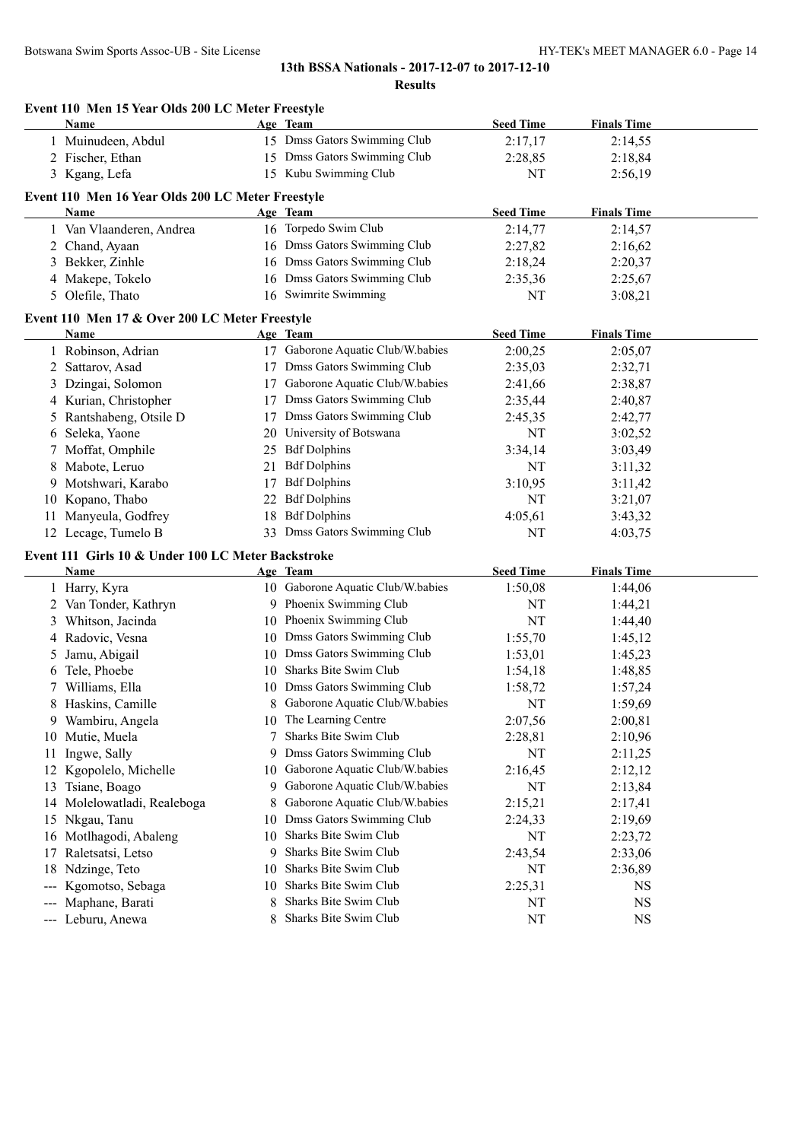**Event 110 Men 15 Year Olds 200 LC Meter Freestyle**

|                                                           | <b>Name</b>                                               |    | Age Team                                       | <b>Seed Time</b> | <b>Finals Time</b>     |  |
|-----------------------------------------------------------|-----------------------------------------------------------|----|------------------------------------------------|------------------|------------------------|--|
|                                                           | 1 Muinudeen, Abdul                                        |    | 15 Dmss Gators Swimming Club                   | 2:17,17          | 2:14,55                |  |
|                                                           | 2 Fischer, Ethan                                          |    | 15 Dmss Gators Swimming Club                   | 2:28,85          | 2:18,84                |  |
|                                                           | 3 Kgang, Lefa                                             |    | 15 Kubu Swimming Club                          | NT               | 2:56,19                |  |
|                                                           |                                                           |    |                                                |                  |                        |  |
|                                                           | Event 110 Men 16 Year Olds 200 LC Meter Freestyle<br>Name |    | Age Team                                       | <b>Seed Time</b> | <b>Finals Time</b>     |  |
|                                                           | 1 Van Vlaanderen, Andrea                                  |    | 16 Torpedo Swim Club                           | 2:14,77          | 2:14,57                |  |
|                                                           | 2 Chand, Ayaan                                            |    | 16 Dmss Gators Swimming Club                   | 2:27,82          | 2:16,62                |  |
|                                                           |                                                           |    | 16 Dmss Gators Swimming Club                   |                  |                        |  |
| 3                                                         | Bekker, Zinhle                                            |    | 16 Dmss Gators Swimming Club                   | 2:18,24          | 2:20,37                |  |
|                                                           | 4 Makepe, Tokelo                                          |    | 16 Swimrite Swimming                           | 2:35,36          | 2:25,67                |  |
|                                                           | 5 Olefile, Thato                                          |    |                                                | NT               | 3:08,21                |  |
|                                                           | Event 110 Men 17 & Over 200 LC Meter Freestyle            |    |                                                |                  |                        |  |
|                                                           | Name                                                      |    | Age Team                                       | <b>Seed Time</b> | <b>Finals Time</b>     |  |
|                                                           | 1 Robinson, Adrian                                        |    | 17 Gaborone Aquatic Club/W.babies              | 2:00,25          | 2:05,07                |  |
| 2                                                         | Sattarov, Asad                                            |    | 17 Dmss Gators Swimming Club                   | 2:35,03          | 2:32,71                |  |
| 3                                                         | Dzingai, Solomon                                          |    | 17 Gaborone Aquatic Club/W.babies              | 2:41,66          | 2:38,87                |  |
| 4                                                         | Kurian, Christopher                                       |    | 17 Dmss Gators Swimming Club                   | 2:35,44          | 2:40,87                |  |
| 5                                                         | Rantshabeng, Otsile D                                     | 17 | Dmss Gators Swimming Club                      | 2:45,35          | 2:42,77                |  |
| 6                                                         | Seleka, Yaone                                             | 20 | University of Botswana                         | NT               | 3:02,52                |  |
|                                                           | Moffat, Omphile                                           | 25 | <b>Bdf</b> Dolphins                            | 3:34,14          | 3:03,49                |  |
| 8                                                         | Mabote, Leruo                                             | 21 | <b>Bdf Dolphins</b>                            | NT               | 3:11,32                |  |
| 9                                                         | Motshwari, Karabo                                         | 17 | <b>Bdf Dolphins</b>                            | 3:10,95          | 3:11,42                |  |
| 10                                                        | Kopano, Thabo                                             | 22 | <b>Bdf Dolphins</b>                            | NT               | 3:21,07                |  |
| 11                                                        | Manyeula, Godfrey                                         | 18 | <b>Bdf Dolphins</b>                            | 4:05,61          | 3:43,32                |  |
|                                                           | 12 Lecage, Tumelo B                                       |    | 33 Dmss Gators Swimming Club                   | NT               | 4:03,75                |  |
|                                                           |                                                           |    |                                                |                  |                        |  |
|                                                           |                                                           |    |                                                |                  |                        |  |
|                                                           | Event 111 Girls 10 & Under 100 LC Meter Backstroke        |    |                                                |                  |                        |  |
|                                                           | Name                                                      |    | Age Team                                       | <b>Seed Time</b> | <b>Finals Time</b>     |  |
|                                                           | 1 Harry, Kyra                                             |    | 10 Gaborone Aquatic Club/W.babies              | 1:50,08          | 1:44,06                |  |
|                                                           | 2 Van Tonder, Kathryn                                     |    | 9 Phoenix Swimming Club                        | NT               | 1:44,21                |  |
| 3                                                         | Whitson, Jacinda                                          |    | 10 Phoenix Swimming Club                       | NT               | 1:44,40                |  |
| 4                                                         | Radovic, Vesna                                            |    | 10 Dmss Gators Swimming Club                   | 1:55,70          | 1:45,12                |  |
| 5                                                         | Jamu, Abigail                                             |    | 10 Dmss Gators Swimming Club                   | 1:53,01          | 1:45,23                |  |
|                                                           | 6 Tele, Phoebe                                            |    | 10 Sharks Bite Swim Club                       | 1:54,18          | 1:48,85                |  |
|                                                           | Williams, Ella                                            |    | 10 Dmss Gators Swimming Club                   | 1:58,72          | 1:57,24                |  |
| 8                                                         | Haskins, Camille                                          |    | Gaborone Aquatic Club/W.babies                 | NT               | 1:59,69                |  |
|                                                           | 9 Wambiru, Angela                                         |    | 10 The Learning Centre                         | 2:07,56          | 2:00,81                |  |
|                                                           | 10 Mutie, Muela                                           |    | Sharks Bite Swim Club                          | 2:28,81          | 2:10,96                |  |
| 11.                                                       | Ingwe, Sally                                              | 9. | Dmss Gators Swimming Club                      | NT               | 2:11,25                |  |
|                                                           | 12 Kgopolelo, Michelle                                    | 10 | Gaborone Aquatic Club/W.babies                 | 2:16,45          | 2:12,12                |  |
| 13                                                        | Tsiane, Boago                                             | 9  | Gaborone Aquatic Club/W.babies                 | NT               | 2:13,84                |  |
| 14                                                        | Molelowatladi, Realeboga                                  | 8  | Gaborone Aquatic Club/W.babies                 | 2:15,21          | 2:17,41                |  |
| 15                                                        | Nkgau, Tanu                                               | 10 | Dmss Gators Swimming Club                      | 2:24,33          | 2:19,69                |  |
| 16                                                        | Motlhagodi, Abaleng                                       | 10 | Sharks Bite Swim Club                          | NT               | 2:23,72                |  |
| 17                                                        | Raletsatsi, Letso                                         | 9  | Sharks Bite Swim Club                          | 2:43,54          | 2:33,06                |  |
| 18                                                        | Ndzinge, Teto                                             | 10 | Sharks Bite Swim Club                          | NT               | 2:36,89                |  |
| $\hspace{0.05cm}$ - $\hspace{0.05cm}$ - $\hspace{0.05cm}$ | Kgomotso, Sebaga                                          | 10 | Sharks Bite Swim Club                          | 2:25,31          | NS                     |  |
| ---                                                       | Maphane, Barati<br>--- Leburu, Anewa                      |    | Sharks Bite Swim Club<br>Sharks Bite Swim Club | NT<br>NT         | <b>NS</b><br><b>NS</b> |  |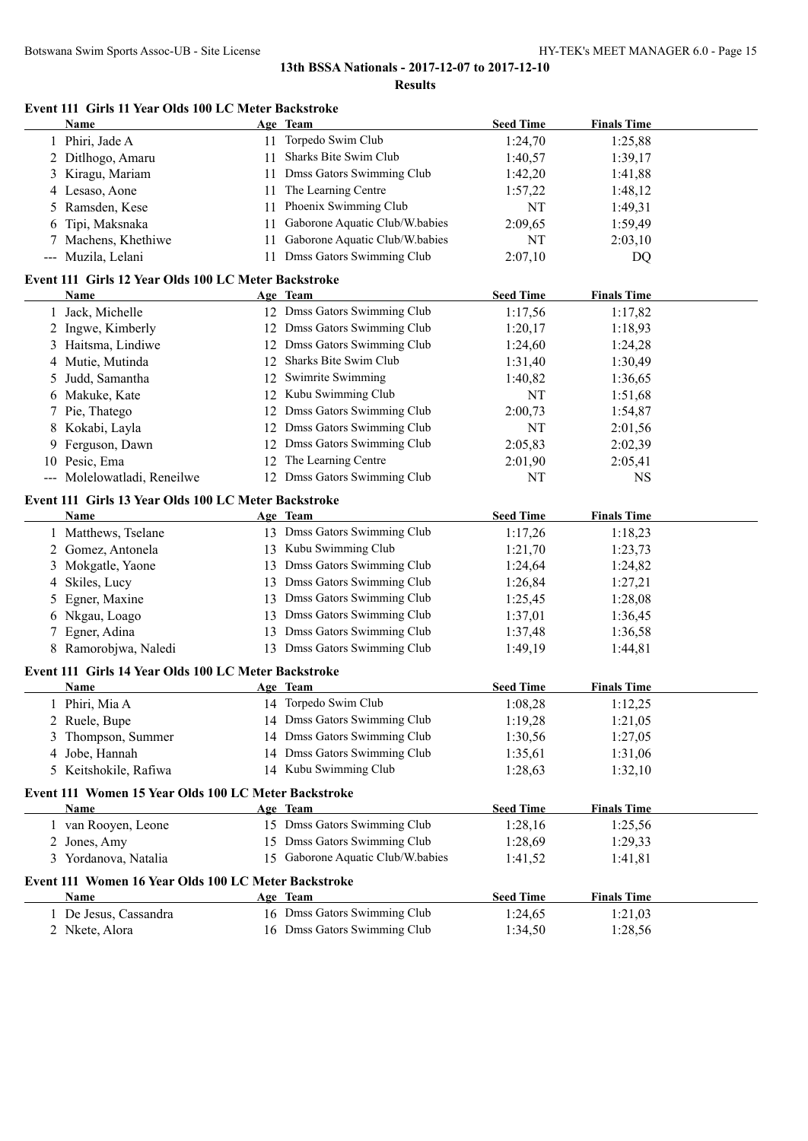**Event 111 Girls 11 Year Olds 100 LC Meter Backstroke**

|        | <b>Name</b>                                          |    | Age Team                          | <b>Seed Time</b> | <b>Finals Time</b> |  |
|--------|------------------------------------------------------|----|-----------------------------------|------------------|--------------------|--|
|        | 1 Phiri, Jade A                                      |    | 11 Torpedo Swim Club              | 1:24,70          | 1:25,88            |  |
|        | 2 Ditlhogo, Amaru                                    | 11 | Sharks Bite Swim Club             | 1:40,57          | 1:39,17            |  |
| 3      | Kiragu, Mariam                                       | 11 | Dmss Gators Swimming Club         | 1:42,20          | 1:41,88            |  |
|        | 4 Lesaso, Aone                                       | 11 | The Learning Centre               | 1:57,22          | 1:48,12            |  |
| 5      | Ramsden, Kese                                        | 11 | Phoenix Swimming Club             | <b>NT</b>        | 1:49,31            |  |
|        | Tipi, Maksnaka                                       | 11 | Gaborone Aquatic Club/W.babies    | 2:09,65          | 1:59,49            |  |
|        | 7 Machens, Khethiwe                                  | 11 | Gaborone Aquatic Club/W.babies    | <b>NT</b>        | 2:03,10            |  |
|        | --- Muzila, Lelani                                   |    | 11 Dmss Gators Swimming Club      | 2:07,10          | DQ                 |  |
|        |                                                      |    |                                   |                  |                    |  |
|        | Event 111 Girls 12 Year Olds 100 LC Meter Backstroke |    |                                   |                  |                    |  |
|        | Name                                                 |    | Age Team                          | <b>Seed Time</b> | <b>Finals Time</b> |  |
| 1      | Jack, Michelle                                       |    | 12 Dmss Gators Swimming Club      | 1:17,56          | 1:17,82            |  |
|        | 2 Ingwe, Kimberly                                    |    | 12 Dmss Gators Swimming Club      | 1:20,17          | 1:18,93            |  |
|        | 3 Haitsma, Lindiwe                                   |    | 12 Dmss Gators Swimming Club      | 1:24,60          | 1:24,28            |  |
|        | 4 Mutie, Mutinda                                     |    | 12 Sharks Bite Swim Club          | 1:31,40          | 1:30,49            |  |
| 5      | Judd, Samantha                                       | 12 | Swimrite Swimming                 | 1:40,82          | 1:36,65            |  |
|        | 6 Makuke, Kate                                       |    | 12 Kubu Swimming Club             | <b>NT</b>        | 1:51,68            |  |
|        | 7 Pie, Thatego                                       |    | 12 Dmss Gators Swimming Club      | 2:00,73          | 1:54,87            |  |
|        | 8 Kokabi, Layla                                      |    | 12 Dmss Gators Swimming Club      | <b>NT</b>        | 2:01,56            |  |
|        | 9 Ferguson, Dawn                                     | 12 | Dmss Gators Swimming Club         | 2:05,83          | 2:02,39            |  |
|        | 10 Pesic, Ema                                        | 12 | The Learning Centre               | 2:01,90          | 2:05,41            |  |
|        | --- Molelowatladi, Reneilwe                          | 12 | Dmss Gators Swimming Club         | NT               | <b>NS</b>          |  |
|        |                                                      |    |                                   |                  |                    |  |
|        | Event 111 Girls 13 Year Olds 100 LC Meter Backstroke |    |                                   |                  |                    |  |
|        | <b>Name</b>                                          |    | Age Team                          | <b>Seed Time</b> | <b>Finals Time</b> |  |
|        | 1 Matthews, Tselane                                  |    | 13 Dmss Gators Swimming Club      | 1:17,26          | 1:18,23            |  |
|        | 2 Gomez, Antonela                                    |    | 13 Kubu Swimming Club             | 1:21,70          | 1:23,73            |  |
|        | 3 Mokgatle, Yaone                                    | 13 | Dmss Gators Swimming Club         | 1:24,64          | 1:24,82            |  |
| 4      | Skiles, Lucy                                         | 13 | Dmss Gators Swimming Club         | 1:26,84          | 1:27,21            |  |
| 5      | Egner, Maxine                                        | 13 | Dmss Gators Swimming Club         | 1:25,45          | 1:28,08            |  |
| 6      | Nkgau, Loago                                         | 13 | Dmss Gators Swimming Club         | 1:37,01          | 1:36,45            |  |
| $\tau$ | Egner, Adina                                         | 13 | Dmss Gators Swimming Club         | 1:37,48          | 1:36,58            |  |
|        | 8 Ramorobjwa, Naledi                                 |    | 13 Dmss Gators Swimming Club      | 1:49,19          | 1:44,81            |  |
|        |                                                      |    |                                   |                  |                    |  |
|        | Event 111 Girls 14 Year Olds 100 LC Meter Backstroke |    |                                   |                  |                    |  |
|        | Name                                                 |    | Age Team<br>14 Torpedo Swim Club  | <b>Seed Time</b> | <b>Finals Time</b> |  |
|        | 1 Phiri, Mia A                                       |    |                                   | 1:08,28          | 1:12,25            |  |
|        | 2 Ruele, Bupe                                        |    | 14 Dmss Gators Swimming Club      | 1:19,28          | 1:21,05            |  |
|        | 3 Thompson, Summer                                   |    | 14 Dmss Gators Swimming Club      | 1:30,56          | 1:27,05            |  |
| 4      | Jobe, Hannah                                         | 14 | <b>Dmss Gators Swimming Club</b>  | 1:35,61          | 1:31,06            |  |
|        | 5 Keitshokile, Rafiwa                                |    | 14 Kubu Swimming Club             | 1:28,63          | 1:32,10            |  |
|        | Event 111 Women 15 Year Olds 100 LC Meter Backstroke |    |                                   |                  |                    |  |
|        | Name                                                 |    | Age Team                          | <b>Seed Time</b> | <b>Finals Time</b> |  |
|        | 1 van Rooyen, Leone                                  |    | 15 Dmss Gators Swimming Club      | 1:28,16          | 1:25,56            |  |
|        | 2 Jones, Amy                                         |    | 15 Dmss Gators Swimming Club      | 1:28,69          | 1:29,33            |  |
|        | 3 Yordanova, Natalia                                 |    | 15 Gaborone Aquatic Club/W.babies | 1:41,52          | 1:41,81            |  |
|        |                                                      |    |                                   |                  |                    |  |
|        | Event 111 Women 16 Year Olds 100 LC Meter Backstroke |    |                                   |                  |                    |  |
|        | Name                                                 |    | Age Team                          | <b>Seed Time</b> | <b>Finals Time</b> |  |
|        | 1 De Jesus, Cassandra                                |    | 16 Dmss Gators Swimming Club      | 1:24,65          | 1:21,03            |  |
|        | 2 Nkete, Alora                                       |    | 16 Dmss Gators Swimming Club      | 1:34,50          | 1:28,56            |  |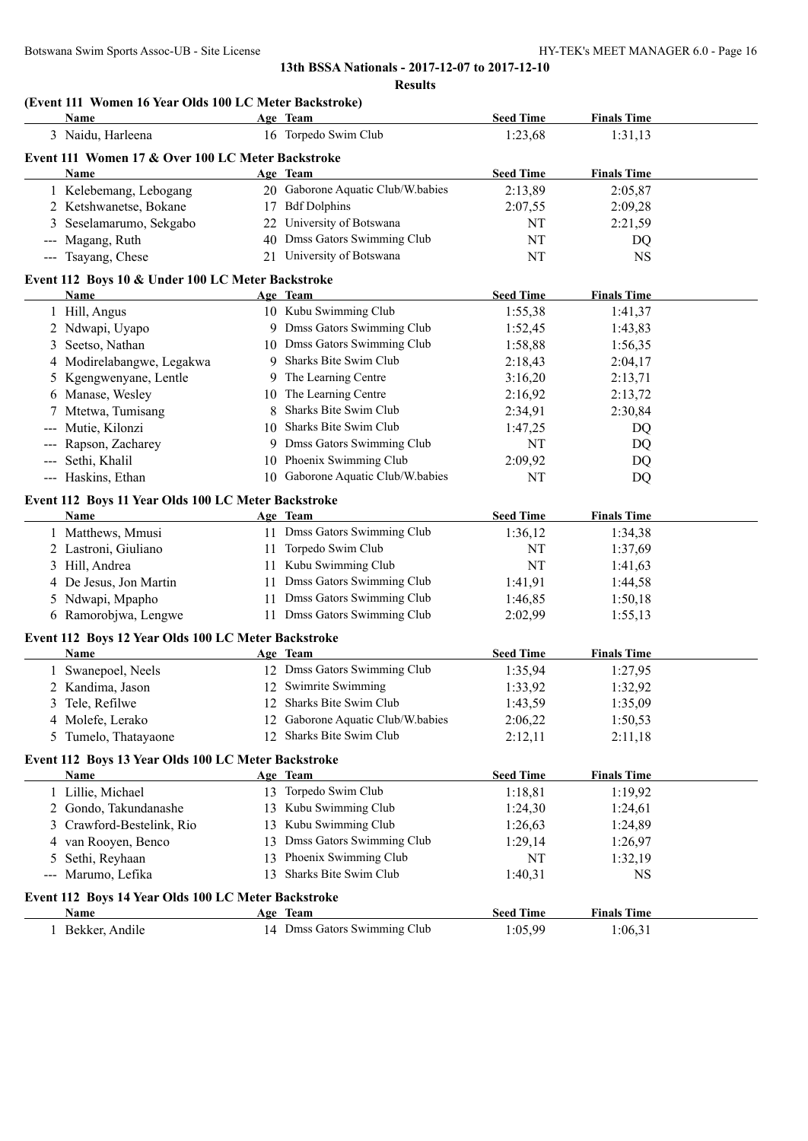**Results**

# **(Event 111 Women 16 Year Olds 100 LC Meter Backstroke)**

| <b>Name</b>                                         |    | Age Team                          | <b>Seed Time</b> | <b>Finals Time</b> |  |
|-----------------------------------------------------|----|-----------------------------------|------------------|--------------------|--|
| 3 Naidu, Harleena                                   |    | 16 Torpedo Swim Club              | 1:23,68          | 1:31,13            |  |
| Event 111 Women 17 & Over 100 LC Meter Backstroke   |    |                                   |                  |                    |  |
| Name                                                |    | Age Team                          | <b>Seed Time</b> | <b>Finals Time</b> |  |
| 1 Kelebemang, Lebogang                              |    | 20 Gaborone Aquatic Club/W.babies | 2:13,89          | 2:05,87            |  |
| 2 Ketshwanetse, Bokane                              |    | 17 Bdf Dolphins                   | 2:07,55          | 2:09,28            |  |
| 3 Seselamarumo, Sekgabo                             |    | 22 University of Botswana         | NT               | 2:21,59            |  |
| --- Magang, Ruth                                    |    | 40 Dmss Gators Swimming Club      | NT               | DQ                 |  |
| --- Tsayang, Chese                                  |    | 21 University of Botswana         | NT               | <b>NS</b>          |  |
|                                                     |    |                                   |                  |                    |  |
| Event 112 Boys 10 & Under 100 LC Meter Backstroke   |    |                                   |                  |                    |  |
| Name                                                |    | Age Team                          | <b>Seed Time</b> | <b>Finals Time</b> |  |
| 1 Hill, Angus                                       |    | 10 Kubu Swimming Club             | 1:55,38          | 1:41,37            |  |
| 2 Ndwapi, Uyapo                                     |    | 9 Dmss Gators Swimming Club       | 1:52,45          | 1:43,83            |  |
| 3 Seetso, Nathan                                    |    | 10 Dmss Gators Swimming Club      | 1:58,88          | 1:56,35            |  |
| 4 Modirelabangwe, Legakwa                           |    | 9 Sharks Bite Swim Club           | 2:18,43          | 2:04,17            |  |
| 5 Kgengwenyane, Lentle                              |    | 9 The Learning Centre             | 3:16,20          | 2:13,71            |  |
| 6 Manase, Wesley                                    |    | 10 The Learning Centre            | 2:16,92          | 2:13,72            |  |
| Mtetwa, Tumisang<br>$\frac{1}{2}$                   | 8  | Sharks Bite Swim Club             | 2:34,91          | 2:30,84            |  |
| --- Mutie, Kilonzi                                  |    | 10 Sharks Bite Swim Club          | 1:47,25          | DQ                 |  |
| --- Rapson, Zacharey                                | 9  | Dmss Gators Swimming Club         | NT               | DQ                 |  |
| --- Sethi, Khalil                                   | 10 | Phoenix Swimming Club             | 2:09,92          | DQ                 |  |
| --- Haskins, Ethan                                  |    | 10 Gaborone Aquatic Club/W.babies | NT               | DQ                 |  |
| Event 112 Boys 11 Year Olds 100 LC Meter Backstroke |    |                                   |                  |                    |  |
| Name                                                |    | Age Team                          | <b>Seed Time</b> | <b>Finals Time</b> |  |
| 1 Matthews, Mmusi                                   |    | 11 Dmss Gators Swimming Club      | 1:36,12          | 1:34,38            |  |
| 2 Lastroni, Giuliano                                |    | 11 Torpedo Swim Club              | NT               | 1:37,69            |  |
| 3 Hill, Andrea                                      |    | 11 Kubu Swimming Club             | NT               | 1:41,63            |  |
| 4 De Jesus, Jon Martin                              |    | 11 Dmss Gators Swimming Club      | 1:41,91          | 1:44,58            |  |
| 5 Ndwapi, Mpapho                                    |    | 11 Dmss Gators Swimming Club      | 1:46,85          | 1:50,18            |  |
| 6 Ramorobjwa, Lengwe                                |    | 11 Dmss Gators Swimming Club      | 2:02,99          | 1:55,13            |  |
|                                                     |    |                                   |                  |                    |  |
| Event 112 Boys 12 Year Olds 100 LC Meter Backstroke |    |                                   |                  |                    |  |
| Name                                                |    | Age Team                          | <b>Seed Time</b> | <b>Finals Time</b> |  |
| 1 Swanepoel, Neels                                  |    | 12 Dmss Gators Swimming Club      | 1:35,94          | 1:27,95            |  |
| 2 Kandima, Jason                                    |    | 12 Swimrite Swimming              | 1:33,92          | 1:32,92            |  |
| 3 Tele, Refilwe                                     |    | 12 Sharks Bite Swim Club          | 1:43,59          | 1:35,09            |  |
| 4 Molefe, Lerako                                    |    | 12 Gaborone Aquatic Club/W.babies | 2:06,22          | 1:50,53            |  |
| 5 Tumelo, Thatayaone                                |    | 12 Sharks Bite Swim Club          | 2:12,11          | 2:11,18            |  |
| Event 112 Boys 13 Year Olds 100 LC Meter Backstroke |    |                                   |                  |                    |  |
| Name                                                |    | Age Team                          | <b>Seed Time</b> | <b>Finals Time</b> |  |
| 1 Lillie, Michael                                   |    | 13 Torpedo Swim Club              | 1:18,81          | 1:19,92            |  |
| 2 Gondo, Takundanashe                               |    | 13 Kubu Swimming Club             | 1:24,30          | 1:24,61            |  |
| 3 Crawford-Bestelink, Rio                           |    | 13 Kubu Swimming Club             | 1:26,63          | 1:24,89            |  |
| 4 van Rooyen, Benco                                 |    | 13 Dmss Gators Swimming Club      | 1:29,14          | 1:26,97            |  |
| 5 Sethi, Reyhaan                                    |    | 13 Phoenix Swimming Club          | NT               | 1:32,19            |  |
| --- Marumo, Lefika                                  |    | 13 Sharks Bite Swim Club          | 1:40,31          | <b>NS</b>          |  |
|                                                     |    |                                   |                  |                    |  |
| Event 112 Boys 14 Year Olds 100 LC Meter Backstroke |    |                                   |                  |                    |  |
| <b>Name</b>                                         |    | Age Team                          | <b>Seed Time</b> | <b>Finals Time</b> |  |
| Bekker, Andile                                      |    | 14 Dmss Gators Swimming Club      | 1:05,99          | 1:06,31            |  |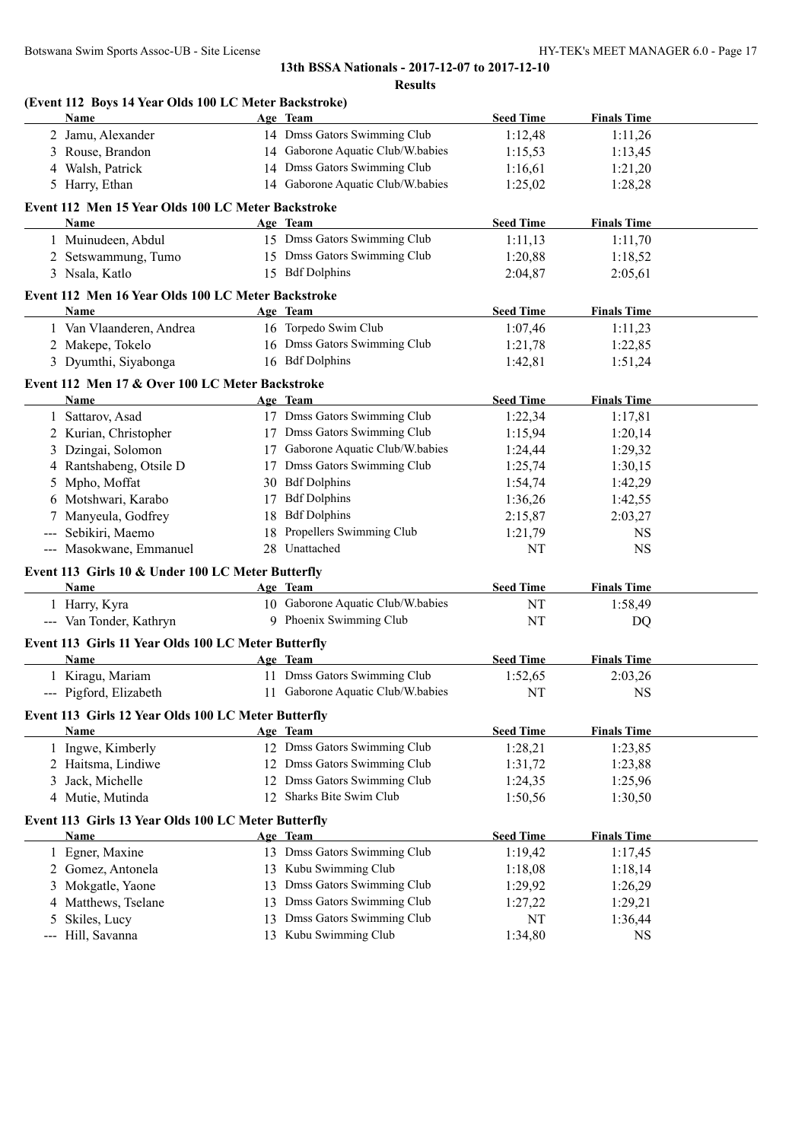| (Event 112 Boys 14 Year Olds 100 LC Meter Backstroke)<br>Name |    | Age Team                                              | <b>Seed Time</b> | <b>Finals Time</b> |  |
|---------------------------------------------------------------|----|-------------------------------------------------------|------------------|--------------------|--|
| 2 Jamu, Alexander                                             |    | 14 Dmss Gators Swimming Club                          | 1:12,48          | 1:11,26            |  |
| 3 Rouse, Brandon                                              |    | 14 Gaborone Aquatic Club/W.babies                     | 1:15,53          | 1:13,45            |  |
| 4 Walsh, Patrick                                              |    | 14 Dmss Gators Swimming Club                          | 1:16,61          | 1:21,20            |  |
| 5 Harry, Ethan                                                |    | 14 Gaborone Aquatic Club/W.babies                     | 1:25,02          | 1:28,28            |  |
| Event 112 Men 15 Year Olds 100 LC Meter Backstroke            |    |                                                       |                  |                    |  |
| Name                                                          |    | Age Team                                              | <b>Seed Time</b> | <b>Finals Time</b> |  |
| 1 Muinudeen, Abdul                                            |    | 15 Dmss Gators Swimming Club                          | 1:11,13          | 1:11,70            |  |
| 2 Setswammung, Tumo                                           |    | 15 Dmss Gators Swimming Club                          | 1:20,88          | 1:18,52            |  |
| 3 Nsala, Katlo                                                |    | 15 Bdf Dolphins                                       | 2:04,87          | 2:05,61            |  |
|                                                               |    |                                                       |                  |                    |  |
| Event 112 Men 16 Year Olds 100 LC Meter Backstroke            |    |                                                       |                  |                    |  |
| Name                                                          |    | Age Team                                              | <b>Seed Time</b> | <b>Finals Time</b> |  |
| 1 Van Vlaanderen, Andrea                                      |    | 16 Torpedo Swim Club                                  | 1:07,46          | 1:11,23            |  |
| 2 Makepe, Tokelo                                              |    | 16 Dmss Gators Swimming Club<br>16 Bdf Dolphins       | 1:21,78          | 1:22,85            |  |
| 3 Dyumthi, Siyabonga                                          |    |                                                       | 1:42,81          | 1:51,24            |  |
| Event 112 Men 17 & Over 100 LC Meter Backstroke               |    |                                                       |                  |                    |  |
| Name                                                          |    | Age Team                                              | <b>Seed Time</b> | <b>Finals Time</b> |  |
| 1 Sattarov, Asad                                              |    | 17 Dmss Gators Swimming Club                          | 1:22,34          | 1:17,81            |  |
| 2 Kurian, Christopher                                         |    | 17 Dmss Gators Swimming Club                          | 1:15,94          | 1:20,14            |  |
| Dzingai, Solomon<br>3                                         |    | 17 Gaborone Aquatic Club/W.babies                     | 1:24,44          | 1:29,32            |  |
| 4 Rantshabeng, Otsile D                                       |    | 17 Dmss Gators Swimming Club                          | 1:25,74          | 1:30,15            |  |
| Mpho, Moffat<br>5                                             |    | 30 Bdf Dolphins                                       | 1:54,74          | 1:42,29            |  |
| 6 Motshwari, Karabo                                           | 17 | <b>Bdf Dolphins</b>                                   | 1:36,26          | 1:42,55            |  |
| Manyeula, Godfrey                                             |    | 18 Bdf Dolphins                                       | 2:15,87          | 2:03,27            |  |
| --- Sebikiri, Maemo                                           |    | Propellers Swimming Club                              | 1:21,79          | <b>NS</b>          |  |
| --- Masokwane, Emmanuel                                       |    | 28 Unattached                                         | NT               | <b>NS</b>          |  |
| Event 113 Girls 10 & Under 100 LC Meter Butterfly             |    |                                                       |                  |                    |  |
| Name                                                          |    | Age Team                                              | <b>Seed Time</b> | <b>Finals Time</b> |  |
| 1 Harry, Kyra                                                 |    | 10 Gaborone Aquatic Club/W.babies                     | NT               | 1:58,49            |  |
| --- Van Tonder, Kathryn                                       |    | 9 Phoenix Swimming Club                               | NT               | DQ                 |  |
| Event 113 Girls 11 Year Olds 100 LC Meter Butterfly           |    |                                                       |                  |                    |  |
| Name                                                          |    | Age Team                                              | <b>Seed Time</b> | <b>Finals Time</b> |  |
| 1 Kiragu, Mariam                                              |    | 11 Dmss Gators Swimming Club                          | 1:52,65          | 2:03,26            |  |
| --- Pigford, Elizabeth                                        |    | 11 Gaborone Aquatic Club/W.babies                     | NT               | <b>NS</b>          |  |
| Event 113 Girls 12 Year Olds 100 LC Meter Butterfly           |    |                                                       |                  |                    |  |
| Name                                                          |    | Age Team                                              | <b>Seed Time</b> | <b>Finals Time</b> |  |
| 1 Ingwe, Kimberly                                             |    | 12 Dmss Gators Swimming Club                          | 1:28,21          | 1:23,85            |  |
| 2 Haitsma, Lindiwe                                            |    | 12 Dmss Gators Swimming Club                          | 1:31,72          | 1:23,88            |  |
| Jack, Michelle<br>3                                           |    | 12 Dmss Gators Swimming Club                          | 1:24,35          | 1:25,96            |  |
| 4 Mutie, Mutinda                                              |    | 12 Sharks Bite Swim Club                              | 1:50,56          | 1:30,50            |  |
|                                                               |    |                                                       |                  |                    |  |
| Event 113 Girls 13 Year Olds 100 LC Meter Butterfly           |    |                                                       |                  |                    |  |
| Name                                                          |    | Age Team<br>13 Dmss Gators Swimming Club              | <b>Seed Time</b> | <b>Finals Time</b> |  |
| 1 Egner, Maxine                                               |    |                                                       | 1:19,42          | 1:17,45            |  |
| 2 Gomez, Antonela                                             |    | 13 Kubu Swimming Club<br>13 Dmss Gators Swimming Club | 1:18,08          | 1:18,14            |  |
| Mokgatle, Yaone<br>3                                          |    |                                                       | 1:29,92          | 1:26,29            |  |
| Matthews, Tselane<br>4                                        | 13 | Dmss Gators Swimming Club                             | 1:27,22          | 1:29,21            |  |
| Skiles, Lucy<br>5                                             | 13 | Dmss Gators Swimming Club                             | NT               | 1:36,44            |  |
| Hill, Savanna                                                 |    | 13 Kubu Swimming Club                                 | 1:34,80          | <b>NS</b>          |  |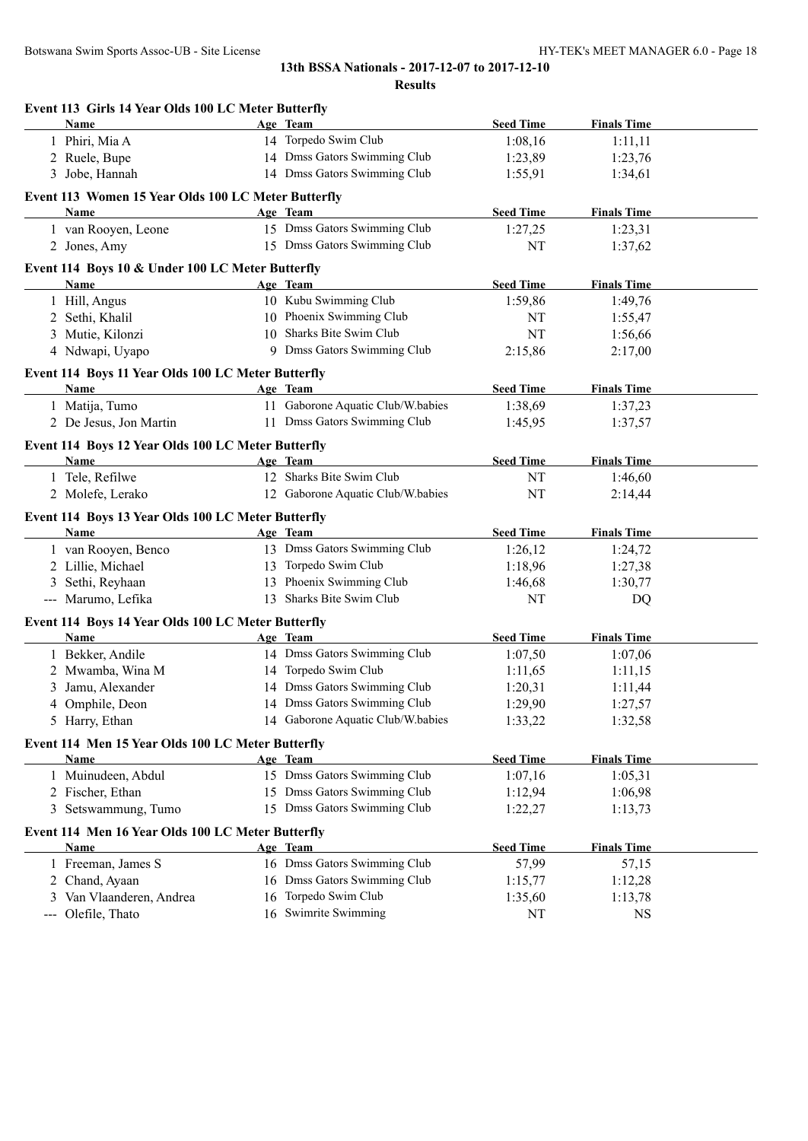|   | Event 113 Girls 14 Year Olds 100 LC Meter Butterfly |                                              |                  |                    |  |
|---|-----------------------------------------------------|----------------------------------------------|------------------|--------------------|--|
|   | <b>Name</b>                                         | Age Team                                     | <b>Seed Time</b> | <b>Finals Time</b> |  |
|   | 1 Phiri, Mia A                                      | 14 Torpedo Swim Club                         | 1:08,16          | 1:11,11            |  |
|   | 2 Ruele, Bupe                                       | 14 Dmss Gators Swimming Club                 | 1:23,89          | 1:23,76            |  |
|   | 3 Jobe, Hannah                                      | 14 Dmss Gators Swimming Club                 | 1:55,91          | 1:34,61            |  |
|   | Event 113 Women 15 Year Olds 100 LC Meter Butterfly |                                              |                  |                    |  |
|   | Name                                                | Age Team                                     | <b>Seed Time</b> | <b>Finals Time</b> |  |
|   | 1 van Rooyen, Leone                                 | 15 Dmss Gators Swimming Club                 | 1:27,25          | 1:23,31            |  |
|   | 2 Jones, Amy                                        | 15 Dmss Gators Swimming Club                 | NT               | 1:37,62            |  |
|   | Event 114 Boys 10 & Under 100 LC Meter Butterfly    |                                              |                  |                    |  |
|   | Name                                                | Age Team                                     | <b>Seed Time</b> | <b>Finals Time</b> |  |
|   | 1 Hill, Angus                                       | 10 Kubu Swimming Club                        | 1:59,86          | 1:49,76            |  |
|   | 2 Sethi, Khalil                                     | 10 Phoenix Swimming Club                     | NT               | 1:55,47            |  |
|   | 3 Mutie, Kilonzi                                    | 10 Sharks Bite Swim Club                     | NT               | 1:56,66            |  |
|   | 4 Ndwapi, Uyapo                                     | 9 Dmss Gators Swimming Club                  | 2:15,86          | 2:17,00            |  |
|   | Event 114 Boys 11 Year Olds 100 LC Meter Butterfly  |                                              |                  |                    |  |
|   | Name                                                | Age Team                                     | <b>Seed Time</b> | <b>Finals Time</b> |  |
|   | 1 Matija, Tumo                                      | 11 Gaborone Aquatic Club/W.babies            | 1:38,69          | 1:37,23            |  |
|   | 2 De Jesus, Jon Martin                              | 11 Dmss Gators Swimming Club                 | 1:45,95          | 1:37,57            |  |
|   | Event 114 Boys 12 Year Olds 100 LC Meter Butterfly  |                                              |                  |                    |  |
|   | Name                                                | Age Team                                     | <b>Seed Time</b> | <b>Finals Time</b> |  |
|   | 1 Tele, Refilwe                                     | 12 Sharks Bite Swim Club                     | NT               | 1:46,60            |  |
|   | 2 Molefe, Lerako                                    | 12 Gaborone Aquatic Club/W.babies            | NT               | 2:14,44            |  |
|   | Event 114 Boys 13 Year Olds 100 LC Meter Butterfly  |                                              |                  |                    |  |
|   | Name                                                | Age Team                                     | <b>Seed Time</b> | <b>Finals Time</b> |  |
|   | 1 van Rooyen, Benco                                 | 13 Dmss Gators Swimming Club                 | 1:26,12          | 1:24,72            |  |
|   | 2 Lillie, Michael                                   | 13 Torpedo Swim Club                         | 1:18,96          | 1:27,38            |  |
|   | 3 Sethi, Reyhaan                                    | 13 Phoenix Swimming Club                     | 1:46,68          | 1:30,77            |  |
|   | --- Marumo, Lefika                                  | 13 Sharks Bite Swim Club                     | NT               | DQ                 |  |
|   | Event 114 Boys 14 Year Olds 100 LC Meter Butterfly  |                                              |                  |                    |  |
|   | Name                                                | Age Team                                     | <b>Seed Time</b> | <b>Finals Time</b> |  |
|   | 1 Bekker, Andile                                    | 14 Dmss Gators Swimming Club                 | 1:07,50          | 1:07,06            |  |
|   | 2 Mwamba, Wina M                                    | 14 Torpedo Swim Club                         | 1:11,65          | 1:11,15            |  |
| 3 | Jamu, Alexander                                     | 14 Dmss Gators Swimming Club                 | 1:20,31          | 1:11,44            |  |
|   | 4 Omphile, Deon                                     | 14 Dmss Gators Swimming Club                 | 1:29,90          | 1:27,57            |  |
|   | 5 Harry, Ethan                                      | 14 Gaborone Aquatic Club/W.babies            | 1:33,22          | 1:32,58            |  |
|   | Event 114 Men 15 Year Olds 100 LC Meter Butterfly   |                                              |                  |                    |  |
|   | Name                                                | Age Team                                     | <b>Seed Time</b> | <b>Finals Time</b> |  |
|   | 1 Muinudeen, Abdul                                  | 15 Dmss Gators Swimming Club                 | 1:07,16          | 1:05,31            |  |
|   | 2 Fischer, Ethan                                    | 15 Dmss Gators Swimming Club                 | 1:12,94          | 1:06,98            |  |
|   | 3 Setswammung, Tumo                                 | 15 Dmss Gators Swimming Club                 | 1:22,27          | 1:13,73            |  |
|   | Event 114 Men 16 Year Olds 100 LC Meter Butterfly   |                                              |                  |                    |  |
|   | Name                                                | Age Team                                     | <b>Seed Time</b> | <b>Finals Time</b> |  |
|   | 1 Freeman, James S                                  | 16 Dmss Gators Swimming Club                 | 57,99            | 57,15              |  |
|   | 2 Chand, Ayaan                                      | 16 Dmss Gators Swimming Club                 | 1:15,77          | 1:12,28            |  |
|   |                                                     |                                              |                  |                    |  |
| 3 | Van Vlaanderen, Andrea<br>--- Olefile, Thato        | 16 Torpedo Swim Club<br>16 Swimrite Swimming | 1:35,60<br>NT    | 1:13,78<br>NS      |  |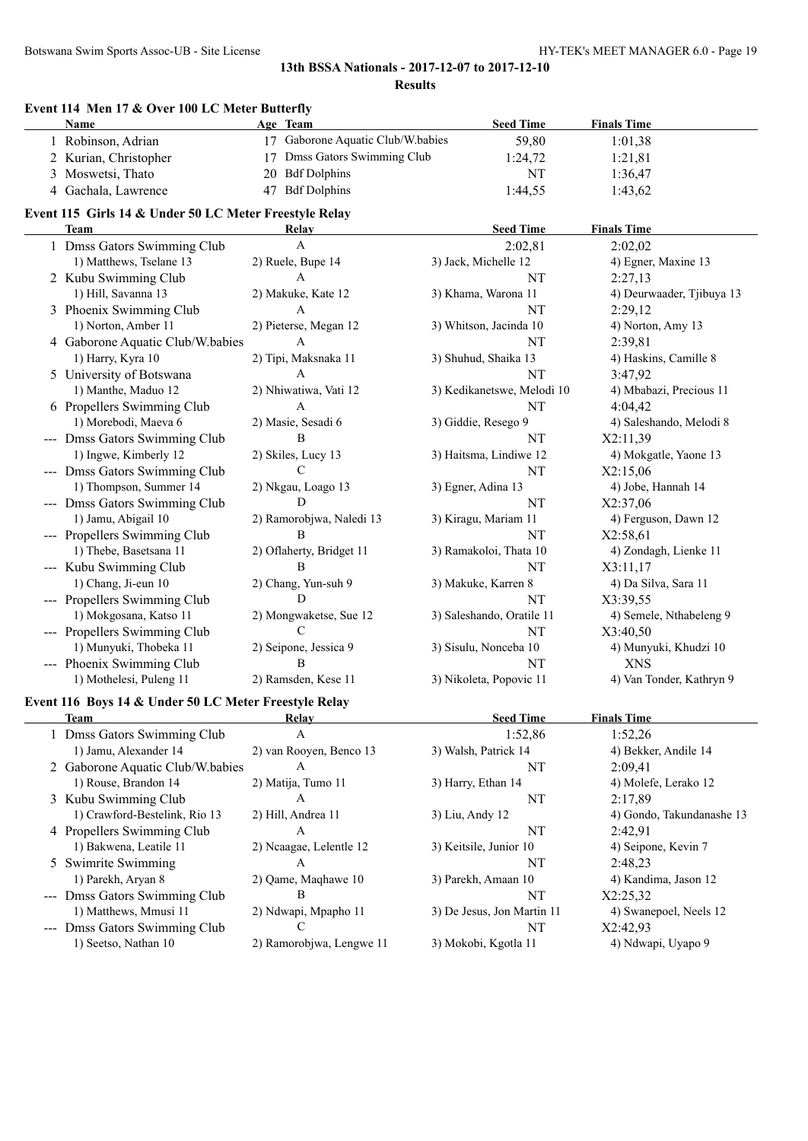**Event 114 Men 17 & Over 100 LC Meter Butterfly**

| Name                                                                  | Age Team                          | <b>Seed Time</b>           | <b>Finals Time</b>        |
|-----------------------------------------------------------------------|-----------------------------------|----------------------------|---------------------------|
| 1 Robinson, Adrian                                                    | 17 Gaborone Aquatic Club/W.babies | 59,80                      | 1:01,38                   |
| 2 Kurian, Christopher                                                 | Dmss Gators Swimming Club<br>17   | 1:24,72                    | 1:21,81                   |
| 3 Moswetsi, Thato                                                     | <b>Bdf Dolphins</b><br>20         | NT                         | 1:36,47                   |
| 4 Gachala, Lawrence                                                   | <b>Bdf Dolphins</b><br>47         | 1:44,55                    | 1:43,62                   |
|                                                                       |                                   |                            |                           |
| Event 115 Girls 14 & Under 50 LC Meter Freestyle Relay<br><b>Team</b> |                                   |                            |                           |
|                                                                       | Relay                             | <b>Seed Time</b>           | <b>Finals Time</b>        |
| 1 Dmss Gators Swimming Club                                           | A                                 | 2:02,81                    | 2:02,02                   |
| 1) Matthews, Tselane 13                                               | 2) Ruele, Bupe 14                 | 3) Jack, Michelle 12       | 4) Egner, Maxine 13       |
| 2 Kubu Swimming Club                                                  | A                                 | NT                         | 2:27,13                   |
| 1) Hill, Savanna 13                                                   | 2) Makuke, Kate 12                | 3) Khama, Warona 11        | 4) Deurwaader, Tjibuya 13 |
| 3 Phoenix Swimming Club                                               | A                                 | NT                         | 2:29,12                   |
| 1) Norton, Amber 11                                                   | 2) Pieterse, Megan 12             | 3) Whitson, Jacinda 10     | 4) Norton, Amy 13         |
| 4 Gaborone Aquatic Club/W.babies                                      | A                                 | NT                         | 2:39,81                   |
| 1) Harry, Kyra 10                                                     | 2) Tipi, Maksnaka 11              | 3) Shuhud, Shaika 13       | 4) Haskins, Camille 8     |
| 5 University of Botswana                                              | A                                 | NT                         | 3:47,92                   |
| 1) Manthe, Maduo 12                                                   | 2) Nhiwatiwa, Vati 12             | 3) Kedikanetswe, Melodi 10 | 4) Mbabazi, Precious 11   |
| 6 Propellers Swimming Club                                            | A                                 | NT                         | 4:04,42                   |
| 1) Morebodi, Maeva 6                                                  | 2) Masie, Sesadi 6                | 3) Giddie, Resego 9        | 4) Saleshando, Melodi 8   |
| --- Dmss Gators Swimming Club                                         | B                                 | NT                         | X2:11,39                  |
| 1) Ingwe, Kimberly 12                                                 | 2) Skiles, Lucy 13                | 3) Haitsma, Lindiwe 12     | 4) Mokgatle, Yaone 13     |
| --- Dmss Gators Swimming Club                                         | C                                 | NT                         | X2:15,06                  |
| 1) Thompson, Summer 14                                                | 2) Nkgau, Loago 13                | 3) Egner, Adina 13         | 4) Jobe, Hannah 14        |
| --- Dmss Gators Swimming Club                                         | D                                 | NT                         | X2:37,06                  |
| 1) Jamu, Abigail 10                                                   | 2) Ramorobjwa, Naledi 13          | 3) Kiragu, Mariam 11       | 4) Ferguson, Dawn 12      |
| --- Propellers Swimming Club                                          | B                                 | NT                         | X2:58,61                  |
| 1) Thebe, Basetsana 11                                                | 2) Oflaherty, Bridget 11          | 3) Ramakoloi, Thata 10     | 4) Zondagh, Lienke 11     |
| --- Kubu Swimming Club                                                | B                                 | NT                         | X3:11,17                  |
| 1) Chang, Ji-eun 10                                                   | 2) Chang, Yun-suh 9               | 3) Makuke, Karren 8        | 4) Da Silva, Sara 11      |
| Propellers Swimming Club                                              | D                                 | NT                         | X3:39,55                  |
| 1) Mokgosana, Katso 11                                                | 2) Mongwaketse, Sue 12            | 3) Saleshando, Oratile 11  | 4) Semele, Nthabeleng 9   |
| --- Propellers Swimming Club                                          | C                                 | NT                         | X3:40,50                  |
| 1) Munyuki, Thobeka 11                                                | 2) Seipone, Jessica 9             | 3) Sisulu, Nonceba 10      | 4) Munyuki, Khudzi 10     |
| --- Phoenix Swimming Club                                             | B                                 | NT                         | <b>XNS</b>                |
| 1) Mothelesi, Puleng 11                                               | 2) Ramsden, Kese 11               | 3) Nikoleta, Popovic 11    | 4) Van Tonder, Kathryn 9  |
|                                                                       |                                   |                            |                           |
| Event 116 Boys 14 & Under 50 LC Meter Freestyle Relay                 |                                   |                            |                           |
| <b>Team</b>                                                           | Relay                             | <b>Seed Time</b>           | <b>Finals Time</b>        |
| 1 Dmss Gators Swimming Club                                           | A                                 | 1:52,86                    | 1:52,26                   |
| 1) Jamu, Alexander 14                                                 | 2) van Rooyen, Benco 13           | 3) Walsh, Patrick 14       | 4) Bekker, Andile 14      |
| 2 Gaborone Aquatic Club/W.babies                                      | A                                 | NT                         | 2:09,41                   |
| 1) Rouse, Brandon 14                                                  | 2) Matija, Tumo 11                | 3) Harry, Ethan 14         | 4) Molefe, Lerako 12      |
| 3 Kubu Swimming Club                                                  | A                                 | NT                         | 2:17,89                   |
| 1) Crawford-Bestelink, Rio 13                                         | 2) Hill, Andrea 11                | 3) Liu, Andy 12            | 4) Gondo, Takundanashe 13 |
| 4 Propellers Swimming Club                                            | A                                 | NT                         | 2:42,91                   |
| 1) Bakwena, Leatile 11                                                | 2) Ncaagae, Lelentle 12           | 3) Keitsile, Junior 10     | 4) Seipone, Kevin 7       |
| 5 Swimrite Swimming                                                   | A                                 | NT                         | 2:48,23                   |
| 1) Parekh, Aryan 8                                                    | 2) Qame, Maqhawe 10               | 3) Parekh, Amaan 10        | 4) Kandima, Jason 12      |
| --- Dmss Gators Swimming Club                                         | Β                                 | NT                         | X2:25,32                  |
| 1) Matthews, Mmusi 11                                                 | 2) Ndwapi, Mpapho 11              | 3) De Jesus, Jon Martin 11 | 4) Swanepoel, Neels 12    |
| --- Dmss Gators Swimming Club                                         | C                                 | NT                         | X2:42,93                  |
| 1) Seetso, Nathan 10                                                  | 2) Ramorobjwa, Lengwe 11          | 3) Mokobi, Kgotla 11       | 4) Ndwapi, Uyapo 9        |
|                                                                       |                                   |                            |                           |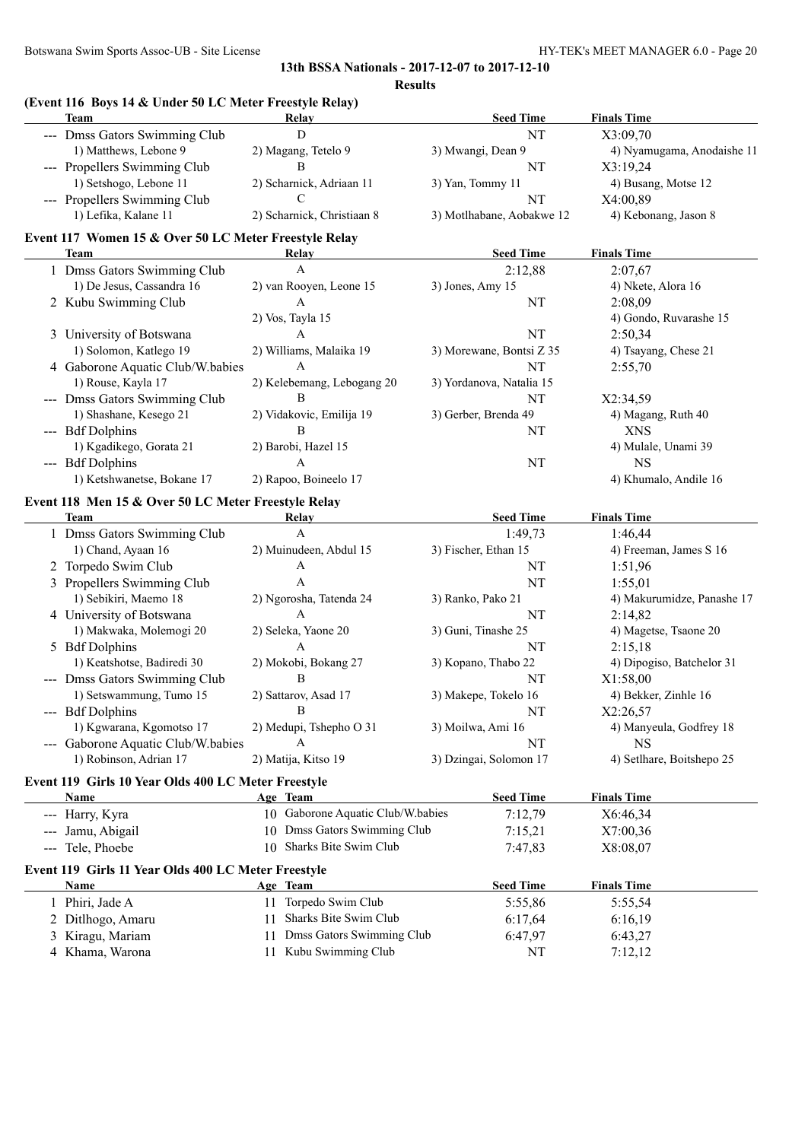| <b>Team</b>                                           | Relay                             | <b>Seed Time</b>          | <b>Finals Time</b>         |
|-------------------------------------------------------|-----------------------------------|---------------------------|----------------------------|
| --- Dmss Gators Swimming Club                         | D                                 | NT                        | X3:09.70                   |
| 1) Matthews, Lebone 9                                 | 2) Magang, Tetelo 9               | 3) Mwangi, Dean 9         | 4) Nyamugama, Anodaishe 11 |
| --- Propellers Swimming Club                          | B                                 | NT                        | X3:19,24                   |
| 1) Setshogo, Lebone 11                                | 2) Scharnick, Adriaan 11          | 3) Yan, Tommy 11          | 4) Busang, Motse 12        |
| --- Propellers Swimming Club                          | C                                 | NT                        | X4:00,89                   |
| 1) Lefika, Kalane 11                                  | 2) Scharnick, Christiaan 8        | 3) Motlhabane, Aobakwe 12 | 4) Kebonang, Jason 8       |
| Event 117 Women 15 & Over 50 LC Meter Freestyle Relay |                                   |                           |                            |
| Team                                                  | Relay                             | <b>Seed Time</b>          | <b>Finals Time</b>         |
| 1 Dmss Gators Swimming Club                           | A                                 | 2:12,88                   | 2:07,67                    |
| 1) De Jesus, Cassandra 16                             | 2) van Rooyen, Leone 15           | 3) Jones, Amy 15          | 4) Nkete, Alora 16         |
| 2 Kubu Swimming Club                                  | A                                 | NT                        | 2:08,09                    |
|                                                       | 2) Vos, Tayla 15                  |                           | 4) Gondo, Ruvarashe 15     |
| 3 University of Botswana                              | A                                 | <b>NT</b>                 | 2:50,34                    |
| 1) Solomon, Katlego 19                                | 2) Williams, Malaika 19           | 3) Morewane, Bontsi Z 35  | 4) Tsayang, Chese 21       |
| 4 Gaborone Aquatic Club/W.babies                      | A                                 | NT                        | 2:55,70                    |
| 1) Rouse, Kayla 17                                    | 2) Kelebemang, Lebogang 20        | 3) Yordanova, Natalia 15  |                            |
| --- Dmss Gators Swimming Club                         | B                                 | NT                        | X2:34,59                   |
| 1) Shashane, Kesego 21                                | 2) Vidakovic, Emilija 19          | 3) Gerber, Brenda 49      | 4) Magang, Ruth 40         |
| --- Bdf Dolphins                                      | B                                 | NT                        | <b>XNS</b>                 |
| 1) Kgadikego, Gorata 21                               | 2) Barobi, Hazel 15               |                           | 4) Mulale, Unami 39        |
| --- Bdf Dolphins                                      | $\overline{A}$                    | <b>NT</b>                 | <b>NS</b>                  |
| 1) Ketshwanetse, Bokane 17                            | 2) Rapoo, Boineelo 17             |                           | 4) Khumalo, Andile 16      |
|                                                       |                                   |                           |                            |
| Event 118 Men 15 & Over 50 LC Meter Freestyle Relay   |                                   |                           |                            |
| <b>Team</b>                                           | Relay                             | <b>Seed Time</b>          | <b>Finals Time</b>         |
| 1 Dmss Gators Swimming Club                           | $\overline{A}$                    | 1:49,73                   | 1:46,44                    |
| 1) Chand, Ayaan 16                                    | 2) Muinudeen, Abdul 15            | 3) Fischer, Ethan 15      | 4) Freeman, James S 16     |
| 2 Torpedo Swim Club                                   | A                                 | NT                        | 1:51,96                    |
| 3 Propellers Swimming Club                            | $\mathbf{A}$                      | NT                        | 1:55,01                    |
| 1) Sebikiri, Maemo 18                                 | 2) Ngorosha, Tatenda 24           | 3) Ranko, Pako 21         | 4) Makurumidze, Panashe 17 |
| 4 University of Botswana                              | A                                 | NT                        | 2:14,82                    |
| 1) Makwaka, Molemogi 20                               | 2) Seleka, Yaone 20               | 3) Guni, Tinashe 25       | 4) Magetse, Tsaone 20      |
| 5 Bdf Dolphins                                        | A                                 | NT                        | 2:15,18                    |
| 1) Keatshotse, Badiredi 30                            | 2) Mokobi, Bokang 27              | 3) Kopano, Thabo 22       | 4) Dipogiso, Batchelor 31  |
| --- Dmss Gators Swimming Club                         | B                                 | NT                        | X1:58,00                   |
| 1) Setswammung, Tumo 15                               | 2) Sattarov, Asad 17              | 3) Makepe, Tokelo 16      | 4) Bekker, Zinhle 16       |
| --- Bdf Dolphins                                      | B                                 | NT                        | X2:26,57                   |
| 1) Kgwarana, Kgomotso 17                              | 2) Medupi, Tshepho O 31           | 3) Moilwa, Ami 16         | 4) Manyeula, Godfrey 18    |
| Gaborone Aquatic Club/W.babies                        | А                                 | NT                        | <b>NS</b>                  |
| 1) Robinson, Adrian 17                                | 2) Matija, Kitso 19               | 3) Dzingai, Solomon 17    | 4) Setlhare, Boitshepo 25  |
| Event 119 Girls 10 Year Olds 400 LC Meter Freestyle   |                                   |                           |                            |
| Name                                                  | Age Team                          | <b>Seed Time</b>          | <b>Finals Time</b>         |
| Harry, Kyra                                           | 10 Gaborone Aquatic Club/W.babies | 7:12,79                   | X6:46,34                   |
| Jamu, Abigail                                         | 10 Dmss Gators Swimming Club      | 7:15,21                   | X7:00,36                   |
| --- Tele, Phoebe                                      | 10 Sharks Bite Swim Club          | 7:47,83                   | X8:08,07                   |
|                                                       |                                   |                           |                            |
| Event 119 Girls 11 Year Olds 400 LC Meter Freestyle   |                                   |                           | <b>Finals Time</b>         |
| Name                                                  | Age Team                          | <b>Seed Time</b>          |                            |
| 1 Phiri, Jade A                                       | 11 Torpedo Swim Club              | 5:55,86                   | 5:55,54                    |
| 2 Ditlhogo, Amaru                                     | Sharks Bite Swim Club<br>11       | 6:17,64                   | 6:16,19                    |
| 3 Kiragu, Mariam                                      | Dmss Gators Swimming Club<br>11   | 6:47,97                   | 6:43,27                    |
| 4 Khama, Warona                                       | 11 Kubu Swimming Club             | NT                        | 7:12,12                    |

# **(Event 116 Boys 14 & Under 50 LC Meter Freestyle Relay)**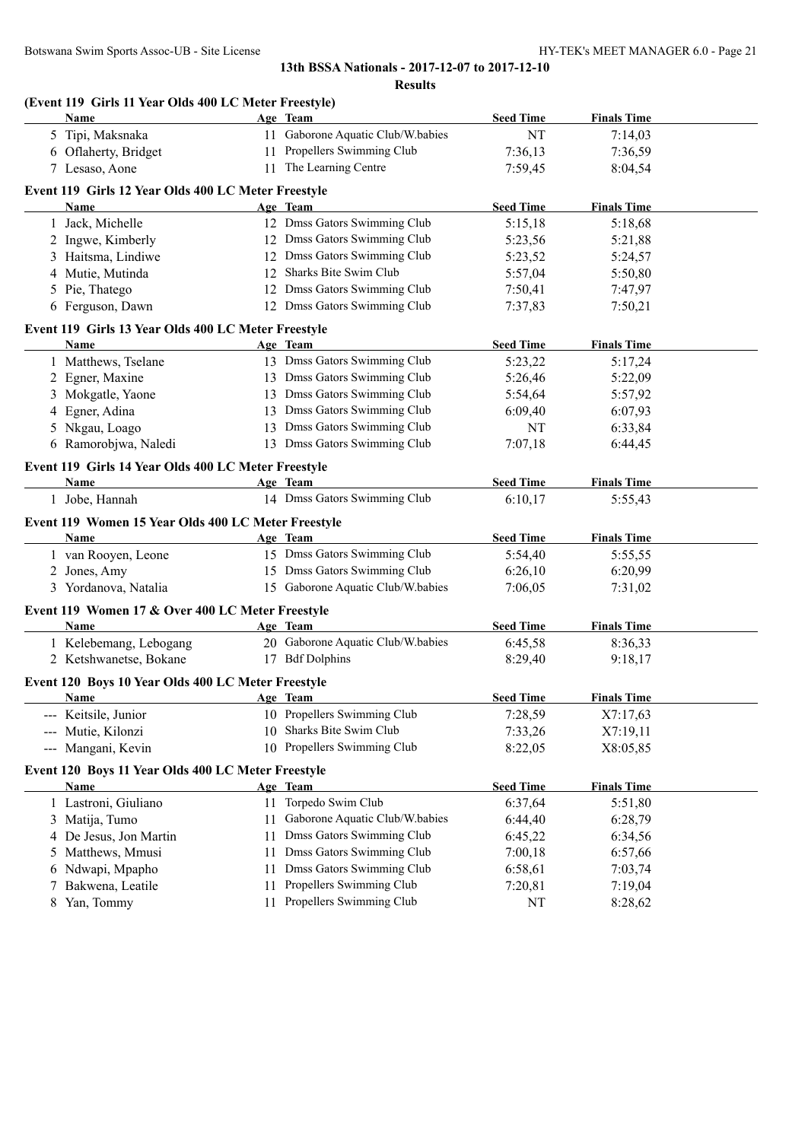|     | (Event 119 Girls 11 Year Olds 400 LC Meter Freestyle) |    |                                   |                  |                    |  |
|-----|-------------------------------------------------------|----|-----------------------------------|------------------|--------------------|--|
|     | <b>Name</b>                                           |    | Age Team                          | <b>Seed Time</b> | <b>Finals Time</b> |  |
|     | 5 Tipi, Maksnaka                                      |    | 11 Gaborone Aquatic Club/W.babies | <b>NT</b>        | 7:14,03            |  |
|     | 6 Oflaherty, Bridget                                  |    | 11 Propellers Swimming Club       | 7:36,13          | 7:36,59            |  |
|     | 7 Lesaso, Aone                                        |    | 11 The Learning Centre            | 7:59,45          | 8:04,54            |  |
|     | Event 119 Girls 12 Year Olds 400 LC Meter Freestyle   |    |                                   |                  |                    |  |
|     | Name                                                  |    | Age Team                          | <b>Seed Time</b> | <b>Finals Time</b> |  |
|     | 1 Jack, Michelle                                      |    | 12 Dmss Gators Swimming Club      | 5:15,18          | 5:18,68            |  |
|     | 2 Ingwe, Kimberly                                     |    | 12 Dmss Gators Swimming Club      | 5:23,56          | 5:21,88            |  |
| 3   | Haitsma, Lindiwe                                      |    | 12 Dmss Gators Swimming Club      | 5:23,52          | 5:24,57            |  |
|     | 4 Mutie, Mutinda                                      |    | 12 Sharks Bite Swim Club          | 5:57,04          | 5:50,80            |  |
| 5   | Pie, Thatego                                          |    | 12 Dmss Gators Swimming Club      | 7:50,41          | 7:47,97            |  |
|     | 6 Ferguson, Dawn                                      |    | 12 Dmss Gators Swimming Club      | 7:37,83          | 7:50,21            |  |
|     | Event 119 Girls 13 Year Olds 400 LC Meter Freestyle   |    |                                   |                  |                    |  |
|     | Name                                                  |    | Age Team                          | <b>Seed Time</b> | <b>Finals Time</b> |  |
|     | 1 Matthews, Tselane                                   |    | 13 Dmss Gators Swimming Club      | 5:23,22          | 5:17,24            |  |
|     | 2 Egner, Maxine                                       |    | 13 Dmss Gators Swimming Club      | 5:26,46          | 5:22,09            |  |
|     | 3 Mokgatle, Yaone                                     | 13 | Dmss Gators Swimming Club         | 5:54,64          | 5:57,92            |  |
|     | 4 Egner, Adina                                        | 13 | Dmss Gators Swimming Club         | 6:09,40          | 6:07,93            |  |
|     |                                                       |    | 13 Dmss Gators Swimming Club      |                  |                    |  |
|     | 5 Nkgau, Loago                                        |    |                                   | NT               | 6:33,84            |  |
|     | 6 Ramorobjwa, Naledi                                  |    | 13 Dmss Gators Swimming Club      | 7:07,18          | 6:44,45            |  |
|     | Event 119 Girls 14 Year Olds 400 LC Meter Freestyle   |    |                                   |                  |                    |  |
|     | Name                                                  |    | Age Team                          | <b>Seed Time</b> | <b>Finals Time</b> |  |
|     | 1 Jobe, Hannah                                        |    | 14 Dmss Gators Swimming Club      | 6:10,17          | 5:55,43            |  |
|     | Event 119 Women 15 Year Olds 400 LC Meter Freestyle   |    |                                   |                  |                    |  |
|     | Name                                                  |    | Age Team                          | <b>Seed Time</b> | <b>Finals Time</b> |  |
|     | 1 van Rooyen, Leone                                   |    | 15 Dmss Gators Swimming Club      | 5:54,40          | 5:55,55            |  |
|     | 2 Jones, Amy                                          |    | 15 Dmss Gators Swimming Club      | 6:26,10          | 6:20,99            |  |
|     | 3 Yordanova, Natalia                                  |    | 15 Gaborone Aquatic Club/W.babies | 7:06,05          | 7:31,02            |  |
|     | Event 119 Women 17 & Over 400 LC Meter Freestyle      |    |                                   |                  |                    |  |
|     | Name                                                  |    | Age Team                          | <b>Seed Time</b> | <b>Finals Time</b> |  |
|     | 1 Kelebemang, Lebogang                                |    | 20 Gaborone Aquatic Club/W.babies | 6:45,58          | 8:36,33            |  |
|     | 2 Ketshwanetse, Bokane                                |    | 17 Bdf Dolphins                   | 8:29,40          | 9:18,17            |  |
|     | Event 120 Boys 10 Year Olds 400 LC Meter Freestyle    |    |                                   |                  |                    |  |
|     | <b>Name</b>                                           |    | Age Team                          | <b>Seed Time</b> | <b>Finals Time</b> |  |
|     | --- Keitsile, Junior                                  |    | 10 Propellers Swimming Club       | 7:28,59          | X7:17,63           |  |
|     | Mutie, Kilonzi                                        | 10 | Sharks Bite Swim Club             | 7:33,26          | X7:19,11           |  |
| --- | Mangani, Kevin                                        |    | 10 Propellers Swimming Club       | 8:22,05          | X8:05,85           |  |
|     | Event 120 Boys 11 Year Olds 400 LC Meter Freestyle    |    |                                   |                  |                    |  |
|     | <b>Name</b>                                           |    | Age Team                          | <b>Seed Time</b> | <b>Finals Time</b> |  |
|     | 1 Lastroni, Giuliano                                  | 11 | Torpedo Swim Club                 | 6:37,64          | 5:51,80            |  |
| 3   | Matija, Tumo                                          | 11 | Gaborone Aquatic Club/W.babies    | 6:44,40          | 6:28,79            |  |
|     | 4 De Jesus, Jon Martin                                | 11 | Dmss Gators Swimming Club         | 6:45,22          | 6:34,56            |  |
|     | Matthews, Mmusi                                       |    | Dmss Gators Swimming Club         | 7:00,18          | 6:57,66            |  |
| 5   |                                                       | 11 |                                   |                  |                    |  |
| 6   | Ndwapi, Mpapho                                        | 11 | Dmss Gators Swimming Club         | 6:58,61          | 7:03,74            |  |
| 7   | Bakwena, Leatile                                      | 11 | Propellers Swimming Club          | 7:20,81          | 7:19,04            |  |
| 8   | Yan, Tommy                                            | 11 | Propellers Swimming Club          | NT               | 8:28,62            |  |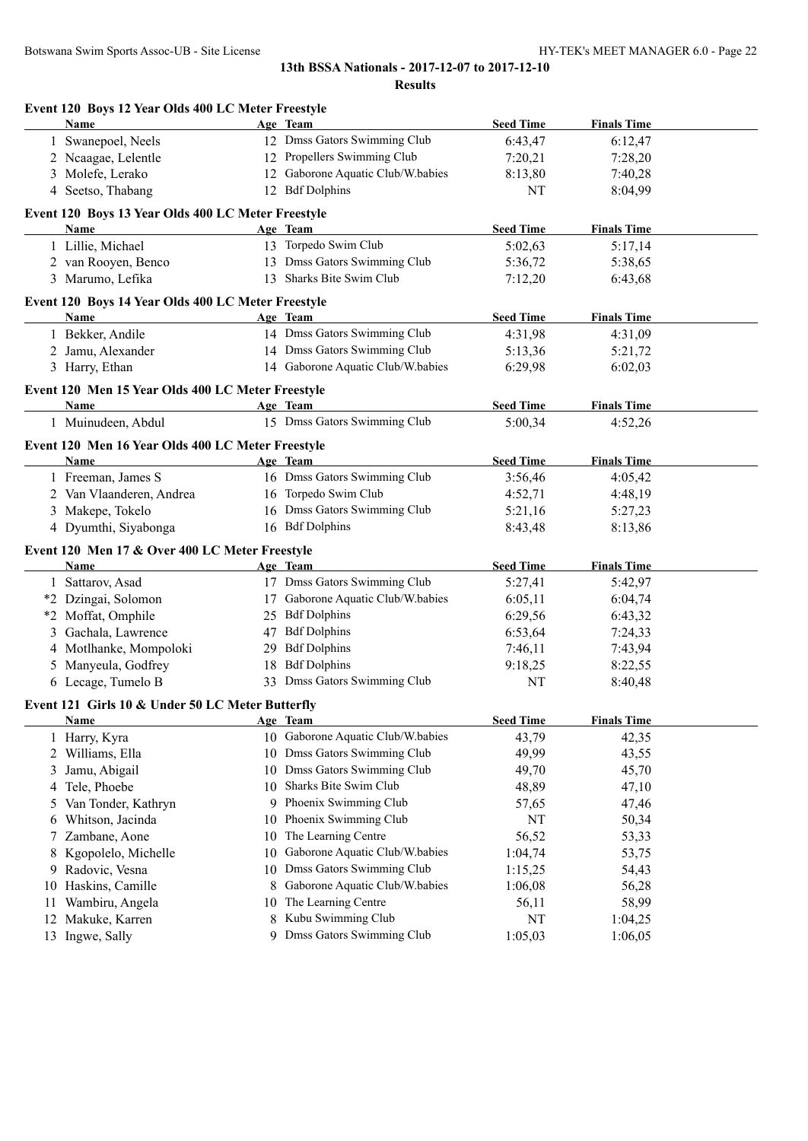|    | Event 120 Boys 12 Year Olds 400 LC Meter Freestyle |    |                                   |                  |                    |  |
|----|----------------------------------------------------|----|-----------------------------------|------------------|--------------------|--|
|    | Name                                               |    | Age Team                          | <b>Seed Time</b> | <b>Finals Time</b> |  |
|    | 1 Swanepoel, Neels                                 |    | 12 Dmss Gators Swimming Club      | 6:43,47          | 6:12,47            |  |
|    | 2 Ncaagae, Lelentle                                |    | 12 Propellers Swimming Club       | 7:20,21          | 7:28,20            |  |
|    | 3 Molefe, Lerako                                   |    | 12 Gaborone Aquatic Club/W.babies | 8:13,80          | 7:40,28            |  |
|    | 4 Seetso, Thabang                                  |    | 12 Bdf Dolphins                   | NT               | 8:04,99            |  |
|    | Event 120 Boys 13 Year Olds 400 LC Meter Freestyle |    |                                   |                  |                    |  |
|    | Name                                               |    | Age Team                          | <b>Seed Time</b> | <b>Finals Time</b> |  |
|    | 1 Lillie, Michael                                  |    | 13 Torpedo Swim Club              | 5:02,63          | 5:17,14            |  |
|    | 2 van Rooyen, Benco                                |    | 13 Dmss Gators Swimming Club      | 5:36,72          | 5:38,65            |  |
|    | 3 Marumo, Lefika                                   |    | 13 Sharks Bite Swim Club          | 7:12,20          | 6:43,68            |  |
|    | Event 120 Boys 14 Year Olds 400 LC Meter Freestyle |    |                                   |                  |                    |  |
|    | Name                                               |    | Age Team                          | <b>Seed Time</b> | <b>Finals Time</b> |  |
|    | 1 Bekker, Andile                                   |    | 14 Dmss Gators Swimming Club      | 4:31,98          | 4:31,09            |  |
|    | 2 Jamu, Alexander                                  |    | 14 Dmss Gators Swimming Club      | 5:13,36          | 5:21,72            |  |
|    | 3 Harry, Ethan                                     |    | 14 Gaborone Aquatic Club/W.babies | 6:29,98          | 6:02,03            |  |
|    | Event 120 Men 15 Year Olds 400 LC Meter Freestyle  |    |                                   |                  |                    |  |
|    | Name                                               |    | Age Team                          | <b>Seed Time</b> | <b>Finals Time</b> |  |
|    | 1 Muinudeen, Abdul                                 |    | 15 Dmss Gators Swimming Club      | 5:00,34          | 4:52,26            |  |
|    | Event 120 Men 16 Year Olds 400 LC Meter Freestyle  |    |                                   |                  |                    |  |
|    | Name                                               |    | Age Team                          | <b>Seed Time</b> | <b>Finals Time</b> |  |
|    | 1 Freeman, James S                                 |    | 16 Dmss Gators Swimming Club      | 3:56,46          | 4:05,42            |  |
|    | 2 Van Vlaanderen, Andrea                           |    | 16 Torpedo Swim Club              | 4:52,71          | 4:48,19            |  |
|    | 3 Makepe, Tokelo                                   |    | 16 Dmss Gators Swimming Club      | 5:21,16          | 5:27,23            |  |
|    | 4 Dyumthi, Siyabonga                               |    | 16 Bdf Dolphins                   | 8:43,48          | 8:13,86            |  |
|    | Event 120 Men 17 & Over 400 LC Meter Freestyle     |    |                                   |                  |                    |  |
|    | Name                                               |    | Age Team                          | <b>Seed Time</b> | <b>Finals Time</b> |  |
|    | 1 Sattarov, Asad                                   |    | 17 Dmss Gators Swimming Club      | 5:27,41          | 5:42,97            |  |
|    | *2 Dzingai, Solomon                                |    | 17 Gaborone Aquatic Club/W.babies | 6:05,11          | 6:04,74            |  |
|    | *2 Moffat, Omphile                                 |    | 25 Bdf Dolphins                   | 6:29,56          | 6:43,32            |  |
| 3  | Gachala, Lawrence                                  | 47 | <b>Bdf Dolphins</b>               | 6:53,64          | 7:24,33            |  |
|    | 4 Motlhanke, Mompoloki                             | 29 | <b>Bdf Dolphins</b>               | 7:46,11          | 7:43,94            |  |
|    | 5 Manyeula, Godfrey                                | 18 | <b>Bdf Dolphins</b>               | 9:18,25          | 8:22,55            |  |
|    | 6 Lecage, Tumelo B                                 |    | 33 Dmss Gators Swimming Club      | NT               | 8:40,48            |  |
|    | Event 121 Girls 10 & Under 50 LC Meter Butterfly   |    |                                   |                  |                    |  |
|    | Name                                               |    | Age Team                          | <b>Seed Time</b> | <b>Finals Time</b> |  |
|    | 1 Harry, Kyra                                      |    | 10 Gaborone Aquatic Club/W.babies | 43,79            | 42,35              |  |
|    | 2 Williams, Ella                                   | 10 | Dmss Gators Swimming Club         | 49,99            | 43,55              |  |
| 3  | Jamu, Abigail                                      | 10 | Dmss Gators Swimming Club         | 49,70            | 45,70              |  |
| 4  | Tele, Phoebe                                       | 10 | Sharks Bite Swim Club             | 48,89            | 47,10              |  |
| 5  | Van Tonder, Kathryn                                | 9  | Phoenix Swimming Club             | 57,65            | 47,46              |  |
| 6  | Whitson, Jacinda                                   | 10 | Phoenix Swimming Club             | NT               | 50,34              |  |
| 7  | Zambane, Aone                                      | 10 | The Learning Centre               | 56,52            | 53,33              |  |
| 8  | Kgopolelo, Michelle                                | 10 | Gaborone Aquatic Club/W.babies    | 1:04,74          | 53,75              |  |
| 9. | Radovic, Vesna                                     | 10 | Dmss Gators Swimming Club         | 1:15,25          | 54,43              |  |
| 10 | Haskins, Camille                                   | 8  | Gaborone Aquatic Club/W.babies    | 1:06,08          | 56,28              |  |
| 11 | Wambiru, Angela                                    | 10 | The Learning Centre               | 56,11            | 58,99              |  |
|    | Makuke, Karren                                     | 8  | Kubu Swimming Club                | NT               | 1:04,25            |  |
| 12 | 13 Ingwe, Sally                                    | 9  | Dmss Gators Swimming Club         | 1:05,03          | 1:06,05            |  |
|    |                                                    |    |                                   |                  |                    |  |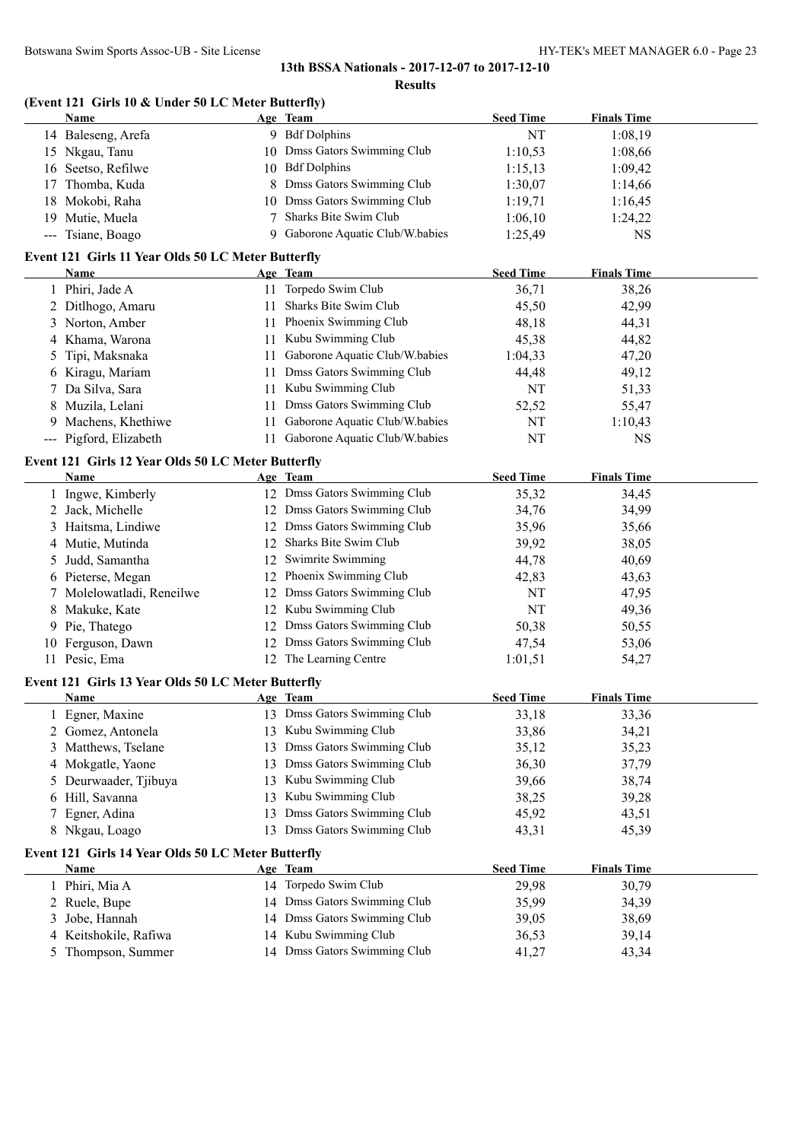**(Event 121 Girls 10 & Under 50 LC Meter Butterfly)**

# **13th BSSA Nationals - 2017-12-07 to 2017-12-10**

|               | Name                                                              |    | Age Team                          | <b>Seed Time</b> | <b>Finals Time</b> |  |
|---------------|-------------------------------------------------------------------|----|-----------------------------------|------------------|--------------------|--|
|               | 14 Baleseng, Arefa                                                |    | 9 Bdf Dolphins                    | NT               | 1:08,19            |  |
|               | 15 Nkgau, Tanu                                                    |    | 10 Dmss Gators Swimming Club      | 1:10,53          | 1:08,66            |  |
|               | 16 Seetso, Refilwe                                                |    | 10 Bdf Dolphins                   | 1:15,13          | 1:09,42            |  |
| 17            | Thomba, Kuda                                                      | 8  | Dmss Gators Swimming Club         | 1:30,07          | 1:14,66            |  |
|               | 18 Mokobi, Raha                                                   |    | 10 Dmss Gators Swimming Club      | 1:19,71          | 1:16,45            |  |
| 19            | Mutie, Muela                                                      |    | Sharks Bite Swim Club             | 1:06,10          | 1:24,22            |  |
| $\sim$ $\sim$ | Tsiane, Boago                                                     | 9  | Gaborone Aquatic Club/W.babies    | 1:25,49          | <b>NS</b>          |  |
|               | Event 121 Girls 11 Year Olds 50 LC Meter Butterfly                |    |                                   |                  |                    |  |
|               | Name                                                              |    | Age Team                          | <b>Seed Time</b> | <b>Finals Time</b> |  |
|               | 1 Phiri, Jade A                                                   |    | 11 Torpedo Swim Club              | 36,71            | 38,26              |  |
|               | 2 Ditlhogo, Amaru                                                 |    | 11 Sharks Bite Swim Club          | 45,50            | 42,99              |  |
|               | 3 Norton, Amber                                                   |    | 11 Phoenix Swimming Club          | 48,18            | 44,31              |  |
|               | 4 Khama, Warona                                                   |    | 11 Kubu Swimming Club             | 45,38            | 44,82              |  |
|               | 5 Tipi, Maksnaka                                                  |    | 11 Gaborone Aquatic Club/W.babies | 1:04,33          | 47,20              |  |
|               | 6 Kiragu, Mariam                                                  |    | 11 Dmss Gators Swimming Club      | 44,48            | 49,12              |  |
|               | 7 Da Silva, Sara                                                  |    | 11 Kubu Swimming Club             | <b>NT</b>        | 51,33              |  |
|               | 8 Muzila, Lelani                                                  |    | 11 Dmss Gators Swimming Club      | 52,52            | 55,47              |  |
|               | 9 Machens, Khethiwe                                               |    | 11 Gaborone Aquatic Club/W.babies | NT               | 1:10,43            |  |
|               | --- Pigford, Elizabeth                                            |    | 11 Gaborone Aquatic Club/W.babies | NT               | <b>NS</b>          |  |
|               |                                                                   |    |                                   |                  |                    |  |
|               | Event 121 Girls 12 Year Olds 50 LC Meter Butterfly<br>Name        |    | Age Team                          | <b>Seed Time</b> | <b>Finals Time</b> |  |
|               | 1 Ingwe, Kimberly                                                 |    | 12 Dmss Gators Swimming Club      | 35,32            | 34,45              |  |
|               | 2 Jack, Michelle                                                  |    | 12 Dmss Gators Swimming Club      | 34,76            | 34,99              |  |
|               | 3 Haitsma, Lindiwe                                                |    | 12 Dmss Gators Swimming Club      | 35,96            | 35,66              |  |
|               | 4 Mutie, Mutinda                                                  |    | 12 Sharks Bite Swim Club          | 39,92            | 38,05              |  |
|               | 5 Judd, Samantha                                                  |    | 12 Swimrite Swimming              | 44,78            | 40,69              |  |
|               | 6 Pieterse, Megan                                                 |    | 12 Phoenix Swimming Club          | 42,83            | 43,63              |  |
|               | 7 Molelowatladi, Reneilwe                                         |    | 12 Dmss Gators Swimming Club      | <b>NT</b>        | 47,95              |  |
|               |                                                                   |    | 12 Kubu Swimming Club             | <b>NT</b>        |                    |  |
|               | 8 Makuke, Kate                                                    |    | 12 Dmss Gators Swimming Club      |                  | 49,36              |  |
|               | 9 Pie, Thatego                                                    |    |                                   | 50,38            | 50,55              |  |
|               | 10 Ferguson, Dawn                                                 |    | 12 Dmss Gators Swimming Club      | 47,54            | 53,06              |  |
|               | 11 Pesic, Ema                                                     |    | 12 The Learning Centre            | 1:01,51          | 54,27              |  |
|               | Event 121 Girls 13 Year Olds 50 LC Meter Butterfly<br><b>Name</b> |    | Age Team                          | <b>Seed Time</b> | <b>Finals Time</b> |  |
|               | 1 Egner, Maxine                                                   |    | 13 Dmss Gators Swimming Club      | 33,18            | 33,36              |  |
|               | 2 Gomez, Antonela                                                 |    | 13 Kubu Swimming Club             | 33,86            | 34,21              |  |
| 3             | Matthews, Tselane                                                 | 13 | Dmss Gators Swimming Club         | 35,12            | 35,23              |  |
|               | 4 Mokgatle, Yaone                                                 | 13 | Dmss Gators Swimming Club         | 36,30            |                    |  |
|               |                                                                   |    | Kubu Swimming Club                |                  | 37,79              |  |
|               | 5 Deurwaader, Tjibuya<br>6 Hill, Savanna                          | 13 |                                   | 39,66            | 38,74              |  |
|               |                                                                   | 13 | Kubu Swimming Club                | 38,25            | 39,28              |  |
|               | 7 Egner, Adina                                                    | 13 | Dmss Gators Swimming Club         | 45,92            | 43,51              |  |
|               | 8 Nkgau, Loago                                                    | 13 | Dmss Gators Swimming Club         | 43,31            | 45,39              |  |
|               | Event 121 Girls 14 Year Olds 50 LC Meter Butterfly<br>Name        |    | Age Team                          | <b>Seed Time</b> | <b>Finals Time</b> |  |
|               |                                                                   |    |                                   |                  |                    |  |
|               | 1 Phiri, Mia A                                                    |    | 14 Torpedo Swim Club              | 29,98            | 30,79              |  |
|               | 2 Ruele, Bupe                                                     |    | 14 Dmss Gators Swimming Club      | 35,99            | 34,39              |  |
| 3             | Jobe, Hannah                                                      | 14 | Dmss Gators Swimming Club         | 39,05            | 38,69              |  |
|               | 4 Keitshokile, Rafiwa                                             | 14 | Kubu Swimming Club                | 36,53            | 39,14              |  |
|               | 5 Thompson, Summer                                                |    | 14 Dmss Gators Swimming Club      | 41,27            | 43,34              |  |

# **Results**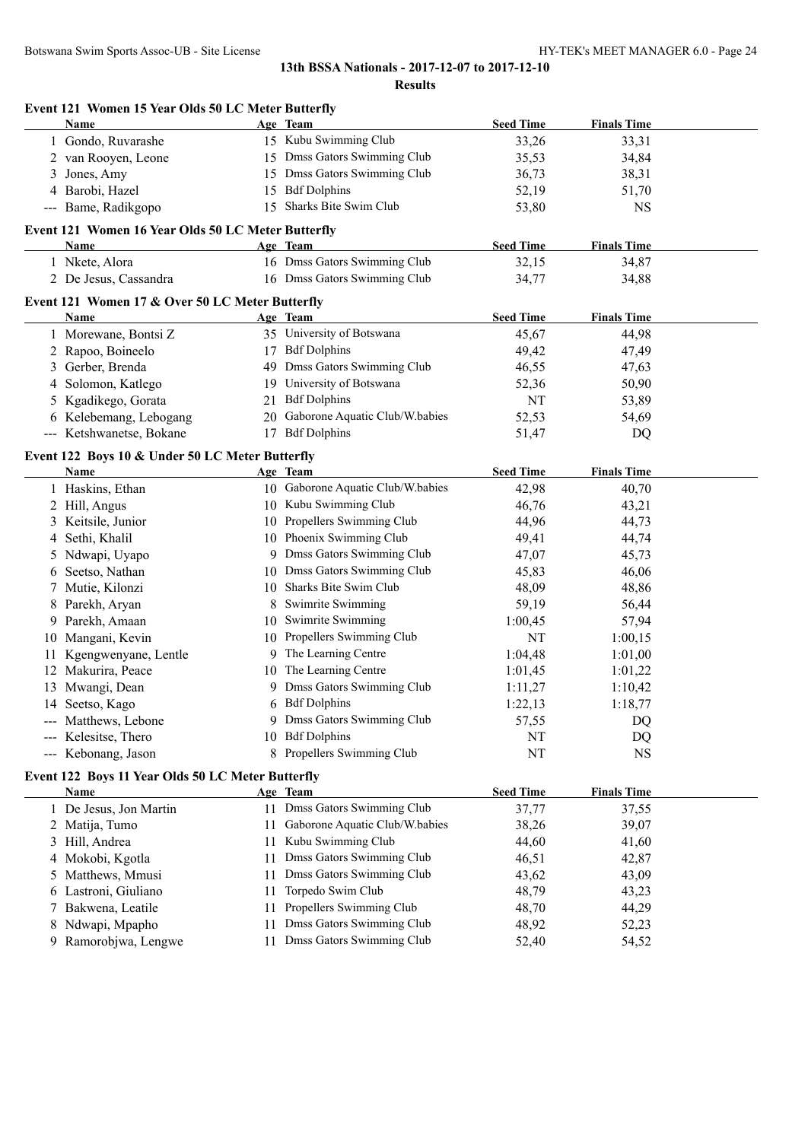|   | Event 121 Women 15 Year Olds 50 LC Meter Butterfly |     |                                   |                  |                    |  |
|---|----------------------------------------------------|-----|-----------------------------------|------------------|--------------------|--|
|   | Name                                               |     | Age Team                          | <b>Seed Time</b> | <b>Finals Time</b> |  |
|   | 1 Gondo, Ruvarashe                                 |     | 15 Kubu Swimming Club             | 33,26            | 33,31              |  |
|   | 2 van Rooyen, Leone                                |     | 15 Dmss Gators Swimming Club      | 35,53            | 34,84              |  |
|   | 3 Jones, Amy                                       | 15  | Dmss Gators Swimming Club         | 36,73            | 38,31              |  |
|   | 4 Barobi, Hazel                                    | 15  | <b>Bdf Dolphins</b>               | 52,19            | 51,70              |  |
|   | --- Bame, Radikgopo                                | 15  | Sharks Bite Swim Club             | 53,80            | <b>NS</b>          |  |
|   | Event 121 Women 16 Year Olds 50 LC Meter Butterfly |     |                                   |                  |                    |  |
|   | Name                                               |     | Age Team                          | <b>Seed Time</b> | <b>Finals Time</b> |  |
|   | 1 Nkete, Alora                                     |     | 16 Dmss Gators Swimming Club      | 32,15            | 34,87              |  |
|   | 2 De Jesus, Cassandra                              |     | 16 Dmss Gators Swimming Club      | 34,77            | 34,88              |  |
|   | Event 121 Women 17 & Over 50 LC Meter Butterfly    |     |                                   |                  |                    |  |
|   | Name                                               |     | Age Team                          | <b>Seed Time</b> | <b>Finals Time</b> |  |
|   | 1 Morewane, Bontsi Z                               |     | 35 University of Botswana         | 45,67            | 44,98              |  |
|   | 2 Rapoo, Boineelo                                  |     | 17 Bdf Dolphins                   | 49,42            | 47,49              |  |
|   | 3 Gerber, Brenda                                   | 49. | Dmss Gators Swimming Club         | 46,55            | 47,63              |  |
| 4 | Solomon, Katlego                                   | 19  | University of Botswana            | 52,36            | 50,90              |  |
|   | 5 Kgadikego, Gorata                                | 21  | <b>Bdf Dolphins</b>               | <b>NT</b>        | 53,89              |  |
|   | 6 Kelebemang, Lebogang                             |     | 20 Gaborone Aquatic Club/W.babies | 52,53            | 54,69              |  |
|   | --- Ketshwanetse, Bokane                           |     | 17 Bdf Dolphins                   | 51,47            | DQ                 |  |
|   | Event 122 Boys 10 & Under 50 LC Meter Butterfly    |     |                                   |                  |                    |  |
|   | Name                                               |     | Age Team                          | <b>Seed Time</b> | <b>Finals Time</b> |  |
|   | 1 Haskins, Ethan                                   |     | 10 Gaborone Aquatic Club/W.babies | 42,98            | 40,70              |  |
|   | 2 Hill, Angus                                      |     | 10 Kubu Swimming Club             | 46,76            | 43,21              |  |
|   | 3 Keitsile, Junior                                 |     | 10 Propellers Swimming Club       | 44,96            | 44,73              |  |
| 4 | Sethi, Khalil                                      |     | 10 Phoenix Swimming Club          | 49,41            | 44,74              |  |
| 5 | Ndwapi, Uyapo                                      |     | 9 Dmss Gators Swimming Club       | 47,07            | 45,73              |  |
|   | 6 Seetso, Nathan                                   |     | 10 Dmss Gators Swimming Club      | 45,83            | 46,06              |  |
|   | 7 Mutie, Kilonzi                                   |     | 10 Sharks Bite Swim Club          | 48,09            | 48,86              |  |
|   | 8 Parekh, Aryan                                    | 8   | Swimrite Swimming                 | 59,19            | 56,44              |  |
|   | 9 Parekh, Amaan                                    |     | 10 Swimrite Swimming              | 1:00,45          | 57,94              |  |
|   | 10 Mangani, Kevin                                  |     | 10 Propellers Swimming Club       | <b>NT</b>        | 1:00,15            |  |
|   | 11 Kgengwenyane, Lentle                            | 9   | The Learning Centre               | 1:04,48          | 1:01,00            |  |
|   | 12 Makurira, Peace                                 | 10  | The Learning Centre               | 1:01,45          | 1:01,22            |  |
|   | 13 Mwangi, Dean                                    |     | Dmss Gators Swimming Club         | 1:11,27          | 1:10,42            |  |
|   | 14 Seetso, Kago                                    | 6   | <b>Bdf Dolphins</b>               | 1:22,13          | 1:18,77            |  |
|   | --- Matthews, Lebone                               |     | 9 Dmss Gators Swimming Club       | 57,55            | DQ                 |  |
|   | --- Kelesitse, Thero                               |     | 10 Bdf Dolphins                   | NT               | DQ                 |  |
|   | --- Kebonang, Jason                                |     | 8 Propellers Swimming Club        | NT               | <b>NS</b>          |  |
|   | Event 122 Boys 11 Year Olds 50 LC Meter Butterfly  |     |                                   |                  |                    |  |
|   | <b>Name</b>                                        |     | Age Team                          | <b>Seed Time</b> | <b>Finals Time</b> |  |
|   | 1 De Jesus, Jon Martin                             |     | 11 Dmss Gators Swimming Club      | 37,77            | 37,55              |  |
|   | 2 Matija, Tumo                                     | 11. | Gaborone Aquatic Club/W.babies    | 38,26            | 39,07              |  |
|   | 3 Hill, Andrea                                     | 11  | Kubu Swimming Club                | 44,60            | 41,60              |  |
|   | 4 Mokobi, Kgotla                                   | 11  | Dmss Gators Swimming Club         | 46,51            | 42,87              |  |
| 5 | Matthews, Mmusi                                    | 11  | Dmss Gators Swimming Club         | 43,62            | 43,09              |  |
| 6 | Lastroni, Giuliano                                 | 11  | Torpedo Swim Club                 | 48,79            | 43,23              |  |
|   | Bakwena, Leatile                                   | 11  | Propellers Swimming Club          | 48,70            | 44,29              |  |
|   | Ndwapi, Mpapho                                     | 11  | Dmss Gators Swimming Club         | 48,92            | 52,23              |  |
| 8 |                                                    |     | 11 Dmss Gators Swimming Club      |                  |                    |  |
|   | 9 Ramorobjwa, Lengwe                               |     |                                   | 52,40            | 54,52              |  |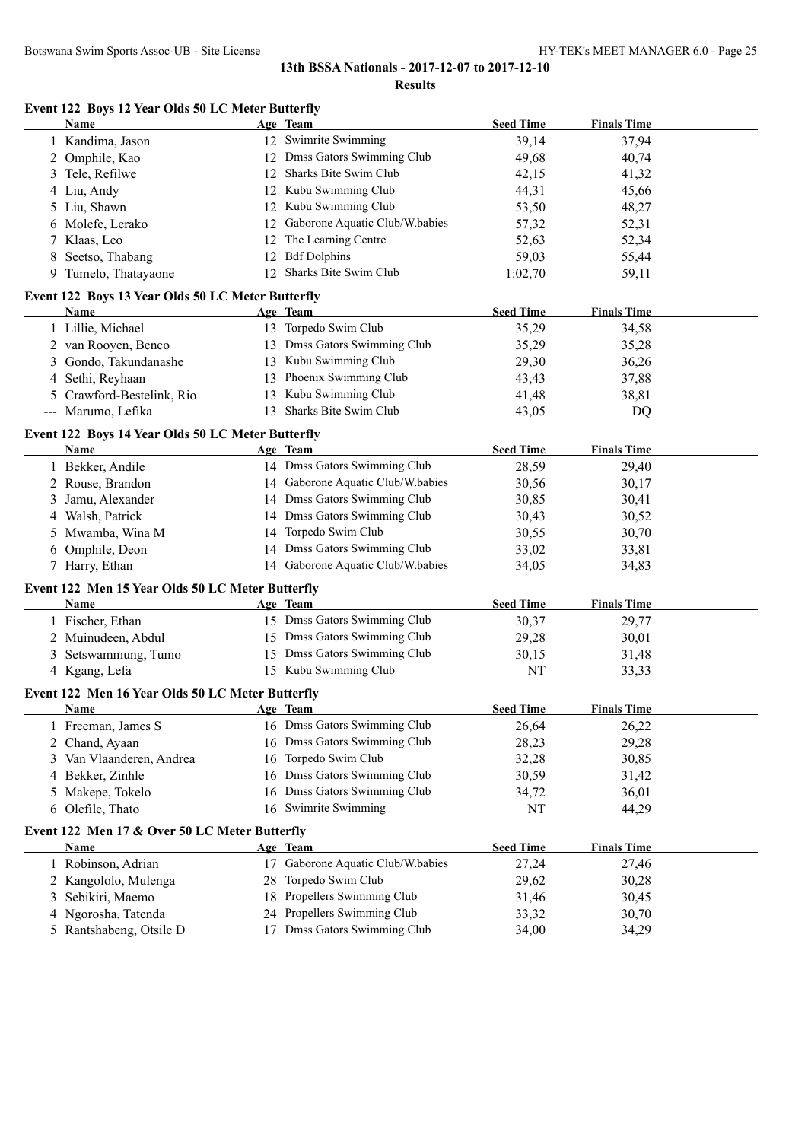# **Event 122 Boys 12 Year Olds 50 LC Meter Butterfly**

|   | Name                                                      |    | Age Team                          | <b>Seed Time</b> | <b>Finals Time</b> |  |
|---|-----------------------------------------------------------|----|-----------------------------------|------------------|--------------------|--|
|   | 1 Kandima, Jason                                          |    | 12 Swimrite Swimming              | 39,14            | 37,94              |  |
|   | 2 Omphile, Kao                                            |    | 12 Dmss Gators Swimming Club      | 49,68            | 40,74              |  |
|   | 3 Tele, Refilwe                                           |    | 12 Sharks Bite Swim Club          | 42,15            | 41,32              |  |
|   | 4 Liu, Andy                                               |    | 12 Kubu Swimming Club             | 44,31            | 45,66              |  |
|   | 5 Liu, Shawn                                              |    | 12 Kubu Swimming Club             | 53,50            | 48,27              |  |
|   | 6 Molefe, Lerako                                          |    | 12 Gaborone Aquatic Club/W.babies | 57,32            | 52,31              |  |
|   | 7 Klaas, Leo                                              | 12 | The Learning Centre               | 52,63            | 52,34              |  |
| 8 | Seetso, Thabang                                           | 12 | <b>Bdf Dolphins</b>               | 59,03            | 55,44              |  |
|   | 9 Tumelo, Thatayaone                                      |    | 12 Sharks Bite Swim Club          | 1:02,70          | 59,11              |  |
|   |                                                           |    |                                   |                  |                    |  |
|   | Event 122 Boys 13 Year Olds 50 LC Meter Butterfly<br>Name |    | Age Team                          | <b>Seed Time</b> | <b>Finals Time</b> |  |
|   |                                                           |    | 13 Torpedo Swim Club              |                  |                    |  |
|   | 1 Lillie, Michael                                         |    |                                   | 35,29            | 34,58              |  |
|   | 2 van Rooyen, Benco                                       |    | 13 Dmss Gators Swimming Club      | 35,29            | 35,28              |  |
|   | 3 Gondo, Takundanashe                                     |    | 13 Kubu Swimming Club             | 29,30            | 36,26              |  |
|   | 4 Sethi, Reyhaan                                          |    | 13 Phoenix Swimming Club          | 43,43            | 37,88              |  |
|   | 5 Crawford-Bestelink, Rio                                 |    | 13 Kubu Swimming Club             | 41,48            | 38,81              |  |
|   | --- Marumo, Lefika                                        |    | 13 Sharks Bite Swim Club          | 43,05            | DQ                 |  |
|   | Event 122 Boys 14 Year Olds 50 LC Meter Butterfly         |    |                                   |                  |                    |  |
|   | <b>Name</b>                                               |    | Age Team                          | <b>Seed Time</b> | <b>Finals Time</b> |  |
|   | 1 Bekker, Andile                                          |    | 14 Dmss Gators Swimming Club      | 28,59            | 29,40              |  |
|   | 2 Rouse, Brandon                                          |    | 14 Gaborone Aquatic Club/W.babies | 30,56            | 30,17              |  |
|   | 3 Jamu, Alexander                                         |    | 14 Dmss Gators Swimming Club      | 30,85            | 30,41              |  |
|   | 4 Walsh, Patrick                                          |    | 14 Dmss Gators Swimming Club      | 30,43            | 30,52              |  |
|   | 5 Mwamba, Wina M                                          |    | 14 Torpedo Swim Club              | 30,55            | 30,70              |  |
|   | 6 Omphile, Deon                                           |    | 14 Dmss Gators Swimming Club      | 33,02            | 33,81              |  |
|   | 7 Harry, Ethan                                            |    | 14 Gaborone Aquatic Club/W.babies | 34,05            | 34,83              |  |
|   | Event 122 Men 15 Year Olds 50 LC Meter Butterfly          |    |                                   |                  |                    |  |
|   | Name                                                      |    | Age Team                          | <b>Seed Time</b> | <b>Finals Time</b> |  |
|   | 1 Fischer, Ethan                                          |    | 15 Dmss Gators Swimming Club      | 30,37            | 29,77              |  |
|   | 2 Muinudeen, Abdul                                        |    | 15 Dmss Gators Swimming Club      | 29,28            | 30,01              |  |
|   | 3 Setswammung, Tumo                                       |    | 15 Dmss Gators Swimming Club      | 30,15            | 31,48              |  |
|   | 4 Kgang, Lefa                                             |    | 15 Kubu Swimming Club             | NT               | 33,33              |  |
|   |                                                           |    |                                   |                  |                    |  |
|   | Event 122 Men 16 Year Olds 50 LC Meter Butterfly          |    |                                   |                  |                    |  |
|   | Name                                                      |    | Age Team                          | <b>Seed Time</b> | <b>Finals Time</b> |  |
|   | 1 Freeman, James S                                        |    | 16 Dmss Gators Swimming Club      | 26,64            | 26,22              |  |
|   | 2 Chand, Ayaan                                            |    | 16 Dmss Gators Swimming Club      | 28,23            | 29,28              |  |
| 3 | Van Vlaanderen, Andrea                                    | 16 | Torpedo Swim Club                 | 32,28            | 30,85              |  |
|   | 4 Bekker, Zinhle                                          | 16 | Dmss Gators Swimming Club         | 30,59            | 31,42              |  |
|   | 5 Makepe, Tokelo                                          |    | 16 Dmss Gators Swimming Club      | 34,72            | 36,01              |  |
|   | 6 Olefile, Thato                                          |    | 16 Swimrite Swimming              | NT               | 44,29              |  |
|   | Event 122 Men 17 & Over 50 LC Meter Butterfly             |    |                                   |                  |                    |  |
|   | Name                                                      |    | Age Team                          | <b>Seed Time</b> | <b>Finals Time</b> |  |
|   | 1 Robinson, Adrian                                        |    | 17 Gaborone Aquatic Club/W.babies | 27,24            | 27,46              |  |
|   | Kangololo, Mulenga                                        | 28 | Torpedo Swim Club                 | 29,62            | 30,28              |  |
| 3 | Sebikiri, Maemo                                           | 18 | Propellers Swimming Club          | 31,46            | 30,45              |  |
| 4 | Ngorosha, Tatenda                                         | 24 | Propellers Swimming Club          | 33,32            | 30,70              |  |
|   | 5 Rantshabeng, Otsile D                                   |    | 17 Dmss Gators Swimming Club      | 34,00            | 34,29              |  |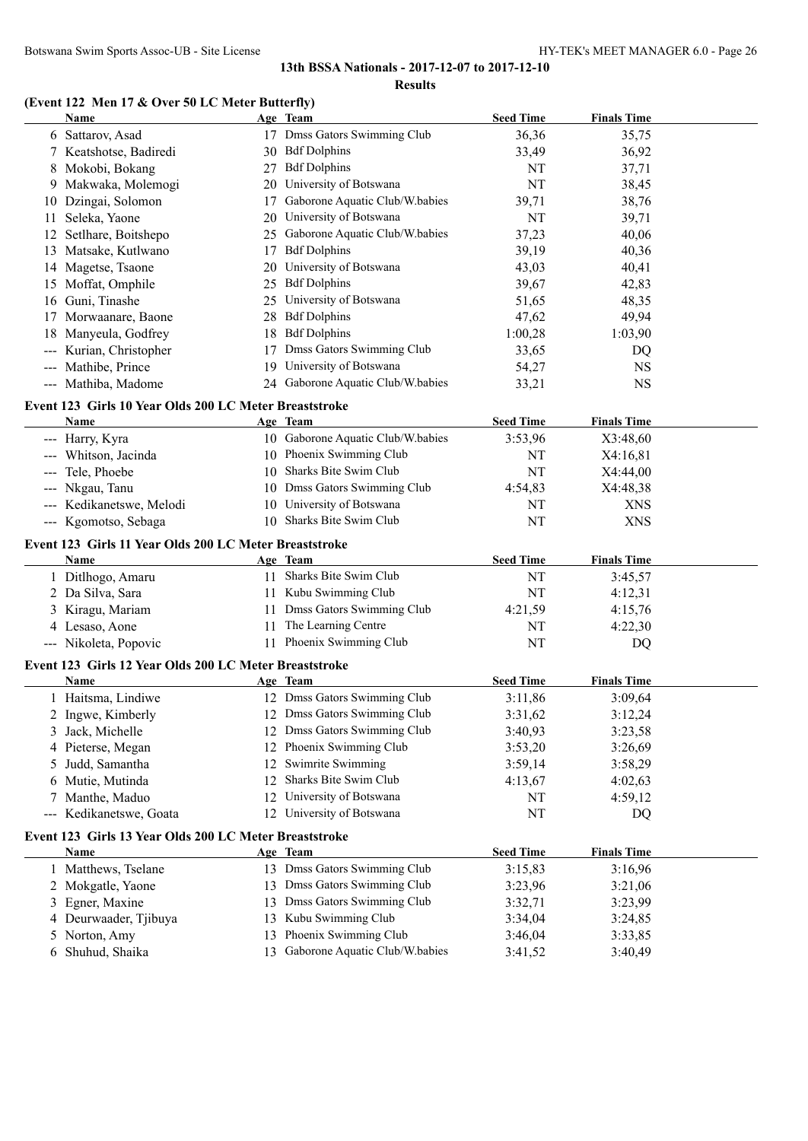#### **Results**

# **(Event 122 Men 17 & Over 50 LC Meter Butterfly)**

|    | <b>Name</b>                                            |    | Age Team                             | <b>Seed Time</b>       | <b>Finals Time</b>            |  |
|----|--------------------------------------------------------|----|--------------------------------------|------------------------|-------------------------------|--|
|    | 6 Sattarov, Asad                                       |    | 17 Dmss Gators Swimming Club         | 36,36                  | 35,75                         |  |
|    | 7 Keatshotse, Badiredi                                 |    | 30 Bdf Dolphins                      | 33,49                  | 36,92                         |  |
|    | 8 Mokobi, Bokang                                       |    | 27 Bdf Dolphins                      | NT                     | 37,71                         |  |
|    | 9 Makwaka, Molemogi                                    |    | 20 University of Botswana            | NT                     | 38,45                         |  |
|    | 10 Dzingai, Solomon                                    | 17 | Gaborone Aquatic Club/W.babies       | 39,71                  | 38,76                         |  |
| 11 | Seleka, Yaone                                          | 20 | University of Botswana               | NT                     | 39,71                         |  |
| 12 | Setlhare, Boitshepo                                    |    | 25 Gaborone Aquatic Club/W.babies    | 37,23                  | 40,06                         |  |
|    | 13 Matsake, Kutlwano                                   | 17 | <b>Bdf Dolphins</b>                  | 39,19                  | 40,36                         |  |
|    | 14 Magetse, Tsaone                                     |    | 20 University of Botswana            | 43,03                  | 40,41                         |  |
| 15 | Moffat, Omphile                                        | 25 | <b>Bdf Dolphins</b>                  | 39,67                  | 42,83                         |  |
|    | 16 Guni, Tinashe                                       | 25 | University of Botswana               | 51,65                  | 48,35                         |  |
|    | 17 Morwaanare, Baone                                   | 28 | <b>Bdf Dolphins</b>                  | 47,62                  | 49,94                         |  |
| 18 | Manyeula, Godfrey                                      | 18 | <b>Bdf Dolphins</b>                  | 1:00,28                | 1:03,90                       |  |
|    | Kurian, Christopher                                    |    | Dmss Gators Swimming Club            | 33,65                  | DQ                            |  |
|    | Mathibe, Prince                                        | 19 | University of Botswana               | 54,27                  | NS                            |  |
|    | --- Mathiba, Madome                                    |    | 24 Gaborone Aquatic Club/W.babies    | 33,21                  | <b>NS</b>                     |  |
|    | Event 123 Girls 10 Year Olds 200 LC Meter Breaststroke |    |                                      |                        |                               |  |
|    | Name                                                   |    | Age Team                             | <b>Seed Time</b>       | <b>Finals Time</b>            |  |
|    | --- Harry, Kyra                                        |    | 10 Gaborone Aquatic Club/W.babies    | 3:53,96                | X3:48,60                      |  |
|    | Whitson, Jacinda                                       |    | 10 Phoenix Swimming Club             | NT                     | X4:16,81                      |  |
|    | Tele, Phoebe                                           |    | 10 Sharks Bite Swim Club             | NT                     | X4:44,00                      |  |
|    | Nkgau, Tanu                                            |    | 10 Dmss Gators Swimming Club         | 4:54,83                | X4:48,38                      |  |
|    | Kedikanetswe, Melodi                                   |    | 10 University of Botswana            | NT                     | <b>XNS</b>                    |  |
|    | --- Kgomotso, Sebaga                                   |    | 10 Sharks Bite Swim Club             | NT                     | <b>XNS</b>                    |  |
|    |                                                        |    |                                      |                        |                               |  |
|    | Event 123 Girls 11 Year Olds 200 LC Meter Breaststroke |    |                                      |                        |                               |  |
|    | <b>Name</b><br>1 Ditlhogo, Amaru                       |    | Age Team<br>11 Sharks Bite Swim Club | <b>Seed Time</b><br>NT | <b>Finals Time</b><br>3:45,57 |  |
|    | 2 Da Silva, Sara                                       | 11 | Kubu Swimming Club                   | NT                     | 4:12,31                       |  |
|    | 3 Kiragu, Mariam                                       | 11 | Dmss Gators Swimming Club            | 4:21,59                |                               |  |
|    | 4 Lesaso, Aone                                         | 11 | The Learning Centre                  | NT                     | 4:15,76<br>4:22,30            |  |
|    | --- Nikoleta, Popovic                                  | 11 | Phoenix Swimming Club                | NT                     | DQ                            |  |
|    |                                                        |    |                                      |                        |                               |  |
|    | Event 123 Girls 12 Year Olds 200 LC Meter Breaststroke |    |                                      |                        |                               |  |
|    | Name                                                   |    | Age Team                             | <b>Seed Time</b>       | <b>Finals Time</b>            |  |
|    | 1 Haitsma, Lindiwe                                     |    | 12 Dmss Gators Swimming Club         | 3:11,86                | 3:09,64                       |  |
|    | 2 Ingwe, Kimberly                                      |    | 12 Dmss Gators Swimming Club         | 3:31,62                | 3:12,24                       |  |
|    | Jack, Michelle                                         |    | 12 Dmss Gators Swimming Club         | 3:40,93                | 3:23,58                       |  |
|    | Pieterse, Megan                                        | 12 | Phoenix Swimming Club                | 3:53,20                | 3:26,69                       |  |
| 5  | Judd, Samantha                                         | 12 | Swimrite Swimming                    | 3:59,14                | 3:58,29                       |  |
|    | 6 Mutie, Mutinda                                       | 12 | Sharks Bite Swim Club                | 4:13,67                | 4:02,63                       |  |
|    | Manthe, Maduo                                          | 12 | University of Botswana               | NT                     | 4:59,12                       |  |
|    | --- Kedikanetswe, Goata                                |    | 12 University of Botswana            | NT                     | DQ                            |  |
|    | Event 123 Girls 13 Year Olds 200 LC Meter Breaststroke |    |                                      |                        |                               |  |
|    | <b>Name</b>                                            |    | Age Team                             | <b>Seed Time</b>       | <b>Finals Time</b>            |  |
|    | 1 Matthews, Tselane                                    |    | 13 Dmss Gators Swimming Club         | 3:15,83                | 3:16,96                       |  |
| 2  | Mokgatle, Yaone                                        | 13 | Dmss Gators Swimming Club            | 3:23,96                | 3:21,06                       |  |
| 3  | Egner, Maxine                                          | 13 | Dmss Gators Swimming Club            | 3:32,71                | 3:23,99                       |  |
|    | 4 Deurwaader, Tjibuya                                  | 13 | Kubu Swimming Club                   | 3:34,04                | 3:24,85                       |  |
|    | 5 Norton, Amy                                          | 13 | Phoenix Swimming Club                | 3:46,04                | 3:33,85                       |  |
|    | 6 Shuhud, Shaika                                       | 13 | Gaborone Aquatic Club/W.babies       | 3:41,52                | 3:40,49                       |  |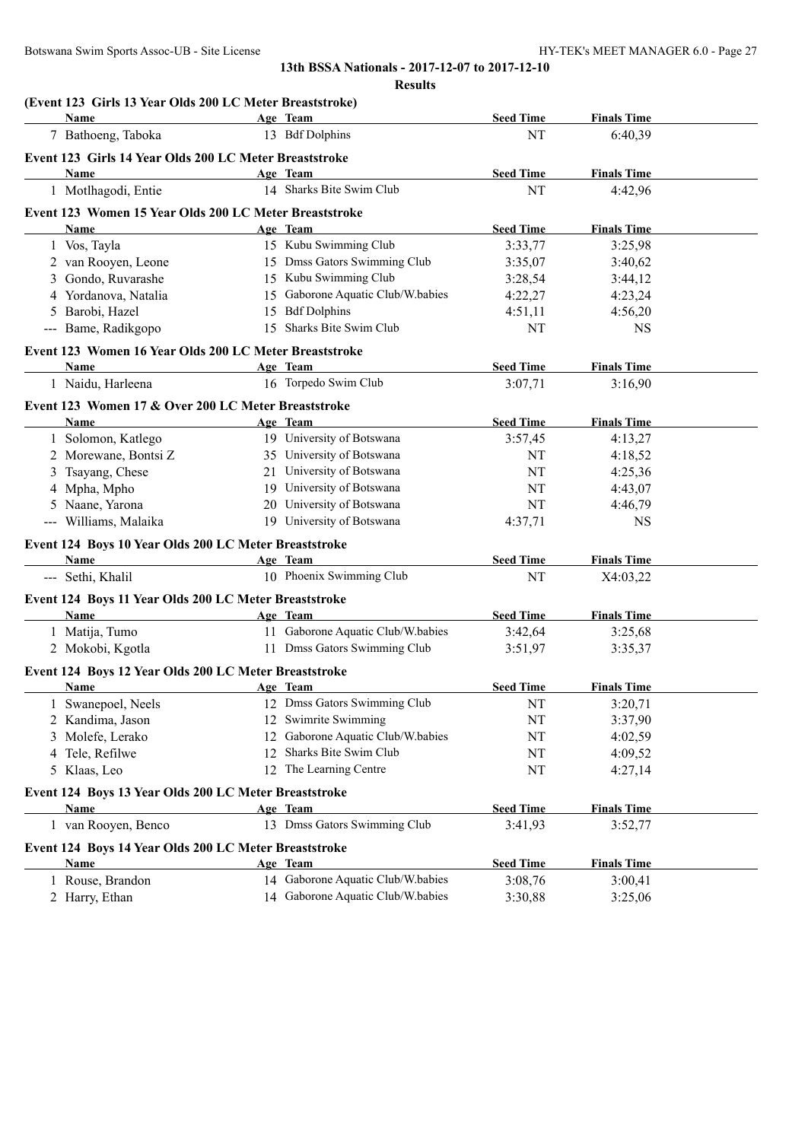| (Event 123 Girls 13 Year Olds 200 LC Meter Breaststroke)<br>Name | Age Team                          | <b>Seed Time</b> | <b>Finals Time</b> |  |
|------------------------------------------------------------------|-----------------------------------|------------------|--------------------|--|
| 7 Bathoeng, Taboka                                               | 13 Bdf Dolphins                   | NT               | 6:40,39            |  |
| Event 123 Girls 14 Year Olds 200 LC Meter Breaststroke           |                                   |                  |                    |  |
| Name                                                             | Age Team                          | <b>Seed Time</b> | <b>Finals Time</b> |  |
| 1 Motlhagodi, Entie                                              | 14 Sharks Bite Swim Club          | NT               | 4:42,96            |  |
|                                                                  |                                   |                  |                    |  |
| Event 123 Women 15 Year Olds 200 LC Meter Breaststroke           |                                   |                  |                    |  |
| Name                                                             | Age Team                          | <b>Seed Time</b> | <b>Finals Time</b> |  |
| 1 Vos, Tayla                                                     | 15 Kubu Swimming Club             | 3:33,77          | 3:25,98            |  |
| 2 van Rooyen, Leone                                              | 15 Dmss Gators Swimming Club      | 3:35,07          | 3:40,62            |  |
| Gondo, Ruvarashe                                                 | 15 Kubu Swimming Club             | 3:28,54          | 3:44,12            |  |
| 4 Yordanova, Natalia                                             | 15 Gaborone Aquatic Club/W.babies | 4:22,27          | 4:23,24            |  |
| 5 Barobi, Hazel                                                  | 15 Bdf Dolphins                   | 4:51,11          | 4:56,20            |  |
| --- Bame, Radikgopo                                              | 15 Sharks Bite Swim Club          | NT               | <b>NS</b>          |  |
| Event 123 Women 16 Year Olds 200 LC Meter Breaststroke           |                                   |                  |                    |  |
| Name                                                             | Age Team                          | <b>Seed Time</b> | <b>Finals Time</b> |  |
| 1 Naidu, Harleena                                                | 16 Torpedo Swim Club              | 3:07.71          | 3:16,90            |  |
| Event 123 Women 17 & Over 200 LC Meter Breaststroke              |                                   |                  |                    |  |
| Name                                                             | Age Team                          | <b>Seed Time</b> | <b>Finals Time</b> |  |
| 1 Solomon, Katlego                                               | 19 University of Botswana         | 3:57,45          | 4:13,27            |  |
| 2 Morewane, Bontsi Z                                             | 35 University of Botswana         | NT               | 4:18,52            |  |
|                                                                  | 21 University of Botswana         | NT               | 4:25,36            |  |
| 3 Tsayang, Chese                                                 | 19 University of Botswana         |                  |                    |  |
| 4 Mpha, Mpho                                                     |                                   | NT               | 4:43,07            |  |
| 5 Naane, Yarona                                                  | 20 University of Botswana         | NT               | 4:46,79            |  |
| --- Williams, Malaika                                            | 19 University of Botswana         | 4:37,71          | NS                 |  |
| Event 124 Boys 10 Year Olds 200 LC Meter Breaststroke            |                                   |                  |                    |  |
| <b>Name</b>                                                      | Age Team                          | <b>Seed Time</b> | <b>Finals Time</b> |  |
| --- Sethi, Khalil                                                | 10 Phoenix Swimming Club          | NT               | X4:03,22           |  |
| Event 124 Boys 11 Year Olds 200 LC Meter Breaststroke            |                                   |                  |                    |  |
| Name                                                             | Age Team                          | <b>Seed Time</b> | <b>Finals Time</b> |  |
| 1 Matija, Tumo                                                   | 11 Gaborone Aquatic Club/W.babies | 3:42,64          | 3:25,68            |  |
| 2 Mokobi, Kgotla                                                 | 11 Dmss Gators Swimming Club      | 3:51,97          | 3:35,37            |  |
|                                                                  |                                   |                  |                    |  |
| Event 124 Boys 12 Year Olds 200 LC Meter Breaststroke<br>Name    | Age Team                          | <b>Seed Time</b> | <b>Finals Time</b> |  |
|                                                                  |                                   |                  |                    |  |
| 1 Swanepoel, Neels                                               | 12 Dmss Gators Swimming Club      | NT               | 3:20,71            |  |
| 2 Kandima, Jason                                                 | 12 Swimrite Swimming              | NT               | 3:37,90            |  |
| 3 Molefe, Lerako                                                 | 12 Gaborone Aquatic Club/W.babies | NT               | 4:02,59            |  |
| 4 Tele, Refilwe                                                  | 12 Sharks Bite Swim Club          | NT               | 4:09,52            |  |
| 5 Klaas, Leo                                                     | 12 The Learning Centre            | NT               | 4:27,14            |  |
| Event 124 Boys 13 Year Olds 200 LC Meter Breaststroke            |                                   |                  |                    |  |
| <b>Name</b>                                                      | Age Team                          | <b>Seed Time</b> | <b>Finals Time</b> |  |
| 1 van Rooyen, Benco                                              | 13 Dmss Gators Swimming Club      | 3:41,93          | 3:52,77            |  |
| Event 124 Boys 14 Year Olds 200 LC Meter Breaststroke            |                                   |                  |                    |  |
| Name                                                             | Age Team                          | <b>Seed Time</b> | <b>Finals Time</b> |  |
| 1 Rouse, Brandon                                                 | 14 Gaborone Aquatic Club/W.babies | 3:08,76          | 3:00,41            |  |
| 2 Harry, Ethan                                                   | 14 Gaborone Aquatic Club/W.babies | 3:30,88          | 3:25,06            |  |
|                                                                  |                                   |                  |                    |  |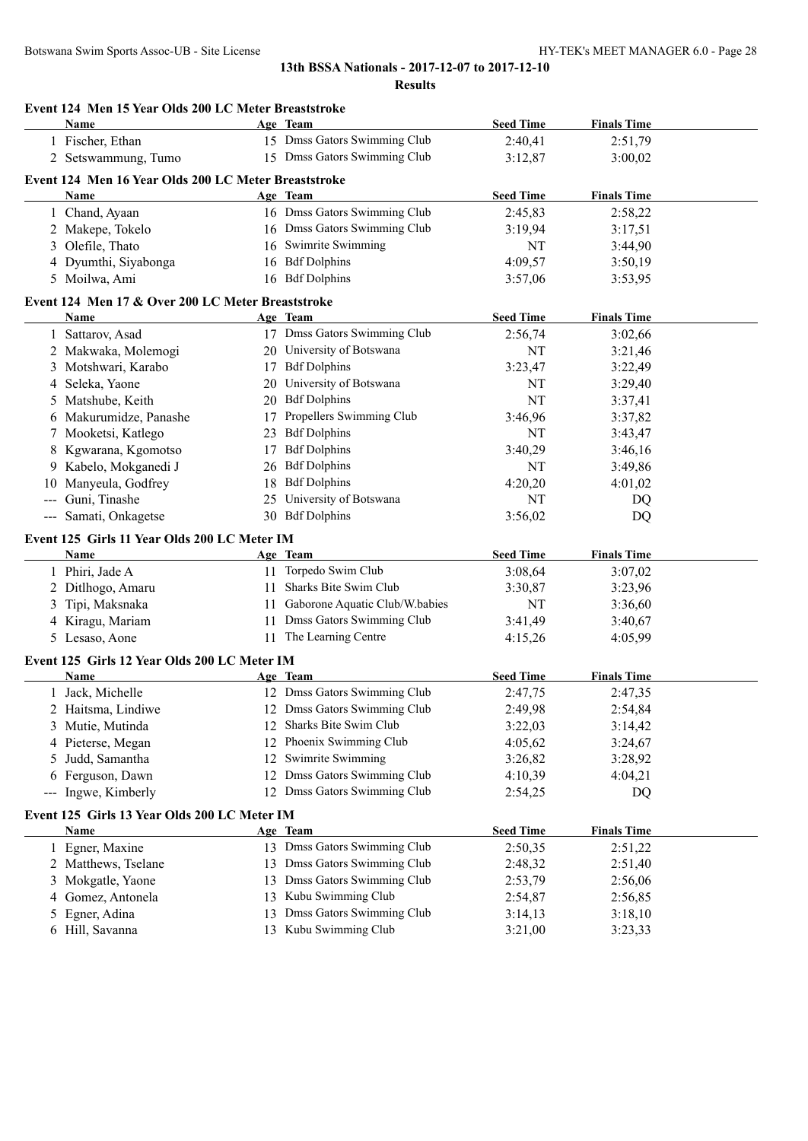|                                        | Event 124 Men 15 Year Olds 200 LC Meter Breaststroke<br>Name |    | Age Team                                           | <b>Seed Time</b>   | <b>Finals Time</b> |
|----------------------------------------|--------------------------------------------------------------|----|----------------------------------------------------|--------------------|--------------------|
|                                        | 1 Fischer, Ethan                                             |    | 15 Dmss Gators Swimming Club                       | 2:40,41            | 2:51,79            |
|                                        | 2 Setswammung, Tumo                                          |    | 15 Dmss Gators Swimming Club                       | 3:12,87            | 3:00,02            |
|                                        |                                                              |    |                                                    |                    |                    |
|                                        | Event 124 Men 16 Year Olds 200 LC Meter Breaststroke         |    |                                                    |                    |                    |
|                                        | Name                                                         |    | Age Team<br>16 Dmss Gators Swimming Club           | <b>Seed Time</b>   | <b>Finals Time</b> |
|                                        | 1 Chand, Ayaan                                               |    | 16 Dmss Gators Swimming Club                       | 2:45,83            | 2:58,22            |
|                                        | 2 Makepe, Tokelo                                             |    | 16 Swimrite Swimming                               | 3:19,94            | 3:17,51            |
|                                        | 3 Olefile, Thato                                             |    | 16 Bdf Dolphins                                    | NT                 | 3:44,90            |
|                                        | 4 Dyumthi, Siyabonga                                         |    |                                                    | 4:09,57            | 3:50,19            |
|                                        | 5 Moilwa, Ami                                                |    | 16 Bdf Dolphins                                    | 3:57,06            | 3:53,95            |
|                                        | Event 124 Men 17 & Over 200 LC Meter Breaststroke            |    |                                                    |                    |                    |
|                                        | Name                                                         |    | Age Team                                           | <b>Seed Time</b>   | <b>Finals Time</b> |
|                                        | 1 Sattarov, Asad                                             |    | 17 Dmss Gators Swimming Club                       | 2:56,74            | 3:02,66            |
|                                        | 2 Makwaka, Molemogi                                          |    | 20 University of Botswana                          | NT                 | 3:21,46            |
| 3                                      | Motshwari, Karabo                                            |    | 17 Bdf Dolphins                                    | 3:23,47            | 3:22,49            |
| 4                                      | Seleka, Yaone                                                | 20 | University of Botswana                             | NT                 | 3:29,40            |
| 5                                      | Matshube, Keith                                              |    | 20 Bdf Dolphins                                    | <b>NT</b>          | 3:37,41            |
| 6                                      | Makurumidze, Panashe                                         | 17 | Propellers Swimming Club                           | 3:46,96            | 3:37,82            |
|                                        | 7 Mooketsi, Katlego                                          | 23 | <b>Bdf Dolphins</b>                                | <b>NT</b>          | 3:43,47            |
|                                        | Kgwarana, Kgomotso                                           | 17 | <b>Bdf Dolphins</b>                                | 3:40,29            | 3:46,16            |
|                                        | 9 Kabelo, Mokganedi J                                        |    | 26 Bdf Dolphins                                    | NT                 | 3:49,86            |
|                                        | 10 Manyeula, Godfrey                                         | 18 | <b>Bdf Dolphins</b>                                | 4:20,20            | 4:01,02            |
|                                        | Guni, Tinashe                                                | 25 | University of Botswana                             | <b>NT</b>          | DQ                 |
|                                        | --- Samati, Onkagetse                                        |    | 30 Bdf Dolphins                                    | 3:56,02            | DQ                 |
|                                        | Event 125 Girls 11 Year Olds 200 LC Meter IM                 |    |                                                    |                    |                    |
|                                        | Name                                                         |    | Age Team                                           | <b>Seed Time</b>   | <b>Finals Time</b> |
|                                        | 1 Phiri, Jade A                                              |    | 11 Torpedo Swim Club                               | 3:08,64            | 3:07,02            |
|                                        | 2 Ditlhogo, Amaru                                            |    | 11 Sharks Bite Swim Club                           | 3:30,87            | 3:23,96            |
| 3                                      | Tipi, Maksnaka                                               |    | 11 Gaborone Aquatic Club/W.babies                  | NT                 | 3:36,60            |
|                                        | 4 Kiragu, Mariam                                             |    | 11 Dmss Gators Swimming Club                       | 3:41,49            | 3:40,67            |
|                                        | 5 Lesaso, Aone                                               |    | 11 The Learning Centre                             | 4:15,26            | 4:05,99            |
|                                        | Event 125 Girls 12 Year Olds 200 LC Meter IM                 |    |                                                    |                    |                    |
|                                        | Name                                                         |    | Age Team                                           | <b>Seed Time</b>   | <b>Finals Time</b> |
|                                        | 1 Jack, Michelle                                             |    | 12 Dmss Gators Swimming Club                       | 2:47,75            | 2:47,35            |
|                                        | 2 Haitsma, Lindiwe                                           |    | 12 Dmss Gators Swimming Club                       | 2:49,98            | 2:54,84            |
|                                        | 3 Mutie, Mutinda                                             |    | 12 Sharks Bite Swim Club                           | 3:22,03            | 3:14,42            |
| 4                                      | Pieterse, Megan                                              | 12 | Phoenix Swimming Club                              | 4:05,62            | 3:24,67            |
| 5                                      | Judd, Samantha                                               | 12 | Swimrite Swimming                                  | 3:26,82            | 3:28,92            |
| 6                                      | Ferguson, Dawn                                               | 12 | Dmss Gators Swimming Club                          | 4:10,39            | 4:04,21            |
| $\scriptstyle\cdots\scriptstyle\cdots$ | Ingwe, Kimberly                                              |    | 12 Dmss Gators Swimming Club                       | 2:54,25            | DQ                 |
|                                        |                                                              |    |                                                    |                    |                    |
|                                        | Event 125 Girls 13 Year Olds 200 LC Meter IM                 |    |                                                    |                    |                    |
|                                        | <b>Name</b>                                                  |    | Age Team                                           | <b>Seed Time</b>   | <b>Finals Time</b> |
|                                        | 1 Egner, Maxine                                              |    | 13 Dmss Gators Swimming Club                       | 2:50,35            | 2:51,22            |
|                                        |                                                              | 13 | Dmss Gators Swimming Club                          | 2:48,32            | 2:51,40            |
|                                        | Matthews, Tselane                                            |    |                                                    |                    | 2:56,06            |
| 3                                      | Mokgatle, Yaone                                              | 13 | Dmss Gators Swimming Club                          | 2:53,79            |                    |
| 4                                      | Gomez, Antonela                                              | 13 | Kubu Swimming Club                                 | 2:54,87            | 2:56,85            |
| 5<br>6                                 | Egner, Adina<br>Hill, Savanna                                | 13 | Dmss Gators Swimming Club<br>13 Kubu Swimming Club | 3:14,13<br>3:21,00 | 3:18,10<br>3:23,33 |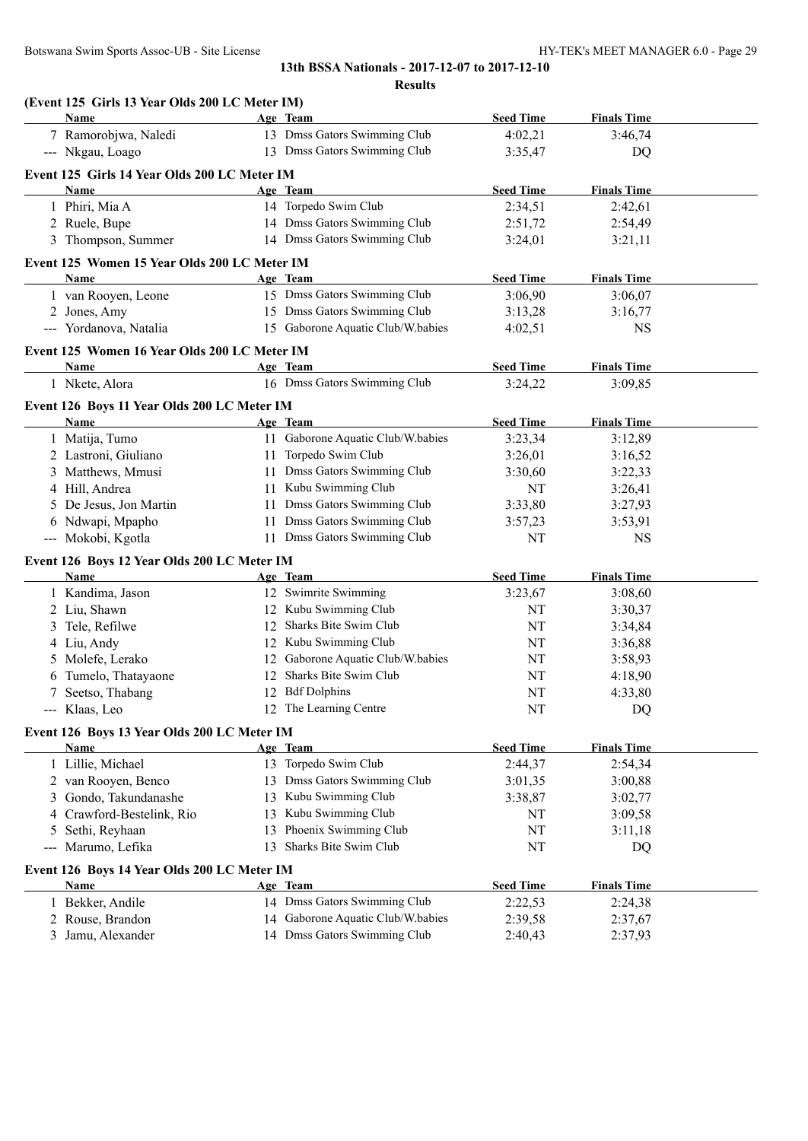| Name                                         |    | Age Team                          | <b>Seed Time</b> | <b>Finals Time</b> |
|----------------------------------------------|----|-----------------------------------|------------------|--------------------|
| 7 Ramorobjwa, Naledi                         |    | 13 Dmss Gators Swimming Club      | 4:02,21          | 3:46,74            |
| --- Nkgau, Loago                             |    | 13 Dmss Gators Swimming Club      | 3:35,47          | DQ                 |
| Event 125 Girls 14 Year Olds 200 LC Meter IM |    |                                   |                  |                    |
| Name                                         |    | Age Team                          | <b>Seed Time</b> | <b>Finals Time</b> |
| 1 Phiri, Mia A                               |    | 14 Torpedo Swim Club              | 2:34,51          | 2:42,61            |
| 2 Ruele, Bupe                                |    | 14 Dmss Gators Swimming Club      | 2:51,72          | 2:54,49            |
| 3 Thompson, Summer                           |    | 14 Dmss Gators Swimming Club      | 3:24,01          | 3:21,11            |
|                                              |    |                                   |                  |                    |
| Event 125 Women 15 Year Olds 200 LC Meter IM |    |                                   |                  |                    |
| <b>Name</b>                                  |    | Age Team                          | <b>Seed Time</b> | <b>Finals Time</b> |
| 1 van Rooyen, Leone                          |    | 15 Dmss Gators Swimming Club      | 3:06,90          | 3:06,07            |
| 2 Jones, Amy                                 |    | 15 Dmss Gators Swimming Club      | 3:13,28          | 3:16,77            |
| --- Yordanova, Natalia                       |    | 15 Gaborone Aquatic Club/W.babies | 4:02,51          | <b>NS</b>          |
| Event 125 Women 16 Year Olds 200 LC Meter IM |    |                                   |                  |                    |
| <b>Name</b>                                  |    | Age Team                          | <b>Seed Time</b> | <b>Finals Time</b> |
| 1 Nkete, Alora                               |    | 16 Dmss Gators Swimming Club      | 3:24,22          | 3:09,85            |
| Event 126 Boys 11 Year Olds 200 LC Meter IM  |    |                                   |                  |                    |
| Name                                         |    | Age Team                          | <b>Seed Time</b> | <b>Finals Time</b> |
| 1 Matija, Tumo                               |    | 11 Gaborone Aquatic Club/W.babies | 3:23,34          | 3:12,89            |
| 2 Lastroni, Giuliano                         |    | 11 Torpedo Swim Club              | 3:26,01          | 3:16,52            |
| Matthews, Mmusi<br>3                         |    | 11 Dmss Gators Swimming Club      | 3:30,60          | 3:22,33            |
| 4 Hill, Andrea                               |    | 11 Kubu Swimming Club             | NT               | 3:26,41            |
| 5 De Jesus, Jon Martin                       | 11 | Dmss Gators Swimming Club         | 3:33,80          | 3:27,93            |
| 6 Ndwapi, Mpapho                             | 11 | Dmss Gators Swimming Club         | 3:57,23          | 3:53,91            |
| --- Mokobi, Kgotla                           | 11 | Dmss Gators Swimming Club         | NT               | <b>NS</b>          |
|                                              |    |                                   |                  |                    |
| Event 126 Boys 12 Year Olds 200 LC Meter IM  |    |                                   |                  |                    |
| Name                                         |    | Age Team                          | <b>Seed Time</b> | <b>Finals Time</b> |
| 1 Kandima, Jason                             |    | 12 Swimrite Swimming              | 3:23,67          | 3:08,60            |
| 2 Liu, Shawn                                 |    | 12 Kubu Swimming Club             | NT               | 3:30,37            |
| Tele, Refilwe<br>3                           |    | 12 Sharks Bite Swim Club          | NT               | 3:34,84            |
| Liu, Andy<br>4                               |    | 12 Kubu Swimming Club             | NT               | 3:36,88            |
| Molefe, Lerako<br>5                          |    | 12 Gaborone Aquatic Club/W.babies | NT               | 3:58,93            |
| Tumelo, Thatayaone<br>6                      |    | 12 Sharks Bite Swim Club          | NT               | 4:18,90            |
| Seetso, Thabang                              |    | 12 Bdf Dolphins                   | NT               | 4:33,80            |
| Klaas, Leo                                   |    | 12 The Learning Centre            | $\rm{NT}$        | DQ                 |
| Event 126 Boys 13 Year Olds 200 LC Meter IM  |    |                                   |                  |                    |
| Name                                         |    | Age Team                          | <b>Seed Time</b> | <b>Finals Time</b> |
| 1 Lillie, Michael                            |    | 13 Torpedo Swim Club              | 2:44,37          | 2:54,34            |
| van Rooyen, Benco                            | 13 | Dmss Gators Swimming Club         | 3:01,35          | 3:00,88            |
| Gondo, Takundanashe<br>3                     | 13 | Kubu Swimming Club                | 3:38,87          | 3:02,77            |
| Crawford-Bestelink, Rio<br>4                 | 13 | Kubu Swimming Club                | NT               | 3:09,58            |
| Sethi, Reyhaan<br>5                          | 13 | Phoenix Swimming Club             | NT               | 3:11,18            |
| Marumo, Lefika<br>---                        | 13 | Sharks Bite Swim Club             | NT               | DQ                 |
| Event 126 Boys 14 Year Olds 200 LC Meter IM  |    |                                   |                  |                    |
| Name                                         |    | Age Team                          | <b>Seed Time</b> | <b>Finals Time</b> |
| 1 Bekker, Andile                             |    | 14 Dmss Gators Swimming Club      | 2:22,53          | 2:24,38            |
| Rouse, Brandon<br>2                          |    | 14 Gaborone Aquatic Club/W.babies | 2:39,58          | 2:37,67            |
| Jamu, Alexander<br>3                         |    | 14 Dmss Gators Swimming Club      | 2:40,43          | 2:37,93            |
|                                              |    |                                   |                  |                    |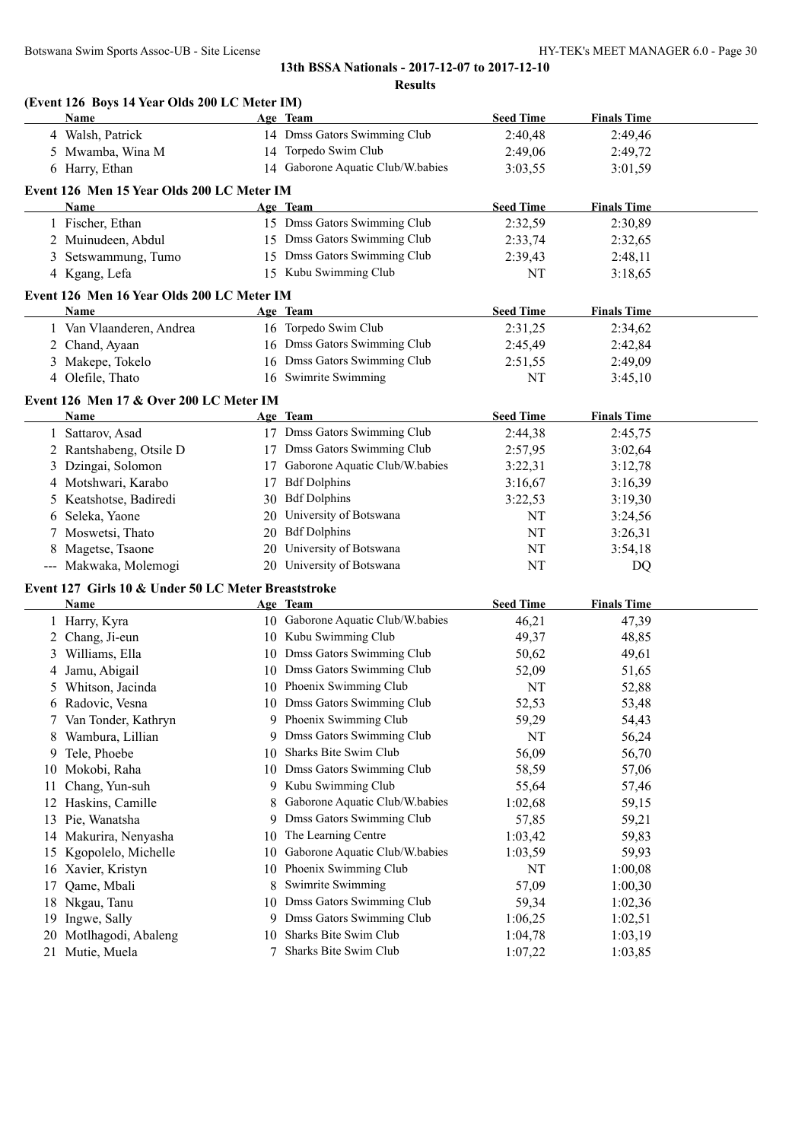|    | (Event 126 Boys 14 Year Olds 200 LC Meter IM)               |    |                                   |                  |                    |  |
|----|-------------------------------------------------------------|----|-----------------------------------|------------------|--------------------|--|
|    | <b>Name</b>                                                 |    | Age Team                          | <b>Seed Time</b> | <b>Finals Time</b> |  |
|    | 4 Walsh, Patrick                                            |    | 14 Dmss Gators Swimming Club      | 2:40,48          | 2:49,46            |  |
|    | 5 Mwamba, Wina M                                            |    | 14 Torpedo Swim Club              | 2:49,06          | 2:49,72            |  |
|    | 6 Harry, Ethan                                              |    | 14 Gaborone Aquatic Club/W.babies | 3:03,55          | 3:01,59            |  |
|    | Event 126 Men 15 Year Olds 200 LC Meter IM                  |    |                                   |                  |                    |  |
|    | Name                                                        |    | Age Team                          | <b>Seed Time</b> | <b>Finals Time</b> |  |
|    | 1 Fischer, Ethan                                            |    | 15 Dmss Gators Swimming Club      | 2:32,59          | 2:30,89            |  |
|    | 2 Muinudeen, Abdul                                          |    | 15 Dmss Gators Swimming Club      | 2:33,74          | 2:32,65            |  |
|    | 3 Setswammung, Tumo                                         |    | 15 Dmss Gators Swimming Club      | 2:39,43          | 2:48,11            |  |
|    | 4 Kgang, Lefa                                               |    | 15 Kubu Swimming Club             | NT               | 3:18,65            |  |
|    | Event 126 Men 16 Year Olds 200 LC Meter IM                  |    |                                   |                  |                    |  |
|    | Name                                                        |    | Age Team                          | <b>Seed Time</b> | <b>Finals Time</b> |  |
|    | 1 Van Vlaanderen, Andrea                                    |    | 16 Torpedo Swim Club              | 2:31,25          | 2:34,62            |  |
|    | 2 Chand, Ayaan                                              |    | 16 Dmss Gators Swimming Club      | 2:45,49          | 2:42,84            |  |
|    | 3 Makepe, Tokelo                                            | 16 | Dmss Gators Swimming Club         | 2:51,55          | 2:49,09            |  |
|    | 4 Olefile, Thato                                            |    | 16 Swimrite Swimming              | NT               | 3:45,10            |  |
|    |                                                             |    |                                   |                  |                    |  |
|    | Event 126 Men 17 & Over 200 LC Meter IM<br><b>Name</b>      |    | Age Team                          | <b>Seed Time</b> | <b>Finals Time</b> |  |
|    | 1 Sattarov, Asad                                            |    | 17 Dmss Gators Swimming Club      | 2:44,38          | 2:45,75            |  |
|    | 2 Rantshabeng, Otsile D                                     |    | 17 Dmss Gators Swimming Club      | 2:57,95          | 3:02,64            |  |
|    | 3 Dzingai, Solomon                                          |    | 17 Gaborone Aquatic Club/W.babies | 3:22,31          | 3:12,78            |  |
|    | 4 Motshwari, Karabo                                         | 17 | <b>Bdf Dolphins</b>               | 3:16,67          | 3:16,39            |  |
|    | 5 Keatshotse, Badiredi                                      |    | 30 Bdf Dolphins                   | 3:22,53          | 3:19,30            |  |
| 6  | Seleka, Yaone                                               |    | 20 University of Botswana         | NT               | 3:24,56            |  |
|    | 7 Moswetsi, Thato                                           |    | 20 Bdf Dolphins                   | NT               | 3:26,31            |  |
|    | 8 Magetse, Tsaone                                           |    | 20 University of Botswana         | NT               | 3:54,18            |  |
|    | --- Makwaka, Molemogi                                       |    | 20 University of Botswana         | NT               | DQ                 |  |
|    |                                                             |    |                                   |                  |                    |  |
|    | Event 127 Girls 10 & Under 50 LC Meter Breaststroke<br>Name |    | Age Team                          | <b>Seed Time</b> | <b>Finals Time</b> |  |
|    | 1 Harry, Kyra                                               |    | 10 Gaborone Aquatic Club/W.babies | 46,21            | 47,39              |  |
|    | 2 Chang, Ji-eun                                             |    | 10 Kubu Swimming Club             | 49,37            | 48,85              |  |
|    | 3 Williams, Ella                                            |    | 10 Dmss Gators Swimming Club      | 50,62            | 49,61              |  |
|    | 4 Jamu, Abigail                                             |    | 10 Dmss Gators Swimming Club      | 52,09            | 51,65              |  |
|    | 5 Whitson, Jacinda                                          |    | 10 Phoenix Swimming Club          | NT               | 52,88              |  |
|    | 6 Radovic, Vesna                                            |    | 10 Dmss Gators Swimming Club      | 52,53            | 53,48              |  |
|    | Van Tonder, Kathryn                                         |    | 9 Phoenix Swimming Club           | 59,29            | 54,43              |  |
| 8  | Wambura, Lillian                                            | 9  | Dmss Gators Swimming Club         | NT               | 56,24              |  |
| 9  | Tele, Phoebe                                                | 10 | Sharks Bite Swim Club             | 56,09            | 56,70              |  |
| 10 | Mokobi, Raha                                                | 10 | Dmss Gators Swimming Club         | 58,59            | 57,06              |  |
| 11 | Chang, Yun-suh                                              | 9  | Kubu Swimming Club                | 55,64            | 57,46              |  |
| 12 | Haskins, Camille                                            | 8  | Gaborone Aquatic Club/W.babies    | 1:02,68          | 59,15              |  |
| 13 | Pie, Wanatsha                                               | 9  | Dmss Gators Swimming Club         | 57,85            | 59,21              |  |
|    | 14 Makurira, Nenyasha                                       | 10 | The Learning Centre               | 1:03,42          | 59,83              |  |
|    | 15 Kgopolelo, Michelle                                      | 10 | Gaborone Aquatic Club/W.babies    | 1:03,59          | 59,93              |  |
|    | 16 Xavier, Kristyn                                          | 10 | Phoenix Swimming Club             | NT               | 1:00,08            |  |
| 17 | Qame, Mbali                                                 | 8  | Swimrite Swimming                 | 57,09            | 1:00,30            |  |
|    | 18 Nkgau, Tanu                                              | 10 | Dmss Gators Swimming Club         | 59,34            | 1:02,36            |  |
| 19 | Ingwe, Sally                                                | 9  | Dmss Gators Swimming Club         | 1:06,25          | 1:02,51            |  |
| 20 | Motlhagodi, Abaleng                                         | 10 | Sharks Bite Swim Club             | 1:04,78          | 1:03,19            |  |
|    | 21 Mutie, Muela                                             | 7  | Sharks Bite Swim Club             | 1:07,22          | 1:03,85            |  |
|    |                                                             |    |                                   |                  |                    |  |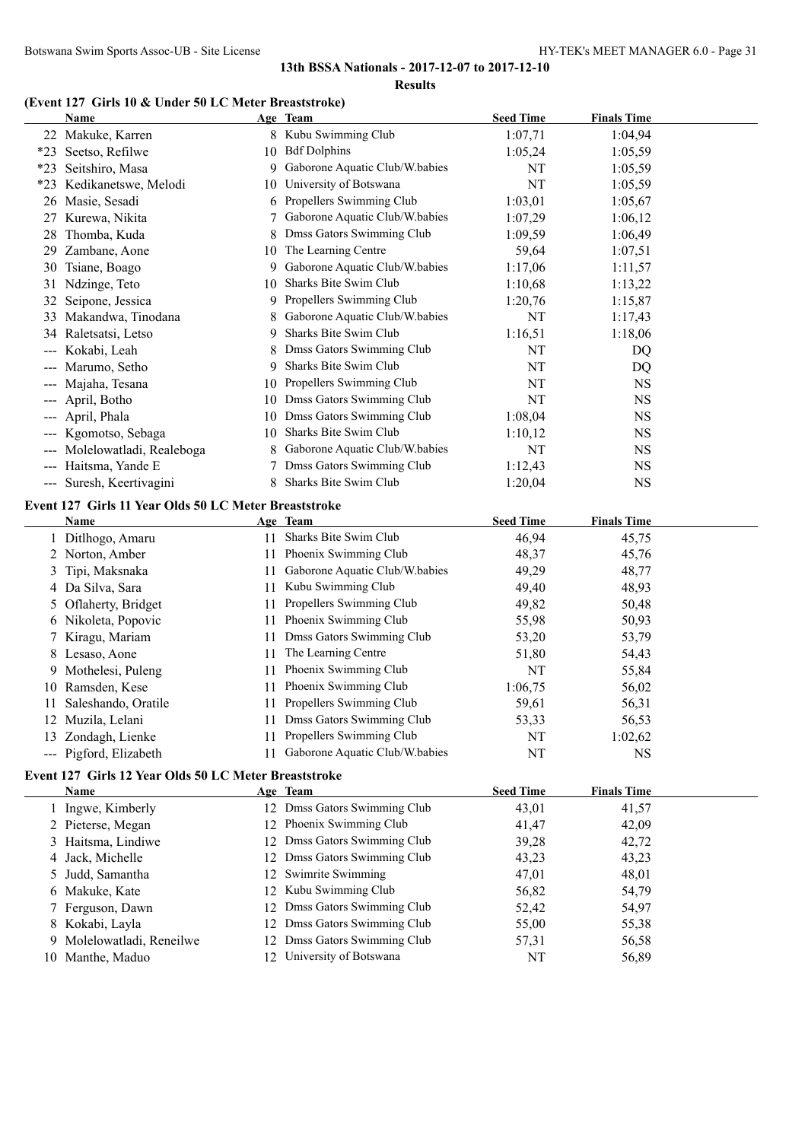#### **Results**

#### **(Event 127 Girls 10 & Under 50 LC Meter Breaststroke)**

|               | <b>Name</b>                                           |          | Age Team                                               | <b>Seed Time</b> | <b>Finals Time</b> |  |
|---------------|-------------------------------------------------------|----------|--------------------------------------------------------|------------------|--------------------|--|
|               | 22 Makuke, Karren                                     |          | Kubu Swimming Club                                     | 1:07,71          | 1:04,94            |  |
| $*23$         | Seetso, Refilwe                                       |          | 10 Bdf Dolphins                                        | 1:05,24          | 1:05,59            |  |
| $*23$         | Seitshiro, Masa                                       | 9        | Gaborone Aquatic Club/W.babies                         | NT               | 1:05,59            |  |
| $*23$         | Kedikanetswe, Melodi                                  |          | 10 University of Botswana                              | NT               | 1:05,59            |  |
|               | 26 Masie, Sesadi                                      |          | Propellers Swimming Club                               | 1:03,01          | 1:05,67            |  |
|               | 27 Kurewa, Nikita                                     |          | Gaborone Aquatic Club/W.babies                         | 1:07,29          | 1:06,12            |  |
| 28            | Thomba, Kuda                                          |          | Dmss Gators Swimming Club                              | 1:09,59          | 1:06,49            |  |
| 29            | Zambane, Aone                                         | 10       | The Learning Centre                                    | 59,64            | 1:07,51            |  |
| 30            | Tsiane, Boago                                         | 9        | Gaborone Aquatic Club/W.babies                         | 1:17,06          | 1:11,57            |  |
|               | 31 Ndzinge, Teto                                      | 10       | Sharks Bite Swim Club                                  | 1:10,68          | 1:13,22            |  |
| 32            | Seipone, Jessica                                      | 9.       | Propellers Swimming Club                               | 1:20,76          | 1:15,87            |  |
|               | 33 Makandwa, Tinodana                                 |          | Gaborone Aquatic Club/W.babies                         | NT               | 1:17,43            |  |
|               | 34 Raletsatsi, Letso                                  | 9        | Sharks Bite Swim Club                                  | 1:16,51          | 1:18,06            |  |
| ---           | Kokabi, Leah                                          |          | Dmss Gators Swimming Club                              | NT               | DQ                 |  |
|               | Marumo, Setho                                         | 9        | Sharks Bite Swim Club                                  | NT               | DQ                 |  |
|               | Majaha, Tesana                                        | 10       | Propellers Swimming Club                               | NT               | <b>NS</b>          |  |
| ---           | April, Botho                                          | 10       | Dmss Gators Swimming Club                              | NT               | <b>NS</b>          |  |
|               | April, Phala                                          | 10       | Dmss Gators Swimming Club                              | 1:08,04          | <b>NS</b>          |  |
|               | Kgomotso, Sebaga                                      | 10       | Sharks Bite Swim Club                                  | 1:10,12          | <b>NS</b>          |  |
|               | Molelowatladi, Realeboga                              | 8        | Gaborone Aquatic Club/W.babies                         | NT               | <b>NS</b>          |  |
|               | --- Haitsma, Yande E                                  | 7        | Dmss Gators Swimming Club                              | 1:12,43          | <b>NS</b>          |  |
|               | Suresh, Keertivagini                                  | 8        | Sharks Bite Swim Club                                  | 1:20,04          | NS                 |  |
|               | Event 127 Girls 11 Year Olds 50 LC Meter Breaststroke |          |                                                        |                  |                    |  |
|               | Name                                                  |          | Age Team                                               | <b>Seed Time</b> | <b>Finals Time</b> |  |
|               | 1 Ditlhogo, Amaru                                     |          | 11 Sharks Bite Swim Club                               | 46,94            | 45,75              |  |
|               | 2 Norton, Amber                                       | 11       | Phoenix Swimming Club                                  | 48,37            | 45,76              |  |
| 3             | Tipi, Maksnaka                                        | 11       | Gaborone Aquatic Club/W.babies                         | 49,29            | 48,77              |  |
|               | 4 Da Silva, Sara                                      | 11       | Kubu Swimming Club                                     | 49,40            | 48,93              |  |
| 5             | Oflaherty, Bridget                                    | 11       | Propellers Swimming Club                               | 49,82            | 50,48              |  |
|               | 6 Nikoleta, Popovic                                   | 11       | Phoenix Swimming Club                                  | 55,98            | 50,93              |  |
|               | 7 Kiragu, Mariam                                      | 11       | Dmss Gators Swimming Club                              | 53,20            | 53,79              |  |
|               | 8 Lesaso, Aone                                        | 11       | The Learning Centre                                    | 51,80            | 54,43              |  |
|               | 9 Mothelesi, Puleng                                   | 11       | Phoenix Swimming Club                                  | NT               | 55,84              |  |
|               | 10 Ramsden, Kese                                      | 11       | Phoenix Swimming Club                                  | 1:06,75          | 56,02              |  |
|               | 11 Saleshando, Oratile                                |          | 11 Propellers Swimming Club                            | 59,61            | 56,31              |  |
|               | 12 Muzila, Lelani                                     |          | 11 Dmss Gators Swimming Club                           | 53,33            | 56,53              |  |
|               | 13 Zondagh, Lienke                                    |          | 11 Propellers Swimming Club                            | NT               | 1:02,62            |  |
|               | --- Pigford, Elizabeth                                |          | 11 Gaborone Aquatic Club/W.babies                      | NT               | <b>NS</b>          |  |
|               |                                                       |          |                                                        |                  |                    |  |
|               | Event 127 Girls 12 Year Olds 50 LC Meter Breaststroke |          |                                                        |                  |                    |  |
|               | Name                                                  |          | Age Team<br>12 Dmss Gators Swimming Club               | <b>Seed Time</b> | <b>Finals Time</b> |  |
|               | 1 Ingwe, Kimberly                                     |          | Phoenix Swimming Club                                  | 43,01            | 41,57              |  |
|               | 2 Pieterse, Megan                                     | 12       |                                                        | 41,47            | 42,09              |  |
|               | 3 Haitsma, Lindiwe                                    | 12       | Dmss Gators Swimming Club<br>Dmss Gators Swimming Club | 39,28            | 42,72              |  |
| 4             | Jack, Michelle                                        | 12<br>12 | Swimrite Swimming                                      | 43,23            | 43,23              |  |
| $\mathcal{L}$ | Judd, Samantha                                        |          |                                                        | 47,01            | 48,01              |  |
| 6             | Makuke, Kate                                          | 12       | Kubu Swimming Club<br>Dmss Gators Swimming Club        | 56,82            | 54,79              |  |
|               | 7 Ferguson, Dawn                                      | 12<br>12 | Dmss Gators Swimming Club                              | 52,42            | 54,97              |  |
|               | 8 Kokabi, Layla<br>9 Molelowatladi, Reneilwe          | 12       | Dmss Gators Swimming Club                              | 55,00            | 55,38              |  |
|               | 10 Manthe, Maduo                                      |          | 12 University of Botswana                              | 57,31<br>NT      | 56,58              |  |
|               |                                                       |          |                                                        |                  | 56,89              |  |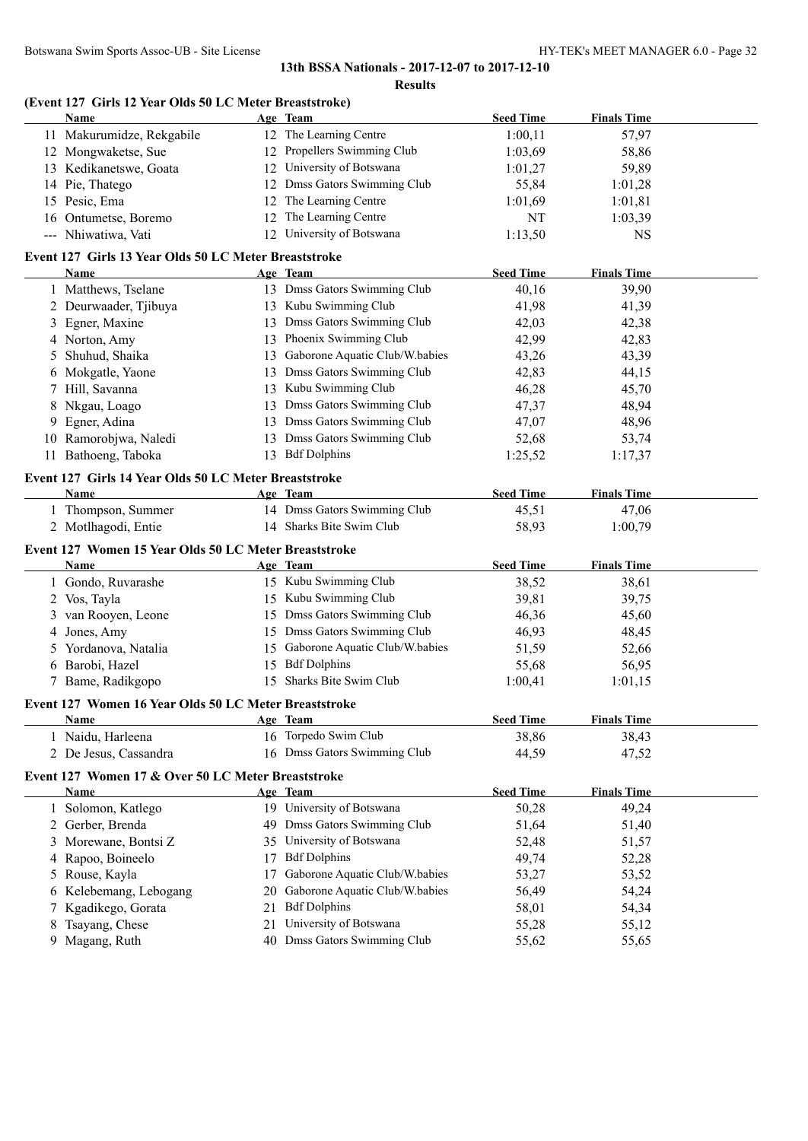|    | (Event 127 Girls 12 Year Olds 50 LC Meter Breaststroke)       |     |                                    | <b>Seed Time</b> |                    |  |
|----|---------------------------------------------------------------|-----|------------------------------------|------------------|--------------------|--|
|    | <b>Name</b>                                                   |     | Age Team<br>12 The Learning Centre |                  | <b>Finals Time</b> |  |
|    | 11 Makurumidze, Rekgabile                                     |     |                                    | 1:00,11          | 57,97              |  |
|    | 12 Mongwaketse, Sue                                           |     | 12 Propellers Swimming Club        | 1:03,69          | 58,86              |  |
|    | 13 Kedikanetswe, Goata                                        |     | 12 University of Botswana          | 1:01,27          | 59,89              |  |
|    | 14 Pie, Thatego                                               |     | Dmss Gators Swimming Club          | 55,84            | 1:01,28            |  |
|    | 15 Pesic, Ema                                                 | 12  | The Learning Centre                | 1:01,69          | 1:01,81            |  |
|    | 16 Ontumetse, Boremo                                          | 12  | The Learning Centre                | NT               | 1:03,39            |  |
|    | --- Nhiwatiwa, Vati                                           |     | 12 University of Botswana          | 1:13,50          | <b>NS</b>          |  |
|    | Event 127 Girls 13 Year Olds 50 LC Meter Breaststroke         |     |                                    |                  |                    |  |
|    | Name                                                          |     | Age Team                           | <b>Seed Time</b> | <b>Finals Time</b> |  |
|    | 1 Matthews, Tselane                                           |     | 13 Dmss Gators Swimming Club       | 40,16            | 39,90              |  |
|    | 2 Deurwaader, Tjibuya                                         |     | 13 Kubu Swimming Club              | 41,98            | 41,39              |  |
|    | 3 Egner, Maxine                                               |     | 13 Dmss Gators Swimming Club       | 42,03            | 42,38              |  |
|    | 4 Norton, Amy                                                 |     | 13 Phoenix Swimming Club           | 42,99            | 42,83              |  |
| 5  | Shuhud, Shaika                                                |     | 13 Gaborone Aquatic Club/W.babies  | 43,26            | 43,39              |  |
|    | 6 Mokgatle, Yaone                                             |     | 13 Dmss Gators Swimming Club       | 42,83            | 44,15              |  |
| 7. | Hill, Savanna                                                 |     | 13 Kubu Swimming Club              | 46,28            | 45,70              |  |
|    | Nkgau, Loago                                                  |     | 13 Dmss Gators Swimming Club       | 47,37            | 48,94              |  |
|    | 9 Egner, Adina                                                |     | 13 Dmss Gators Swimming Club       | 47,07            | 48,96              |  |
|    | 10 Ramorobjwa, Naledi                                         |     | 13 Dmss Gators Swimming Club       | 52,68            | 53,74              |  |
|    | 11 Bathoeng, Taboka                                           |     | 13 Bdf Dolphins                    | 1:25,52          | 1:17,37            |  |
|    | Event 127 Girls 14 Year Olds 50 LC Meter Breaststroke         |     |                                    |                  |                    |  |
|    | Name                                                          |     | Age Team                           | <b>Seed Time</b> | <b>Finals Time</b> |  |
|    | 1 Thompson, Summer                                            |     | 14 Dmss Gators Swimming Club       | 45,51            | 47,06              |  |
|    | 2 Motlhagodi, Entie                                           |     | 14 Sharks Bite Swim Club           | 58,93            | 1:00,79            |  |
|    | Event 127 Women 15 Year Olds 50 LC Meter Breaststroke         |     |                                    |                  |                    |  |
|    | Name                                                          |     | Age Team                           | <b>Seed Time</b> | <b>Finals Time</b> |  |
|    | 1 Gondo, Ruvarashe                                            |     | 15 Kubu Swimming Club              | 38,52            | 38,61              |  |
|    | 2 Vos, Tayla                                                  |     | 15 Kubu Swimming Club              | 39,81            | 39,75              |  |
|    | 3 van Rooyen, Leone                                           |     | 15 Dmss Gators Swimming Club       | 46,36            | 45,60              |  |
| 4  | Jones, Amy                                                    |     | 15 Dmss Gators Swimming Club       | 46,93            | 48,45              |  |
| 5  | Yordanova, Natalia                                            |     | 15 Gaborone Aquatic Club/W.babies  | 51,59            | 52,66              |  |
|    | 6 Barobi, Hazel                                               |     | 15 Bdf Dolphins                    | 55,68            | 56,95              |  |
|    | 7 Bame, Radikgopo                                             |     | 15 Sharks Bite Swim Club           | 1:00,41          | 1:01,15            |  |
|    |                                                               |     |                                    |                  |                    |  |
|    | Event 127 Women 16 Year Olds 50 LC Meter Breaststroke<br>Name |     | Age Team                           | <b>Seed Time</b> | <b>Finals Time</b> |  |
|    | 1 Naidu, Harleena                                             |     | 16 Torpedo Swim Club               | 38,86            | 38,43              |  |
|    | 2 De Jesus, Cassandra                                         |     | 16 Dmss Gators Swimming Club       | 44,59            | 47,52              |  |
|    |                                                               |     |                                    |                  |                    |  |
|    | Event 127 Women 17 & Over 50 LC Meter Breaststroke            |     |                                    |                  |                    |  |
|    | Name                                                          |     | Age Team                           | <b>Seed Time</b> | <b>Finals Time</b> |  |
|    | 1 Solomon, Katlego                                            |     | 19 University of Botswana          | 50,28            | 49,24              |  |
|    | 2 Gerber, Brenda                                              | 49. | Dmss Gators Swimming Club          | 51,64            | 51,40              |  |
| 3  | Morewane, Bontsi Z                                            | 35  | University of Botswana             | 52,48            | 51,57              |  |
| 4  | Rapoo, Boineelo                                               | 17  | <b>Bdf Dolphins</b>                | 49,74            | 52,28              |  |
| 5  | Rouse, Kayla                                                  | 17  | Gaborone Aquatic Club/W.babies     | 53,27            | 53,52              |  |
| 6  | Kelebemang, Lebogang                                          | 20  | Gaborone Aquatic Club/W.babies     | 56,49            | 54,24              |  |
| 7  | Kgadikego, Gorata                                             | 21  | <b>Bdf Dolphins</b>                | 58,01            | 54,34              |  |
|    | Tsayang, Chese                                                | 21  | University of Botswana             | 55,28            | 55,12              |  |
| 9. | Magang, Ruth                                                  | 40  | Dmss Gators Swimming Club          | 55,62            | 55,65              |  |
|    |                                                               |     |                                    |                  |                    |  |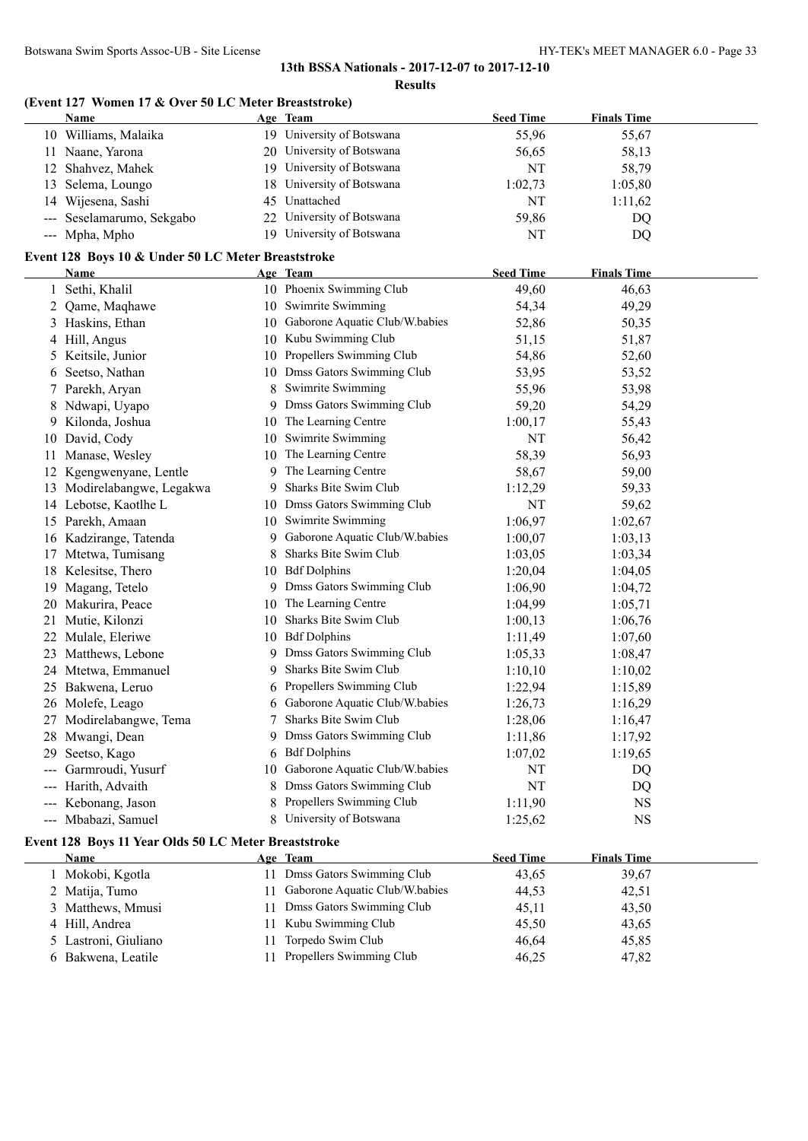# **(Event 127 Women 17 & Over 50 LC Meter Breaststroke)**

|                        | <b>Name</b>                                          |    | Age Team                          | <b>Seed Time</b> | <b>Finals Time</b> |  |
|------------------------|------------------------------------------------------|----|-----------------------------------|------------------|--------------------|--|
|                        | 10 Williams, Malaika                                 |    | 19 University of Botswana         | 55,96            | 55,67              |  |
|                        | 11 Naane, Yarona                                     |    | 20 University of Botswana         | 56,65            | 58,13              |  |
| 12                     | Shahvez, Mahek                                       |    | 19 University of Botswana         | NT               | 58,79              |  |
| 13                     | Selema, Loungo                                       | 18 | University of Botswana            | 1:02,73          | 1:05,80            |  |
| 14                     | Wijesena, Sashi                                      | 45 | Unattached                        | NT               | 1:11,62            |  |
| $\qquad \qquad \cdots$ | Seselamarumo, Sekgabo                                | 22 | University of Botswana            | 59,86            | DQ                 |  |
|                        | --- Mpha, Mpho                                       |    | 19 University of Botswana         | NT               | DQ                 |  |
|                        | Event 128 Boys 10 & Under 50 LC Meter Breaststroke   |    |                                   |                  |                    |  |
|                        | Name                                                 |    | Age Team                          | <b>Seed Time</b> | <b>Finals Time</b> |  |
| 1                      | Sethi, Khalil                                        |    | 10 Phoenix Swimming Club          | 49,60            | 46,63              |  |
| 2                      | Qame, Maqhawe                                        |    | 10 Swimrite Swimming              | 54,34            | 49,29              |  |
| 3                      | Haskins, Ethan                                       |    | 10 Gaborone Aquatic Club/W.babies | 52,86            | 50,35              |  |
| 4                      | Hill, Angus                                          |    | 10 Kubu Swimming Club             | 51,15            | 51,87              |  |
| 5                      | Keitsile, Junior                                     | 10 | Propellers Swimming Club          | 54,86            | 52,60              |  |
| 6                      | Seetso, Nathan                                       |    | 10 Dmss Gators Swimming Club      | 53,95            | 53,52              |  |
|                        | 7 Parekh, Aryan                                      | 8  | Swimrite Swimming                 | 55,96            | 53,98              |  |
| 8                      |                                                      | 9  | Dmss Gators Swimming Club         | 59,20            | 54,29              |  |
|                        | Ndwapi, Uyapo                                        |    | 10 The Learning Centre            |                  |                    |  |
| 9                      | Kilonda, Joshua                                      |    | 10 Swimrite Swimming              | 1:00,17          | 55,43              |  |
|                        | 10 David, Cody                                       |    |                                   | NT               | 56,42              |  |
| 11                     | Manase, Wesley                                       | 10 | The Learning Centre               | 58,39            | 56,93              |  |
|                        | 12 Kgengwenyane, Lentle                              | 9  | The Learning Centre               | 58,67            | 59,00              |  |
|                        | 13 Modirelabangwe, Legakwa                           | 9  | Sharks Bite Swim Club             | 1:12,29          | 59,33              |  |
|                        | 14 Lebotse, Kaotlhe L                                |    | 10 Dmss Gators Swimming Club      | NT               | 59,62              |  |
|                        | 15 Parekh, Amaan                                     | 10 | Swimrite Swimming                 | 1:06,97          | 1:02,67            |  |
|                        | 16 Kadzirange, Tatenda                               | 9  | Gaborone Aquatic Club/W.babies    | 1:00,07          | 1:03,13            |  |
|                        | 17 Mtetwa, Tumisang                                  |    | Sharks Bite Swim Club             | 1:03,05          | 1:03,34            |  |
|                        | 18 Kelesitse, Thero                                  |    | 10 Bdf Dolphins                   | 1:20,04          | 1:04,05            |  |
| 19                     | Magang, Tetelo                                       | 9. | Dmss Gators Swimming Club         | 1:06,90          | 1:04,72            |  |
|                        | 20 Makurira, Peace                                   | 10 | The Learning Centre               | 1:04,99          | 1:05,71            |  |
| 21                     | Mutie, Kilonzi                                       | 10 | Sharks Bite Swim Club             | 1:00,13          | 1:06,76            |  |
| 22                     | Mulale, Eleriwe                                      |    | 10 Bdf Dolphins                   | 1:11,49          | 1:07,60            |  |
| 23                     | Matthews, Lebone                                     | 9  | Dmss Gators Swimming Club         | 1:05,33          | 1:08,47            |  |
|                        | 24 Mtetwa, Emmanuel                                  | 9  | Sharks Bite Swim Club             | 1:10,10          | 1:10,02            |  |
|                        | 25 Bakwena, Leruo                                    | 6  | Propellers Swimming Club          | 1:22,94          | 1:15,89            |  |
|                        | 26 Molefe, Leago                                     |    | 6 Gaborone Aquatic Club/W.babies  | 1:26,73          | 1:16,29            |  |
|                        | 27 Modirelabangwe, Tema                              |    | 7 Sharks Bite Swim Club           | 1:28,06          | 1:16,47            |  |
|                        | 28 Mwangi, Dean                                      |    | 9 Dmss Gators Swimming Club       | 1:11,86          | 1:17,92            |  |
|                        | 29 Seetso, Kago                                      |    | 6 Bdf Dolphins                    | 1:07,02          | 1:19,65            |  |
| $---$                  | Garmroudi, Yusurf                                    |    | 10 Gaborone Aquatic Club/W.babies | NT               | DQ                 |  |
| $---$                  | Harith, Advaith                                      | 8  | Dmss Gators Swimming Club         | NT               | DQ                 |  |
|                        | --- Kebonang, Jason                                  | 8  | Propellers Swimming Club          | 1:11,90          | <b>NS</b>          |  |
|                        | --- Mbabazi, Samuel                                  | 8  | University of Botswana            | 1:25,62          | <b>NS</b>          |  |
|                        | Event 128 Boys 11 Year Olds 50 LC Meter Breaststroke |    |                                   |                  |                    |  |
|                        | Name                                                 |    | Age Team                          | <b>Seed Time</b> | <b>Finals Time</b> |  |
|                        | 1 Mokobi, Kgotla                                     |    | 11 Dmss Gators Swimming Club      | 43,65            | 39,67              |  |
|                        | 2 Matija, Tumo                                       | 11 | Gaborone Aquatic Club/W.babies    | 44,53            | 42,51              |  |
| 3                      | Matthews, Mmusi                                      | 11 | Dmss Gators Swimming Club         | 45,11            | 43,50              |  |
| 4                      | Hill, Andrea                                         | 11 | Kubu Swimming Club                | 45,50            | 43,65              |  |
| 5                      | Lastroni, Giuliano                                   | 11 | Torpedo Swim Club                 | 46,64            | 45,85              |  |
|                        | 6 Bakwena, Leatile                                   | 11 | Propellers Swimming Club          | 46,25            | 47,82              |  |
|                        |                                                      |    |                                   |                  |                    |  |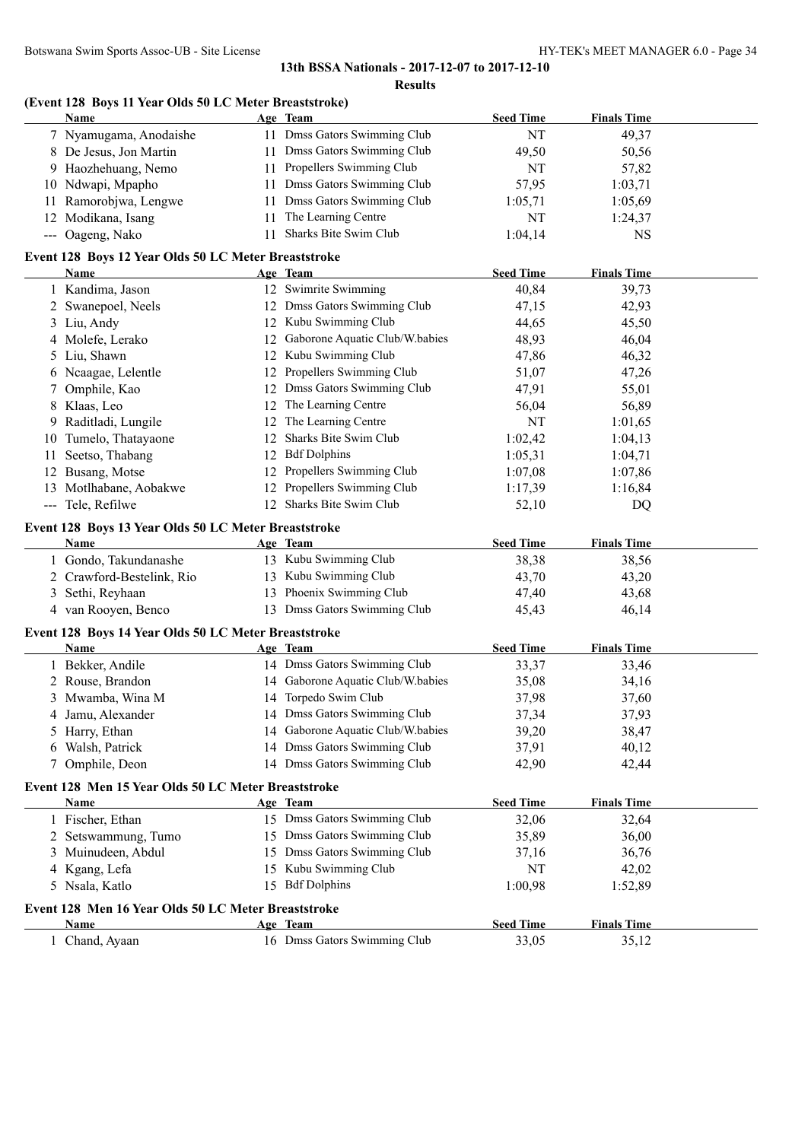**(Event 128 Boys 11 Year Olds 50 LC Meter Breaststroke)**

|        | Name                                                 |    | Age Team                          | <b>Seed Time</b> | <b>Finals Time</b> |  |
|--------|------------------------------------------------------|----|-----------------------------------|------------------|--------------------|--|
|        | 7 Nyamugama, Anodaishe                               |    | 11 Dmss Gators Swimming Club      | NT               | 49,37              |  |
|        | 8 De Jesus, Jon Martin                               |    | 11 Dmss Gators Swimming Club      | 49,50            | 50,56              |  |
|        | 9 Haozhehuang, Nemo                                  | 11 | Propellers Swimming Club          | NT               | 57,82              |  |
|        | 10 Ndwapi, Mpapho                                    | 11 | Dmss Gators Swimming Club         | 57,95            | 1:03,71            |  |
| 11.    | Ramorobjwa, Lengwe                                   | 11 | Dmss Gators Swimming Club         | 1:05,71          | 1:05,69            |  |
| 12     | Modikana, Isang                                      | 11 | The Learning Centre               | <b>NT</b>        | 1:24,37            |  |
|        | --- Oageng, Nako                                     | 11 | Sharks Bite Swim Club             | 1:04,14          | <b>NS</b>          |  |
|        | Event 128 Boys 12 Year Olds 50 LC Meter Breaststroke |    |                                   |                  |                    |  |
|        | Name                                                 |    | Age Team                          | <b>Seed Time</b> | <b>Finals Time</b> |  |
|        | 1 Kandima, Jason                                     |    | 12 Swimrite Swimming              | 40,84            | 39,73              |  |
|        | 2 Swanepoel, Neels                                   |    | 12 Dmss Gators Swimming Club      | 47,15            | 42,93              |  |
|        | 3 Liu, Andy                                          |    | 12 Kubu Swimming Club             | 44,65            | 45,50              |  |
|        | 4 Molefe, Lerako                                     |    | 12 Gaborone Aquatic Club/W.babies | 48,93            | 46,04              |  |
| 5.     | Liu, Shawn                                           |    | 12 Kubu Swimming Club             | 47,86            | 46,32              |  |
|        | Ncaagae, Lelentle                                    |    | 12 Propellers Swimming Club       | 51,07            | 47,26              |  |
| 6<br>7 | Omphile, Kao                                         |    | 12 Dmss Gators Swimming Club      | 47,91            | 55,01              |  |
| 8      | Klaas, Leo                                           | 12 | The Learning Centre               | 56,04            | 56,89              |  |
|        |                                                      |    | The Learning Centre               |                  |                    |  |
| 9      | Raditladi, Lungile                                   | 12 | Sharks Bite Swim Club             | NT               | 1:01,65            |  |
| 10     | Tumelo, Thatayaone                                   | 12 |                                   | 1:02,42          | 1:04,13            |  |
| 11     | Seetso, Thabang                                      |    | 12 Bdf Dolphins                   | 1:05,31          | 1:04,71            |  |
|        | 12 Busang, Motse                                     |    | 12 Propellers Swimming Club       | 1:07,08          | 1:07,86            |  |
|        | 13 Motlhabane, Aobakwe                               |    | 12 Propellers Swimming Club       | 1:17,39          | 1:16,84            |  |
|        | --- Tele, Refilwe                                    |    | 12 Sharks Bite Swim Club          | 52,10            | DQ                 |  |
|        | Event 128 Boys 13 Year Olds 50 LC Meter Breaststroke |    |                                   |                  |                    |  |
|        | Name                                                 |    | Age Team                          | <b>Seed Time</b> | <b>Finals Time</b> |  |
|        | 1 Gondo, Takundanashe                                |    | 13 Kubu Swimming Club             | 38,38            | 38,56              |  |
|        | 2 Crawford-Bestelink, Rio                            |    | 13 Kubu Swimming Club             | 43,70            | 43,20              |  |
|        | 3 Sethi, Reyhaan                                     | 13 | Phoenix Swimming Club             | 47,40            | 43,68              |  |
|        | 4 van Rooyen, Benco                                  |    | 13 Dmss Gators Swimming Club      | 45,43            | 46,14              |  |
|        | Event 128 Boys 14 Year Olds 50 LC Meter Breaststroke |    |                                   |                  |                    |  |
|        | Name                                                 |    | Age Team                          | <b>Seed Time</b> | <b>Finals Time</b> |  |
|        | 1 Bekker, Andile                                     |    | 14 Dmss Gators Swimming Club      | 33,37            | 33,46              |  |
|        | 2 Rouse, Brandon                                     |    | 14 Gaborone Aquatic Club/W.babies | 35,08            | 34,16              |  |
|        | 3 Mwamba, Wina M                                     | 14 | Torpedo Swim Club                 | 37,98            | 37,60              |  |
|        | 4 Jamu, Alexander                                    |    | 14 Dmss Gators Swimming Club      | 37,34            | 37,93              |  |
|        | 5 Harry, Ethan                                       |    | 14 Gaborone Aquatic Club/W.babies | 39,20            | 38,47              |  |
| 6      | Walsh, Patrick                                       | 14 | Dmss Gators Swimming Club         | 37,91            | 40,12              |  |
|        | Omphile, Deon                                        |    | 14 Dmss Gators Swimming Club      | 42,90            | 42,44              |  |
|        | Event 128 Men 15 Year Olds 50 LC Meter Breaststroke  |    |                                   |                  |                    |  |
|        | Name                                                 |    | Age Team                          | <b>Seed Time</b> | <b>Finals Time</b> |  |
|        |                                                      |    | 15 Dmss Gators Swimming Club      | 32,06            |                    |  |
|        | 1 Fischer, Ethan                                     |    | 15 Dmss Gators Swimming Club      |                  | 32,64              |  |
|        | 2 Setswammung, Tumo                                  |    |                                   | 35,89            | 36,00              |  |
| 3      | Muinudeen, Abdul                                     | 15 | Dmss Gators Swimming Club         | 37,16            | 36,76              |  |
| 4      | Kgang, Lefa                                          |    | 15 Kubu Swimming Club             | NT               | 42,02              |  |
|        | 5 Nsala, Katlo                                       |    | 15 Bdf Dolphins                   | 1:00,98          | 1:52,89            |  |
|        | Event 128 Men 16 Year Olds 50 LC Meter Breaststroke  |    |                                   |                  |                    |  |
|        | Name                                                 |    | Age Team                          | <b>Seed Time</b> | <b>Finals Time</b> |  |
|        | 1 Chand, Ayaan                                       |    | 16 Dmss Gators Swimming Club      | 33,05            | 35,12              |  |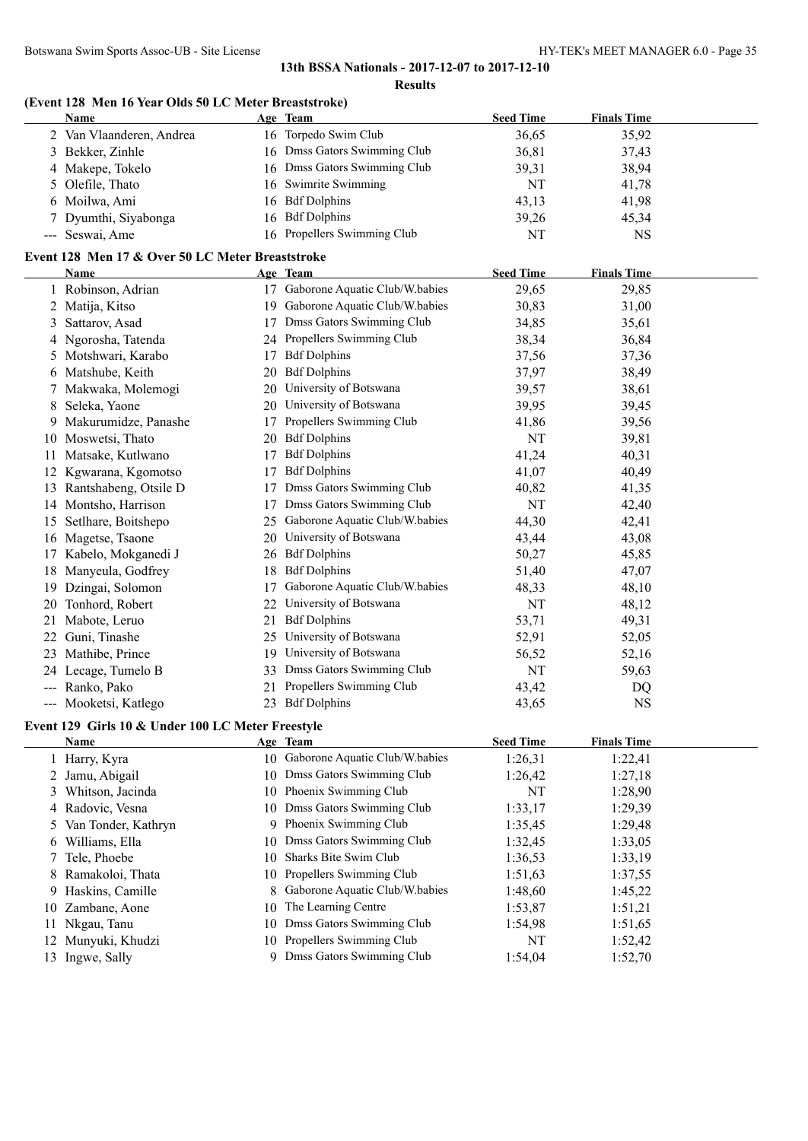**(Event 128 Men 16 Year Olds 50 LC Meter Breaststroke)**

|     | <b>Name</b>                                       |    | Age Team                                      | <b>Seed Time</b> | <b>Finals Time</b> |  |
|-----|---------------------------------------------------|----|-----------------------------------------------|------------------|--------------------|--|
|     | 2 Van Vlaanderen, Andrea                          |    | 16 Torpedo Swim Club                          | 36,65            | 35,92              |  |
| 3   | Bekker, Zinhle                                    |    | 16 Dmss Gators Swimming Club                  | 36,81            | 37,43              |  |
| 4   | Makepe, Tokelo                                    | 16 | Dmss Gators Swimming Club                     | 39,31            | 38,94              |  |
| 5   | Olefile, Thato                                    | 16 | Swimrite Swimming                             | NT               | 41,78              |  |
| 6   | Moilwa, Ami                                       | 16 | <b>Bdf Dolphins</b>                           | 43,13            | 41,98              |  |
|     | Dyumthi, Siyabonga                                | 16 | <b>Bdf Dolphins</b>                           | 39,26            | 45,34              |  |
|     | --- Seswai, Ame                                   |    | 16 Propellers Swimming Club                   | <b>NT</b>        | <b>NS</b>          |  |
|     |                                                   |    |                                               |                  |                    |  |
|     | Event 128 Men 17 & Over 50 LC Meter Breaststroke  |    |                                               |                  |                    |  |
|     | Name                                              |    | Age Team                                      | <b>Seed Time</b> | <b>Finals Time</b> |  |
|     | 1 Robinson, Adrian                                |    | 17 Gaborone Aquatic Club/W.babies             | 29,65            | 29,85              |  |
|     | 2 Matija, Kitso                                   |    | 19 Gaborone Aquatic Club/W.babies             | 30,83            | 31,00              |  |
| 3   | Sattarov, Asad                                    |    | 17 Dmss Gators Swimming Club                  | 34,85            | 35,61              |  |
| 4   | Ngorosha, Tatenda                                 |    | 24 Propellers Swimming Club                   | 38,34            | 36,84              |  |
| 5   | Motshwari, Karabo                                 | 17 | <b>Bdf Dolphins</b>                           | 37,56            | 37,36              |  |
|     | 6 Matshube, Keith                                 | 20 | <b>Bdf</b> Dolphins                           | 37,97            | 38,49              |  |
| 7   | Makwaka, Molemogi                                 | 20 | University of Botswana                        | 39,57            | 38,61              |  |
| 8   | Seleka, Yaone                                     |    | 20 University of Botswana                     | 39,95            | 39,45              |  |
| 9.  | Makurumidze, Panashe                              | 17 | Propellers Swimming Club                      | 41,86            | 39,56              |  |
|     | 10 Moswetsi, Thato                                |    | 20 Bdf Dolphins                               | NT               | 39,81              |  |
| 11. | Matsake, Kutlwano                                 | 17 | <b>Bdf Dolphins</b>                           | 41,24            | 40,31              |  |
|     | 12 Kgwarana, Kgomotso                             | 17 | <b>Bdf Dolphins</b>                           | 41,07            | 40,49              |  |
|     | 13 Rantshabeng, Otsile D                          | 17 | Dmss Gators Swimming Club                     | 40,82            | 41,35              |  |
|     | 14 Montsho, Harrison                              | 17 | Dmss Gators Swimming Club                     | NT               | 42,40              |  |
|     | 15 Setlhare, Boitshepo                            | 25 | Gaborone Aquatic Club/W.babies                | 44,30            | 42,41              |  |
|     | 16 Magetse, Tsaone                                |    | 20 University of Botswana                     | 43,44            | 43,08              |  |
| 17  | Kabelo, Mokganedi J                               |    | 26 Bdf Dolphins                               | 50,27            | 45,85              |  |
|     | 18 Manyeula, Godfrey                              | 18 | <b>Bdf Dolphins</b>                           | 51,40            | 47,07              |  |
| 19  | Dzingai, Solomon                                  | 17 | Gaborone Aquatic Club/W.babies                | 48,33            | 48,10              |  |
| 20  | Tonhord, Robert                                   | 22 | University of Botswana                        | <b>NT</b>        | 48,12              |  |
| 21  | Mabote, Leruo                                     | 21 | <b>Bdf</b> Dolphins                           | 53,71            | 49,31              |  |
| 22  | Guni, Tinashe                                     | 25 | University of Botswana                        | 52,91            | 52,05              |  |
|     | 23 Mathibe, Prince                                |    | 19 University of Botswana                     | 56,52            | 52,16              |  |
| 24. | Lecage, Tumelo B                                  | 33 | Dmss Gators Swimming Club                     | NT               | 59,63              |  |
|     | Ranko, Pako                                       | 21 | Propellers Swimming Club                      | 43,42            | DQ                 |  |
|     | --- Mooketsi, Katlego                             |    | 23 Bdf Dolphins                               | 43,65            | <b>NS</b>          |  |
|     | Event 129 Girls 10 & Under 100 LC Meter Freestyle |    |                                               |                  |                    |  |
|     |                                                   |    |                                               | <b>Seed Time</b> | <b>Finals Time</b> |  |
|     | Name                                              |    | Age Team<br>10 Gaborone Aquatic Club/W.babies | 1:26,31          |                    |  |
|     | 1 Harry, Kyra                                     |    | Dmss Gators Swimming Club                     |                  | 1:22,41<br>1:27,18 |  |
|     | 2 Jamu, Abigail                                   | 10 | Phoenix Swimming Club                         | 1:26,42          |                    |  |
| 3   | Whitson, Jacinda                                  | 10 |                                               | NT               | 1:28,90            |  |
|     | 4 Radovic, Vesna                                  | 10 | Dmss Gators Swimming Club                     | 1:33,17          | 1:29,39            |  |
| 5   | Van Tonder, Kathryn                               | 9. | Phoenix Swimming Club                         | 1:35,45          | 1:29,48            |  |
| 6   | Williams, Ella                                    | 10 | Dmss Gators Swimming Club                     | 1:32,45          | 1:33,05            |  |
| 7   | Tele, Phoebe                                      | 10 | Sharks Bite Swim Club                         | 1:36,53          | 1:33,19            |  |
| 8   | Ramakoloi, Thata                                  | 10 | Propellers Swimming Club                      | 1:51,63          | 1:37,55            |  |
| 9   | Haskins, Camille                                  | 8  | Gaborone Aquatic Club/W.babies                | 1:48,60          | 1:45,22            |  |
| 10  | Zambane, Aone                                     | 10 | The Learning Centre                           | 1:53,87          | 1:51,21            |  |
| 11  | Nkgau, Tanu                                       | 10 | Dmss Gators Swimming Club                     | 1:54,98          | 1:51,65            |  |
| 12  | Munyuki, Khudzi                                   | 10 | Propellers Swimming Club                      | NT               | 1:52,42            |  |
| 13  | Ingwe, Sally                                      | 9  | Dmss Gators Swimming Club                     | 1:54,04          | 1:52,70            |  |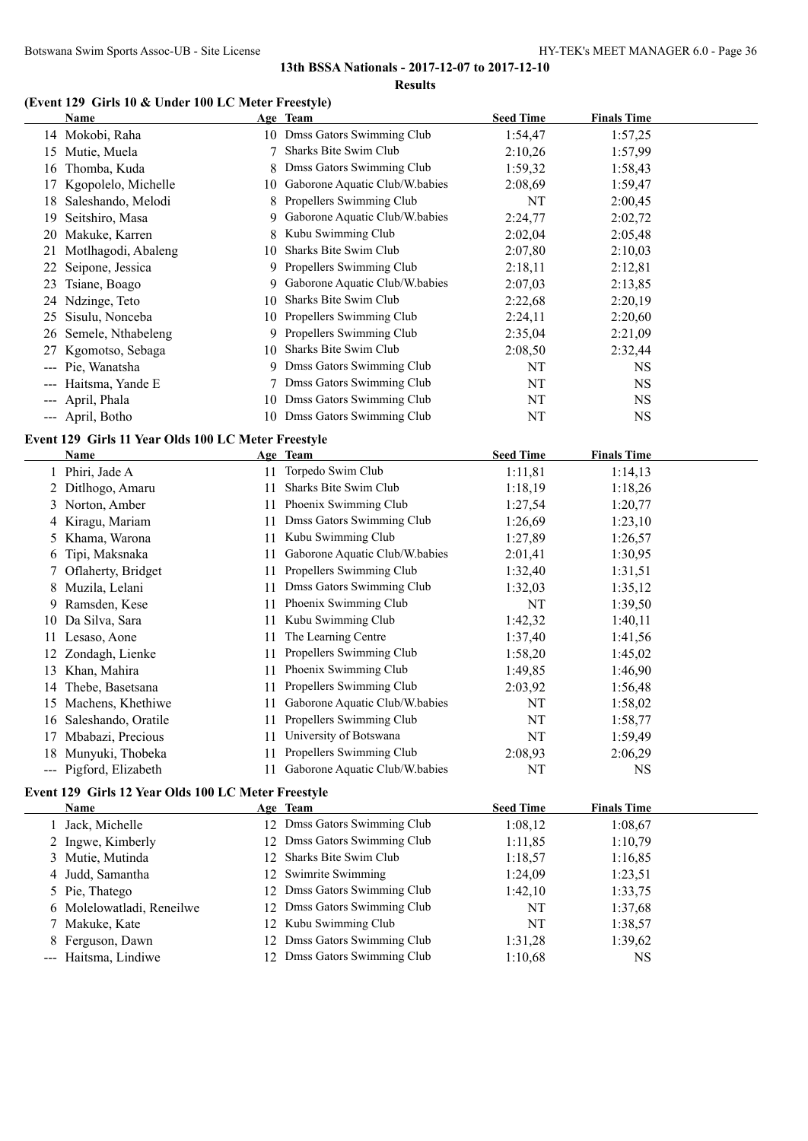#### **Results**

#### **(Event 129 Girls 10 & Under 100 LC Meter Freestyle)**

|    | <b>Name</b>                                         |    | Age Team                         | <b>Seed Time</b> | <b>Finals Time</b> |  |
|----|-----------------------------------------------------|----|----------------------------------|------------------|--------------------|--|
|    | 14 Mokobi, Raha                                     | 10 | Dmss Gators Swimming Club        | 1:54,47          | 1:57,25            |  |
| 15 | Mutie, Muela                                        |    | Sharks Bite Swim Club            | 2:10,26          | 1:57,99            |  |
| 16 | Thomba, Kuda                                        |    | Dmss Gators Swimming Club        | 1:59,32          | 1:58,43            |  |
| 17 | Kgopolelo, Michelle                                 | 10 | Gaborone Aquatic Club/W.babies   | 2:08,69          | 1:59,47            |  |
| 18 | Saleshando, Melodi                                  |    | Propellers Swimming Club         | NT               | 2:00,45            |  |
| 19 | Seitshiro, Masa                                     | 9  | Gaborone Aquatic Club/W.babies   | 2:24,77          | 2:02,72            |  |
| 20 | Makuke, Karren                                      |    | Kubu Swimming Club               | 2:02,04          | 2:05,48            |  |
| 21 | Motlhagodi, Abaleng                                 | 10 | Sharks Bite Swim Club            | 2:07,80          | 2:10,03            |  |
| 22 | Seipone, Jessica                                    |    | Propellers Swimming Club         | 2:18,11          | 2:12,81            |  |
| 23 | Tsiane, Boago                                       | 9  | Gaborone Aquatic Club/W.babies   | 2:07,03          | 2:13,85            |  |
| 24 | Ndzinge, Teto                                       | 10 | Sharks Bite Swim Club            | 2:22,68          | 2:20,19            |  |
| 25 | Sisulu, Nonceba                                     | 10 | Propellers Swimming Club         | 2:24,11          | 2:20,60            |  |
| 26 | Semele, Nthabeleng                                  | 9  | Propellers Swimming Club         | 2:35,04          | 2:21,09            |  |
| 27 | Kgomotso, Sebaga                                    | 10 | Sharks Bite Swim Club            | 2:08,50          | 2:32,44            |  |
|    | Pie, Wanatsha                                       | 9  | Dmss Gators Swimming Club        | NT               | NS.                |  |
|    | Haitsma, Yande E                                    |    | <b>Dmss Gators Swimming Club</b> | NT               | <b>NS</b>          |  |
|    | April, Phala                                        | 10 | Dmss Gators Swimming Club        | NT               | <b>NS</b>          |  |
|    | --- April, Botho                                    | 10 | Dmss Gators Swimming Club        | NT               | <b>NS</b>          |  |
|    | Event 129 Girls 11 Year Olds 100 LC Meter Freestyle |    |                                  |                  |                    |  |
|    | Name                                                |    | Age Team                         | <b>Seed Time</b> | <b>Finals Time</b> |  |
|    | 1 Phiri, Jade A                                     | 11 | Torpedo Swim Club                | 1:11,81          | 1:14,13            |  |
|    | Ditlhogo, Amaru                                     | 11 | Sharks Bite Swim Club            | 1:18,19          | 1:18,26            |  |
|    | 3 Norton, Amber                                     |    | Phoenix Swimming Club            | 1:27,54          | 1:20,77            |  |

|    | 3 Norton, Amber        | 11  | Phoenix Swimming Club          | 1:27,54 | 1:20,77 |  |
|----|------------------------|-----|--------------------------------|---------|---------|--|
|    | 4 Kiragu, Mariam       | 11  | Dmss Gators Swimming Club      | 1:26,69 | 1:23,10 |  |
|    | 5 Khama, Warona        | 11  | Kubu Swimming Club             | 1:27,89 | 1:26,57 |  |
|    | 6 Tipi, Maksnaka       | 11  | Gaborone Aquatic Club/W.babies | 2:01,41 | 1:30,95 |  |
|    | 7 Oflaherty, Bridget   | 11  | Propellers Swimming Club       | 1:32,40 | 1:31,51 |  |
|    | 8 Muzila, Lelani       | 11  | Dmss Gators Swimming Club      | 1:32,03 | 1:35,12 |  |
|    | 9 Ramsden, Kese        | 11  | Phoenix Swimming Club          | NT      | 1:39,50 |  |
|    | 10 Da Silva, Sara      | 11  | Kubu Swimming Club             | 1:42,32 | 1:40,11 |  |
|    | 11 Lesaso, Aone        | 11  | The Learning Centre            | 1:37,40 | 1:41,56 |  |
|    | 12 Zondagh, Lienke     | 11  | Propellers Swimming Club       | 1:58,20 | 1:45,02 |  |
|    | 13 Khan, Mahira        | 11  | Phoenix Swimming Club          | 1:49,85 | 1:46,90 |  |
|    | 14 Thebe, Basetsana    | 11  | Propellers Swimming Club       | 2:03,92 | 1:56,48 |  |
|    | 15 Machens, Khethiwe   | 11  | Gaborone Aquatic Club/W.babies | NT      | 1:58,02 |  |
|    | 16 Saleshando, Oratile | 11  | Propellers Swimming Club       | NT      | 1:58,77 |  |
| 17 | Mbabazi, Precious      | 11  | University of Botswana         | NT      | 1:59,49 |  |
|    | 18 Munyuki, Thobeka    | 11  | Propellers Swimming Club       | 2:08,93 | 2:06,29 |  |
|    | --- Pigford, Elizabeth | 11. | Gaborone Aquatic Club/W.babies | NT      | NS      |  |

#### **Event 129 Girls 12 Year Olds 100 LC Meter Freestyle**

| Name                      |  | <b>Seed Time</b>                                                                                                                                                                                                                                                                      | <b>Finals Time</b> |
|---------------------------|--|---------------------------------------------------------------------------------------------------------------------------------------------------------------------------------------------------------------------------------------------------------------------------------------|--------------------|
| 1 Jack, Michelle          |  | 1:08,12                                                                                                                                                                                                                                                                               | 1:08,67            |
| 2 Ingwe, Kimberly         |  | 1:11,85                                                                                                                                                                                                                                                                               | 1:10,79            |
| 3 Mutie, Mutinda          |  | 1:18,57                                                                                                                                                                                                                                                                               | 1:16.85            |
| 4 Judd, Samantha          |  | 1:24,09                                                                                                                                                                                                                                                                               | 1:23,51            |
| 5 Pie, Thatego            |  | 1:42,10                                                                                                                                                                                                                                                                               | 1:33,75            |
| 6 Molelowatladi, Reneilwe |  | NT                                                                                                                                                                                                                                                                                    | 1:37.68            |
| 7 Makuke, Kate            |  | NT                                                                                                                                                                                                                                                                                    | 1:38.57            |
| 8 Ferguson, Dawn          |  | 1:31,28                                                                                                                                                                                                                                                                               | 1:39,62            |
| --- Haitsma, Lindiwe      |  | 1:10,68                                                                                                                                                                                                                                                                               | NS                 |
|                           |  | Age Team<br>12 Dmss Gators Swimming Club<br>12 Dmss Gators Swimming Club<br>12 Sharks Bite Swim Club<br>12 Swimrite Swimming<br>12 Dmss Gators Swimming Club<br>12 Dmss Gators Swimming Club<br>12 Kubu Swimming Club<br>12 Dmss Gators Swimming Club<br>12 Dmss Gators Swimming Club |                    |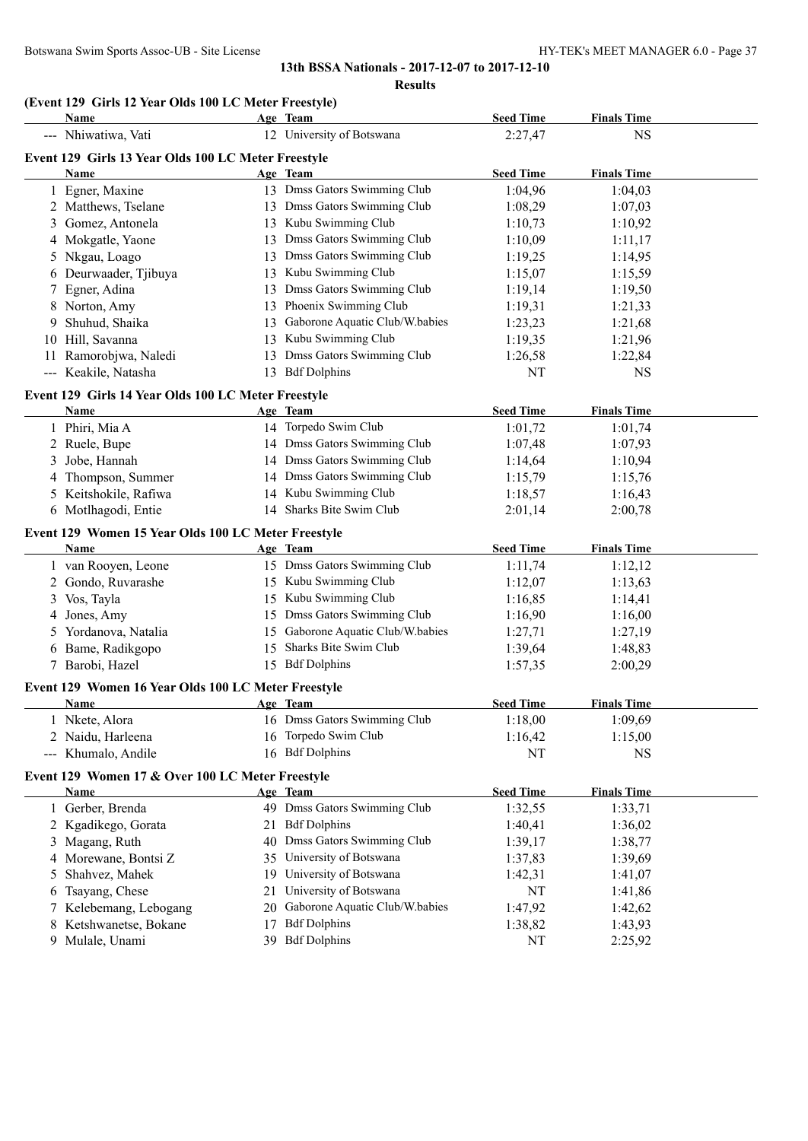#### **Results**

# **(Event 129 Girls 12 Year Olds 100 LC Meter Freestyle)**

|   | <b>Name</b>                                         |    | Age Team                         | <b>Seed Time</b> | <b>Finals Time</b> |  |
|---|-----------------------------------------------------|----|----------------------------------|------------------|--------------------|--|
|   | --- Nhiwatiwa, Vati                                 |    | 12 University of Botswana        | 2:27,47          | <b>NS</b>          |  |
|   | Event 129 Girls 13 Year Olds 100 LC Meter Freestyle |    |                                  |                  |                    |  |
|   | Name                                                |    | Age Team                         | <b>Seed Time</b> | <b>Finals Time</b> |  |
|   | 1 Egner, Maxine                                     |    | 13 Dmss Gators Swimming Club     | 1:04,96          | 1:04,03            |  |
|   | 2 Matthews, Tselane                                 |    | 13 Dmss Gators Swimming Club     | 1:08,29          | 1:07,03            |  |
|   | 3 Gomez, Antonela                                   |    | 13 Kubu Swimming Club            | 1:10,73          | 1:10,92            |  |
|   | 4 Mokgatle, Yaone                                   |    | 13 Dmss Gators Swimming Club     | 1:10,09          | 1:11,17            |  |
|   | 5 Nkgau, Loago                                      |    | 13 Dmss Gators Swimming Club     | 1:19,25          | 1:14,95            |  |
|   | 6 Deurwaader, Tjibuya                               |    | 13 Kubu Swimming Club            | 1:15,07          | 1:15,59            |  |
|   | 7 Egner, Adina                                      | 13 | Dmss Gators Swimming Club        | 1:19,14          | 1:19,50            |  |
|   | 8 Norton, Amy                                       | 13 | Phoenix Swimming Club            | 1:19,31          | 1:21,33            |  |
| 9 | Shuhud, Shaika                                      | 13 | Gaborone Aquatic Club/W.babies   | 1:23,23          | 1:21,68            |  |
|   | 10 Hill, Savanna                                    | 13 | Kubu Swimming Club               | 1:19,35          | 1:21,96            |  |
|   | 11 Ramorobjwa, Naledi                               | 13 | Dmss Gators Swimming Club        | 1:26,58          | 1:22,84            |  |
|   | --- Keakile, Natasha                                |    | 13 Bdf Dolphins                  | NT               | <b>NS</b>          |  |
|   |                                                     |    |                                  |                  |                    |  |
|   | Event 129 Girls 14 Year Olds 100 LC Meter Freestyle |    |                                  |                  |                    |  |
|   | Name                                                |    | Age Team<br>14 Torpedo Swim Club | <b>Seed Time</b> | <b>Finals Time</b> |  |
|   | 1 Phiri, Mia A                                      |    | 14 Dmss Gators Swimming Club     | 1:01,72          | 1:01,74            |  |
|   | 2 Ruele, Bupe                                       |    | 14 Dmss Gators Swimming Club     | 1:07,48          | 1:07,93            |  |
| 3 | Jobe, Hannah                                        |    | 14 Dmss Gators Swimming Club     | 1:14,64          | 1:10,94            |  |
|   | Thompson, Summer<br>5 Keitshokile, Rafiwa           |    | 14 Kubu Swimming Club            | 1:15,79          | 1:15,76            |  |
|   |                                                     |    | 14 Sharks Bite Swim Club         | 1:18,57          | 1:16,43            |  |
|   | 6 Motlhagodi, Entie                                 |    |                                  | 2:01,14          | 2:00,78            |  |
|   | Event 129 Women 15 Year Olds 100 LC Meter Freestyle |    |                                  |                  |                    |  |
|   | <b>Name</b>                                         |    | Age Team                         | <b>Seed Time</b> | <b>Finals Time</b> |  |
|   | 1 van Rooyen, Leone                                 |    | 15 Dmss Gators Swimming Club     | 1:11,74          | 1:12,12            |  |
|   | 2 Gondo, Ruvarashe                                  |    | 15 Kubu Swimming Club            | 1:12,07          | 1:13,63            |  |
| 3 | Vos, Tayla                                          |    | 15 Kubu Swimming Club            | 1:16,85          | 1:14,41            |  |
| 4 | Jones, Amy                                          | 15 | Dmss Gators Swimming Club        | 1:16,90          | 1:16,00            |  |
| 5 | Yordanova, Natalia                                  | 15 | Gaborone Aquatic Club/W.babies   | 1:27,71          | 1:27,19            |  |
|   | 6 Bame, Radikgopo                                   | 15 | Sharks Bite Swim Club            | 1:39,64          | 1:48,83            |  |
|   | 7 Barobi, Hazel                                     |    | 15 Bdf Dolphins                  | 1:57,35          | 2:00,29            |  |
|   | Event 129 Women 16 Year Olds 100 LC Meter Freestyle |    |                                  |                  |                    |  |
|   | <b>Name</b>                                         |    | Age Team                         | <b>Seed Time</b> | <b>Finals Time</b> |  |
|   | 1 Nkete, Alora                                      |    | 16 Dmss Gators Swimming Club     | 1:18,00          | 1:09,69            |  |
|   | 2 Naidu, Harleena                                   |    | 16 Torpedo Swim Club             | 1:16,42          | 1:15,00            |  |
|   | --- Khumalo, Andile                                 |    | 16 Bdf Dolphins                  | NT               | <b>NS</b>          |  |
|   | Event 129 Women 17 & Over 100 LC Meter Freestyle    |    |                                  |                  |                    |  |
|   | Name                                                |    | Age Team                         | <b>Seed Time</b> | <b>Finals Time</b> |  |
|   | 1 Gerber, Brenda                                    |    | 49 Dmss Gators Swimming Club     | 1:32,55          | 1:33,71            |  |
|   | 2 Kgadikego, Gorata                                 | 21 | <b>Bdf Dolphins</b>              | 1:40,41          | 1:36,02            |  |
|   | 3 Magang, Ruth                                      | 40 | Dmss Gators Swimming Club        | 1:39,17          | 1:38,77            |  |
| 4 | Morewane, Bontsi Z                                  | 35 | University of Botswana           | 1:37,83          | 1:39,69            |  |
| 5 | Shahvez, Mahek                                      | 19 | University of Botswana           | 1:42,31          | 1:41,07            |  |
| 6 | Tsayang, Chese                                      | 21 | University of Botswana           | NT               | 1:41,86            |  |
|   | Kelebemang, Lebogang                                | 20 | Gaborone Aquatic Club/W.babies   | 1:47,92          | 1:42,62            |  |
| 8 | Ketshwanetse, Bokane                                | 17 | <b>Bdf Dolphins</b>              | 1:38,82          | 1:43,93            |  |
|   | 9 Mulale, Unami                                     |    | 39 Bdf Dolphins                  | NT               | 2:25,92            |  |
|   |                                                     |    |                                  |                  |                    |  |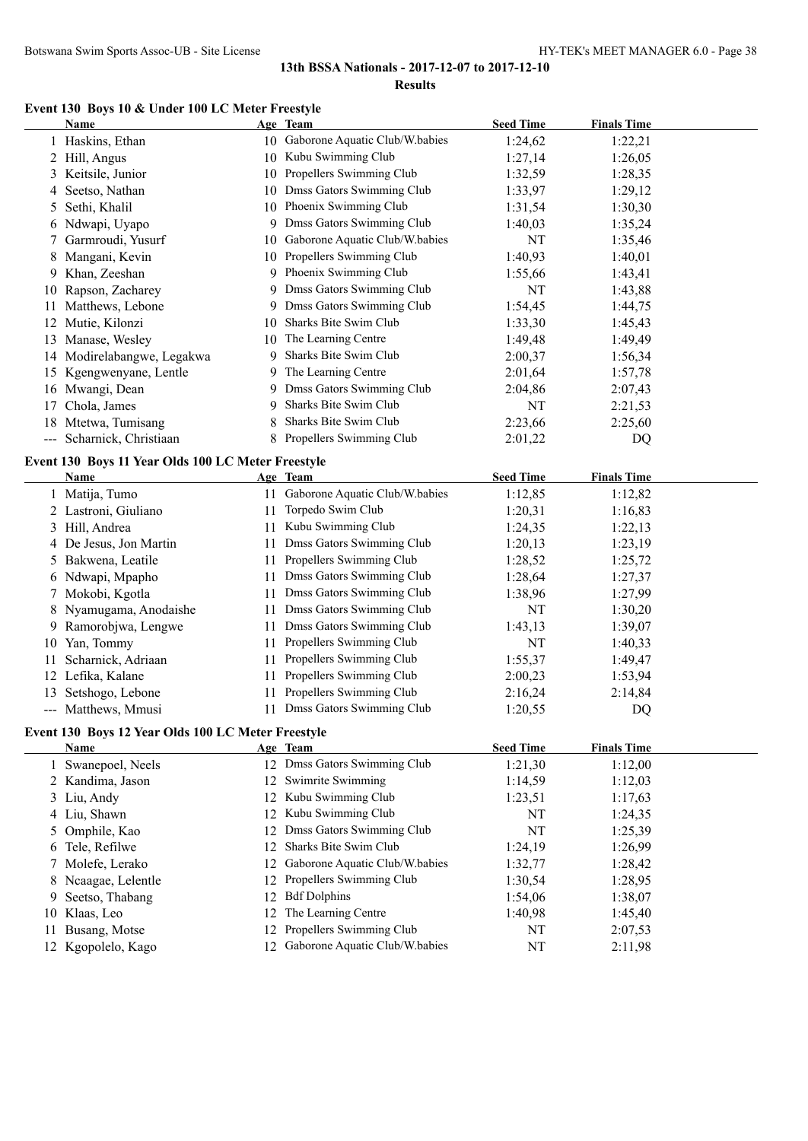# **Event 130 Boys 10 & Under 100 LC Meter Freestyle**

|                     | <b>Name</b>                                        |    | Age Team                          | <b>Seed Time</b> | <b>Finals Time</b> |  |
|---------------------|----------------------------------------------------|----|-----------------------------------|------------------|--------------------|--|
|                     | 1 Haskins, Ethan                                   |    | 10 Gaborone Aquatic Club/W.babies | 1:24,62          | 1:22,21            |  |
|                     | 2 Hill, Angus                                      | 10 | Kubu Swimming Club                | 1:27,14          | 1:26,05            |  |
| 3                   | Keitsile, Junior                                   | 10 | Propellers Swimming Club          | 1:32,59          | 1:28,35            |  |
| 4                   | Seetso, Nathan                                     | 10 | Dmss Gators Swimming Club         | 1:33,97          | 1:29,12            |  |
| 5                   | Sethi, Khalil                                      | 10 | Phoenix Swimming Club             | 1:31,54          | 1:30,30            |  |
| 6                   | Ndwapi, Uyapo                                      | 9  | Dmss Gators Swimming Club         | 1:40,03          | 1:35,24            |  |
|                     | Garmroudi, Yusurf                                  | 10 | Gaborone Aquatic Club/W.babies    | NT               | 1:35,46            |  |
| 8                   | Mangani, Kevin                                     | 10 | Propellers Swimming Club          | 1:40,93          | 1:40,01            |  |
| 9.                  | Khan, Zeeshan                                      |    | 9 Phoenix Swimming Club           | 1:55,66          | 1:43,41            |  |
|                     | 10 Rapson, Zacharey                                | 9. | Dmss Gators Swimming Club         | NT               | 1:43,88            |  |
| 11                  | Matthews, Lebone                                   | 9. | Dmss Gators Swimming Club         | 1:54,45          | 1:44,75            |  |
| 12                  | Mutie, Kilonzi                                     | 10 | Sharks Bite Swim Club             | 1:33,30          | 1:45,43            |  |
| 13                  | Manase, Wesley                                     | 10 | The Learning Centre               | 1:49,48          | 1:49,49            |  |
| 14                  | Modirelabangwe, Legakwa                            | 9  | Sharks Bite Swim Club             | 2:00,37          | 1:56,34            |  |
| 15                  | Kgengwenyane, Lentle                               | 9  | The Learning Centre               | 2:01,64          | 1:57,78            |  |
|                     | 16 Mwangi, Dean                                    | 9  | Dmss Gators Swimming Club         | 2:04,86          | 2:07,43            |  |
| 17                  | Chola, James                                       | 9  | Sharks Bite Swim Club             | NT               | 2:21,53            |  |
|                     | 18 Mtetwa, Tumisang                                | 8  | Sharks Bite Swim Club             | 2:23,66          | 2:25,60            |  |
| $\qquad \qquad - -$ | Scharnick, Christiaan                              |    | 8 Propellers Swimming Club        | 2:01,22          | DQ                 |  |
|                     |                                                    |    |                                   |                  |                    |  |
|                     | Event 130 Boys 11 Year Olds 100 LC Meter Freestyle |    |                                   |                  |                    |  |
|                     | Name                                               |    | Age Team                          | <b>Seed Time</b> | <b>Finals Time</b> |  |
|                     | 1 Matija, Tumo                                     | 11 | Gaborone Aquatic Club/W.babies    | 1:12,85          | 1:12,82            |  |
|                     | 2 Lastroni, Giuliano                               | 11 | Torpedo Swim Club                 | 1:20,31          | 1:16,83            |  |
| 3                   | Hill, Andrea                                       | 11 | Kubu Swimming Club                | 1:24,35          | 1:22,13            |  |
| 4                   | De Jesus, Jon Martin                               | 11 | Dmss Gators Swimming Club         | 1:20,13          | 1:23,19            |  |
| 5                   | Bakwena, Leatile                                   | 11 | Propellers Swimming Club          | 1:28,52          | 1:25,72            |  |
|                     | 6 Ndwapi, Mpapho                                   | 11 | Dmss Gators Swimming Club         | 1:28,64          | 1:27,37            |  |
| 7                   | Mokobi, Kgotla                                     | 11 | Dmss Gators Swimming Club         | 1:38,96          | 1:27,99            |  |
| 8                   | Nyamugama, Anodaishe                               | 11 | Dmss Gators Swimming Club         | NT               | 1:30,20            |  |
|                     | 9 Ramorobjwa, Lengwe                               | 11 | Dmss Gators Swimming Club         | 1:43,13          | 1:39,07            |  |
| 10                  | Yan, Tommy                                         | 11 | Propellers Swimming Club          | NT               | 1:40,33            |  |
| 11.                 | Scharnick, Adriaan                                 | 11 | Propellers Swimming Club          | 1:55,37          | 1:49,47            |  |
|                     | 12 Lefika, Kalane                                  | 11 | Propellers Swimming Club          | 2:00,23          | 1:53,94            |  |
| 13                  | Setshogo, Lebone                                   | 11 | Propellers Swimming Club          | 2:16,24          | 2:14,84            |  |
|                     | --- Matthews, Mmusi                                | 11 | Dmss Gators Swimming Club         | 1:20,55          | DQ                 |  |
|                     | Event 130 Boys 12 Year Olds 100 LC Meter Freestyle |    |                                   |                  |                    |  |
|                     | <b>Name</b>                                        |    | Age Team                          | <b>Seed Time</b> | <b>Finals Time</b> |  |
|                     | 1 Swanepoel, Neels                                 |    | 12 Dmss Gators Swimming Club      | 1:21,30          | 1:12,00            |  |
|                     | 2 Kandima, Jason                                   | 12 | Swimrite Swimming                 | 1:14,59          | 1:12,03            |  |
| 3                   | Liu, Andy                                          | 12 | Kubu Swimming Club                | 1:23,51          | 1:17,63            |  |
| 4                   | Liu, Shawn                                         | 12 | Kubu Swimming Club                | NT               | 1:24,35            |  |
| 5                   | Omphile, Kao                                       | 12 | Dmss Gators Swimming Club         | NT               | 1:25,39            |  |
| 6                   | Tele, Refilwe                                      | 12 | Sharks Bite Swim Club             | 1:24,19          | 1:26,99            |  |
| 7                   | Molefe, Lerako                                     | 12 | Gaborone Aquatic Club/W.babies    | 1:32,77          | 1:28,42            |  |
| 8                   | Ncaagae, Lelentle                                  | 12 | Propellers Swimming Club          | 1:30,54          | 1:28,95            |  |
| 9                   | Seetso, Thabang                                    | 12 | <b>Bdf Dolphins</b>               | 1:54,06          | 1:38,07            |  |
| 10                  | Klaas, Leo                                         | 12 | The Learning Centre               | 1:40,98          | 1:45,40            |  |
| 11                  | Busang, Motse                                      | 12 | Propellers Swimming Club          | NT               | 2:07,53            |  |
|                     | 12 Kgopolelo, Kago                                 | 12 | Gaborone Aquatic Club/W.babies    | NT               | 2:11,98            |  |
|                     |                                                    |    |                                   |                  |                    |  |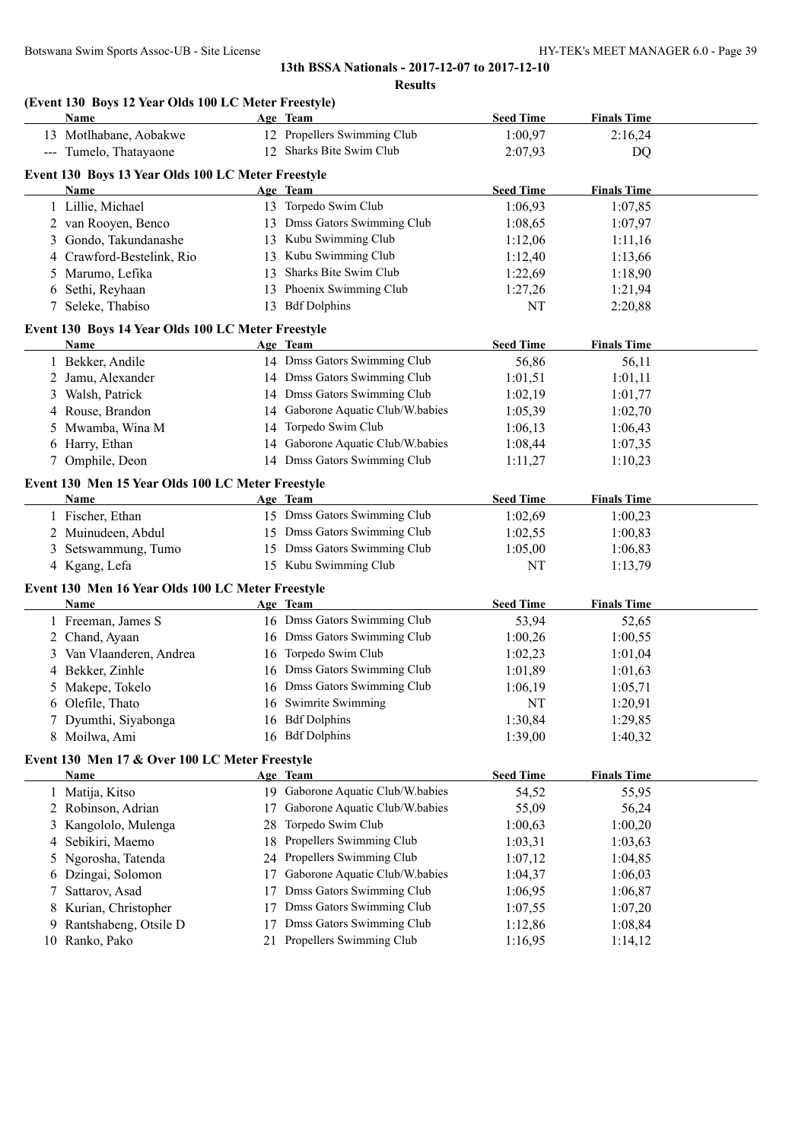|    | (Event 130 Boys 12 Year Olds 100 LC Meter Freestyle)          |    |                                                      |                  |                    |  |
|----|---------------------------------------------------------------|----|------------------------------------------------------|------------------|--------------------|--|
|    | <b>Name</b>                                                   |    | Age Team                                             | <b>Seed Time</b> | <b>Finals Time</b> |  |
|    | 13 Motlhabane, Aobakwe                                        |    | 12 Propellers Swimming Club                          | 1:00,97          | 2:16,24            |  |
|    | --- Tumelo, Thatayaone                                        |    | 12 Sharks Bite Swim Club                             | 2:07,93          | DQ                 |  |
|    | Event 130 Boys 13 Year Olds 100 LC Meter Freestyle            |    |                                                      |                  |                    |  |
|    | Name                                                          |    | Age Team                                             | <b>Seed Time</b> | <b>Finals Time</b> |  |
|    | 1 Lillie, Michael                                             |    | 13 Torpedo Swim Club                                 | 1:06,93          | 1:07,85            |  |
|    | 2 van Rooyen, Benco                                           |    | 13 Dmss Gators Swimming Club                         | 1:08,65          | 1:07,97            |  |
| 3  | Gondo, Takundanashe                                           |    | 13 Kubu Swimming Club                                | 1:12,06          | 1:11,16            |  |
|    | Crawford-Bestelink, Rio                                       |    | 13 Kubu Swimming Club                                | 1:12,40          | 1:13,66            |  |
| 5. | Marumo, Lefika                                                | 13 | Sharks Bite Swim Club                                | 1:22,69          | 1:18,90            |  |
|    | 6 Sethi, Reyhaan                                              |    | 13 Phoenix Swimming Club                             | 1:27,26          | 1:21,94            |  |
| 7. | Seleke, Thabiso                                               |    | 13 Bdf Dolphins                                      | NT               | 2:20,88            |  |
|    | Event 130 Boys 14 Year Olds 100 LC Meter Freestyle            |    |                                                      |                  |                    |  |
|    | Name                                                          |    | Age Team                                             | <b>Seed Time</b> | <b>Finals Time</b> |  |
|    | 1 Bekker, Andile                                              |    | 14 Dmss Gators Swimming Club                         | 56,86            | 56,11              |  |
|    | 2 Jamu, Alexander                                             |    | 14 Dmss Gators Swimming Club                         | 1:01,51          | 1:01,11            |  |
| 3  | Walsh, Patrick                                                |    | 14 Dmss Gators Swimming Club                         | 1:02,19          | 1:01,77            |  |
|    | Rouse, Brandon                                                |    | 14 Gaborone Aquatic Club/W.babies                    | 1:05,39          | 1:02,70            |  |
|    | Mwamba, Wina M                                                |    | 14 Torpedo Swim Club                                 | 1:06,13          | 1:06,43            |  |
|    | 6 Harry, Ethan                                                |    | 14 Gaborone Aquatic Club/W.babies                    | 1:08,44          | 1:07,35            |  |
|    | 7 Omphile, Deon                                               |    | 14 Dmss Gators Swimming Club                         | 1:11,27          | 1:10,23            |  |
|    |                                                               |    |                                                      |                  |                    |  |
|    | Event 130 Men 15 Year Olds 100 LC Meter Freestyle<br>Name     |    | Age Team                                             | <b>Seed Time</b> | <b>Finals Time</b> |  |
|    | 1 Fischer, Ethan                                              |    | 15 Dmss Gators Swimming Club                         | 1:02,69          | 1:00,23            |  |
|    | 2 Muinudeen, Abdul                                            |    | 15 Dmss Gators Swimming Club                         | 1:02,55          | 1:00,83            |  |
| 3  | Setswammung, Tumo                                             |    | 15 Dmss Gators Swimming Club                         | 1:05,00          | 1:06,83            |  |
|    | 4 Kgang, Lefa                                                 |    | 15 Kubu Swimming Club                                | NT               | 1:13,79            |  |
|    |                                                               |    |                                                      |                  |                    |  |
|    | Event 130 Men 16 Year Olds 100 LC Meter Freestyle<br>Name     |    | Age Team                                             | <b>Seed Time</b> | <b>Finals Time</b> |  |
|    | 1 Freeman, James S                                            |    | 16 Dmss Gators Swimming Club                         | 53,94            | 52,65              |  |
|    | 2 Chand, Ayaan                                                |    | 16 Dmss Gators Swimming Club                         | 1:00,26          | 1:00,55            |  |
|    | 3 Van Vlaanderen, Andrea                                      |    | 16 Torpedo Swim Club                                 | 1:02,23          | 1:01,04            |  |
|    | 4 Bekker, Zinhle                                              |    | 16 Dmss Gators Swimming Club                         | 1:01,89          | 1:01,63            |  |
|    | 5 Makepe, Tokelo                                              |    | 16 Dmss Gators Swimming Club                         | 1:06,19          | 1:05,71            |  |
|    | 6 Olefile, Thato                                              |    | 16 Swimrite Swimming                                 | <b>NT</b>        | 1:20,91            |  |
|    | Dyumthi, Siyabonga                                            |    | 16 Bdf Dolphins                                      | 1:30,84          | 1:29,85            |  |
|    | 8 Moilwa, Ami                                                 |    | 16 Bdf Dolphins                                      | 1:39,00          | 1:40,32            |  |
|    |                                                               |    |                                                      |                  |                    |  |
|    | Event 130 Men 17 & Over 100 LC Meter Freestyle<br><b>Name</b> |    | Age Team                                             | <b>Seed Time</b> | <b>Finals Time</b> |  |
|    |                                                               |    | 19 Gaborone Aquatic Club/W.babies                    |                  |                    |  |
|    | 1 Matija, Kitso                                               | 17 | Gaborone Aquatic Club/W.babies                       | 54,52            | 55,95              |  |
|    | 2 Robinson, Adrian                                            |    | Torpedo Swim Club                                    | 55,09            | 56,24              |  |
| 3  | Kangololo, Mulenga                                            | 28 |                                                      | 1:00,63          | 1:00,20            |  |
| 4  | Sebikiri, Maemo                                               | 18 | Propellers Swimming Club<br>Propellers Swimming Club | 1:03,31          | 1:03,63            |  |
| 5  | Ngorosha, Tatenda                                             | 24 |                                                      | 1:07,12          | 1:04,85            |  |
| b  | Dzingai, Solomon                                              | 17 | Gaborone Aquatic Club/W.babies                       | 1:04,37          | 1:06,03            |  |
|    | Sattarov, Asad                                                | 17 | Dmss Gators Swimming Club                            | 1:06,95          | 1:06,87            |  |
| 8  | Kurian, Christopher                                           | 17 | Dmss Gators Swimming Club                            | 1:07,55          | 1:07,20            |  |
| 9  | Rantshabeng, Otsile D                                         | 17 | Dmss Gators Swimming Club                            | 1:12,86          | 1:08,84            |  |
| 10 | Ranko, Pako                                                   | 21 | Propellers Swimming Club                             | 1:16,95          | 1:14,12            |  |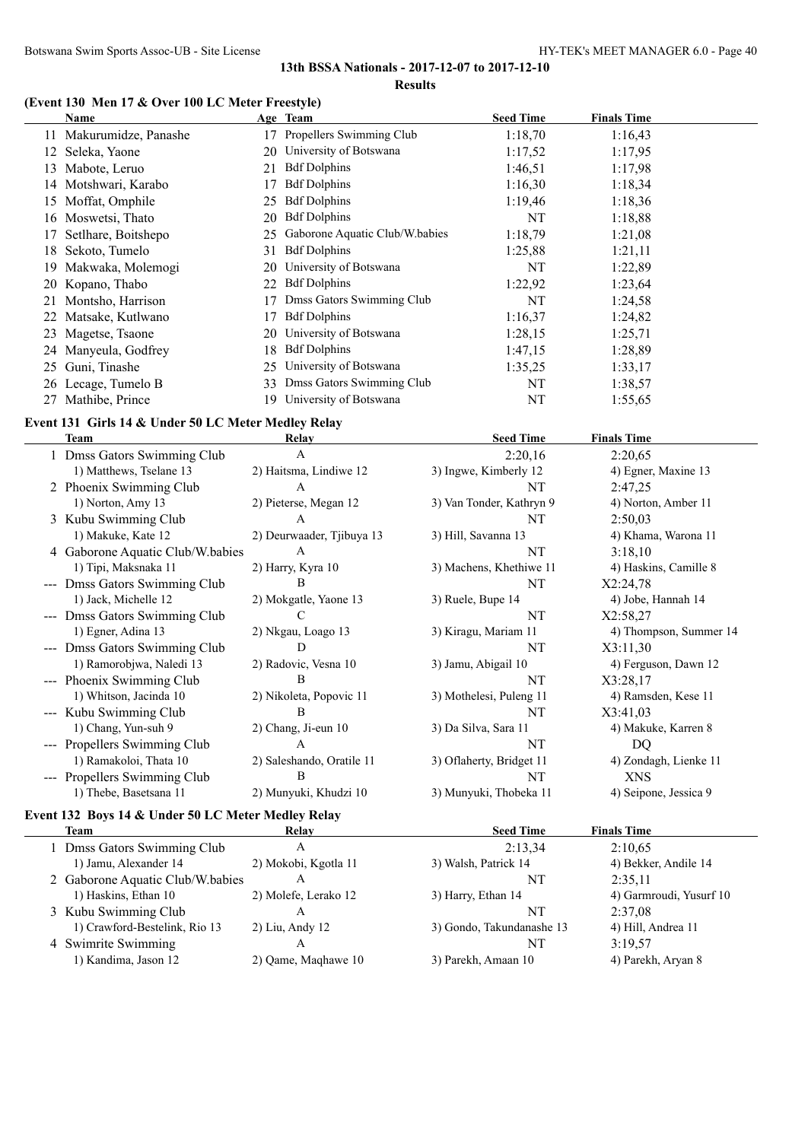#### **(Event 130 Men 17 & Over 100 LC Meter Freestyle)**

|     | Name                    |     | Age Team                       | <b>Seed Time</b> | <b>Finals Time</b> |  |
|-----|-------------------------|-----|--------------------------------|------------------|--------------------|--|
|     | 11 Makurumidze, Panashe |     | Propellers Swimming Club       | 1:18,70          | 1:16,43            |  |
| 12  | Seleka, Yaone           | 20  | University of Botswana         | 1:17,52          | 1:17,95            |  |
| 13. | Mabote, Leruo           | 21  | <b>Bdf Dolphins</b>            | 1:46,51          | 1:17,98            |  |
|     | 14 Motshwari, Karabo    |     | <b>Bdf Dolphins</b>            | 1:16,30          | 1:18,34            |  |
| 15  | Moffat, Omphile         | 25  | <b>Bdf Dolphins</b>            | 1:19,46          | 1:18,36            |  |
| 16  | Moswetsi, Thato         | 20  | <b>Bdf</b> Dolphins            | NT               | 1:18,88            |  |
|     | Setlhare, Boitshepo     | 25. | Gaborone Aquatic Club/W.babies | 1:18,79          | 1:21,08            |  |
| 18  | Sekoto, Tumelo          | 31  | <b>Bdf Dolphins</b>            | 1:25,88          | 1:21,11            |  |
| 19  | Makwaka, Molemogi       | 20  | University of Botswana         | NT               | 1:22,89            |  |
| 20  | Kopano, Thabo           | 22  | <b>Bdf Dolphins</b>            | 1:22,92          | 1:23,64            |  |
| 21  | Montsho, Harrison       |     | Dmss Gators Swimming Club      | NT               | 1:24,58            |  |
| 22  | Matsake, Kutlwano       |     | <b>Bdf Dolphins</b>            | 1:16,37          | 1:24,82            |  |
| 23  | Magetse, Tsaone         | 20  | University of Botswana         | 1:28,15          | 1:25,71            |  |
| 24  | Manyeula, Godfrey       | 18  | <b>Bdf Dolphins</b>            | 1:47,15          | 1:28,89            |  |
| 25  | Guni, Tinashe           | 25  | University of Botswana         | 1:35,25          | 1:33,17            |  |
| 26  | Lecage, Tumelo B        | 33  | Dmss Gators Swimming Club      | NT               | 1:38,57            |  |
| 27  | Mathibe, Prince         | 19. | University of Botswana         | NT               | 1:55,65            |  |

#### **Event 131 Girls 14 & Under 50 LC Meter Medley Relay**

 $\overline{a}$ 

|                                          | Team                             | Relay                     | <b>Seed Time</b>         | <b>Finals Time</b>     |
|------------------------------------------|----------------------------------|---------------------------|--------------------------|------------------------|
|                                          | 1 Dmss Gators Swimming Club      | A                         | 2:20,16                  | 2:20,65                |
|                                          | 1) Matthews, Tselane 13          | 2) Haitsma, Lindiwe 12    | 3) Ingwe, Kimberly 12    | 4) Egner, Maxine 13    |
|                                          | 2 Phoenix Swimming Club          | A                         | NT                       | 2:47.25                |
|                                          | 1) Norton, Amy 13                | 2) Pieterse, Megan 12     | 3) Van Tonder, Kathryn 9 | 4) Norton, Amber 11    |
| 3.                                       | Kubu Swimming Club               | A                         | NT                       | 2:50,03                |
|                                          | 1) Makuke, Kate 12               | 2) Deurwaader, Tjibuya 13 | 3) Hill, Savanna 13      | 4) Khama, Warona 11    |
|                                          | 4 Gaborone Aquatic Club/W.babies | A                         | NT                       | 3:18,10                |
|                                          | 1) Tipi, Maksnaka 11             | 2) Harry, Kyra 10         | 3) Machens, Khethiwe 11  | 4) Haskins, Camille 8  |
|                                          | Dmss Gators Swimming Club        | B                         | NT                       | X2:24,78               |
|                                          | 1) Jack, Michelle 12             | 2) Mokgatle, Yaone 13     | 3) Ruele, Bupe 14        | 4) Jobe, Hannah 14     |
|                                          | Dmss Gators Swimming Club        |                           | NT                       | X2:58,27               |
|                                          | 1) Egner, Adina 13               | 2) Nkgau, Loago 13        | 3) Kiragu, Mariam 11     | 4) Thompson, Summer 14 |
|                                          | Dmss Gators Swimming Club        | Ð                         | NT                       | X3:11,30               |
|                                          | 1) Ramorobjwa, Naledi 13         | 2) Radovic, Vesna 10      | 3) Jamu, Abigail 10      | 4) Ferguson, Dawn 12   |
| $---$                                    | Phoenix Swimming Club            | B                         | NT                       | X3:28,17               |
|                                          | 1) Whitson, Jacinda 10           | 2) Nikoleta, Popovic 11   | 3) Mothelesi, Puleng 11  | 4) Ramsden, Kese 11    |
| ---                                      | Kubu Swimming Club               | B                         | NT                       | X3:41,03               |
|                                          | 1) Chang, Yun-suh 9              | 2) Chang, Ji-eun 10       | 3) Da Silva, Sara 11     | 4) Makuke, Karren 8    |
|                                          | Propellers Swimming Club         | A                         | NT                       | DO                     |
|                                          | 1) Ramakoloi, Thata 10           | 2) Saleshando, Oratile 11 | 3) Oflaherty, Bridget 11 | 4) Zondagh, Lienke 11  |
| $\hspace{0.05cm} \ldots \hspace{0.05cm}$ | Propellers Swimming Club         | B                         | NT                       | <b>XNS</b>             |
|                                          | 1) Thebe, Basetsana 11           | 2) Munyuki, Khudzi 10     | 3) Munyuki, Thobeka 11   | 4) Seipone, Jessica 9  |
|                                          |                                  |                           |                          |                        |

# **Event 132 Boys 14 & Under 50 LC Meter Medley Relay**

| Team                             | Relay                | <b>Seed Time</b>          | <b>Finals Time</b>      |
|----------------------------------|----------------------|---------------------------|-------------------------|
| 1 Dmss Gators Swimming Club      | A                    | 2:13.34                   | 2:10.65                 |
| 1) Jamu, Alexander 14            | 2) Mokobi, Kgotla 11 | 3) Walsh, Patrick 14      | 4) Bekker, Andile 14    |
| 2 Gaborone Aquatic Club/W.babies | A                    | NT                        | 2:35,11                 |
| 1) Haskins, Ethan 10             | 2) Molefe, Lerako 12 | 3) Harry, Ethan 14        | 4) Garmroudi, Yusurf 10 |
| 3 Kubu Swimming Club             | A                    | NT                        | 2:37,08                 |
| 1) Crawford-Bestelink, Rio 13    | $2)$ Liu, Andy 12    | 3) Gondo, Takundanashe 13 | 4) Hill, Andrea 11      |
| 4 Swimrite Swimming              | A                    | NT                        | 3:19.57                 |
| 1) Kandima, Jason 12             | 2) Qame, Maghawe 10  | 3) Parekh, Amaan 10       | 4) Parekh, Aryan 8      |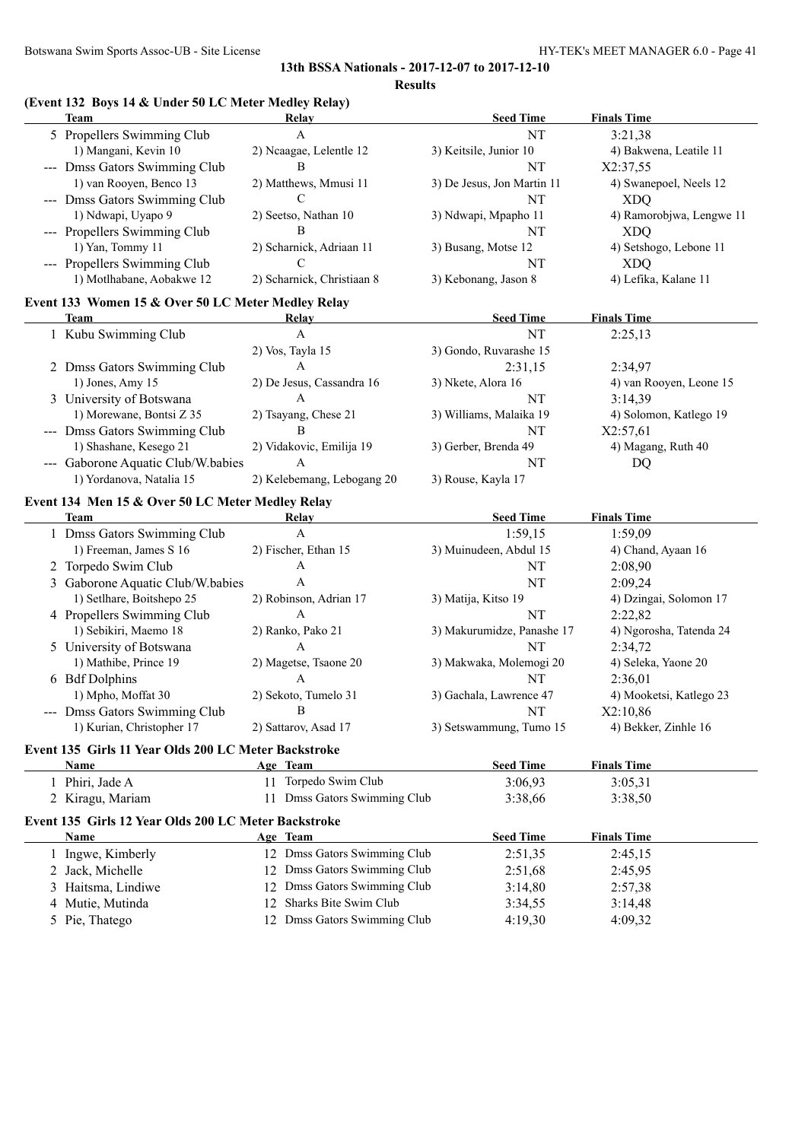**Results**

# **(Event 132 Boys 14 & Under 50 LC Meter Medley Relay)**

| $\frac{1}{2}$ and $\frac{1}{2}$ and $\frac{1}{2}$ and $\frac{1}{2}$ and $\frac{1}{2}$ and $\frac{1}{2}$ and $\frac{1}{2}$ and $\frac{1}{2}$<br>Team | <b>Relay</b>                 | <b>Seed Time</b>           | <b>Finals Time</b>       |
|-----------------------------------------------------------------------------------------------------------------------------------------------------|------------------------------|----------------------------|--------------------------|
| 5 Propellers Swimming Club                                                                                                                          | A                            | NT                         | 3:21,38                  |
| 1) Mangani, Kevin 10                                                                                                                                | 2) Ncaagae, Lelentle 12      | 3) Keitsile, Junior 10     | 4) Bakwena, Leatile 11   |
| --- Dmss Gators Swimming Club                                                                                                                       | B                            | NT                         | X2:37,55                 |
| 1) van Rooyen, Benco 13                                                                                                                             | 2) Matthews, Mmusi 11        | 3) De Jesus, Jon Martin 11 | 4) Swanepoel, Neels 12   |
| --- Dmss Gators Swimming Club                                                                                                                       | C                            | NT                         | <b>XDQ</b>               |
| 1) Ndwapi, Uyapo 9                                                                                                                                  | 2) Seetso, Nathan 10         | 3) Ndwapi, Mpapho 11       | 4) Ramorobjwa, Lengwe 11 |
| --- Propellers Swimming Club                                                                                                                        | B                            | NT                         | <b>XDQ</b>               |
| 1) Yan, Tommy 11                                                                                                                                    | 2) Scharnick, Adriaan 11     | 3) Busang, Motse 12        | 4) Setshogo, Lebone 11   |
| --- Propellers Swimming Club                                                                                                                        | C                            | NT                         | <b>XDQ</b>               |
| 1) Motlhabane, Aobakwe 12                                                                                                                           | 2) Scharnick, Christiaan 8   | 3) Kebonang, Jason 8       | 4) Lefika, Kalane 11     |
| Event 133 Women 15 & Over 50 LC Meter Medley Relay                                                                                                  |                              |                            |                          |
| Team                                                                                                                                                | Relay                        | <b>Seed Time</b>           | <b>Finals Time</b>       |
| 1 Kubu Swimming Club                                                                                                                                | A                            | NT                         | 2:25,13                  |
|                                                                                                                                                     | 2) Vos, Tayla 15             | 3) Gondo, Ruvarashe 15     |                          |
| 2 Dmss Gators Swimming Club                                                                                                                         | $\mathbf{A}$                 | 2:31,15                    | 2:34,97                  |
| 1) Jones, Amy 15                                                                                                                                    | 2) De Jesus, Cassandra 16    | 3) Nkete, Alora 16         | 4) van Rooyen, Leone 15  |
| 3 University of Botswana                                                                                                                            | A                            | NT                         | 3:14,39                  |
| 1) Morewane, Bontsi Z 35                                                                                                                            | 2) Tsayang, Chese 21         | 3) Williams, Malaika 19    | 4) Solomon, Katlego 19   |
| --- Dmss Gators Swimming Club                                                                                                                       | B                            | NT                         | X2:57,61                 |
| 1) Shashane, Kesego 21                                                                                                                              | 2) Vidakovic, Emilija 19     | 3) Gerber, Brenda 49       | 4) Magang, Ruth 40       |
| --- Gaborone Aquatic Club/W.babies                                                                                                                  | A                            | NT                         | DQ                       |
| 1) Yordanova, Natalia 15                                                                                                                            | 2) Kelebemang, Lebogang 20   | 3) Rouse, Kayla 17         |                          |
| Event 134 Men 15 & Over 50 LC Meter Medley Relay                                                                                                    |                              |                            |                          |
| <b>Team</b>                                                                                                                                         | Relay                        | <b>Seed Time</b>           | <b>Finals Time</b>       |
| 1 Dmss Gators Swimming Club                                                                                                                         | A                            | 1:59,15                    | 1:59,09                  |
| 1) Freeman, James S 16                                                                                                                              | 2) Fischer, Ethan 15         | 3) Muinudeen, Abdul 15     | 4) Chand, Ayaan 16       |
| 2 Torpedo Swim Club                                                                                                                                 | A                            | NT                         | 2:08,90                  |
| 3 Gaborone Aquatic Club/W.babies                                                                                                                    | A                            | NT                         | 2:09,24                  |
| 1) Setlhare, Boitshepo 25                                                                                                                           | 2) Robinson, Adrian 17       | 3) Matija, Kitso 19        | 4) Dzingai, Solomon 17   |
| 4 Propellers Swimming Club                                                                                                                          | A                            | NT                         | 2:22,82                  |
| 1) Sebikiri, Maemo 18                                                                                                                               | 2) Ranko, Pako 21            | 3) Makurumidze, Panashe 17 | 4) Ngorosha, Tatenda 24  |
| 5 University of Botswana                                                                                                                            | A                            | NT                         | 2:34,72                  |
| 1) Mathibe, Prince 19                                                                                                                               | 2) Magetse, Tsaone 20        | 3) Makwaka, Molemogi 20    | 4) Seleka, Yaone 20      |
| 6 Bdf Dolphins                                                                                                                                      | A                            | NT                         | 2:36,01                  |
| 1) Mpho, Moffat 30                                                                                                                                  | 2) Sekoto, Tumelo 31         | 3) Gachala, Lawrence 47    | 4) Mooketsi, Katlego 23  |
| --- Dmss Gators Swimming Club                                                                                                                       | B                            | NT                         | X2:10,86                 |
| 1) Kurian, Christopher 17                                                                                                                           | 2) Sattarov, Asad 17         | 3) Setswammung, Tumo 15    | 4) Bekker, Zinhle 16     |
| Event 135 Girls 11 Year Olds 200 LC Meter Backstroke                                                                                                |                              |                            |                          |
| <b>Name</b>                                                                                                                                         | Age Team                     | <b>Seed Time</b>           | <b>Finals Time</b>       |
| 1 Phiri, Jade A                                                                                                                                     | 11 Torpedo Swim Club         | 3:06,93                    | 3:05,31                  |
| 2 Kiragu, Mariam                                                                                                                                    | 11 Dmss Gators Swimming Club | 3:38,66                    | 3:38,50                  |
|                                                                                                                                                     |                              |                            |                          |
| Event 135 Girls 12 Year Olds 200 LC Meter Backstroke<br><b>Name</b>                                                                                 | Age Team                     | <b>Seed Time</b>           | <b>Finals Time</b>       |
| 1 Ingwe, Kimberly                                                                                                                                   | 12 Dmss Gators Swimming Club | 2:51,35                    | 2:45,15                  |
| 2 Jack, Michelle                                                                                                                                    | 12 Dmss Gators Swimming Club | 2:51,68                    | 2:45,95                  |
| 3 Haitsma, Lindiwe                                                                                                                                  | 12 Dmss Gators Swimming Club | 3:14,80                    | 2:57,38                  |
| 4 Mutie, Mutinda                                                                                                                                    | Sharks Bite Swim Club<br>12  | 3:34,55                    | 3:14,48                  |
| 5 Pie, Thatego                                                                                                                                      | 12 Dmss Gators Swimming Club | 4:19,30                    | 4:09,32                  |
|                                                                                                                                                     |                              |                            |                          |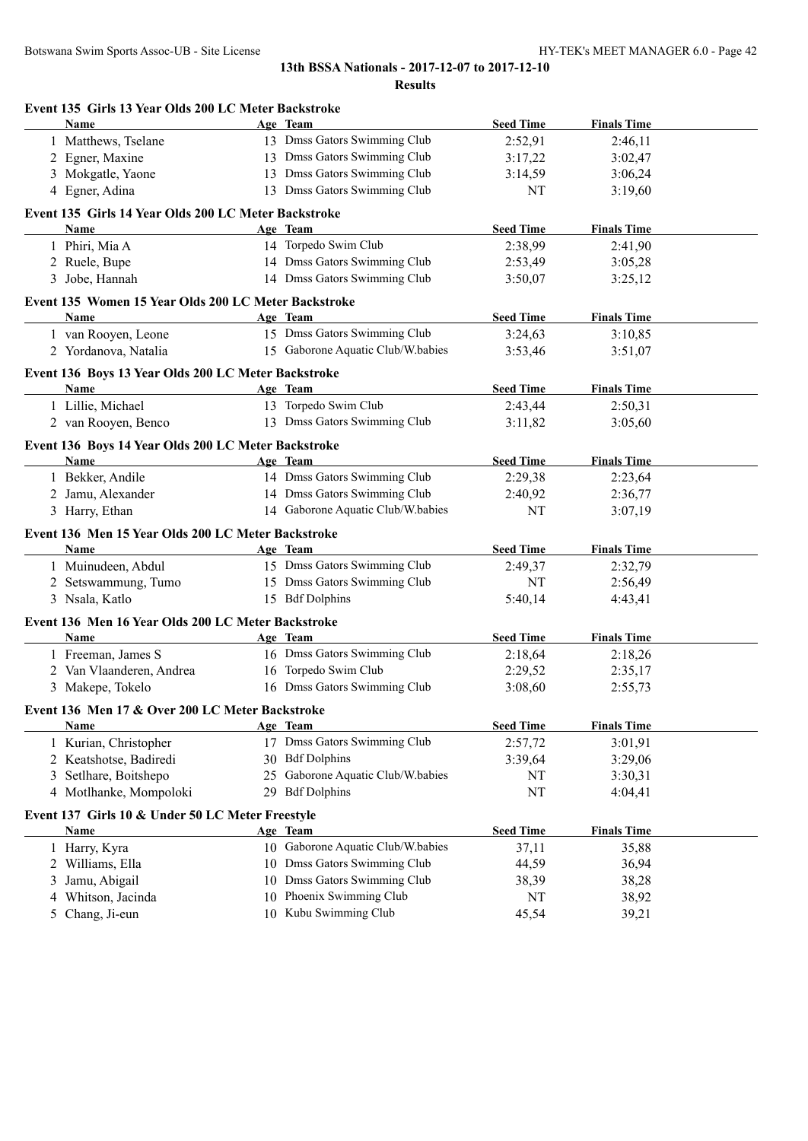|    | Event 135 Girls 13 Year Olds 200 LC Meter Backstroke       |     |                                                      |                  |                    |  |
|----|------------------------------------------------------------|-----|------------------------------------------------------|------------------|--------------------|--|
|    | Name                                                       |     | Age Team                                             | <b>Seed Time</b> | <b>Finals Time</b> |  |
|    | 1 Matthews, Tselane                                        |     | 13 Dmss Gators Swimming Club                         | 2:52,91          | 2:46,11            |  |
|    | 2 Egner, Maxine                                            |     | 13 Dmss Gators Swimming Club                         | 3:17,22          | 3:02,47            |  |
|    | 3 Mokgatle, Yaone                                          |     | 13 Dmss Gators Swimming Club                         | 3:14,59          | 3:06,24            |  |
|    | 4 Egner, Adina                                             |     | 13 Dmss Gators Swimming Club                         | NT               | 3:19,60            |  |
|    | Event 135 Girls 14 Year Olds 200 LC Meter Backstroke       |     |                                                      |                  |                    |  |
|    | Name                                                       |     | Age Team                                             | <b>Seed Time</b> | <b>Finals Time</b> |  |
|    | 1 Phiri, Mia A                                             |     | 14 Torpedo Swim Club                                 | 2:38,99          | 2:41,90            |  |
|    | 2 Ruele, Bupe                                              |     | 14 Dmss Gators Swimming Club                         | 2:53,49          | 3:05,28            |  |
|    | 3 Jobe, Hannah                                             |     | 14 Dmss Gators Swimming Club                         | 3:50,07          | 3:25,12            |  |
|    | Event 135 Women 15 Year Olds 200 LC Meter Backstroke       |     |                                                      |                  |                    |  |
|    | Name                                                       |     | Age Team                                             | <b>Seed Time</b> | <b>Finals Time</b> |  |
|    | 1 van Rooyen, Leone                                        |     | 15 Dmss Gators Swimming Club                         | 3:24,63          | 3:10,85            |  |
|    | 2 Yordanova, Natalia                                       |     | 15 Gaborone Aquatic Club/W.babies                    | 3:53,46          | 3:51,07            |  |
|    | Event 136 Boys 13 Year Olds 200 LC Meter Backstroke        |     |                                                      |                  |                    |  |
|    | <b>Name</b>                                                |     | Age Team                                             | <b>Seed Time</b> | <b>Finals Time</b> |  |
|    | 1 Lillie, Michael                                          |     | 13 Torpedo Swim Club                                 | 2:43,44          | 2:50,31            |  |
|    | 2 van Rooyen, Benco                                        |     | 13 Dmss Gators Swimming Club                         | 3:11,82          | 3:05,60            |  |
|    | Event 136 Boys 14 Year Olds 200 LC Meter Backstroke        |     |                                                      |                  |                    |  |
|    | <b>Name</b>                                                |     | Age Team                                             | <b>Seed Time</b> | <b>Finals Time</b> |  |
|    | 1 Bekker, Andile                                           |     | 14 Dmss Gators Swimming Club                         | 2:29,38          | 2:23,64            |  |
|    | 2 Jamu, Alexander                                          |     | 14 Dmss Gators Swimming Club                         | 2:40,92          | 2:36,77            |  |
|    | 3 Harry, Ethan                                             |     | 14 Gaborone Aquatic Club/W.babies                    | NT               | 3:07,19            |  |
|    |                                                            |     |                                                      |                  |                    |  |
|    | Event 136 Men 15 Year Olds 200 LC Meter Backstroke<br>Name |     | Age Team                                             | <b>Seed Time</b> | <b>Finals Time</b> |  |
|    | 1 Muinudeen, Abdul                                         |     | 15 Dmss Gators Swimming Club                         | 2:49,37          | 2:32,79            |  |
|    | 2 Setswammung, Tumo                                        |     | 15 Dmss Gators Swimming Club                         | NT               | 2:56,49            |  |
|    | 3 Nsala, Katlo                                             |     | 15 Bdf Dolphins                                      | 5:40,14          | 4:43,41            |  |
|    |                                                            |     |                                                      |                  |                    |  |
|    | Event 136 Men 16 Year Olds 200 LC Meter Backstroke         |     |                                                      |                  |                    |  |
|    | Name                                                       |     | Age Team                                             | <b>Seed Time</b> | <b>Finals Time</b> |  |
|    | 1 Freeman, James S                                         |     | 16 Dmss Gators Swimming Club                         | 2:18,64          | 2:18,26            |  |
|    | 2 Van Vlaanderen, Andrea<br>3 Makepe, Tokelo               |     | 16 Torpedo Swim Club<br>16 Dmss Gators Swimming Club | 2:29,52          | 2:35,17            |  |
|    |                                                            |     |                                                      | 3:08,60          | 2:55,73            |  |
|    | Event 136 Men 17 & Over 200 LC Meter Backstroke            |     |                                                      |                  |                    |  |
|    | Name                                                       |     | Age Team                                             | <b>Seed Time</b> | <b>Finals Time</b> |  |
|    | 1 Kurian, Christopher                                      |     | 17 Dmss Gators Swimming Club                         | 2:57,72          | 3:01,91            |  |
|    | 2 Keatshotse, Badiredi                                     |     | 30 Bdf Dolphins                                      | 3:39,64          | 3:29,06            |  |
| 3  | Setlhare, Boitshepo                                        | 25  | Gaborone Aquatic Club/W.babies                       | NT               | 3:30,31            |  |
|    | 4 Motlhanke, Mompoloki                                     | 29. | <b>Bdf Dolphins</b>                                  | NT               | 4:04,41            |  |
|    | Event 137 Girls 10 & Under 50 LC Meter Freestyle           |     |                                                      |                  |                    |  |
|    | Name                                                       |     | Age Team                                             | <b>Seed Time</b> | <b>Finals Time</b> |  |
|    | Harry, Kyra                                                |     | 10 Gaborone Aquatic Club/W.babies                    | 37,11            | 35,88              |  |
| 2  | Williams, Ella                                             | 10  | Dmss Gators Swimming Club                            | 44,59            | 36,94              |  |
| 3  | Jamu, Abigail                                              | 10  | Dmss Gators Swimming Club                            | 38,39            | 38,28              |  |
| 4  | Whitson, Jacinda                                           | 10  | Phoenix Swimming Club                                | NT               | 38,92              |  |
| 5. | Chang, Ji-eun                                              |     | 10 Kubu Swimming Club                                | 45,54            | 39,21              |  |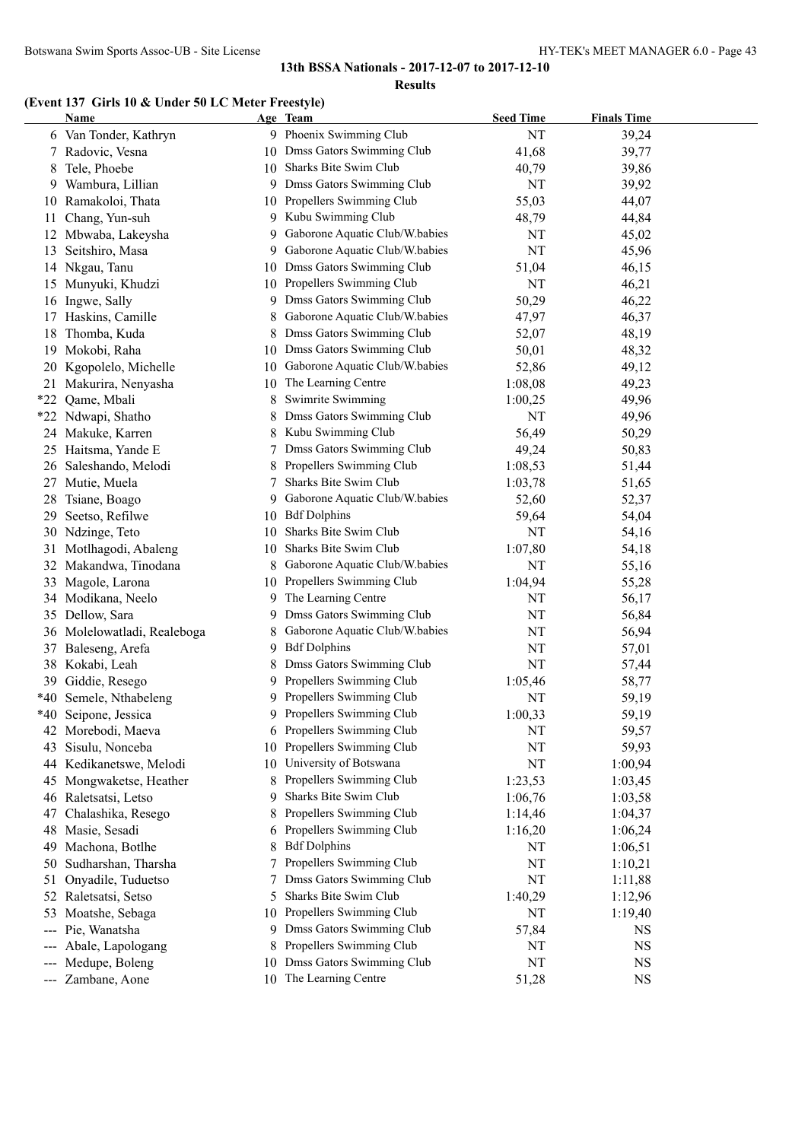#### **Results**

# **(Event 137 Girls 10 & Under 50 LC Meter Freestyle)**

|                                                                                                                                                                                                                                                                                                                                                                                              | <b>Name</b>                                    |    | Age Team                       | <b>Seed Time</b> | <b>Finals Time</b> |  |
|----------------------------------------------------------------------------------------------------------------------------------------------------------------------------------------------------------------------------------------------------------------------------------------------------------------------------------------------------------------------------------------------|------------------------------------------------|----|--------------------------------|------------------|--------------------|--|
|                                                                                                                                                                                                                                                                                                                                                                                              | 6 Van Tonder, Kathryn                          |    | 9 Phoenix Swimming Club        | NT               | 39,24              |  |
| 7.                                                                                                                                                                                                                                                                                                                                                                                           | Radovic, Vesna                                 |    | 10 Dmss Gators Swimming Club   | 41,68            | 39,77              |  |
| 8                                                                                                                                                                                                                                                                                                                                                                                            | Tele, Phoebe                                   | 10 | Sharks Bite Swim Club          | 40,79            | 39,86              |  |
| 9.                                                                                                                                                                                                                                                                                                                                                                                           | Wambura, Lillian                               | 9  | Dmss Gators Swimming Club      | NT               | 39,92              |  |
|                                                                                                                                                                                                                                                                                                                                                                                              | 10 Ramakoloi, Thata                            | 10 | Propellers Swimming Club       | 55,03            | 44,07              |  |
| 11                                                                                                                                                                                                                                                                                                                                                                                           | Chang, Yun-suh                                 | 9  | Kubu Swimming Club             | 48,79            | 44,84              |  |
|                                                                                                                                                                                                                                                                                                                                                                                              | 12 Mbwaba, Lakeysha                            | 9  | Gaborone Aquatic Club/W.babies | NT               | 45,02              |  |
| 13                                                                                                                                                                                                                                                                                                                                                                                           | Seitshiro, Masa                                | 9  | Gaborone Aquatic Club/W.babies | NT               | 45,96              |  |
|                                                                                                                                                                                                                                                                                                                                                                                              | 14 Nkgau, Tanu                                 | 10 | Dmss Gators Swimming Club      | 51,04            | 46,15              |  |
|                                                                                                                                                                                                                                                                                                                                                                                              | 15 Munyuki, Khudzi                             | 10 | Propellers Swimming Club       | NT               | 46,21              |  |
|                                                                                                                                                                                                                                                                                                                                                                                              | 16 Ingwe, Sally                                | 9  | Dmss Gators Swimming Club      | 50,29            | 46,22              |  |
| 17                                                                                                                                                                                                                                                                                                                                                                                           | Haskins, Camille                               | 8  | Gaborone Aquatic Club/W.babies | 47,97            | 46,37              |  |
| 18                                                                                                                                                                                                                                                                                                                                                                                           | Thomba, Kuda                                   | 8  | Dmss Gators Swimming Club      | 52,07            | 48,19              |  |
| 19                                                                                                                                                                                                                                                                                                                                                                                           | Mokobi, Raha                                   | 10 | Dmss Gators Swimming Club      | 50,01            | 48,32              |  |
| 20                                                                                                                                                                                                                                                                                                                                                                                           | Kgopolelo, Michelle                            | 10 | Gaborone Aquatic Club/W.babies | 52,86            | 49,12              |  |
| 21.                                                                                                                                                                                                                                                                                                                                                                                          | Makurira, Nenyasha                             | 10 | The Learning Centre            | 1:08,08          | 49,23              |  |
| $*22$                                                                                                                                                                                                                                                                                                                                                                                        | Qame, Mbali                                    | 8  | Swimrite Swimming              | 1:00,25          | 49,96              |  |
| $*22$                                                                                                                                                                                                                                                                                                                                                                                        | Ndwapi, Shatho                                 |    | Dmss Gators Swimming Club      | NT               | 49,96              |  |
|                                                                                                                                                                                                                                                                                                                                                                                              | 24 Makuke, Karren                              |    | Kubu Swimming Club             | 56,49            | 50,29              |  |
|                                                                                                                                                                                                                                                                                                                                                                                              | 25 Haitsma, Yande E                            |    | Dmss Gators Swimming Club      | 49,24            | 50,83              |  |
|                                                                                                                                                                                                                                                                                                                                                                                              | 26 Saleshando, Melodi                          |    | Propellers Swimming Club       | 1:08,53          | 51,44              |  |
| 27                                                                                                                                                                                                                                                                                                                                                                                           | Mutie, Muela                                   |    | Sharks Bite Swim Club          | 1:03,78          | 51,65              |  |
| 28                                                                                                                                                                                                                                                                                                                                                                                           | Tsiane, Boago                                  | 9  | Gaborone Aquatic Club/W.babies | 52,60            | 52,37              |  |
| 29                                                                                                                                                                                                                                                                                                                                                                                           | Seetso, Refilwe                                | 10 | <b>Bdf Dolphins</b>            | 59,64            | 54,04              |  |
| 30                                                                                                                                                                                                                                                                                                                                                                                           | Ndzinge, Teto                                  | 10 | Sharks Bite Swim Club          | NT               | 54,16              |  |
| 31                                                                                                                                                                                                                                                                                                                                                                                           | Motlhagodi, Abaleng                            | 10 | Sharks Bite Swim Club          | 1:07,80          | 54,18              |  |
| 32                                                                                                                                                                                                                                                                                                                                                                                           | Makandwa, Tinodana                             | 8  | Gaborone Aquatic Club/W.babies | NT               | 55,16              |  |
| 33                                                                                                                                                                                                                                                                                                                                                                                           | Magole, Larona                                 | 10 | Propellers Swimming Club       | 1:04,94          | 55,28              |  |
| 34                                                                                                                                                                                                                                                                                                                                                                                           | Modikana, Neelo                                | 9  | The Learning Centre            | NT               | 56,17              |  |
|                                                                                                                                                                                                                                                                                                                                                                                              | 35 Dellow, Sara                                | 9  | Dmss Gators Swimming Club      | NT               | 56,84              |  |
|                                                                                                                                                                                                                                                                                                                                                                                              | 36 Molelowatladi, Realeboga                    | 8  | Gaborone Aquatic Club/W.babies | NT               | 56,94              |  |
| 37                                                                                                                                                                                                                                                                                                                                                                                           | Baleseng, Arefa                                | 9  | <b>Bdf</b> Dolphins            | NT               | 57,01              |  |
|                                                                                                                                                                                                                                                                                                                                                                                              | 38 Kokabi, Leah                                | 8  | Dmss Gators Swimming Club      | NT               | 57,44              |  |
|                                                                                                                                                                                                                                                                                                                                                                                              | 39 Giddie, Resego                              | 9  | Propellers Swimming Club       | 1:05,46          | 58,77              |  |
|                                                                                                                                                                                                                                                                                                                                                                                              |                                                | 9  | Propellers Swimming Club       | NT               |                    |  |
|                                                                                                                                                                                                                                                                                                                                                                                              | *40 Semele, Nthabeleng<br>*40 Seipone, Jessica |    | 9 Propellers Swimming Club     | 1:00,33          | 59,19<br>59,19     |  |
|                                                                                                                                                                                                                                                                                                                                                                                              |                                                |    | 6 Propellers Swimming Club     |                  |                    |  |
|                                                                                                                                                                                                                                                                                                                                                                                              | 42 Morebodi, Maeva                             |    | Propellers Swimming Club       | NT               | 59,57              |  |
| 43                                                                                                                                                                                                                                                                                                                                                                                           | Sisulu, Nonceba                                | 10 |                                | NT               | 59,93              |  |
| 44                                                                                                                                                                                                                                                                                                                                                                                           | Kedikanetswe, Melodi                           | 10 | University of Botswana         | NT               | 1:00,94            |  |
| 45                                                                                                                                                                                                                                                                                                                                                                                           | Mongwaketse, Heather                           | 8  | Propellers Swimming Club       | 1:23,53          | 1:03,45            |  |
| 46                                                                                                                                                                                                                                                                                                                                                                                           | Raletsatsi, Letso                              | 9  | Sharks Bite Swim Club          | 1:06,76          | 1:03,58            |  |
| 47                                                                                                                                                                                                                                                                                                                                                                                           | Chalashika, Resego                             | 8  | Propellers Swimming Club       | 1:14,46          | 1:04,37            |  |
| 48                                                                                                                                                                                                                                                                                                                                                                                           | Masie, Sesadi                                  | 6  | Propellers Swimming Club       | 1:16,20          | 1:06,24            |  |
| 49                                                                                                                                                                                                                                                                                                                                                                                           | Machona, Botlhe                                | 8  | <b>Bdf Dolphins</b>            | NT               | 1:06,51            |  |
| 50                                                                                                                                                                                                                                                                                                                                                                                           | Sudharshan, Tharsha                            |    | Propellers Swimming Club       | NT               | 1:10,21            |  |
| 51                                                                                                                                                                                                                                                                                                                                                                                           | Onyadile, Tuduetso                             |    | Dmss Gators Swimming Club      | NT               | 1:11,88            |  |
| 52                                                                                                                                                                                                                                                                                                                                                                                           | Raletsatsi, Setso                              | 5  | Sharks Bite Swim Club          | 1:40,29          | 1:12,96            |  |
| 53                                                                                                                                                                                                                                                                                                                                                                                           | Moatshe, Sebaga                                | 10 | Propellers Swimming Club       | NT               | 1:19,40            |  |
| $\qquad \qquad \text{---}$                                                                                                                                                                                                                                                                                                                                                                   | Pie, Wanatsha                                  |    | 9 Dmss Gators Swimming Club    | 57,84            | NS.                |  |
| $---$                                                                                                                                                                                                                                                                                                                                                                                        | Abale, Lapologang                              | 8  | Propellers Swimming Club       | NT               | <b>NS</b>          |  |
| $\hspace{0.05cm} \ldots \hspace{0.05cm}$                                                                                                                                                                                                                                                                                                                                                     | Medupe, Boleng                                 | 10 | Dmss Gators Swimming Club      | NT               | NS                 |  |
| $\frac{1}{2} \frac{1}{2} \frac{1}{2} \frac{1}{2} \frac{1}{2} \frac{1}{2} \frac{1}{2} \frac{1}{2} \frac{1}{2} \frac{1}{2} \frac{1}{2} \frac{1}{2} \frac{1}{2} \frac{1}{2} \frac{1}{2} \frac{1}{2} \frac{1}{2} \frac{1}{2} \frac{1}{2} \frac{1}{2} \frac{1}{2} \frac{1}{2} \frac{1}{2} \frac{1}{2} \frac{1}{2} \frac{1}{2} \frac{1}{2} \frac{1}{2} \frac{1}{2} \frac{1}{2} \frac{1}{2} \frac{$ | Zambane, Aone                                  |    | 10 The Learning Centre         | 51,28            | <b>NS</b>          |  |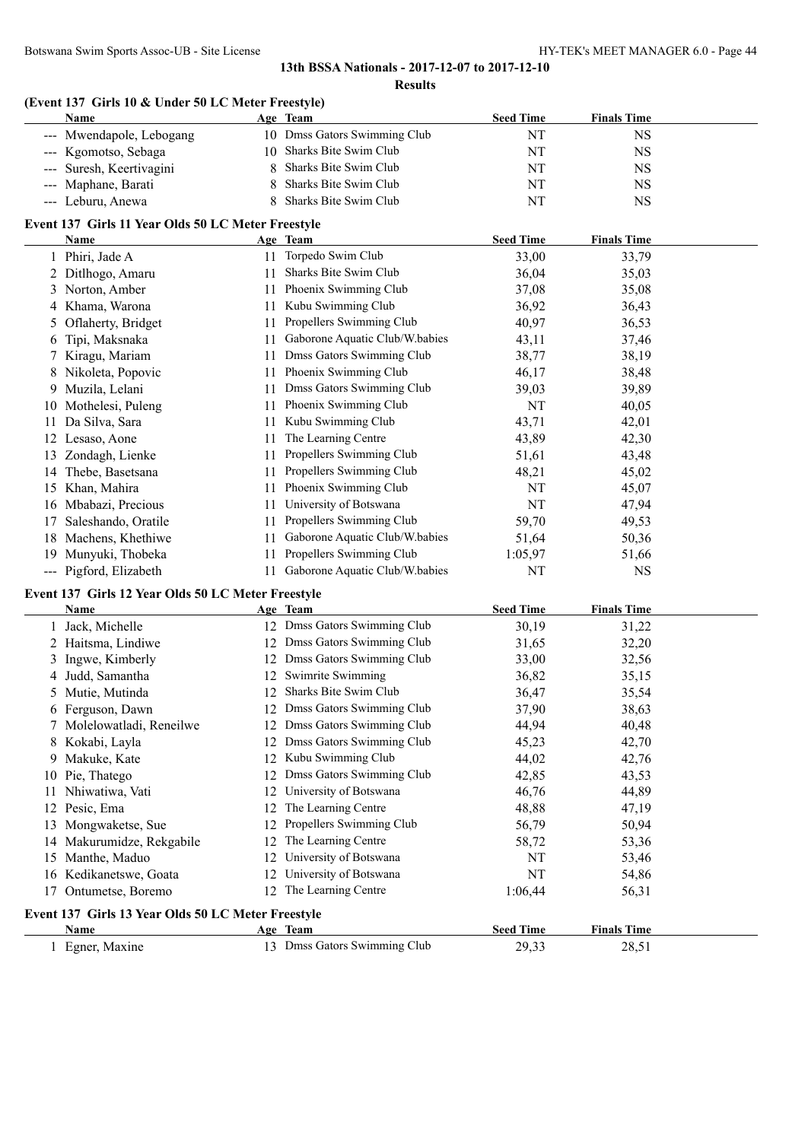#### **Results**

#### **(Event 137 Girls 10 & Under 50 LC Meter Freestyle)**

|     | <b>Name</b>                                        |    | Age Team                          | <b>Seed Time</b> | <b>Finals Time</b> |  |
|-----|----------------------------------------------------|----|-----------------------------------|------------------|--------------------|--|
|     | --- Mwendapole, Lebogang                           |    | 10 Dmss Gators Swimming Club      | NT               | <b>NS</b>          |  |
|     | Kgomotso, Sebaga                                   |    | 10 Sharks Bite Swim Club          | NT               | <b>NS</b>          |  |
|     | Suresh, Keertivagini                               |    | Sharks Bite Swim Club             | NT               | <b>NS</b>          |  |
|     | Maphane, Barati                                    |    | Sharks Bite Swim Club             | NT               | <b>NS</b>          |  |
|     | --- Leburu, Anewa                                  | 8  | Sharks Bite Swim Club             | NT               | <b>NS</b>          |  |
|     | Event 137 Girls 11 Year Olds 50 LC Meter Freestyle |    |                                   |                  |                    |  |
|     | Name                                               |    | Age Team                          | <b>Seed Time</b> | <b>Finals Time</b> |  |
|     | 1 Phiri, Jade A                                    |    | 11 Torpedo Swim Club              | 33,00            | 33,79              |  |
|     | 2 Ditlhogo, Amaru                                  | 11 | Sharks Bite Swim Club             | 36,04            | 35,03              |  |
|     | 3 Norton, Amber                                    | 11 | Phoenix Swimming Club             | 37,08            | 35,08              |  |
|     | 4 Khama, Warona                                    | 11 | Kubu Swimming Club                | 36,92            | 36,43              |  |
| 5   | Oflaherty, Bridget                                 | 11 | Propellers Swimming Club          | 40,97            | 36,53              |  |
| 6   | Tipi, Maksnaka                                     | 11 | Gaborone Aquatic Club/W.babies    | 43,11            | 37,46              |  |
|     | 7 Kiragu, Mariam                                   | 11 | Dmss Gators Swimming Club         | 38,77            | 38,19              |  |
| 8   | Nikoleta, Popovic                                  | 11 | Phoenix Swimming Club             | 46,17            | 38,48              |  |
| 9.  | Muzila, Lelani                                     | 11 | Dmss Gators Swimming Club         | 39,03            | 39,89              |  |
| 10  | Mothelesi, Puleng                                  | 11 | Phoenix Swimming Club             | NT               | 40,05              |  |
| 11. | Da Silva, Sara                                     | 11 | Kubu Swimming Club                | 43,71            | 42,01              |  |
|     | 12 Lesaso, Aone                                    | 11 | The Learning Centre               | 43,89            | 42,30              |  |
|     | 13 Zondagh, Lienke                                 | 11 | Propellers Swimming Club          | 51,61            | 43,48              |  |
| 14  | Thebe, Basetsana                                   | 11 | Propellers Swimming Club          | 48,21            | 45,02              |  |
|     | 15 Khan, Mahira                                    |    | 11 Phoenix Swimming Club          | NT               | 45,07              |  |
|     | 16 Mbabazi, Precious                               | 11 | University of Botswana            | NT               | 47,94              |  |
| 17  | Saleshando, Oratile                                | 11 | Propellers Swimming Club          | 59,70            | 49,53              |  |
| 18  | Machens, Khethiwe                                  | 11 | Gaborone Aquatic Club/W.babies    | 51,64            | 50,36              |  |
| 19  | Munyuki, Thobeka                                   | 11 | Propellers Swimming Club          | 1:05,97          | 51,66              |  |
|     | --- Pigford, Elizabeth                             |    | 11 Gaborone Aquatic Club/W.babies | NT               | <b>NS</b>          |  |
|     | Event 137 Girls 12 Year Olds 50 LC Meter Freestyle |    |                                   |                  |                    |  |
|     | Name                                               |    | Age Team                          | <b>Seed Time</b> | <b>Finals Time</b> |  |
|     | 1 Jack, Michelle                                   |    | 12 Dmss Gators Swimming Club      | 30,19            | 31,22              |  |
|     | 2 Haitsma, Lindiwe                                 |    | 12 Dmss Gators Swimming Club      | 31,65            | 32,20              |  |
|     | 3 Ingwe, Kimberly                                  |    | 12 Dmss Gators Swimming Club      | 33,00            | 32,56              |  |
|     | 4 Judd, Samantha                                   |    | 12 Swimrite Swimming              | 36,82            | 35,15              |  |
|     | 5 Mutie, Mutinda                                   |    | 12 Sharks Bite Swim Club          | 36,47            | 35,54              |  |

|    | 1 Egner, Maxine                                    | 13 Dmss Gators Swimming Club | 29.33            | 28,51              |  |
|----|----------------------------------------------------|------------------------------|------------------|--------------------|--|
|    | <b>Name</b>                                        | Age Team                     | <b>Seed Time</b> | <b>Finals Time</b> |  |
|    | Event 137 Girls 13 Year Olds 50 LC Meter Freestyle |                              |                  |                    |  |
| 17 | Ontumetse, Boremo                                  | 12 The Learning Centre       | 1:06.44          | 56,31              |  |
|    | 16 Kedikanetswe, Goata                             | 12 University of Botswana    | NT               | 54,86              |  |
|    | 15 Manthe, Maduo                                   | 12 University of Botswana    | NT               | 53,46              |  |
|    | 14 Makurumidze, Rekgabile                          | 12 The Learning Centre       | 58,72            | 53,36              |  |

6 Ferguson, Dawn 12 Dmss Gators Swimming Club 37,90 38,63 7 Molelowatladi, Reneilwe 12 Dmss Gators Swimming Club 44,94 40,48 8 Kokabi, Layla 12 Dmss Gators Swimming Club 45,23 42,70 9 Makuke, Kate 12 Kubu Swimming Club 44,02 42,76 10 Pie, Thatego 12 Dmss Gators Swimming Club 42,85 43,53 11 Nhiwatiwa, Vati 12 University of Botswana 46,76 44,89 12 Pesic, Ema 12 The Learning Centre 48,88 47,19 13 Mongwaketse, Sue 12 Propellers Swimming Club 56,79 50,94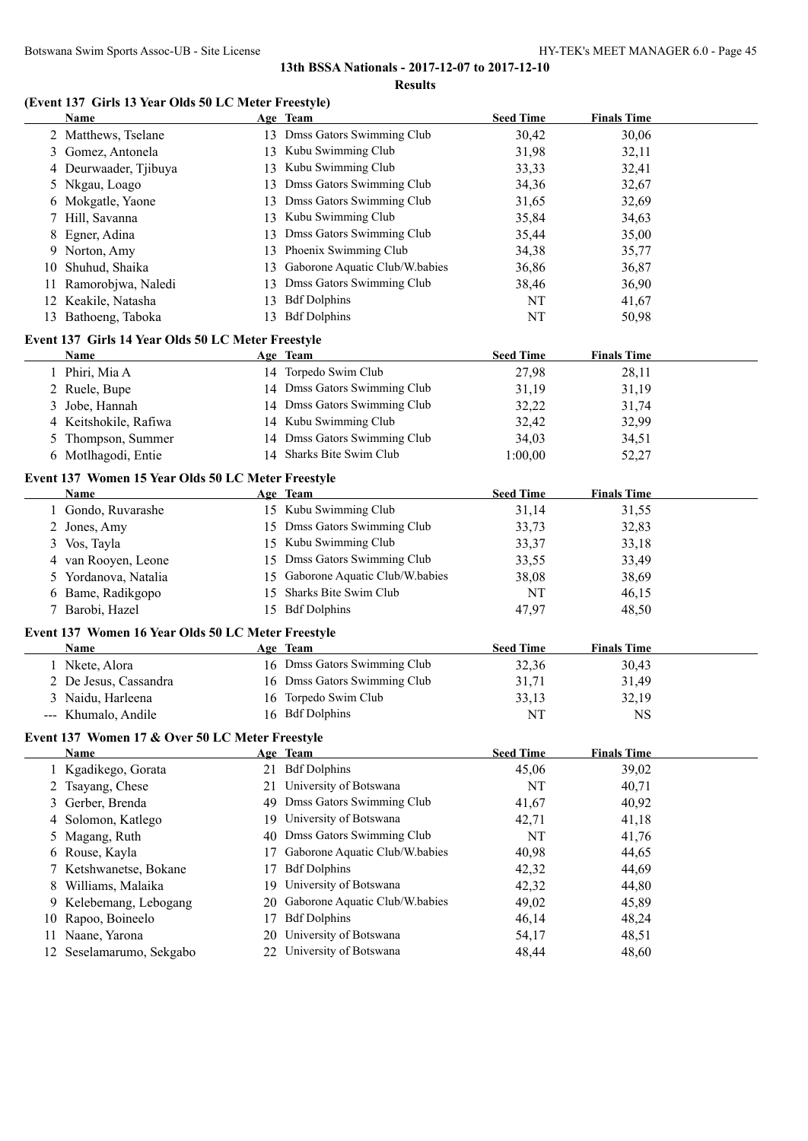#### **Results**

# **(Event 137 Girls 13 Year Olds 50 LC Meter Freestyle)**

|    | <b>Name</b>                                                |    | Age Team                                 | <b>Seed Time</b> | <b>Finals Time</b> |  |
|----|------------------------------------------------------------|----|------------------------------------------|------------------|--------------------|--|
|    | 2 Matthews, Tselane                                        |    | 13 Dmss Gators Swimming Club             | 30,42            | 30,06              |  |
| 3  | Gomez, Antonela                                            |    | 13 Kubu Swimming Club                    | 31,98            | 32,11              |  |
| 4  | Deurwaader, Tjibuya                                        | 13 | Kubu Swimming Club                       | 33,33            | 32,41              |  |
| 5  | Nkgau, Loago                                               | 13 | Dmss Gators Swimming Club                | 34,36            | 32,67              |  |
| 6  | Mokgatle, Yaone                                            | 13 | Dmss Gators Swimming Club                | 31,65            | 32,69              |  |
|    | Hill, Savanna                                              | 13 | Kubu Swimming Club                       | 35,84            | 34,63              |  |
| 8  | Egner, Adina                                               | 13 | Dmss Gators Swimming Club                | 35,44            | 35,00              |  |
|    | 9 Norton, Amy                                              | 13 | Phoenix Swimming Club                    | 34,38            | 35,77              |  |
|    | 10 Shuhud, Shaika                                          | 13 | Gaborone Aquatic Club/W.babies           | 36,86            | 36,87              |  |
|    | 11 Ramorobjwa, Naledi                                      | 13 | Dmss Gators Swimming Club                | 38,46            | 36,90              |  |
|    | 12 Keakile, Natasha                                        | 13 | <b>Bdf Dolphins</b>                      | NT               | 41,67              |  |
|    | 13 Bathoeng, Taboka                                        |    | 13 Bdf Dolphins                          | NT               | 50,98              |  |
|    |                                                            |    |                                          |                  |                    |  |
|    | Event 137 Girls 14 Year Olds 50 LC Meter Freestyle         |    |                                          |                  |                    |  |
|    | Name                                                       |    | Age Team                                 | <b>Seed Time</b> | <b>Finals Time</b> |  |
|    | 1 Phiri, Mia A                                             |    | 14 Torpedo Swim Club                     | 27,98            | 28,11              |  |
|    | 2 Ruele, Bupe                                              |    | 14 Dmss Gators Swimming Club             | 31,19            | 31,19              |  |
| 3  | Jobe, Hannah                                               |    | 14 Dmss Gators Swimming Club             | 32,22            | 31,74              |  |
|    | 4 Keitshokile, Rafiwa                                      |    | 14 Kubu Swimming Club                    | 32,42            | 32,99              |  |
|    | 5 Thompson, Summer                                         |    | 14 Dmss Gators Swimming Club             | 34,03            | 34,51              |  |
|    | 6 Motlhagodi, Entie                                        |    | 14 Sharks Bite Swim Club                 | 1:00,00          | 52,27              |  |
|    | Event 137 Women 15 Year Olds 50 LC Meter Freestyle         |    |                                          |                  |                    |  |
|    | Name                                                       |    | Age Team                                 | <b>Seed Time</b> | <b>Finals Time</b> |  |
|    | 1 Gondo, Ruvarashe                                         |    | 15 Kubu Swimming Club                    | 31,14            | 31,55              |  |
|    | 2 Jones, Amy                                               |    | 15 Dmss Gators Swimming Club             | 33,73            | 32,83              |  |
| 3  | Vos, Tayla                                                 | 15 | Kubu Swimming Club                       | 33,37            | 33,18              |  |
|    | 4 van Rooyen, Leone                                        | 15 | Dmss Gators Swimming Club                | 33,55            | 33,49              |  |
| 5  | Yordanova, Natalia                                         | 15 | Gaborone Aquatic Club/W.babies           | 38,08            | 38,69              |  |
|    | 6 Bame, Radikgopo                                          | 15 | Sharks Bite Swim Club                    | NT               | 46,15              |  |
|    | 7 Barobi, Hazel                                            |    | 15 Bdf Dolphins                          | 47,97            | 48,50              |  |
|    |                                                            |    |                                          |                  |                    |  |
|    | Event 137 Women 16 Year Olds 50 LC Meter Freestyle<br>Name |    |                                          | <b>Seed Time</b> | <b>Finals Time</b> |  |
|    |                                                            |    | Age Team<br>16 Dmss Gators Swimming Club | 32,36            |                    |  |
|    | 1 Nkete, Alora<br>2 De Jesus, Cassandra                    |    | 16 Dmss Gators Swimming Club             |                  | 30,43              |  |
|    |                                                            |    | Torpedo Swim Club                        | 31,71            | 31,49              |  |
|    | 3 Naidu, Harleena                                          | 16 | 16 Bdf Dolphins                          | 33,13<br>NT      | 32,19              |  |
|    | --- Khumalo, Andile                                        |    |                                          |                  | <b>NS</b>          |  |
|    | Event 137 Women 17 & Over 50 LC Meter Freestyle            |    |                                          |                  |                    |  |
|    | Name                                                       |    | Age Team                                 | <b>Seed Time</b> | <b>Finals Time</b> |  |
|    | 1 Kgadikego, Gorata                                        |    | 21 Bdf Dolphins                          | 45,06            | 39,02              |  |
|    | 2 Tsayang, Chese                                           | 21 | University of Botswana                   | NT               | 40,71              |  |
| 3  | Gerber, Brenda                                             | 49 | Dmss Gators Swimming Club                | 41,67            | 40,92              |  |
| 4  | Solomon, Katlego                                           | 19 | University of Botswana                   | 42,71            | 41,18              |  |
| 5  | Magang, Ruth                                               | 40 | Dmss Gators Swimming Club                | NT               | 41,76              |  |
| 6  | Rouse, Kayla                                               | 17 | Gaborone Aquatic Club/W.babies           | 40,98            | 44,65              |  |
| 7  | Ketshwanetse, Bokane                                       | 17 | <b>Bdf Dolphins</b>                      | 42,32            | 44,69              |  |
| 8  | Williams, Malaika                                          | 19 | University of Botswana                   | 42,32            | 44,80              |  |
| 9  | Kelebemang, Lebogang                                       | 20 | Gaborone Aquatic Club/W.babies           | 49,02            | 45,89              |  |
| 10 | Rapoo, Boineelo                                            | 17 | <b>Bdf Dolphins</b>                      | 46,14            | 48,24              |  |
| 11 | Naane, Yarona                                              | 20 | University of Botswana                   | 54,17            | 48,51              |  |
|    | 12 Seselamarumo, Sekgabo                                   |    | 22 University of Botswana                | 48,44            | 48,60              |  |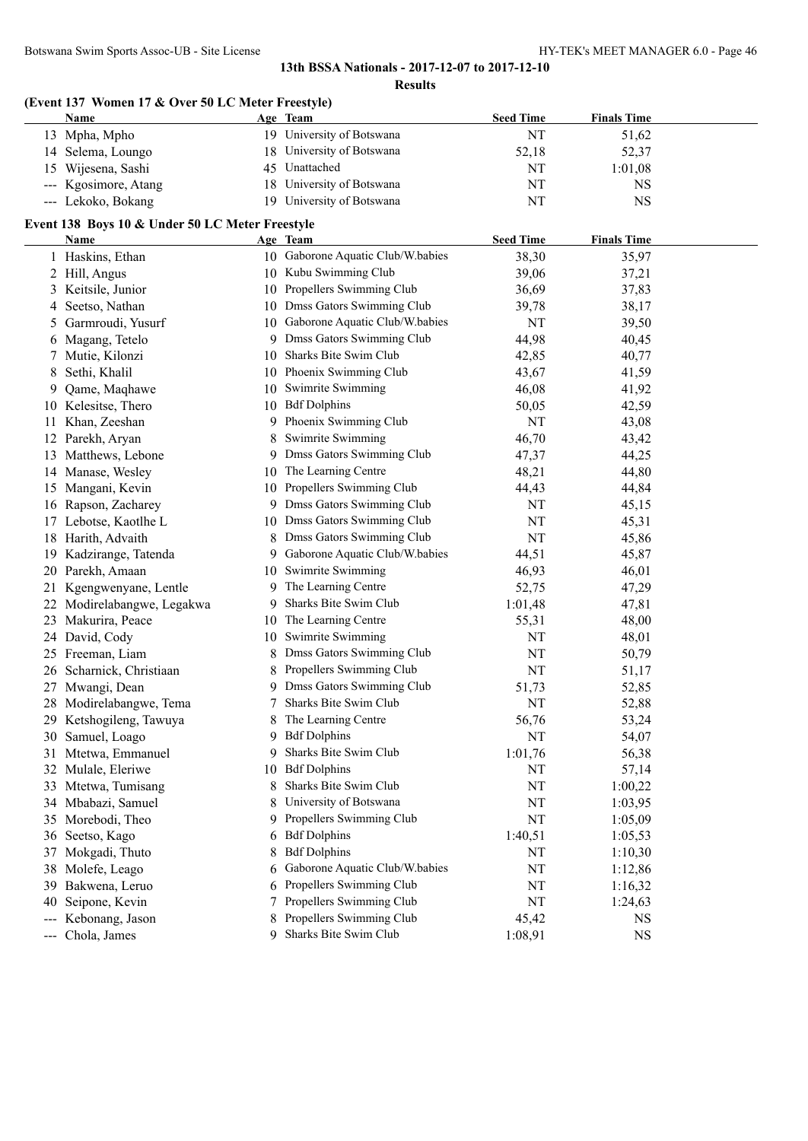**Results**

#### **(Event 137 Women 17 & Over 50 LC Meter Freestyle)**

|     | Name                                            |    | Age Team                          | <b>Seed Time</b> | <b>Finals Time</b> |  |
|-----|-------------------------------------------------|----|-----------------------------------|------------------|--------------------|--|
|     | 13 Mpha, Mpho                                   |    | 19 University of Botswana         | NT               | 51,62              |  |
|     | 14 Selema, Loungo                               |    | 18 University of Botswana         | 52,18            | 52,37              |  |
|     | 15 Wijesena, Sashi                              |    | 45 Unattached                     | NT               | 1:01,08            |  |
|     | --- Kgosimore, Atang                            |    | 18 University of Botswana         | NT               | NS                 |  |
|     | --- Lekoko, Bokang                              |    | 19 University of Botswana         | NT               | <b>NS</b>          |  |
|     | Event 138 Boys 10 & Under 50 LC Meter Freestyle |    |                                   |                  |                    |  |
|     | Name                                            |    | Age Team                          | <b>Seed Time</b> | <b>Finals Time</b> |  |
|     | 1 Haskins, Ethan                                |    | 10 Gaborone Aquatic Club/W.babies | 38,30            | 35,97              |  |
|     | 2 Hill, Angus                                   |    | 10 Kubu Swimming Club             | 39,06            | 37,21              |  |
|     | 3 Keitsile, Junior                              |    | 10 Propellers Swimming Club       | 36,69            | 37,83              |  |
|     | 4 Seetso, Nathan                                |    | 10 Dmss Gators Swimming Club      | 39,78            | 38,17              |  |
|     | 5 Garmroudi, Yusurf                             |    | 10 Gaborone Aquatic Club/W.babies | NT               | 39,50              |  |
|     |                                                 |    | 9 Dmss Gators Swimming Club       | 44,98            |                    |  |
| 6   | Magang, Tetelo                                  |    | 10 Sharks Bite Swim Club          |                  | 40,45              |  |
|     | 7 Mutie, Kilonzi                                |    |                                   | 42,85            | 40,77              |  |
| 8   | Sethi, Khalil                                   |    | 10 Phoenix Swimming Club          | 43,67            | 41,59              |  |
| 9   | Qame, Maqhawe                                   |    | 10 Swimrite Swimming              | 46,08            | 41,92              |  |
|     | 10 Kelesitse, Thero                             |    | 10 Bdf Dolphins                   | 50,05            | 42,59              |  |
|     | 11 Khan, Zeeshan                                |    | 9 Phoenix Swimming Club           | NT               | 43,08              |  |
|     | 12 Parekh, Aryan                                | 8  | Swimrite Swimming                 | 46,70            | 43,42              |  |
|     | 13 Matthews, Lebone                             |    | 9 Dmss Gators Swimming Club       | 47,37            | 44,25              |  |
|     | 14 Manase, Wesley                               |    | 10 The Learning Centre            | 48,21            | 44,80              |  |
|     | 15 Mangani, Kevin                               |    | 10 Propellers Swimming Club       | 44,43            | 44,84              |  |
|     | 16 Rapson, Zacharey                             |    | 9 Dmss Gators Swimming Club       | NT               | 45,15              |  |
|     | 17 Lebotse, Kaotlhe L                           |    | 10 Dmss Gators Swimming Club      | NT               | 45,31              |  |
|     | 18 Harith, Advaith                              |    | 8 Dmss Gators Swimming Club       | NT               | 45,86              |  |
|     | 19 Kadzirange, Tatenda                          | 9  | Gaborone Aquatic Club/W.babies    | 44,51            | 45,87              |  |
| 20  | Parekh, Amaan                                   | 10 | Swimrite Swimming                 | 46,93            | 46,01              |  |
| 21  | Kgengwenyane, Lentle                            | 9  | The Learning Centre               | 52,75            | 47,29              |  |
|     | 22 Modirelabangwe, Legakwa                      | 9  | Sharks Bite Swim Club             | 1:01,48          | 47,81              |  |
|     | 23 Makurira, Peace                              | 10 | The Learning Centre               | 55,31            | 48,00              |  |
|     | 24 David, Cody                                  | 10 | Swimrite Swimming                 | NT               | 48,01              |  |
|     | 25 Freeman, Liam                                | 8  | Dmss Gators Swimming Club         | NT               | 50,79              |  |
|     | 26 Scharnick, Christiaan                        | 8  | Propellers Swimming Club          | NT               | 51,17              |  |
|     | 27 Mwangi, Dean                                 |    | 9 Dmss Gators Swimming Club       | 51,73            | 52,85              |  |
|     | 28 Modirelabangwe, Tema                         |    | Sharks Bite Swim Club             | NT               | 52,88              |  |
|     | 29 Ketshogileng, Tawuya                         |    | 8 The Learning Centre             | 56,76            | 53,24              |  |
|     | 30 Samuel, Loago                                |    | 9 Bdf Dolphins                    | NT               | 54,07              |  |
|     | 31 Mtetwa, Emmanuel                             | 9  | Sharks Bite Swim Club             | 1:01,76          | 56,38              |  |
|     | 32 Mulale, Eleriwe                              |    | 10 Bdf Dolphins                   | NT               | 57,14              |  |
|     | 33 Mtetwa, Tumisang                             | 8  | Sharks Bite Swim Club             | NT               | 1:00,22            |  |
|     | 34 Mbabazi, Samuel                              | 8  | University of Botswana            | NT               | 1:03,95            |  |
|     | 35 Morebodi, Theo                               | 9  | Propellers Swimming Club          | NT               | 1:05,09            |  |
|     | 36 Seetso, Kago                                 | 6  | <b>Bdf Dolphins</b>               | 1:40,51          | 1:05,53            |  |
| 37  | Mokgadi, Thuto                                  | 8  | <b>Bdf Dolphins</b>               | NT               | 1:10,30            |  |
|     | 38 Molefe, Leago                                | 6  | Gaborone Aquatic Club/W.babies    | NT               | 1:12,86            |  |
| 39  | Bakwena, Leruo                                  | 6  | Propellers Swimming Club          | NT               | 1:16,32            |  |
| 40  | Seipone, Kevin                                  |    | Propellers Swimming Club          | NT               | 1:24,63            |  |
| --- | Kebonang, Jason                                 |    | Propellers Swimming Club          | 45,42            | NS                 |  |
| --- | Chola, James                                    |    | 9 Sharks Bite Swim Club           | 1:08,91          | <b>NS</b>          |  |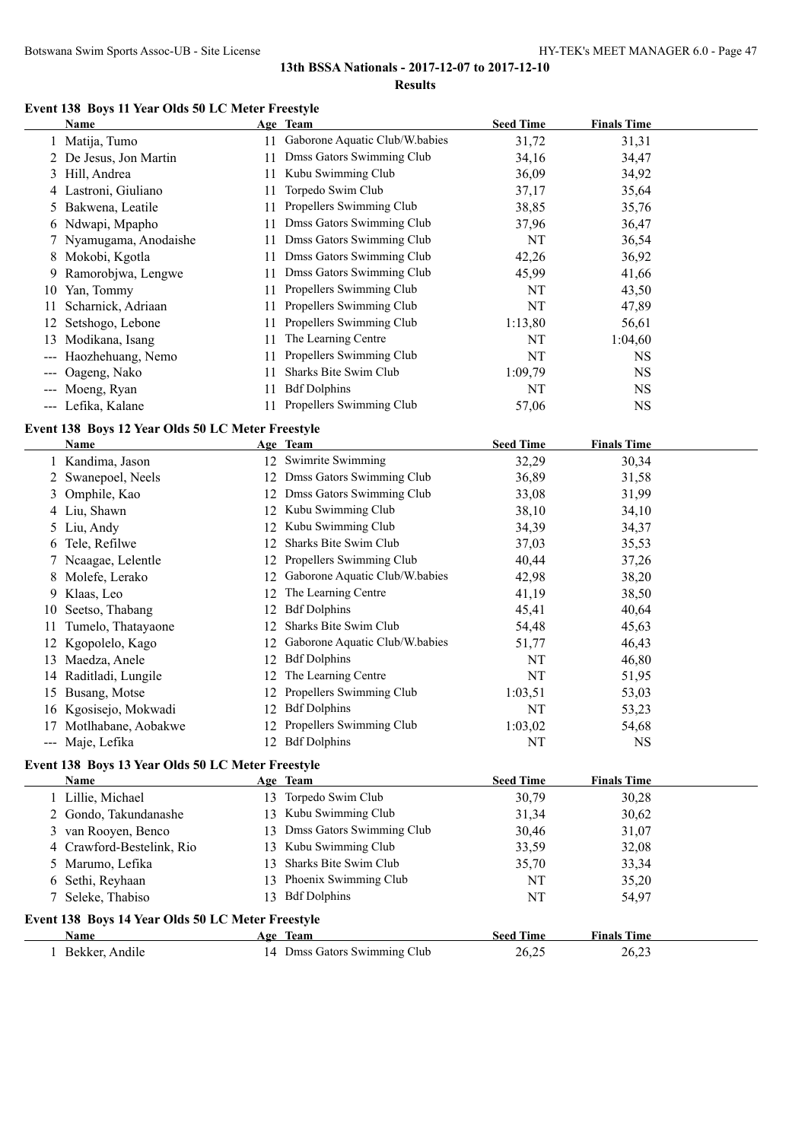#### **Event 138 Boys 11 Year Olds 50 LC Meter Freestyle**

|               | Name                   |     | Age Team                       | <b>Seed Time</b> | <b>Finals Time</b> |  |
|---------------|------------------------|-----|--------------------------------|------------------|--------------------|--|
|               | 1 Matija, Tumo         | 11  | Gaborone Aquatic Club/W.babies | 31,72            | 31,31              |  |
|               | 2 De Jesus, Jon Martin |     | Dmss Gators Swimming Club      | 34,16            | 34,47              |  |
|               | 3 Hill, Andrea         | 11  | Kubu Swimming Club             | 36,09            | 34,92              |  |
|               | 4 Lastroni, Giuliano   | 11  | Torpedo Swim Club              | 37,17            | 35,64              |  |
|               | 5 Bakwena, Leatile     | 11  | Propellers Swimming Club       | 38,85            | 35,76              |  |
|               | 6 Ndwapi, Mpapho       | 11  | Dmss Gators Swimming Club      | 37,96            | 36,47              |  |
|               | 7 Nyamugama, Anodaishe |     | Dmss Gators Swimming Club      | NT               | 36,54              |  |
|               | 8 Mokobi, Kgotla       | 11. | Dmss Gators Swimming Club      | 42,26            | 36,92              |  |
| 9             | Ramorobjwa, Lengwe     |     | Dmss Gators Swimming Club      | 45,99            | 41,66              |  |
| 10            | Yan, Tommy             | 11. | Propellers Swimming Club       | NT               | 43,50              |  |
| 11            | Scharnick, Adriaan     |     | Propellers Swimming Club       | NT               | 47,89              |  |
| 12            | Setshogo, Lebone       |     | Propellers Swimming Club       | 1:13,80          | 56,61              |  |
| 13            | Modikana, Isang        | 11  | The Learning Centre            | NT               | 1:04,60            |  |
|               | Haozhehuang, Nemo      |     | Propellers Swimming Club       | NT               | <b>NS</b>          |  |
|               | Oageng, Nako           | 11  | Sharks Bite Swim Club          | 1:09,79          | <b>NS</b>          |  |
|               | --- Moeng, Ryan        | 11  | <b>Bdf Dolphins</b>            | NT               | <b>NS</b>          |  |
| $\frac{1}{2}$ | Lefika, Kalane         |     | Propellers Swimming Club       | 57,06            | NS                 |  |

#### **Event 138 Boys 12 Year Olds 50 LC Meter Freestyle**

 $\overline{a}$ 

|               | Name                  |     | Age Team                       | <b>Seed Time</b> | <b>Finals Time</b> |  |
|---------------|-----------------------|-----|--------------------------------|------------------|--------------------|--|
|               | 1 Kandima, Jason      | 12  | Swimrite Swimming              | 32,29            | 30,34              |  |
|               | 2 Swanepoel, Neels    | 12  | Dmss Gators Swimming Club      | 36,89            | 31,58              |  |
|               | 3 Omphile, Kao        | 12  | Dmss Gators Swimming Club      | 33,08            | 31,99              |  |
|               | 4 Liu, Shawn          | 12  | Kubu Swimming Club             | 38,10            | 34,10              |  |
|               | 5 Liu, Andy           | 12  | Kubu Swimming Club             | 34,39            | 34,37              |  |
|               | 6 Tele, Refilwe       | 12  | Sharks Bite Swim Club          | 37,03            | 35,53              |  |
|               | 7 Neaagae, Lelentle   | 12  | Propellers Swimming Club       | 40,44            | 37,26              |  |
|               | 8 Molefe, Lerako      | 12  | Gaborone Aquatic Club/W.babies | 42,98            | 38,20              |  |
|               | 9 Klaas, Leo          | 12  | The Learning Centre            | 41,19            | 38,50              |  |
|               | 10 Seetso, Thabang    | 12  | <b>Bdf Dolphins</b>            | 45,41            | 40,64              |  |
|               | 11 Tumelo, Thatayaone | 12  | Sharks Bite Swim Club          | 54,48            | 45,63              |  |
|               | 12 Kgopolelo, Kago    | 12  | Gaborone Aquatic Club/W.babies | 51,77            | 46,43              |  |
| 13            | Maedza, Anele         | 12  | <b>Bdf</b> Dolphins            | NT               | 46,80              |  |
|               | 14 Raditladi, Lungile | 12  | The Learning Centre            | NT               | 51,95              |  |
| 15            | Busang, Motse         | 12  | Propellers Swimming Club       | 1:03,51          | 53,03              |  |
|               | 16 Kgosisejo, Mokwadi | 12  | <b>Bdf Dolphins</b>            | NT               | 53,23              |  |
|               | Motlhabane, Aobakwe   | 12  | Propellers Swimming Club       | 1:03,02          | 54,68              |  |
| $\frac{1}{2}$ | Maje, Lefika          | 12. | <b>Bdf</b> Dolphins            | NT               | <b>NS</b>          |  |

#### **Event 138 Boys 13 Year Olds 50 LC Meter Freestyle**

|                                                   | Name                      |     | Age Team                     | <b>Seed Time</b> | <b>Finals Time</b> |  |
|---------------------------------------------------|---------------------------|-----|------------------------------|------------------|--------------------|--|
|                                                   | 1 Lillie, Michael         |     | 13 Torpedo Swim Club         | 30,79            | 30,28              |  |
|                                                   | 2 Gondo, Takundanashe     |     | 13 Kubu Swimming Club        | 31,34            | 30,62              |  |
|                                                   | 3 van Rooyen, Benco       | 13. | Dmss Gators Swimming Club    | 30,46            | 31,07              |  |
|                                                   | 4 Crawford-Bestelink, Rio | 13. | Kubu Swimming Club           | 33,59            | 32,08              |  |
|                                                   | 5 Marumo, Lefika          | 13. | Sharks Bite Swim Club        | 35,70            | 33,34              |  |
|                                                   | 6 Sethi, Reyhaan          | 13. | Phoenix Swimming Club        | NT               | 35,20              |  |
|                                                   | 7 Seleke, Thabiso         | 13. | <b>Bdf Dolphins</b>          | NT               | 54,97              |  |
| Event 138 Boys 14 Year Olds 50 LC Meter Freestyle |                           |     |                              |                  |                    |  |
|                                                   | <b>Name</b>               |     | Age Team                     | <b>Seed Time</b> | <b>Finals Time</b> |  |
|                                                   | Bekker, Andile            |     | 14 Dmss Gators Swimming Club | 26.25            | 26.23              |  |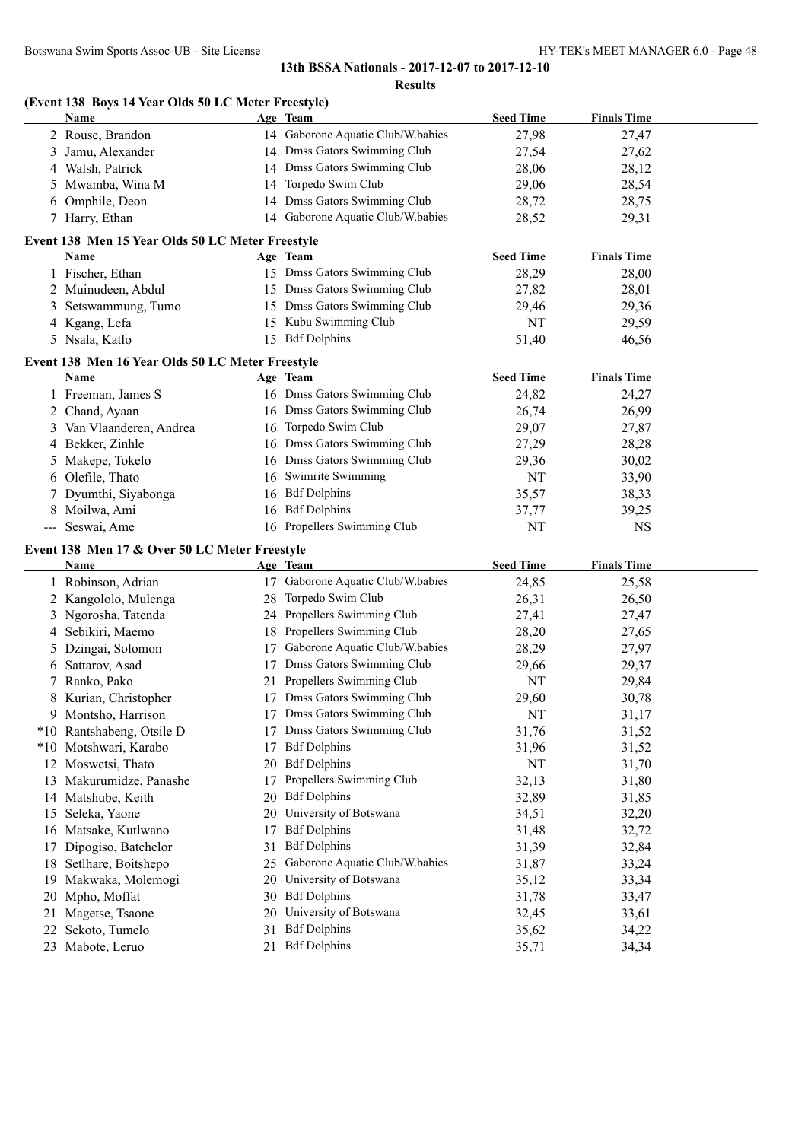|                     | (Event 138 Boys 14 Year Olds 50 LC Meter Freestyle) |    |                                   |                  |                    |  |
|---------------------|-----------------------------------------------------|----|-----------------------------------|------------------|--------------------|--|
|                     | <b>Name</b>                                         |    | Age Team                          | <b>Seed Time</b> | <b>Finals Time</b> |  |
|                     | 2 Rouse, Brandon                                    |    | 14 Gaborone Aquatic Club/W.babies | 27,98            | 27,47              |  |
| 3                   | Jamu, Alexander                                     |    | 14 Dmss Gators Swimming Club      | 27,54            | 27,62              |  |
| 4                   | Walsh, Patrick                                      |    | 14 Dmss Gators Swimming Club      | 28,06            | 28,12              |  |
| 5.                  | Mwamba, Wina M                                      | 14 | Torpedo Swim Club                 | 29,06            | 28,54              |  |
|                     | Omphile, Deon                                       |    | 14 Dmss Gators Swimming Club      | 28,72            | 28,75              |  |
|                     | 7 Harry, Ethan                                      |    | 14 Gaborone Aquatic Club/W.babies | 28,52            | 29,31              |  |
|                     | Event 138 Men 15 Year Olds 50 LC Meter Freestyle    |    |                                   |                  |                    |  |
|                     | Name                                                |    | Age Team                          | <b>Seed Time</b> | <b>Finals Time</b> |  |
|                     | 1 Fischer, Ethan                                    |    | 15 Dmss Gators Swimming Club      | 28,29            | 28,00              |  |
|                     | 2 Muinudeen, Abdul                                  |    | 15 Dmss Gators Swimming Club      | 27,82            | 28,01              |  |
| 3                   | Setswammung, Tumo                                   |    | 15 Dmss Gators Swimming Club      | 29,46            | 29,36              |  |
| 4                   | Kgang, Lefa                                         |    | 15 Kubu Swimming Club             | NT               | 29,59              |  |
|                     | 5 Nsala, Katlo                                      |    | 15 Bdf Dolphins                   | 51,40            | 46,56              |  |
|                     | Event 138 Men 16 Year Olds 50 LC Meter Freestyle    |    |                                   |                  |                    |  |
|                     | Name                                                |    | Age Team                          | <b>Seed Time</b> | <b>Finals Time</b> |  |
|                     | 1 Freeman, James S                                  |    | 16 Dmss Gators Swimming Club      | 24,82            | 24,27              |  |
|                     | 2 Chand, Ayaan                                      |    | 16 Dmss Gators Swimming Club      | 26,74            | 26,99              |  |
| 3                   | Van Vlaanderen, Andrea                              | 16 | Torpedo Swim Club                 | 29,07            | 27,87              |  |
|                     | Bekker, Zinhle                                      |    | 16 Dmss Gators Swimming Club      | 27,29            | 28,28              |  |
| 5.                  | Makepe, Tokelo                                      |    | 16 Dmss Gators Swimming Club      | 29,36            | 30,02              |  |
| 6                   | Olefile, Thato                                      | 16 | Swimrite Swimming                 | NT               | 33,90              |  |
|                     | Dyumthi, Siyabonga                                  | 16 | <b>Bdf Dolphins</b>               | 35,57            | 38,33              |  |
|                     | Moilwa, Ami                                         | 16 | <b>Bdf Dolphins</b>               | 37,77            | 39,25              |  |
| $\qquad \qquad - -$ | Seswai, Ame                                         |    | 16 Propellers Swimming Club       | NT               | <b>NS</b>          |  |
|                     | Event 138 Men 17 & Over 50 LC Meter Freestyle       |    |                                   |                  |                    |  |
|                     | Name                                                |    | Age Team                          | <b>Seed Time</b> | <b>Finals Time</b> |  |
|                     | 1 Robinson, Adrian                                  |    | 17 Gaborone Aquatic Club/W.babies | 24,85            | 25,58              |  |
| 2                   | Kangololo, Mulenga                                  | 28 | Torpedo Swim Club                 | 26,31            | 26,50              |  |
| 3                   | Ngorosha, Tatenda                                   |    | 24 Propellers Swimming Club       | 27,41            | 27,47              |  |
| 4                   | Sebikiri, Maemo                                     | 18 | Propellers Swimming Club          | 28,20            | 27,65              |  |
|                     | Dzingai, Solomon                                    | 17 | Gaborone Aquatic Club/W.babies    | 28,29            | 27,97              |  |
| 6                   | Sattarov, Asad                                      |    | 17 Dmss Gators Swimming Club      | 29,66            | 29,37              |  |
|                     | Ranko, Pako                                         | 21 | Propellers Swimming Club          | NT               | 29,84              |  |
| 8                   | Kurian, Christopher                                 |    | 17 Dmss Gators Swimming Club      | 29,60            | 30,78              |  |
|                     | 9 Montsho, Harrison                                 |    | 17 Dmss Gators Swimming Club      | NT               | 31,17              |  |
|                     | *10 Rantshabeng, Otsile D                           | 17 | Dmss Gators Swimming Club         | 31,76            | 31,52              |  |
|                     | *10 Motshwari, Karabo                               | 17 | <b>Bdf Dolphins</b>               | 31,96            | 31,52              |  |
|                     | 12 Moswetsi, Thato                                  | 20 | <b>Bdf</b> Dolphins               | NT               | 31,70              |  |
|                     | 13 Makurumidze, Panashe                             | 17 | Propellers Swimming Club          | 32,13            | 31,80              |  |
|                     | 14 Matshube, Keith                                  | 20 | <b>Bdf</b> Dolphins               | 32,89            | 31,85              |  |
| 15                  | Seleka, Yaone                                       | 20 | University of Botswana            | 34,51            | 32,20              |  |
| 16                  | Matsake, Kutlwano                                   | 17 | <b>Bdf Dolphins</b>               | 31,48            | 32,72              |  |
| 17                  | Dipogiso, Batchelor                                 | 31 | <b>Bdf Dolphins</b>               | 31,39            | 32,84              |  |
| 18                  | Setlhare, Boitshepo                                 | 25 | Gaborone Aquatic Club/W.babies    | 31,87            | 33,24              |  |
| 19                  | Makwaka, Molemogi                                   | 20 | University of Botswana            | 35,12            | 33,34              |  |
| 20                  | Mpho, Moffat                                        | 30 | <b>Bdf Dolphins</b>               | 31,78            | 33,47              |  |
| 21                  | Magetse, Tsaone                                     | 20 | University of Botswana            | 32,45            | 33,61              |  |
| 22                  | Sekoto, Tumelo                                      | 31 | <b>Bdf Dolphins</b>               | 35,62            | 34,22              |  |
| 23                  | Mabote, Leruo                                       | 21 | <b>Bdf Dolphins</b>               | 35,71            | 34,34              |  |
|                     |                                                     |    |                                   |                  |                    |  |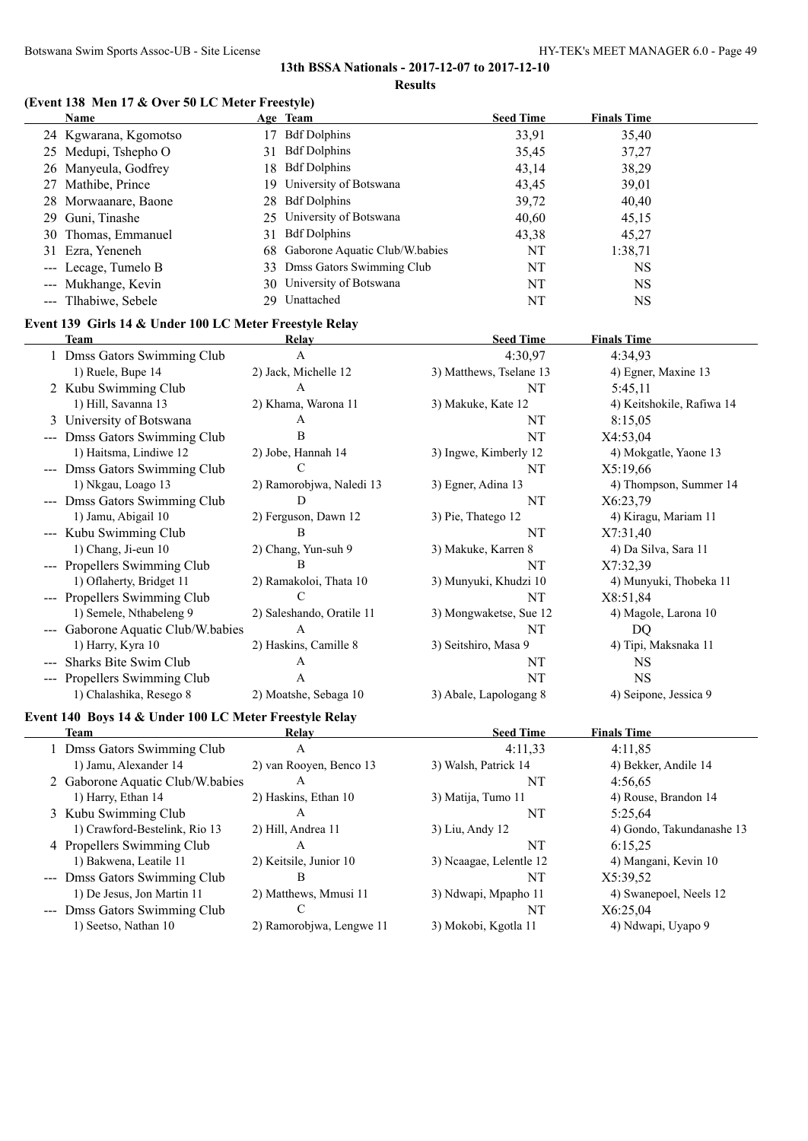**Results**

# **(Event 138 Men 17 & Over 50 LC Meter Freestyle)**

| Name                  |     | Age Team                          | <b>Seed Time</b> | <b>Finals Time</b> |
|-----------------------|-----|-----------------------------------|------------------|--------------------|
| 24 Kgwarana, Kgomotso |     | 17 Bdf Dolphins                   | 33,91            | 35,40              |
| 25 Medupi, Tshepho O  |     | 31 Bdf Dolphins                   | 35,45            | 37,27              |
| 26 Manyeula, Godfrey  |     | 18 Bdf Dolphins                   | 43,14            | 38,29              |
| 27 Mathibe, Prince    |     | 19 University of Botswana         | 43,45            | 39,01              |
| 28 Morwaanare, Baone  |     | 28 Bdf Dolphins                   | 39,72            | 40,40              |
| 29 Guni, Tinashe      |     | 25 University of Botswana         | 40,60            | 45,15              |
| 30 Thomas, Emmanuel   |     | 31 Bdf Dolphins                   | 43,38            | 45,27              |
| 31 Ezra, Yeneneh      |     | 68 Gaborone Aquatic Club/W.babies | NT               | 1:38,71            |
| --- Lecage, Tumelo B  |     | 33 Dmss Gators Swimming Club      | NT               | <b>NS</b>          |
| --- Mukhange, Kevin   |     | 30 University of Botswana         | NT               | <b>NS</b>          |
| --- Tlhabiwe, Sebele  | 29. | Unattached                        | NT               | <b>NS</b>          |

# **Event 139 Girls 14 & Under 100 LC Meter Freestyle Relay**

| Team                                           | Relay                     | <b>Seed Time</b>        | <b>Finals Time</b>        |
|------------------------------------------------|---------------------------|-------------------------|---------------------------|
| Dmss Gators Swimming Club                      | A                         | 4:30,97                 | 4:34,93                   |
| 1) Ruele, Bupe 14                              | 2) Jack, Michelle 12      | 3) Matthews, Tselane 13 | 4) Egner, Maxine 13       |
| 2 Kubu Swimming Club                           | A                         | NT                      | 5:45,11                   |
| 1) Hill, Savanna 13                            | 2) Khama, Warona 11       | 3) Makuke, Kate 12      | 4) Keitshokile, Rafiwa 14 |
| University of Botswana<br>3                    | A                         | NT                      | 8:15,05                   |
| Dmss Gators Swimming Club                      | B                         | NT                      | X4:53,04                  |
| 1) Haitsma, Lindiwe 12                         | 2) Jobe, Hannah 14        | 3) Ingwe, Kimberly 12   | 4) Mokgatle, Yaone 13     |
| Dmss Gators Swimming Club<br>$\qquad \qquad -$ |                           | NT                      | X5:19,66                  |
| 1) Nkgau, Loago 13                             | 2) Ramorobjwa, Naledi 13  | 3) Egner, Adina 13      | 4) Thompson, Summer 14    |
| Dmss Gators Swimming Club                      | D                         | NT                      | X6:23,79                  |
| 1) Jamu, Abigail 10                            | 2) Ferguson, Dawn 12      | 3) Pie, Thatego 12      | 4) Kiragu, Mariam 11      |
| --- Kubu Swimming Club                         | В                         | NT                      | X7:31,40                  |
| 1) Chang, Ji-eun 10                            | 2) Chang, Yun-suh 9       | 3) Makuke, Karren 8     | 4) Da Silva, Sara 11      |
| --- Propellers Swimming Club                   | B                         | NT                      | X7:32,39                  |
| 1) Oflaherty, Bridget 11                       | 2) Ramakoloi, Thata 10    | 3) Munyuki, Khudzi 10   | 4) Munyuki, Thobeka 11    |
| --- Propellers Swimming Club                   | C                         | NT                      | X8:51,84                  |
| 1) Semele, Nthabeleng 9                        | 2) Saleshando, Oratile 11 | 3) Mongwaketse, Sue 12  | 4) Magole, Larona 10      |
| Gaborone Aquatic Club/W.babies                 | A                         | NT                      | DQ                        |
| 1) Harry, Kyra 10                              | 2) Haskins, Camille 8     | 3) Seitshiro, Masa 9    | 4) Tipi, Maksnaka 11      |
| Sharks Bite Swim Club                          | A                         | NT                      | <b>NS</b>                 |
| --- Propellers Swimming Club                   | A                         | NT                      | <b>NS</b>                 |
| 1) Chalashika, Resego 8                        | 2) Moatshe, Sebaga 10     | 3) Abale, Lapologang 8  | 4) Seipone, Jessica 9     |

#### **Event 140 Boys 14 & Under 100 LC Meter Freestyle Relay**

| Team                             | Relay                    | <b>Seed Time</b>        | <b>Finals Time</b>        |
|----------------------------------|--------------------------|-------------------------|---------------------------|
| 1 Dmss Gators Swimming Club      | Α                        | 4:11,33                 | 4:11.85                   |
| 1) Jamu, Alexander 14            | 2) van Rooyen, Benco 13  | 3) Walsh, Patrick 14    | 4) Bekker, Andile 14      |
| 2 Gaborone Aquatic Club/W.babies | А                        | NT                      | 4:56.65                   |
| 1) Harry, Ethan 14               | 2) Haskins, Ethan 10     | 3) Matija, Tumo 11      | 4) Rouse, Brandon 14      |
| 3 Kubu Swimming Club             | A                        | NT                      | 5:25.64                   |
| 1) Crawford-Bestelink, Rio 13    | 2) Hill, Andrea 11       | 3) Liu, Andy 12         | 4) Gondo, Takundanashe 13 |
| 4 Propellers Swimming Club       | A                        | NT                      | 6:15.25                   |
| 1) Bakwena, Leatile 11           | 2) Keitsile, Junior 10   | 3) Neaagae, Lelentle 12 | 4) Mangani, Kevin 10      |
| --- Dmss Gators Swimming Club    | В                        | NT                      | X5:39.52                  |
| 1) De Jesus, Jon Martin 11       | 2) Matthews, Mmusi 11    | 3) Ndwapi, Mpapho 11    | 4) Swanepoel, Neels 12    |
| --- Dmss Gators Swimming Club    |                          | NT                      | X6:25.04                  |
| 1) Seetso, Nathan 10             | 2) Ramorobjwa, Lengwe 11 | 3) Mokobi, Kgotla 11    | 4) Ndwapi, Uyapo 9        |
|                                  |                          |                         |                           |